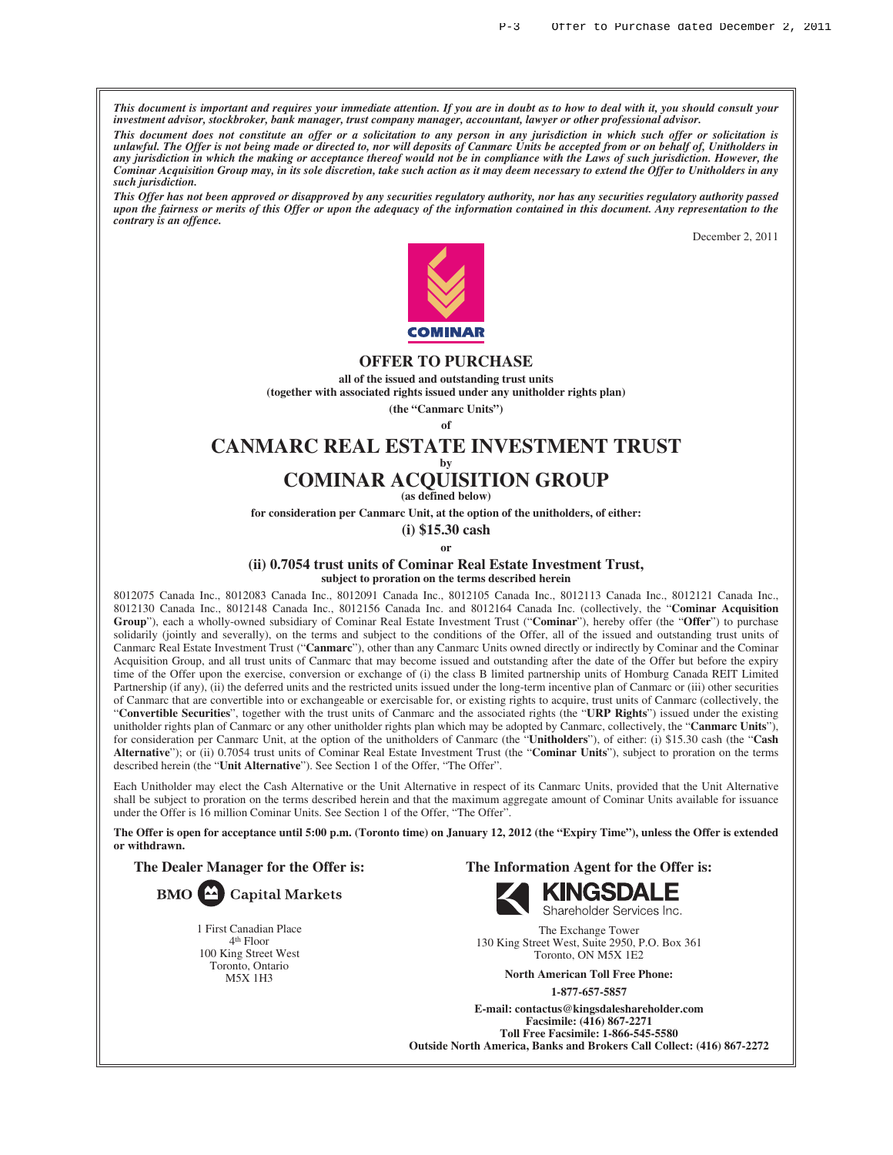*This document is important and requires your immediate attention. If you are in doubt as to how to deal with it, you should consult your investment advisor, stockbroker, bank manager, trust company manager, accountant, lawyer or other professional advisor.*

*This document does not constitute an offer or a solicitation to any person in any jurisdiction in which such offer or solicitation is unlawful. The Offer is not being made or directed to, nor will deposits of Canmarc Units be accepted from or on behalf of, Unitholders in any jurisdiction in which the making or acceptance thereof would not be in compliance with the Laws of such jurisdiction. However, the Cominar Acquisition Group may, in its sole discretion, take such action as it may deem necessary to extend the Offer to Unitholders in any such jurisdiction.*

*This Offer has not been approved or disapproved by any securities regulatory authority, nor has any securities regulatory authority passed upon the fairness or merits of this Offer or upon the adequacy of the information contained in this document. Any representation to the contrary is an offence.*

December 2, 2011



#### **OFFER TO PURCHASE**

**all of the issued and outstanding trust units (together with associated rights issued under any unitholder rights plan)**

> **(the "Canmarc Units") of**

# **CANMARC REAL ESTATE INVESTMENT TRUST by**

# **COMINAR ACQUISITION GROUP**

**(as defined below)**

**for consideration per Canmarc Unit, at the option of the unitholders, of either:**

**(i) \$15.30 cash**

**or**

#### **(ii) 0.7054 trust units of Cominar Real Estate Investment Trust,**

**subject to proration on the terms described herein**

8012075 Canada Inc., 8012083 Canada Inc., 8012091 Canada Inc., 8012105 Canada Inc., 8012113 Canada Inc., 8012121 Canada Inc., 8012130 Canada Inc., 8012148 Canada Inc., 8012156 Canada Inc. and 8012164 Canada Inc. (collectively, the "**Cominar Acquisition Group**"), each a wholly-owned subsidiary of Cominar Real Estate Investment Trust ("**Cominar**"), hereby offer (the "**Offer**") to purchase solidarily (jointly and severally), on the terms and subject to the conditions of the Offer, all of the issued and outstanding trust units of Canmarc Real Estate Investment Trust ("**Canmarc**"), other than any Canmarc Units owned directly or indirectly by Cominar and the Cominar Acquisition Group, and all trust units of Canmarc that may become issued and outstanding after the date of the Offer but before the expiry time of the Offer upon the exercise, conversion or exchange of (i) the class B limited partnership units of Homburg Canada REIT Limited Partnership (if any), (ii) the deferred units and the restricted units issued under the long-term incentive plan of Canmarc or (iii) other securities of Canmarc that are convertible into or exchangeable or exercisable for, or existing rights to acquire, trust units of Canmarc (collectively, the "**Convertible Securities**", together with the trust units of Canmarc and the associated rights (the "**URP Rights**") issued under the existing unitholder rights plan of Canmarc or any other unitholder rights plan which may be adopted by Canmarc, collectively, the "**Canmarc Units**"), for consideration per Canmarc Unit, at the option of the unitholders of Canmarc (the "**Unitholders**"), of either: (i) \$15.30 cash (the "**Cash Alternative**"); or (ii) 0.7054 trust units of Cominar Real Estate Investment Trust (the "**Cominar Units**"), subject to proration on the terms described herein (the "**Unit Alternative**"). See Section 1 of the Offer, "The Offer".

Each Unitholder may elect the Cash Alternative or the Unit Alternative in respect of its Canmarc Units, provided that the Unit Alternative shall be subject to proration on the terms described herein and that the maximum aggregate amount of Cominar Units available for issuance under the Offer is 16 million Cominar Units. See Section 1 of the Offer, "The Offer".

**The Offer is open for acceptance until 5:00 p.m. (Toronto time) on January 12, 2012 (the "Expiry Time"), unless the Offer is extended or withdrawn.**

**The Dealer Manager for the Offer is:**



1 First Canadian Place 4th Floor 100 King Street West Toronto, Ontario M5X 1H3

**The Information Agent for the Offer is:**



The Exchange Tower 130 King Street West, Suite 2950, P.O. Box 361 Toronto, ON M5X 1E2

> **North American Toll Free Phone: 1-877-657-5857**

**E-mail: contactus@kingsdaleshareholder.com Facsimile: (416) 867-2271 Toll Free Facsimile: 1-866-545-5580 Outside North America, Banks and Brokers Call Collect: (416) 867-2272**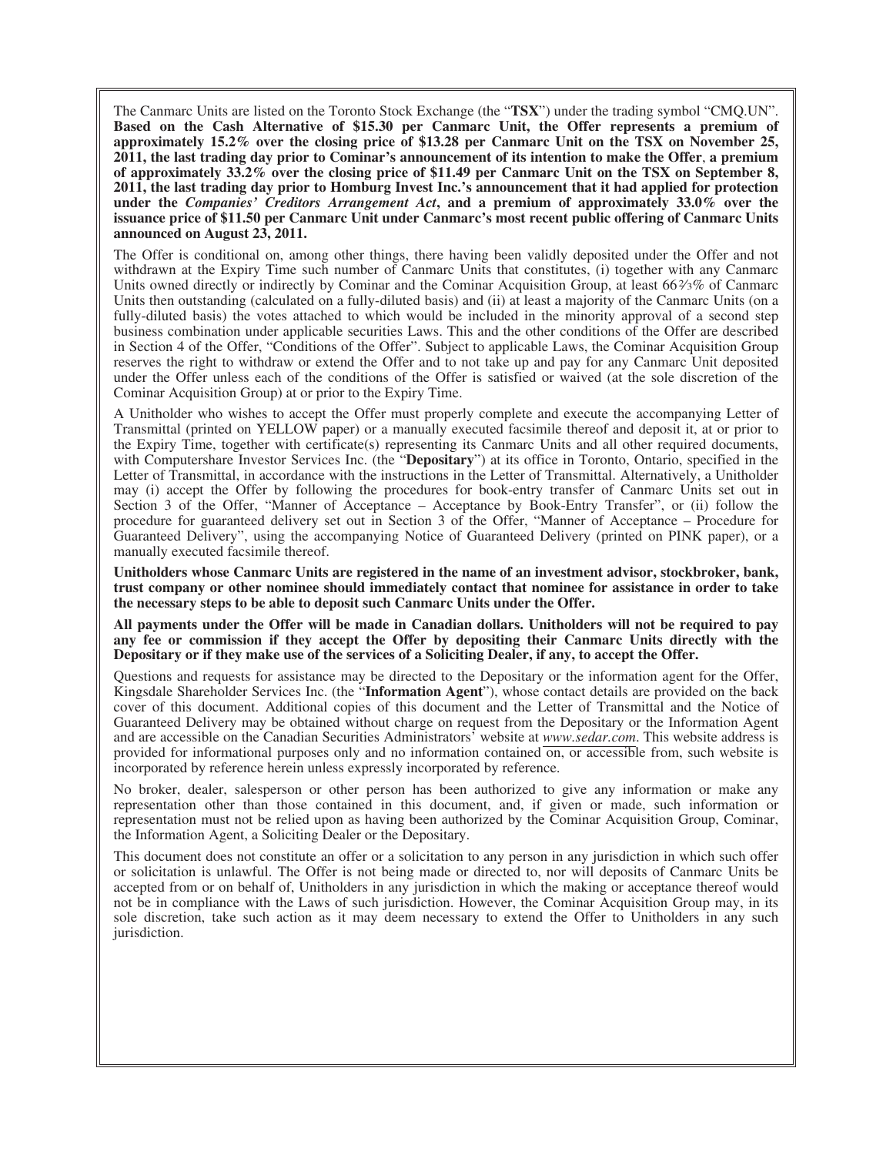The Canmarc Units are listed on the Toronto Stock Exchange (the "**TSX**") under the trading symbol "CMQ.UN". **Based on the Cash Alternative of \$15.30 per Canmarc Unit, the Offer represents a premium of approximately 15.2% over the closing price of \$13.28 per Canmarc Unit on the TSX on November 25, 2011, the last trading day prior to Cominar's announcement of its intention to make the Offer**, **a premium of approximately 33.2% over the closing price of \$11.49 per Canmarc Unit on the TSX on September 8, 2011, the last trading day prior to Homburg Invest Inc.'s announcement that it had applied for protection under the** *Companies' Creditors Arrangement Act***, and a premium of approximately 33.0% over the issuance price of \$11.50 per Canmarc Unit under Canmarc's most recent public offering of Canmarc Units announced on August 23, 2011.**

The Offer is conditional on, among other things, there having been validly deposited under the Offer and not withdrawn at the Expiry Time such number of Canmarc Units that constitutes, (i) together with any Canmarc Units owned directly or indirectly by Cominar and the Cominar Acquisition Group, at least 66%% of Canmarc Units then outstanding (calculated on a fully-diluted basis) and (ii) at least a majority of the Canmarc Units (on a fully-diluted basis) the votes attached to which would be included in the minority approval of a second step business combination under applicable securities Laws. This and the other conditions of the Offer are described in Section 4 of the Offer, "Conditions of the Offer". Subject to applicable Laws, the Cominar Acquisition Group reserves the right to withdraw or extend the Offer and to not take up and pay for any Canmarc Unit deposited under the Offer unless each of the conditions of the Offer is satisfied or waived (at the sole discretion of the Cominar Acquisition Group) at or prior to the Expiry Time.

A Unitholder who wishes to accept the Offer must properly complete and execute the accompanying Letter of Transmittal (printed on YELLOW paper) or a manually executed facsimile thereof and deposit it, at or prior to the Expiry Time, together with certificate(s) representing its Canmarc Units and all other required documents, with Computershare Investor Services Inc. (the "**Depositary**") at its office in Toronto, Ontario, specified in the Letter of Transmittal, in accordance with the instructions in the Letter of Transmittal. Alternatively, a Unitholder may (i) accept the Offer by following the procedures for book-entry transfer of Canmarc Units set out in Section 3 of the Offer, "Manner of Acceptance – Acceptance by Book-Entry Transfer", or (ii) follow the procedure for guaranteed delivery set out in Section 3 of the Offer, "Manner of Acceptance – Procedure for Guaranteed Delivery", using the accompanying Notice of Guaranteed Delivery (printed on PINK paper), or a manually executed facsimile thereof.

**Unitholders whose Canmarc Units are registered in the name of an investment advisor, stockbroker, bank, trust company or other nominee should immediately contact that nominee for assistance in order to take the necessary steps to be able to deposit such Canmarc Units under the Offer.**

**All payments under the Offer will be made in Canadian dollars. Unitholders will not be required to pay any fee or commission if they accept the Offer by depositing their Canmarc Units directly with the Depositary or if they make use of the services of a Soliciting Dealer, if any, to accept the Offer.**

Questions and requests for assistance may be directed to the Depositary or the information agent for the Offer, Kingsdale Shareholder Services Inc. (the "**Information Agent**"), whose contact details are provided on the back cover of this document. Additional copies of this document and the Letter of Transmittal and the Notice of Guaranteed Delivery may be obtained without charge on request from the Depositary or the Information Agent and are accessible on the Canadian Securities Administrators' website at *www.sedar.com*. This website address is provided for informational purposes only and no information contained on, or accessible from, such website is incorporated by reference herein unless expressly incorporated by reference.

No broker, dealer, salesperson or other person has been authorized to give any information or make any representation other than those contained in this document, and, if given or made, such information or representation must not be relied upon as having been authorized by the Cominar Acquisition Group, Cominar, the Information Agent, a Soliciting Dealer or the Depositary.

This document does not constitute an offer or a solicitation to any person in any jurisdiction in which such offer or solicitation is unlawful. The Offer is not being made or directed to, nor will deposits of Canmarc Units be accepted from or on behalf of, Unitholders in any jurisdiction in which the making or acceptance thereof would not be in compliance with the Laws of such jurisdiction. However, the Cominar Acquisition Group may, in its sole discretion, take such action as it may deem necessary to extend the Offer to Unitholders in any such jurisdiction.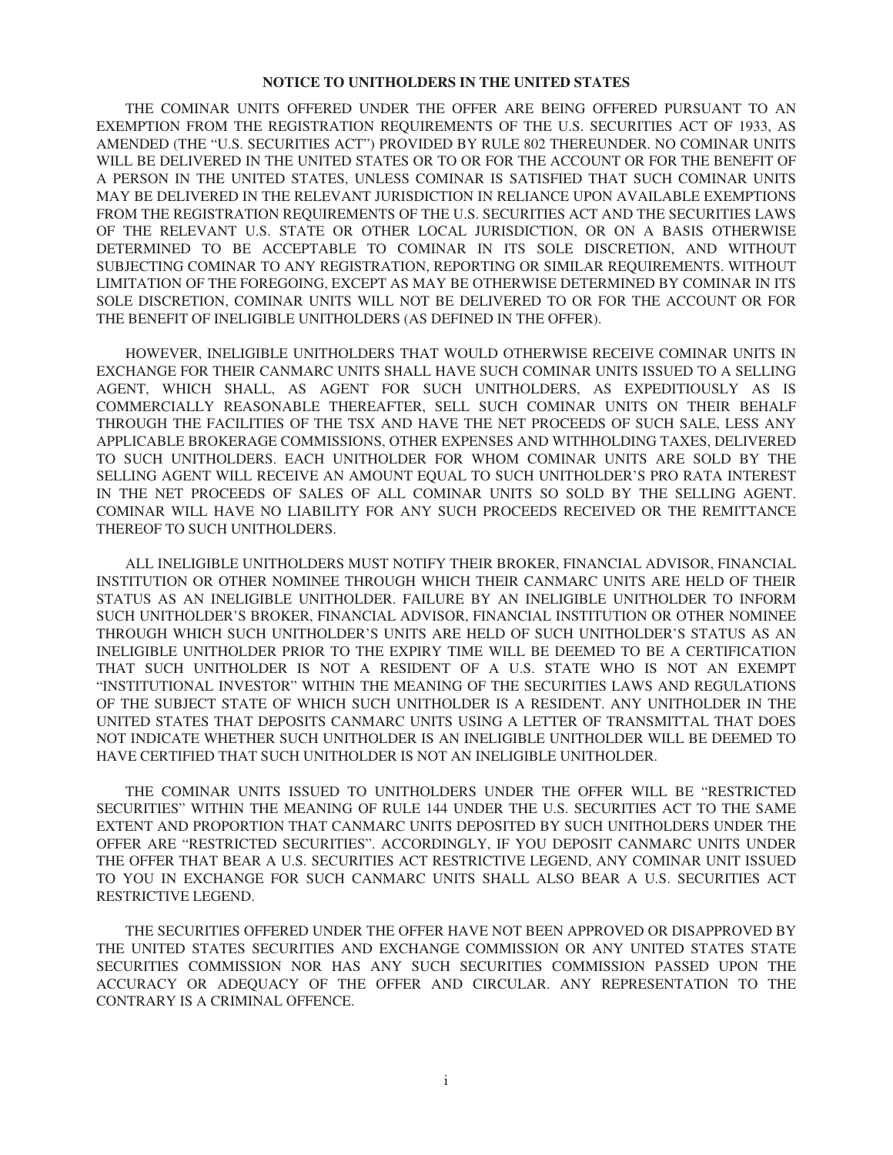### **NOTICE TO UNITHOLDERS IN THE UNITED STATES**

THE COMINAR UNITS OFFERED UNDER THE OFFER ARE BEING OFFERED PURSUANT TO AN EXEMPTION FROM THE REGISTRATION REQUIREMENTS OF THE U.S. SECURITIES ACT OF 1933, AS AMENDED (THE "U.S. SECURITIES ACT") PROVIDED BY RULE 802 THEREUNDER. NO COMINAR UNITS WILL BE DELIVERED IN THE UNITED STATES OR TO OR FOR THE ACCOUNT OR FOR THE BENEFIT OF A PERSON IN THE UNITED STATES, UNLESS COMINAR IS SATISFIED THAT SUCH COMINAR UNITS MAY BE DELIVERED IN THE RELEVANT JURISDICTION IN RELIANCE UPON AVAILABLE EXEMPTIONS FROM THE REGISTRATION REQUIREMENTS OF THE U.S. SECURITIES ACT AND THE SECURITIES LAWS OF THE RELEVANT U.S. STATE OR OTHER LOCAL JURISDICTION, OR ON A BASIS OTHERWISE DETERMINED TO BE ACCEPTABLE TO COMINAR IN ITS SOLE DISCRETION, AND WITHOUT SUBJECTING COMINAR TO ANY REGISTRATION, REPORTING OR SIMILAR REQUIREMENTS. WITHOUT LIMITATION OF THE FOREGOING, EXCEPT AS MAY BE OTHERWISE DETERMINED BY COMINAR IN ITS SOLE DISCRETION, COMINAR UNITS WILL NOT BE DELIVERED TO OR FOR THE ACCOUNT OR FOR THE BENEFIT OF INELIGIBLE UNITHOLDERS (AS DEFINED IN THE OFFER).

HOWEVER, INELIGIBLE UNITHOLDERS THAT WOULD OTHERWISE RECEIVE COMINAR UNITS IN EXCHANGE FOR THEIR CANMARC UNITS SHALL HAVE SUCH COMINAR UNITS ISSUED TO A SELLING AGENT, WHICH SHALL, AS AGENT FOR SUCH UNITHOLDERS, AS EXPEDITIOUSLY AS IS COMMERCIALLY REASONABLE THEREAFTER, SELL SUCH COMINAR UNITS ON THEIR BEHALF THROUGH THE FACILITIES OF THE TSX AND HAVE THE NET PROCEEDS OF SUCH SALE, LESS ANY APPLICABLE BROKERAGE COMMISSIONS, OTHER EXPENSES AND WITHHOLDING TAXES, DELIVERED TO SUCH UNITHOLDERS. EACH UNITHOLDER FOR WHOM COMINAR UNITS ARE SOLD BY THE SELLING AGENT WILL RECEIVE AN AMOUNT EQUAL TO SUCH UNITHOLDER'S PRO RATA INTEREST IN THE NET PROCEEDS OF SALES OF ALL COMINAR UNITS SO SOLD BY THE SELLING AGENT. COMINAR WILL HAVE NO LIABILITY FOR ANY SUCH PROCEEDS RECEIVED OR THE REMITTANCE THEREOF TO SUCH UNITHOLDERS.

ALL INELIGIBLE UNITHOLDERS MUST NOTIFY THEIR BROKER, FINANCIAL ADVISOR, FINANCIAL INSTITUTION OR OTHER NOMINEE THROUGH WHICH THEIR CANMARC UNITS ARE HELD OF THEIR STATUS AS AN INELIGIBLE UNITHOLDER. FAILURE BY AN INELIGIBLE UNITHOLDER TO INFORM SUCH UNITHOLDER'S BROKER, FINANCIAL ADVISOR, FINANCIAL INSTITUTION OR OTHER NOMINEE THROUGH WHICH SUCH UNITHOLDER'S UNITS ARE HELD OF SUCH UNITHOLDER'S STATUS AS AN INELIGIBLE UNITHOLDER PRIOR TO THE EXPIRY TIME WILL BE DEEMED TO BE A CERTIFICATION THAT SUCH UNITHOLDER IS NOT A RESIDENT OF A U.S. STATE WHO IS NOT AN EXEMPT "INSTITUTIONAL INVESTOR" WITHIN THE MEANING OF THE SECURITIES LAWS AND REGULATIONS OF THE SUBJECT STATE OF WHICH SUCH UNITHOLDER IS A RESIDENT. ANY UNITHOLDER IN THE UNITED STATES THAT DEPOSITS CANMARC UNITS USING A LETTER OF TRANSMITTAL THAT DOES NOT INDICATE WHETHER SUCH UNITHOLDER IS AN INELIGIBLE UNITHOLDER WILL BE DEEMED TO HAVE CERTIFIED THAT SUCH UNITHOLDER IS NOT AN INELIGIBLE UNITHOLDER.

THE COMINAR UNITS ISSUED TO UNITHOLDERS UNDER THE OFFER WILL BE "RESTRICTED SECURITIES" WITHIN THE MEANING OF RULE 144 UNDER THE U.S. SECURITIES ACT TO THE SAME EXTENT AND PROPORTION THAT CANMARC UNITS DEPOSITED BY SUCH UNITHOLDERS UNDER THE OFFER ARE "RESTRICTED SECURITIES". ACCORDINGLY, IF YOU DEPOSIT CANMARC UNITS UNDER THE OFFER THAT BEAR A U.S. SECURITIES ACT RESTRICTIVE LEGEND, ANY COMINAR UNIT ISSUED TO YOU IN EXCHANGE FOR SUCH CANMARC UNITS SHALL ALSO BEAR A U.S. SECURITIES ACT RESTRICTIVE LEGEND.

THE SECURITIES OFFERED UNDER THE OFFER HAVE NOT BEEN APPROVED OR DISAPPROVED BY THE UNITED STATES SECURITIES AND EXCHANGE COMMISSION OR ANY UNITED STATES STATE SECURITIES COMMISSION NOR HAS ANY SUCH SECURITIES COMMISSION PASSED UPON THE ACCURACY OR ADEQUACY OF THE OFFER AND CIRCULAR. ANY REPRESENTATION TO THE CONTRARY IS A CRIMINAL OFFENCE.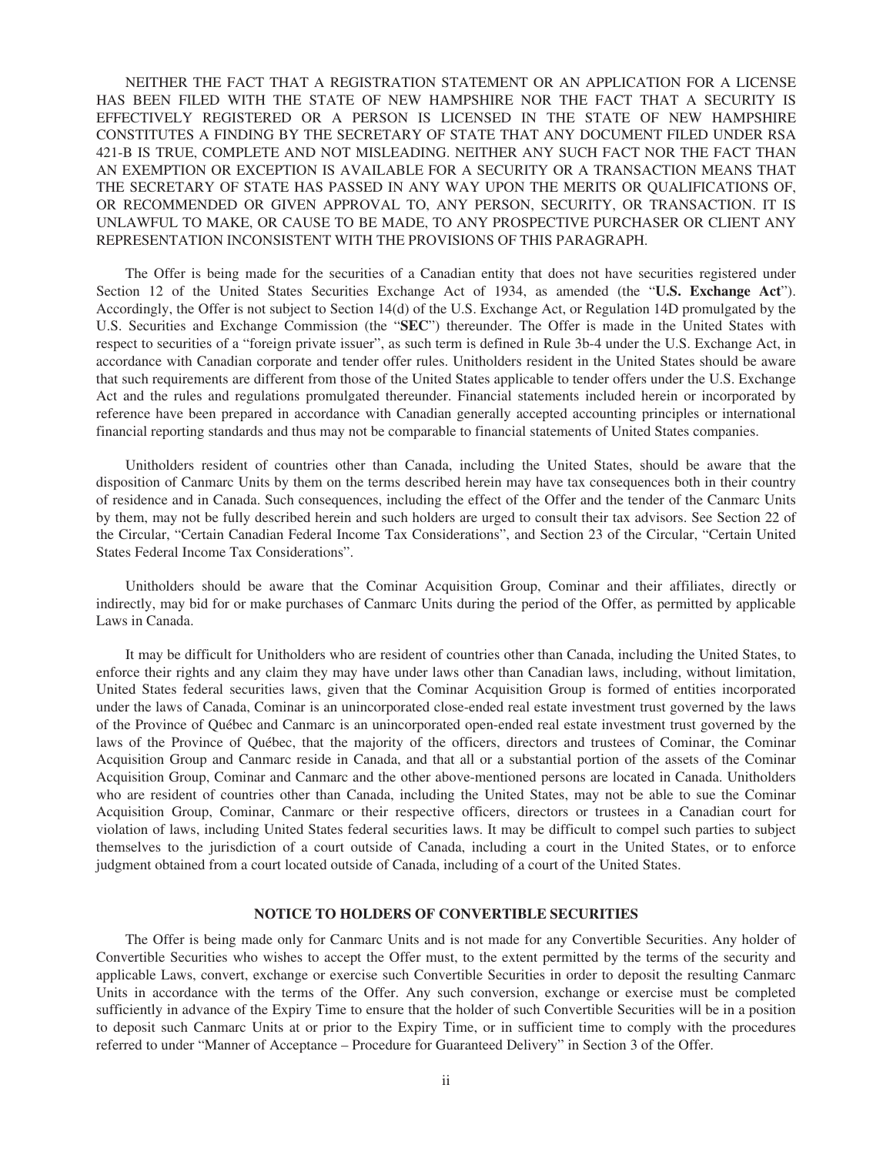NEITHER THE FACT THAT A REGISTRATION STATEMENT OR AN APPLICATION FOR A LICENSE HAS BEEN FILED WITH THE STATE OF NEW HAMPSHIRE NOR THE FACT THAT A SECURITY IS EFFECTIVELY REGISTERED OR A PERSON IS LICENSED IN THE STATE OF NEW HAMPSHIRE CONSTITUTES A FINDING BY THE SECRETARY OF STATE THAT ANY DOCUMENT FILED UNDER RSA 421-B IS TRUE, COMPLETE AND NOT MISLEADING. NEITHER ANY SUCH FACT NOR THE FACT THAN AN EXEMPTION OR EXCEPTION IS AVAILABLE FOR A SECURITY OR A TRANSACTION MEANS THAT THE SECRETARY OF STATE HAS PASSED IN ANY WAY UPON THE MERITS OR QUALIFICATIONS OF, OR RECOMMENDED OR GIVEN APPROVAL TO, ANY PERSON, SECURITY, OR TRANSACTION. IT IS UNLAWFUL TO MAKE, OR CAUSE TO BE MADE, TO ANY PROSPECTIVE PURCHASER OR CLIENT ANY REPRESENTATION INCONSISTENT WITH THE PROVISIONS OF THIS PARAGRAPH.

The Offer is being made for the securities of a Canadian entity that does not have securities registered under Section 12 of the United States Securities Exchange Act of 1934, as amended (the "**U.S. Exchange Act**"). Accordingly, the Offer is not subject to Section 14(d) of the U.S. Exchange Act, or Regulation 14D promulgated by the U.S. Securities and Exchange Commission (the "**SEC**") thereunder. The Offer is made in the United States with respect to securities of a "foreign private issuer", as such term is defined in Rule 3b-4 under the U.S. Exchange Act, in accordance with Canadian corporate and tender offer rules. Unitholders resident in the United States should be aware that such requirements are different from those of the United States applicable to tender offers under the U.S. Exchange Act and the rules and regulations promulgated thereunder. Financial statements included herein or incorporated by reference have been prepared in accordance with Canadian generally accepted accounting principles or international financial reporting standards and thus may not be comparable to financial statements of United States companies.

Unitholders resident of countries other than Canada, including the United States, should be aware that the disposition of Canmarc Units by them on the terms described herein may have tax consequences both in their country of residence and in Canada. Such consequences, including the effect of the Offer and the tender of the Canmarc Units by them, may not be fully described herein and such holders are urged to consult their tax advisors. See Section 22 of the Circular, "Certain Canadian Federal Income Tax Considerations", and Section 23 of the Circular, "Certain United States Federal Income Tax Considerations".

Unitholders should be aware that the Cominar Acquisition Group, Cominar and their affiliates, directly or indirectly, may bid for or make purchases of Canmarc Units during the period of the Offer, as permitted by applicable Laws in Canada.

It may be difficult for Unitholders who are resident of countries other than Canada, including the United States, to enforce their rights and any claim they may have under laws other than Canadian laws, including, without limitation, United States federal securities laws, given that the Cominar Acquisition Group is formed of entities incorporated under the laws of Canada, Cominar is an unincorporated close-ended real estate investment trust governed by the laws of the Province of Québec and Canmarc is an unincorporated open-ended real estate investment trust governed by the laws of the Province of Québec, that the majority of the officers, directors and trustees of Cominar, the Cominar Acquisition Group and Canmarc reside in Canada, and that all or a substantial portion of the assets of the Cominar Acquisition Group, Cominar and Canmarc and the other above-mentioned persons are located in Canada. Unitholders who are resident of countries other than Canada, including the United States, may not be able to sue the Cominar Acquisition Group, Cominar, Canmarc or their respective officers, directors or trustees in a Canadian court for violation of laws, including United States federal securities laws. It may be difficult to compel such parties to subject themselves to the jurisdiction of a court outside of Canada, including a court in the United States, or to enforce judgment obtained from a court located outside of Canada, including of a court of the United States.

### **NOTICE TO HOLDERS OF CONVERTIBLE SECURITIES**

The Offer is being made only for Canmarc Units and is not made for any Convertible Securities. Any holder of Convertible Securities who wishes to accept the Offer must, to the extent permitted by the terms of the security and applicable Laws, convert, exchange or exercise such Convertible Securities in order to deposit the resulting Canmarc Units in accordance with the terms of the Offer. Any such conversion, exchange or exercise must be completed sufficiently in advance of the Expiry Time to ensure that the holder of such Convertible Securities will be in a position to deposit such Canmarc Units at or prior to the Expiry Time, or in sufficient time to comply with the procedures referred to under "Manner of Acceptance – Procedure for Guaranteed Delivery" in Section 3 of the Offer.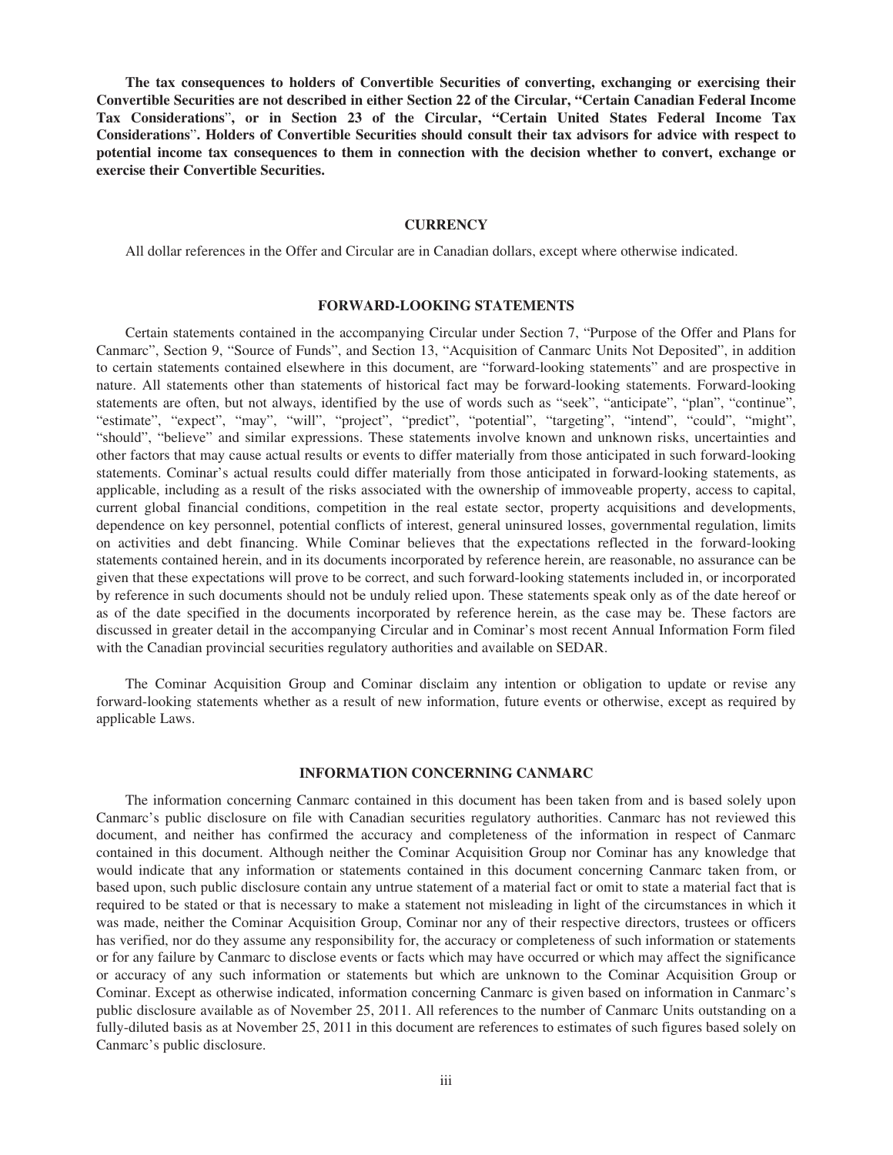**The tax consequences to holders of Convertible Securities of converting, exchanging or exercising their Convertible Securities are not described in either Section 22 of the Circular, "Certain Canadian Federal Income Tax Considerations**"**, or in Section 23 of the Circular, "Certain United States Federal Income Tax Considerations**"**. Holders of Convertible Securities should consult their tax advisors for advice with respect to potential income tax consequences to them in connection with the decision whether to convert, exchange or exercise their Convertible Securities.**

### **CURRENCY**

All dollar references in the Offer and Circular are in Canadian dollars, except where otherwise indicated.

### **FORWARD-LOOKING STATEMENTS**

Certain statements contained in the accompanying Circular under Section 7, "Purpose of the Offer and Plans for Canmarc", Section 9, "Source of Funds", and Section 13, "Acquisition of Canmarc Units Not Deposited", in addition to certain statements contained elsewhere in this document, are "forward-looking statements" and are prospective in nature. All statements other than statements of historical fact may be forward-looking statements. Forward-looking statements are often, but not always, identified by the use of words such as "seek", "anticipate", "plan", "continue", "estimate", "expect", "may", "will", "project", "predict", "potential", "targeting", "intend", "could", "might", "should", "believe" and similar expressions. These statements involve known and unknown risks, uncertainties and other factors that may cause actual results or events to differ materially from those anticipated in such forward-looking statements. Cominar's actual results could differ materially from those anticipated in forward-looking statements, as applicable, including as a result of the risks associated with the ownership of immoveable property, access to capital, current global financial conditions, competition in the real estate sector, property acquisitions and developments, dependence on key personnel, potential conflicts of interest, general uninsured losses, governmental regulation, limits on activities and debt financing. While Cominar believes that the expectations reflected in the forward-looking statements contained herein, and in its documents incorporated by reference herein, are reasonable, no assurance can be given that these expectations will prove to be correct, and such forward-looking statements included in, or incorporated by reference in such documents should not be unduly relied upon. These statements speak only as of the date hereof or as of the date specified in the documents incorporated by reference herein, as the case may be. These factors are discussed in greater detail in the accompanying Circular and in Cominar's most recent Annual Information Form filed with the Canadian provincial securities regulatory authorities and available on SEDAR.

The Cominar Acquisition Group and Cominar disclaim any intention or obligation to update or revise any forward-looking statements whether as a result of new information, future events or otherwise, except as required by applicable Laws.

#### **INFORMATION CONCERNING CANMARC**

The information concerning Canmarc contained in this document has been taken from and is based solely upon Canmarc's public disclosure on file with Canadian securities regulatory authorities. Canmarc has not reviewed this document, and neither has confirmed the accuracy and completeness of the information in respect of Canmarc contained in this document. Although neither the Cominar Acquisition Group nor Cominar has any knowledge that would indicate that any information or statements contained in this document concerning Canmarc taken from, or based upon, such public disclosure contain any untrue statement of a material fact or omit to state a material fact that is required to be stated or that is necessary to make a statement not misleading in light of the circumstances in which it was made, neither the Cominar Acquisition Group, Cominar nor any of their respective directors, trustees or officers has verified, nor do they assume any responsibility for, the accuracy or completeness of such information or statements or for any failure by Canmarc to disclose events or facts which may have occurred or which may affect the significance or accuracy of any such information or statements but which are unknown to the Cominar Acquisition Group or Cominar. Except as otherwise indicated, information concerning Canmarc is given based on information in Canmarc's public disclosure available as of November 25, 2011. All references to the number of Canmarc Units outstanding on a fully-diluted basis as at November 25, 2011 in this document are references to estimates of such figures based solely on Canmarc's public disclosure.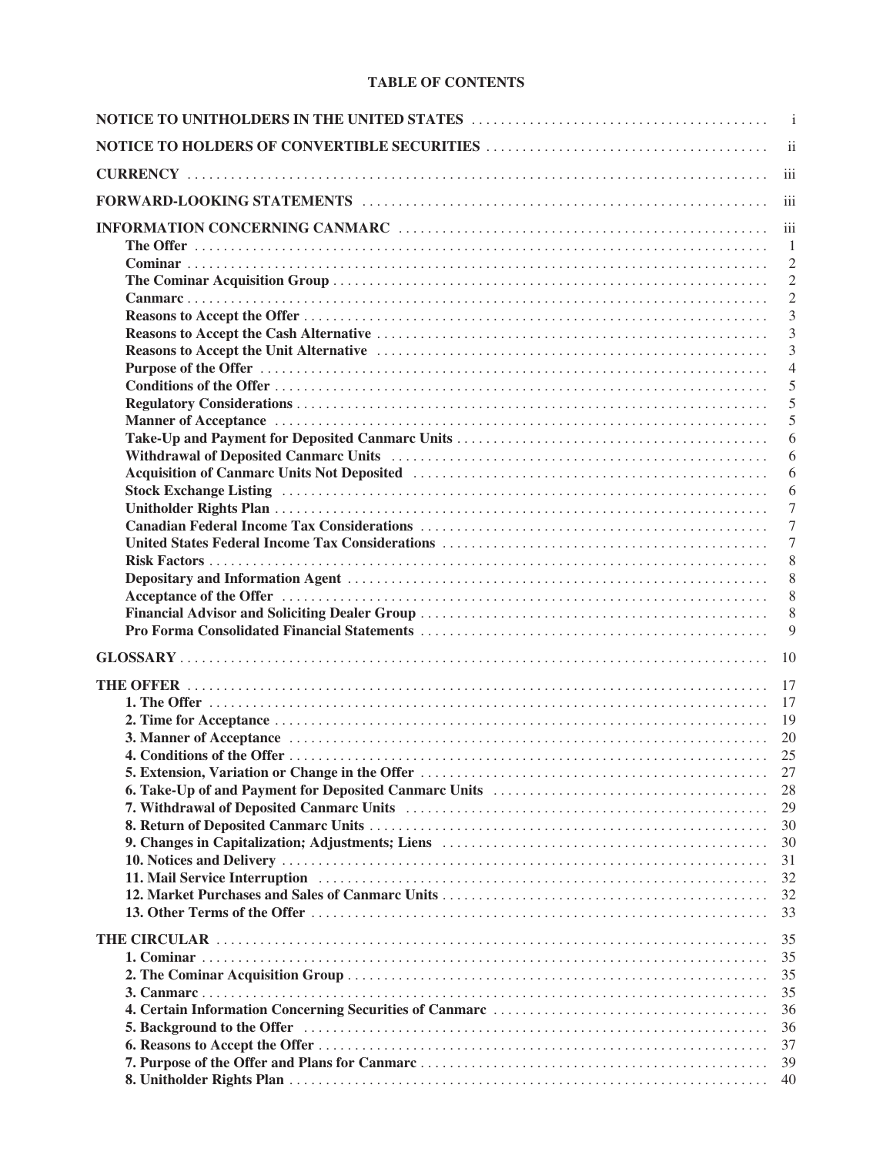# **TABLE OF CONTENTS**

| $\overline{\mathbf{u}}$<br>$\overline{1}$<br>$\overline{2}$<br>$\overline{c}$<br>$\overline{2}$<br>3<br>$\overline{3}$<br>3<br>$\overline{4}$<br>5<br>5<br>5<br>6<br>6<br>6<br>Stock Exchange Listing (and all contact the contact of the contact of the contact of the contact of the contact of the contact of the contact of the contact of the contact of the contact of the contact of the contact of th<br>6<br>7<br>7<br>7<br>8<br>8<br>8<br>8<br>9<br>27<br>28<br>29<br>30<br>30<br>31<br>32<br>32<br>33<br>35<br>35<br>35<br>35<br>36<br>36<br>5. Background to the Offer manufacture of the Contract of the Offer manufacture of the Offer manufacture of the Offer<br>37<br>39<br>40 | $\overline{\mathbf{i}}$ |
|-------------------------------------------------------------------------------------------------------------------------------------------------------------------------------------------------------------------------------------------------------------------------------------------------------------------------------------------------------------------------------------------------------------------------------------------------------------------------------------------------------------------------------------------------------------------------------------------------------------------------------------------------------------------------------------------------|-------------------------|
|                                                                                                                                                                                                                                                                                                                                                                                                                                                                                                                                                                                                                                                                                                 |                         |
|                                                                                                                                                                                                                                                                                                                                                                                                                                                                                                                                                                                                                                                                                                 |                         |
|                                                                                                                                                                                                                                                                                                                                                                                                                                                                                                                                                                                                                                                                                                 |                         |
|                                                                                                                                                                                                                                                                                                                                                                                                                                                                                                                                                                                                                                                                                                 |                         |
|                                                                                                                                                                                                                                                                                                                                                                                                                                                                                                                                                                                                                                                                                                 |                         |
|                                                                                                                                                                                                                                                                                                                                                                                                                                                                                                                                                                                                                                                                                                 |                         |
|                                                                                                                                                                                                                                                                                                                                                                                                                                                                                                                                                                                                                                                                                                 |                         |
|                                                                                                                                                                                                                                                                                                                                                                                                                                                                                                                                                                                                                                                                                                 |                         |
|                                                                                                                                                                                                                                                                                                                                                                                                                                                                                                                                                                                                                                                                                                 |                         |
|                                                                                                                                                                                                                                                                                                                                                                                                                                                                                                                                                                                                                                                                                                 |                         |
|                                                                                                                                                                                                                                                                                                                                                                                                                                                                                                                                                                                                                                                                                                 |                         |
|                                                                                                                                                                                                                                                                                                                                                                                                                                                                                                                                                                                                                                                                                                 |                         |
|                                                                                                                                                                                                                                                                                                                                                                                                                                                                                                                                                                                                                                                                                                 |                         |
|                                                                                                                                                                                                                                                                                                                                                                                                                                                                                                                                                                                                                                                                                                 |                         |
|                                                                                                                                                                                                                                                                                                                                                                                                                                                                                                                                                                                                                                                                                                 |                         |
|                                                                                                                                                                                                                                                                                                                                                                                                                                                                                                                                                                                                                                                                                                 |                         |
|                                                                                                                                                                                                                                                                                                                                                                                                                                                                                                                                                                                                                                                                                                 |                         |
|                                                                                                                                                                                                                                                                                                                                                                                                                                                                                                                                                                                                                                                                                                 |                         |
|                                                                                                                                                                                                                                                                                                                                                                                                                                                                                                                                                                                                                                                                                                 |                         |
|                                                                                                                                                                                                                                                                                                                                                                                                                                                                                                                                                                                                                                                                                                 |                         |
|                                                                                                                                                                                                                                                                                                                                                                                                                                                                                                                                                                                                                                                                                                 |                         |
|                                                                                                                                                                                                                                                                                                                                                                                                                                                                                                                                                                                                                                                                                                 |                         |
|                                                                                                                                                                                                                                                                                                                                                                                                                                                                                                                                                                                                                                                                                                 |                         |
|                                                                                                                                                                                                                                                                                                                                                                                                                                                                                                                                                                                                                                                                                                 |                         |
|                                                                                                                                                                                                                                                                                                                                                                                                                                                                                                                                                                                                                                                                                                 |                         |
|                                                                                                                                                                                                                                                                                                                                                                                                                                                                                                                                                                                                                                                                                                 |                         |
|                                                                                                                                                                                                                                                                                                                                                                                                                                                                                                                                                                                                                                                                                                 |                         |
|                                                                                                                                                                                                                                                                                                                                                                                                                                                                                                                                                                                                                                                                                                 |                         |
|                                                                                                                                                                                                                                                                                                                                                                                                                                                                                                                                                                                                                                                                                                 |                         |
|                                                                                                                                                                                                                                                                                                                                                                                                                                                                                                                                                                                                                                                                                                 |                         |
|                                                                                                                                                                                                                                                                                                                                                                                                                                                                                                                                                                                                                                                                                                 |                         |
|                                                                                                                                                                                                                                                                                                                                                                                                                                                                                                                                                                                                                                                                                                 |                         |
|                                                                                                                                                                                                                                                                                                                                                                                                                                                                                                                                                                                                                                                                                                 |                         |
|                                                                                                                                                                                                                                                                                                                                                                                                                                                                                                                                                                                                                                                                                                 |                         |
|                                                                                                                                                                                                                                                                                                                                                                                                                                                                                                                                                                                                                                                                                                 |                         |
|                                                                                                                                                                                                                                                                                                                                                                                                                                                                                                                                                                                                                                                                                                 |                         |
|                                                                                                                                                                                                                                                                                                                                                                                                                                                                                                                                                                                                                                                                                                 |                         |
|                                                                                                                                                                                                                                                                                                                                                                                                                                                                                                                                                                                                                                                                                                 |                         |
|                                                                                                                                                                                                                                                                                                                                                                                                                                                                                                                                                                                                                                                                                                 |                         |
|                                                                                                                                                                                                                                                                                                                                                                                                                                                                                                                                                                                                                                                                                                 |                         |
|                                                                                                                                                                                                                                                                                                                                                                                                                                                                                                                                                                                                                                                                                                 |                         |
|                                                                                                                                                                                                                                                                                                                                                                                                                                                                                                                                                                                                                                                                                                 |                         |
|                                                                                                                                                                                                                                                                                                                                                                                                                                                                                                                                                                                                                                                                                                 |                         |
|                                                                                                                                                                                                                                                                                                                                                                                                                                                                                                                                                                                                                                                                                                 |                         |
|                                                                                                                                                                                                                                                                                                                                                                                                                                                                                                                                                                                                                                                                                                 |                         |
|                                                                                                                                                                                                                                                                                                                                                                                                                                                                                                                                                                                                                                                                                                 |                         |
|                                                                                                                                                                                                                                                                                                                                                                                                                                                                                                                                                                                                                                                                                                 |                         |
|                                                                                                                                                                                                                                                                                                                                                                                                                                                                                                                                                                                                                                                                                                 |                         |
|                                                                                                                                                                                                                                                                                                                                                                                                                                                                                                                                                                                                                                                                                                 |                         |
|                                                                                                                                                                                                                                                                                                                                                                                                                                                                                                                                                                                                                                                                                                 |                         |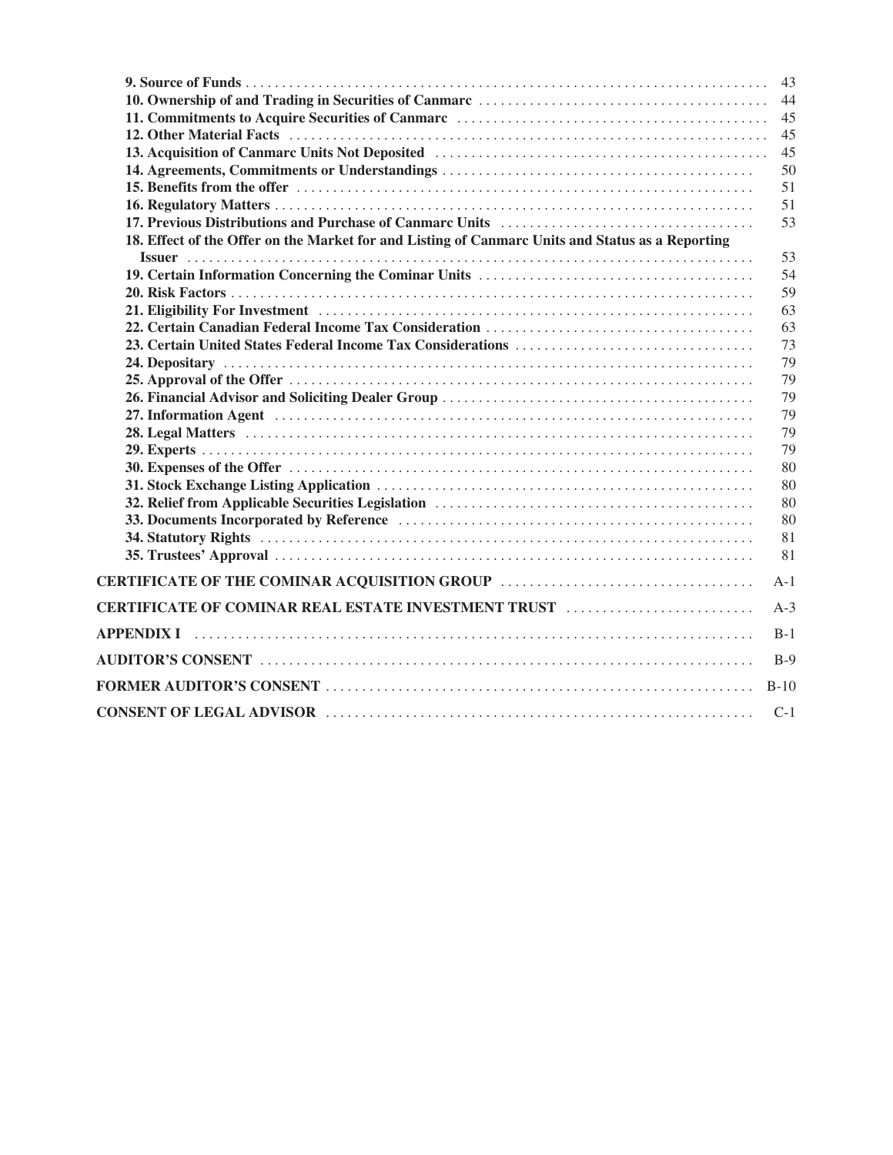|                                                                                                                 | 43     |
|-----------------------------------------------------------------------------------------------------------------|--------|
|                                                                                                                 | 44     |
|                                                                                                                 | 45     |
|                                                                                                                 | 45     |
|                                                                                                                 | 45     |
|                                                                                                                 | 50     |
|                                                                                                                 | 51     |
|                                                                                                                 | 51     |
|                                                                                                                 | 53     |
| 18. Effect of the Offer on the Market for and Listing of Canmarc Units and Status as a Reporting                |        |
|                                                                                                                 | 53     |
|                                                                                                                 | 54     |
|                                                                                                                 | 59     |
|                                                                                                                 | 63     |
|                                                                                                                 | 63     |
|                                                                                                                 | 73     |
|                                                                                                                 | 79     |
|                                                                                                                 | 79     |
|                                                                                                                 | 79     |
|                                                                                                                 | 79     |
|                                                                                                                 | 79     |
|                                                                                                                 | 79     |
|                                                                                                                 | 80     |
|                                                                                                                 | 80     |
|                                                                                                                 | 80     |
|                                                                                                                 | 80     |
|                                                                                                                 | 81     |
|                                                                                                                 | 81     |
|                                                                                                                 | $A-1$  |
| CERTIFICATE OF COMINAR REAL ESTATE INVESTMENT TRUST                                                             | $A-3$  |
| APPENDIX I                                                                                                      | $B-1$  |
|                                                                                                                 | $B-9$  |
|                                                                                                                 | $B-10$ |
| CONSENT OF LEGAL ADVISOR (and the contract of the conservation of the conservation of the conservation of the c | $C-1$  |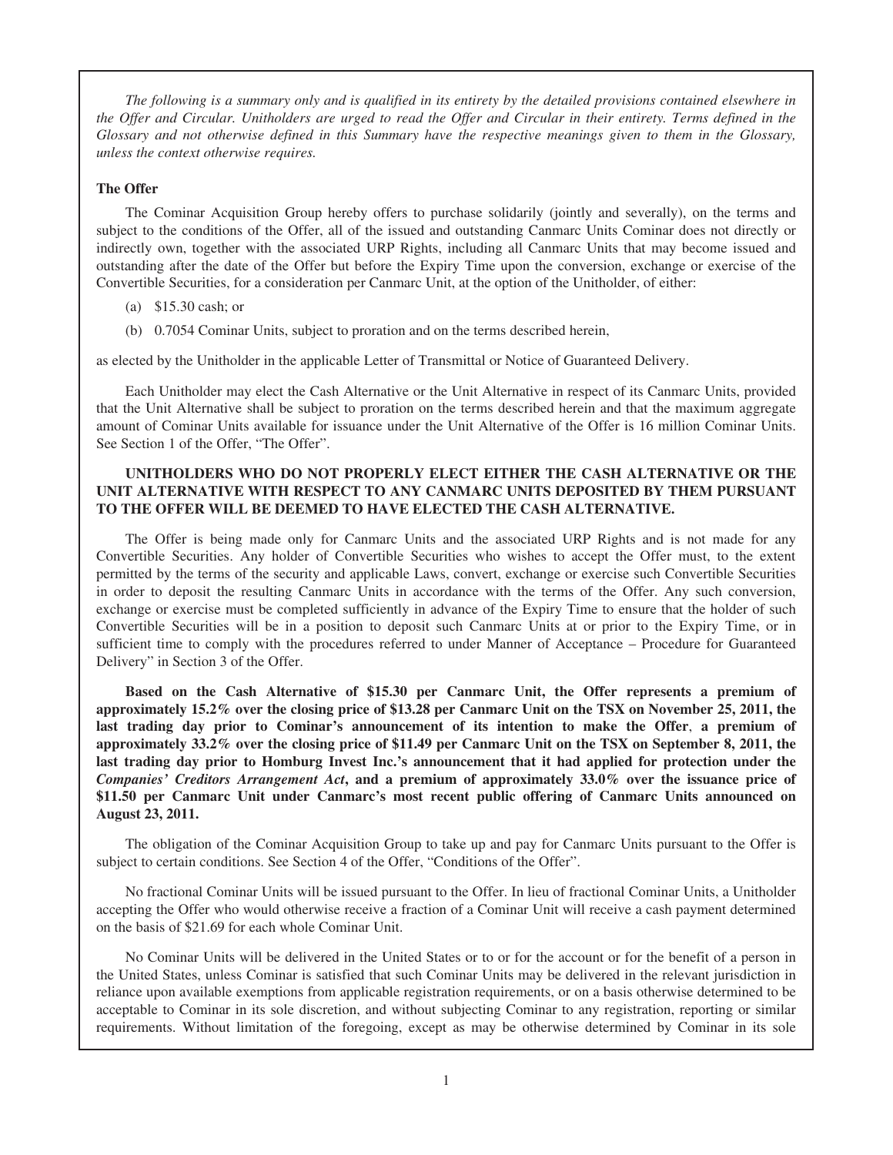*The following is a summary only and is qualified in its entirety by the detailed provisions contained elsewhere in the Offer and Circular. Unitholders are urged to read the Offer and Circular in their entirety. Terms defined in the Glossary and not otherwise defined in this Summary have the respective meanings given to them in the Glossary, unless the context otherwise requires.*

### **The Offer**

The Cominar Acquisition Group hereby offers to purchase solidarily (jointly and severally), on the terms and subject to the conditions of the Offer, all of the issued and outstanding Canmarc Units Cominar does not directly or indirectly own, together with the associated URP Rights, including all Canmarc Units that may become issued and outstanding after the date of the Offer but before the Expiry Time upon the conversion, exchange or exercise of the Convertible Securities, for a consideration per Canmarc Unit, at the option of the Unitholder, of either:

- (a) \$15.30 cash; or
- (b) 0.7054 Cominar Units, subject to proration and on the terms described herein,

as elected by the Unitholder in the applicable Letter of Transmittal or Notice of Guaranteed Delivery.

Each Unitholder may elect the Cash Alternative or the Unit Alternative in respect of its Canmarc Units, provided that the Unit Alternative shall be subject to proration on the terms described herein and that the maximum aggregate amount of Cominar Units available for issuance under the Unit Alternative of the Offer is 16 million Cominar Units. See Section 1 of the Offer, "The Offer".

## **UNITHOLDERS WHO DO NOT PROPERLY ELECT EITHER THE CASH ALTERNATIVE OR THE UNIT ALTERNATIVE WITH RESPECT TO ANY CANMARC UNITS DEPOSITED BY THEM PURSUANT TO THE OFFER WILL BE DEEMED TO HAVE ELECTED THE CASH ALTERNATIVE.**

The Offer is being made only for Canmarc Units and the associated URP Rights and is not made for any Convertible Securities. Any holder of Convertible Securities who wishes to accept the Offer must, to the extent permitted by the terms of the security and applicable Laws, convert, exchange or exercise such Convertible Securities in order to deposit the resulting Canmarc Units in accordance with the terms of the Offer. Any such conversion, exchange or exercise must be completed sufficiently in advance of the Expiry Time to ensure that the holder of such Convertible Securities will be in a position to deposit such Canmarc Units at or prior to the Expiry Time, or in sufficient time to comply with the procedures referred to under Manner of Acceptance – Procedure for Guaranteed Delivery" in Section 3 of the Offer.

**Based on the Cash Alternative of \$15.30 per Canmarc Unit, the Offer represents a premium of approximately 15.2% over the closing price of \$13.28 per Canmarc Unit on the TSX on November 25, 2011, the last trading day prior to Cominar's announcement of its intention to make the Offer**, **a premium of approximately 33.2% over the closing price of \$11.49 per Canmarc Unit on the TSX on September 8, 2011, the last trading day prior to Homburg Invest Inc.'s announcement that it had applied for protection under the** *Companies' Creditors Arrangement Act***, and a premium of approximately 33.0% over the issuance price of \$11.50 per Canmarc Unit under Canmarc's most recent public offering of Canmarc Units announced on August 23, 2011.**

The obligation of the Cominar Acquisition Group to take up and pay for Canmarc Units pursuant to the Offer is subject to certain conditions. See Section 4 of the Offer, "Conditions of the Offer".

No fractional Cominar Units will be issued pursuant to the Offer. In lieu of fractional Cominar Units, a Unitholder accepting the Offer who would otherwise receive a fraction of a Cominar Unit will receive a cash payment determined on the basis of \$21.69 for each whole Cominar Unit.

No Cominar Units will be delivered in the United States or to or for the account or for the benefit of a person in the United States, unless Cominar is satisfied that such Cominar Units may be delivered in the relevant jurisdiction in reliance upon available exemptions from applicable registration requirements, or on a basis otherwise determined to be acceptable to Cominar in its sole discretion, and without subjecting Cominar to any registration, reporting or similar requirements. Without limitation of the foregoing, except as may be otherwise determined by Cominar in its sole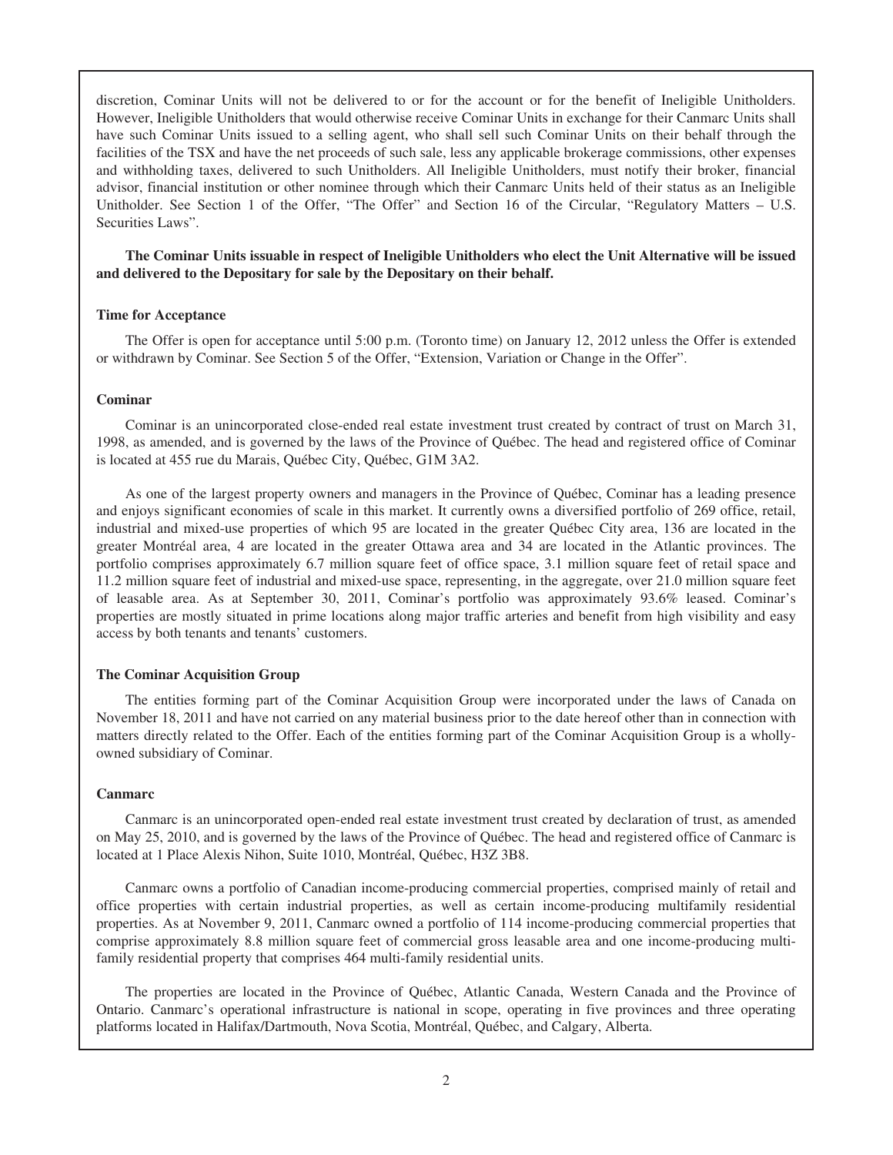discretion, Cominar Units will not be delivered to or for the account or for the benefit of Ineligible Unitholders. However, Ineligible Unitholders that would otherwise receive Cominar Units in exchange for their Canmarc Units shall have such Cominar Units issued to a selling agent, who shall sell such Cominar Units on their behalf through the facilities of the TSX and have the net proceeds of such sale, less any applicable brokerage commissions, other expenses and withholding taxes, delivered to such Unitholders. All Ineligible Unitholders, must notify their broker, financial advisor, financial institution or other nominee through which their Canmarc Units held of their status as an Ineligible Unitholder. See Section 1 of the Offer, "The Offer" and Section 16 of the Circular, "Regulatory Matters – U.S. Securities Laws".

**The Cominar Units issuable in respect of Ineligible Unitholders who elect the Unit Alternative will be issued and delivered to the Depositary for sale by the Depositary on their behalf.**

### **Time for Acceptance**

The Offer is open for acceptance until 5:00 p.m. (Toronto time) on January 12, 2012 unless the Offer is extended or withdrawn by Cominar. See Section 5 of the Offer, "Extension, Variation or Change in the Offer".

#### **Cominar**

Cominar is an unincorporated close-ended real estate investment trust created by contract of trust on March 31, 1998, as amended, and is governed by the laws of the Province of Québec. The head and registered office of Cominar is located at 455 rue du Marais, Québec City, Québec, G1M 3A2.

As one of the largest property owners and managers in the Province of Québec, Cominar has a leading presence and enjoys significant economies of scale in this market. It currently owns a diversified portfolio of 269 office, retail, industrial and mixed-use properties of which 95 are located in the greater Québec City area, 136 are located in the greater Montréal area, 4 are located in the greater Ottawa area and 34 are located in the Atlantic provinces. The portfolio comprises approximately 6.7 million square feet of office space, 3.1 million square feet of retail space and 11.2 million square feet of industrial and mixed-use space, representing, in the aggregate, over 21.0 million square feet of leasable area. As at September 30, 2011, Cominar's portfolio was approximately 93.6% leased. Cominar's properties are mostly situated in prime locations along major traffic arteries and benefit from high visibility and easy access by both tenants and tenants' customers.

#### **The Cominar Acquisition Group**

The entities forming part of the Cominar Acquisition Group were incorporated under the laws of Canada on November 18, 2011 and have not carried on any material business prior to the date hereof other than in connection with matters directly related to the Offer. Each of the entities forming part of the Cominar Acquisition Group is a whollyowned subsidiary of Cominar.

#### **Canmarc**

Canmarc is an unincorporated open-ended real estate investment trust created by declaration of trust, as amended on May 25, 2010, and is governed by the laws of the Province of Québec. The head and registered office of Canmarc is located at 1 Place Alexis Nihon, Suite 1010, Montréal, Québec, H3Z 3B8.

Canmarc owns a portfolio of Canadian income-producing commercial properties, comprised mainly of retail and office properties with certain industrial properties, as well as certain income-producing multifamily residential properties. As at November 9, 2011, Canmarc owned a portfolio of 114 income-producing commercial properties that comprise approximately 8.8 million square feet of commercial gross leasable area and one income-producing multifamily residential property that comprises 464 multi-family residential units.

The properties are located in the Province of Québec, Atlantic Canada, Western Canada and the Province of Ontario. Canmarc's operational infrastructure is national in scope, operating in five provinces and three operating platforms located in Halifax/Dartmouth, Nova Scotia, Montréal, Québec, and Calgary, Alberta.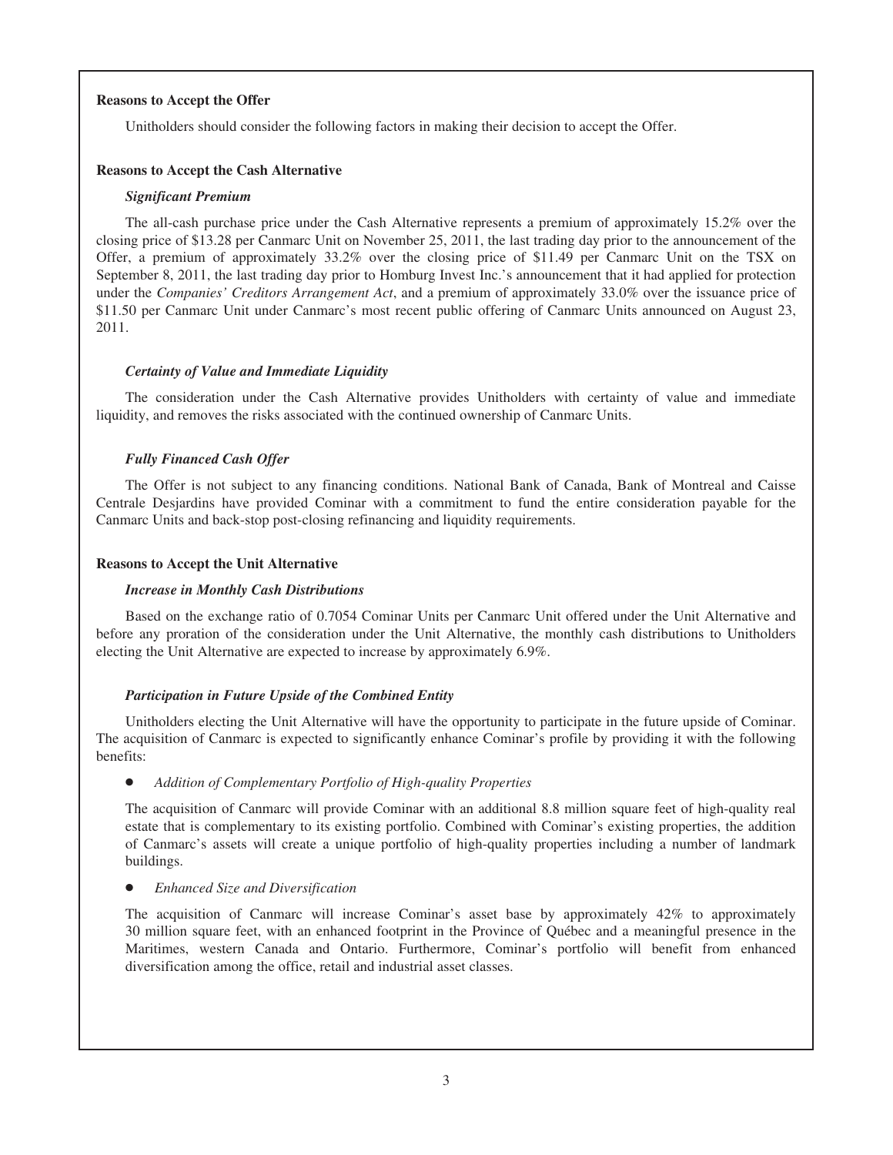### **Reasons to Accept the Offer**

Unitholders should consider the following factors in making their decision to accept the Offer.

### **Reasons to Accept the Cash Alternative**

### *Significant Premium*

The all-cash purchase price under the Cash Alternative represents a premium of approximately 15.2% over the closing price of \$13.28 per Canmarc Unit on November 25, 2011, the last trading day prior to the announcement of the Offer, a premium of approximately 33.2% over the closing price of \$11.49 per Canmarc Unit on the TSX on September 8, 2011, the last trading day prior to Homburg Invest Inc.'s announcement that it had applied for protection under the *Companies' Creditors Arrangement Act*, and a premium of approximately 33.0% over the issuance price of \$11.50 per Canmarc Unit under Canmarc's most recent public offering of Canmarc Units announced on August 23, 2011.

### *Certainty of Value and Immediate Liquidity*

The consideration under the Cash Alternative provides Unitholders with certainty of value and immediate liquidity, and removes the risks associated with the continued ownership of Canmarc Units.

### *Fully Financed Cash Offer*

The Offer is not subject to any financing conditions. National Bank of Canada, Bank of Montreal and Caisse Centrale Desjardins have provided Cominar with a commitment to fund the entire consideration payable for the Canmarc Units and back-stop post-closing refinancing and liquidity requirements.

### **Reasons to Accept the Unit Alternative**

### *Increase in Monthly Cash Distributions*

Based on the exchange ratio of 0.7054 Cominar Units per Canmarc Unit offered under the Unit Alternative and before any proration of the consideration under the Unit Alternative, the monthly cash distributions to Unitholders electing the Unit Alternative are expected to increase by approximately 6.9%.

### *Participation in Future Upside of the Combined Entity*

Unitholders electing the Unit Alternative will have the opportunity to participate in the future upside of Cominar. The acquisition of Canmarc is expected to significantly enhance Cominar's profile by providing it with the following benefits:

### Addition of Complementary Portfolio of High-quality Properties

The acquisition of Canmarc will provide Cominar with an additional 8.8 million square feet of high-quality real estate that is complementary to its existing portfolio. Combined with Cominar's existing properties, the addition of Canmarc's assets will create a unique portfolio of high-quality properties including a number of landmark buildings.

**Enhanced Size and Diversification** 

The acquisition of Canmarc will increase Cominar's asset base by approximately 42% to approximately 30 million square feet, with an enhanced footprint in the Province of Québec and a meaningful presence in the Maritimes, western Canada and Ontario. Furthermore, Cominar's portfolio will benefit from enhanced diversification among the office, retail and industrial asset classes.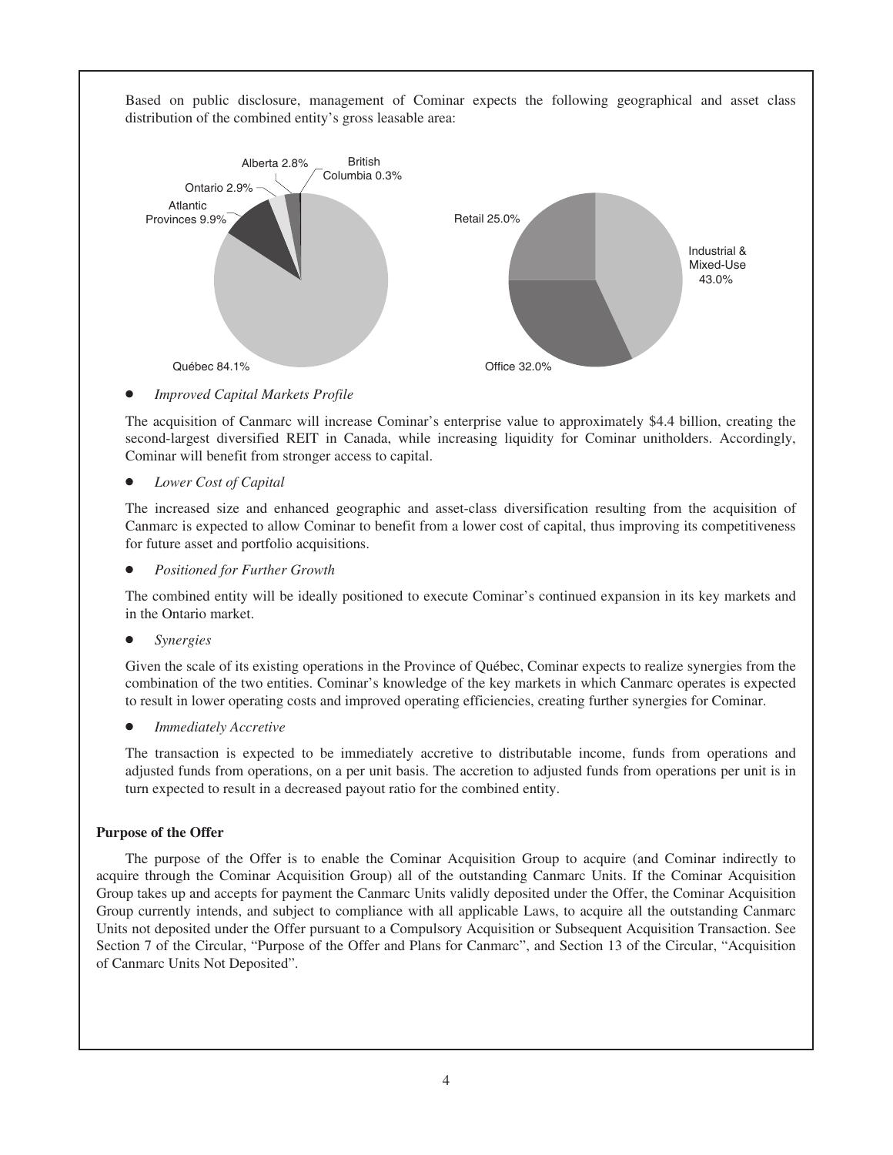Based on public disclosure, management of Cominar expects the following geographical and asset class distribution of the combined entity's gross leasable area:



**Improved Capital Markets Profile** 

The acquisition of Canmarc will increase Cominar's enterprise value to approximately \$4.4 billion, creating the second-largest diversified REIT in Canada, while increasing liquidity for Cominar unitholders. Accordingly, Cominar will benefit from stronger access to capital.

Lower Cost of Capital

The increased size and enhanced geographic and asset-class diversification resulting from the acquisition of Canmarc is expected to allow Cominar to benefit from a lower cost of capital, thus improving its competitiveness for future asset and portfolio acquisitions.

**Positioned for Further Growth** 

The combined entity will be ideally positioned to execute Cominar's continued expansion in its key markets and in the Ontario market.

Š *Synergies*

Given the scale of its existing operations in the Province of Québec, Cominar expects to realize synergies from the combination of the two entities. Cominar's knowledge of the key markets in which Canmarc operates is expected to result in lower operating costs and improved operating efficiencies, creating further synergies for Cominar.

*Immediately Accretive* 

The transaction is expected to be immediately accretive to distributable income, funds from operations and adjusted funds from operations, on a per unit basis. The accretion to adjusted funds from operations per unit is in turn expected to result in a decreased payout ratio for the combined entity.

### **Purpose of the Offer**

The purpose of the Offer is to enable the Cominar Acquisition Group to acquire (and Cominar indirectly to acquire through the Cominar Acquisition Group) all of the outstanding Canmarc Units. If the Cominar Acquisition Group takes up and accepts for payment the Canmarc Units validly deposited under the Offer, the Cominar Acquisition Group currently intends, and subject to compliance with all applicable Laws, to acquire all the outstanding Canmarc Units not deposited under the Offer pursuant to a Compulsory Acquisition or Subsequent Acquisition Transaction. See Section 7 of the Circular, "Purpose of the Offer and Plans for Canmarc", and Section 13 of the Circular, "Acquisition of Canmarc Units Not Deposited".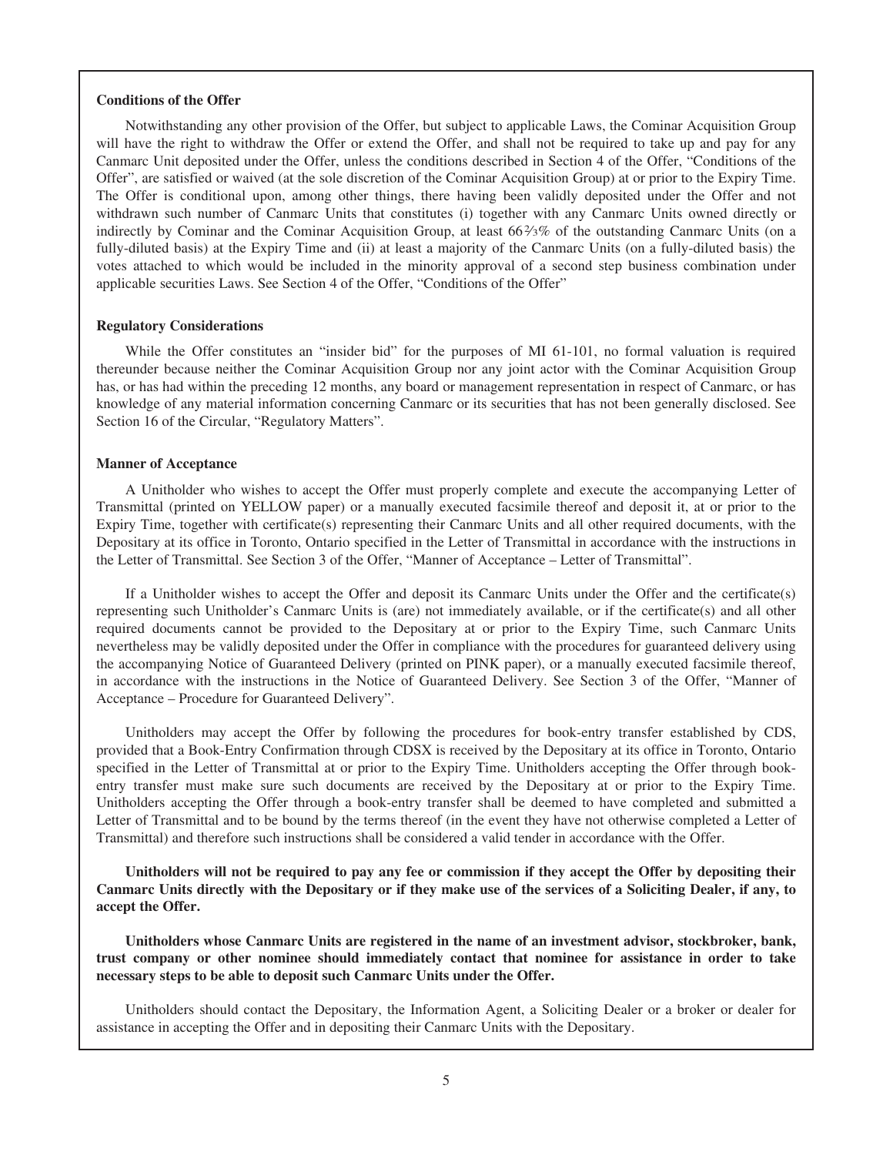#### **Conditions of the Offer**

Notwithstanding any other provision of the Offer, but subject to applicable Laws, the Cominar Acquisition Group will have the right to withdraw the Offer or extend the Offer, and shall not be required to take up and pay for any Canmarc Unit deposited under the Offer, unless the conditions described in Section 4 of the Offer, "Conditions of the Offer", are satisfied or waived (at the sole discretion of the Cominar Acquisition Group) at or prior to the Expiry Time. The Offer is conditional upon, among other things, there having been validly deposited under the Offer and not withdrawn such number of Canmarc Units that constitutes (i) together with any Canmarc Units owned directly or indirectly by Cominar and the Cominar Acquisition Group, at least 66%% of the outstanding Canmarc Units (on a fully-diluted basis) at the Expiry Time and (ii) at least a majority of the Canmarc Units (on a fully-diluted basis) the votes attached to which would be included in the minority approval of a second step business combination under applicable securities Laws. See Section 4 of the Offer, "Conditions of the Offer"

#### **Regulatory Considerations**

While the Offer constitutes an "insider bid" for the purposes of MI 61-101, no formal valuation is required thereunder because neither the Cominar Acquisition Group nor any joint actor with the Cominar Acquisition Group has, or has had within the preceding 12 months, any board or management representation in respect of Canmarc, or has knowledge of any material information concerning Canmarc or its securities that has not been generally disclosed. See Section 16 of the Circular, "Regulatory Matters".

### **Manner of Acceptance**

A Unitholder who wishes to accept the Offer must properly complete and execute the accompanying Letter of Transmittal (printed on YELLOW paper) or a manually executed facsimile thereof and deposit it, at or prior to the Expiry Time, together with certificate(s) representing their Canmarc Units and all other required documents, with the Depositary at its office in Toronto, Ontario specified in the Letter of Transmittal in accordance with the instructions in the Letter of Transmittal. See Section 3 of the Offer, "Manner of Acceptance – Letter of Transmittal".

If a Unitholder wishes to accept the Offer and deposit its Canmarc Units under the Offer and the certificate(s) representing such Unitholder's Canmarc Units is (are) not immediately available, or if the certificate(s) and all other required documents cannot be provided to the Depositary at or prior to the Expiry Time, such Canmarc Units nevertheless may be validly deposited under the Offer in compliance with the procedures for guaranteed delivery using the accompanying Notice of Guaranteed Delivery (printed on PINK paper), or a manually executed facsimile thereof, in accordance with the instructions in the Notice of Guaranteed Delivery. See Section 3 of the Offer, "Manner of Acceptance – Procedure for Guaranteed Delivery".

Unitholders may accept the Offer by following the procedures for book-entry transfer established by CDS, provided that a Book-Entry Confirmation through CDSX is received by the Depositary at its office in Toronto, Ontario specified in the Letter of Transmittal at or prior to the Expiry Time. Unitholders accepting the Offer through bookentry transfer must make sure such documents are received by the Depositary at or prior to the Expiry Time. Unitholders accepting the Offer through a book-entry transfer shall be deemed to have completed and submitted a Letter of Transmittal and to be bound by the terms thereof (in the event they have not otherwise completed a Letter of Transmittal) and therefore such instructions shall be considered a valid tender in accordance with the Offer.

**Unitholders will not be required to pay any fee or commission if they accept the Offer by depositing their Canmarc Units directly with the Depositary or if they make use of the services of a Soliciting Dealer, if any, to accept the Offer.**

**Unitholders whose Canmarc Units are registered in the name of an investment advisor, stockbroker, bank, trust company or other nominee should immediately contact that nominee for assistance in order to take necessary steps to be able to deposit such Canmarc Units under the Offer.**

Unitholders should contact the Depositary, the Information Agent, a Soliciting Dealer or a broker or dealer for assistance in accepting the Offer and in depositing their Canmarc Units with the Depositary.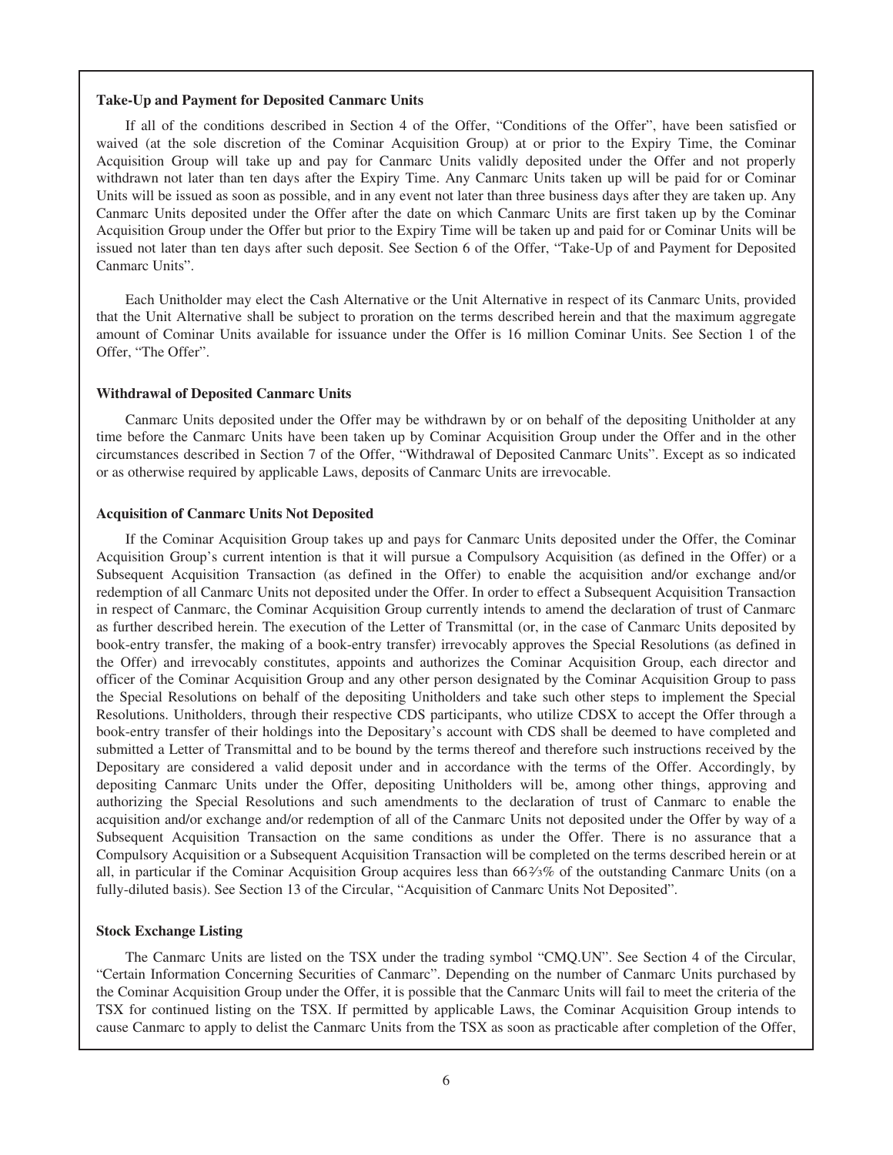### **Take-Up and Payment for Deposited Canmarc Units**

If all of the conditions described in Section 4 of the Offer, "Conditions of the Offer", have been satisfied or waived (at the sole discretion of the Cominar Acquisition Group) at or prior to the Expiry Time, the Cominar Acquisition Group will take up and pay for Canmarc Units validly deposited under the Offer and not properly withdrawn not later than ten days after the Expiry Time. Any Canmarc Units taken up will be paid for or Cominar Units will be issued as soon as possible, and in any event not later than three business days after they are taken up. Any Canmarc Units deposited under the Offer after the date on which Canmarc Units are first taken up by the Cominar Acquisition Group under the Offer but prior to the Expiry Time will be taken up and paid for or Cominar Units will be issued not later than ten days after such deposit. See Section 6 of the Offer, "Take-Up of and Payment for Deposited Canmarc Units".

Each Unitholder may elect the Cash Alternative or the Unit Alternative in respect of its Canmarc Units, provided that the Unit Alternative shall be subject to proration on the terms described herein and that the maximum aggregate amount of Cominar Units available for issuance under the Offer is 16 million Cominar Units. See Section 1 of the Offer, "The Offer".

#### **Withdrawal of Deposited Canmarc Units**

Canmarc Units deposited under the Offer may be withdrawn by or on behalf of the depositing Unitholder at any time before the Canmarc Units have been taken up by Cominar Acquisition Group under the Offer and in the other circumstances described in Section 7 of the Offer, "Withdrawal of Deposited Canmarc Units". Except as so indicated or as otherwise required by applicable Laws, deposits of Canmarc Units are irrevocable.

### **Acquisition of Canmarc Units Not Deposited**

If the Cominar Acquisition Group takes up and pays for Canmarc Units deposited under the Offer, the Cominar Acquisition Group's current intention is that it will pursue a Compulsory Acquisition (as defined in the Offer) or a Subsequent Acquisition Transaction (as defined in the Offer) to enable the acquisition and/or exchange and/or redemption of all Canmarc Units not deposited under the Offer. In order to effect a Subsequent Acquisition Transaction in respect of Canmarc, the Cominar Acquisition Group currently intends to amend the declaration of trust of Canmarc as further described herein. The execution of the Letter of Transmittal (or, in the case of Canmarc Units deposited by book-entry transfer, the making of a book-entry transfer) irrevocably approves the Special Resolutions (as defined in the Offer) and irrevocably constitutes, appoints and authorizes the Cominar Acquisition Group, each director and officer of the Cominar Acquisition Group and any other person designated by the Cominar Acquisition Group to pass the Special Resolutions on behalf of the depositing Unitholders and take such other steps to implement the Special Resolutions. Unitholders, through their respective CDS participants, who utilize CDSX to accept the Offer through a book-entry transfer of their holdings into the Depositary's account with CDS shall be deemed to have completed and submitted a Letter of Transmittal and to be bound by the terms thereof and therefore such instructions received by the Depositary are considered a valid deposit under and in accordance with the terms of the Offer. Accordingly, by depositing Canmarc Units under the Offer, depositing Unitholders will be, among other things, approving and authorizing the Special Resolutions and such amendments to the declaration of trust of Canmarc to enable the acquisition and/or exchange and/or redemption of all of the Canmarc Units not deposited under the Offer by way of a Subsequent Acquisition Transaction on the same conditions as under the Offer. There is no assurance that a Compulsory Acquisition or a Subsequent Acquisition Transaction will be completed on the terms described herein or at all, in particular if the Cominar Acquisition Group acquires less than 662⁄3% of the outstanding Canmarc Units (on a fully-diluted basis). See Section 13 of the Circular, "Acquisition of Canmarc Units Not Deposited".

#### **Stock Exchange Listing**

The Canmarc Units are listed on the TSX under the trading symbol "CMQ.UN". See Section 4 of the Circular, "Certain Information Concerning Securities of Canmarc". Depending on the number of Canmarc Units purchased by the Cominar Acquisition Group under the Offer, it is possible that the Canmarc Units will fail to meet the criteria of the TSX for continued listing on the TSX. If permitted by applicable Laws, the Cominar Acquisition Group intends to cause Canmarc to apply to delist the Canmarc Units from the TSX as soon as practicable after completion of the Offer,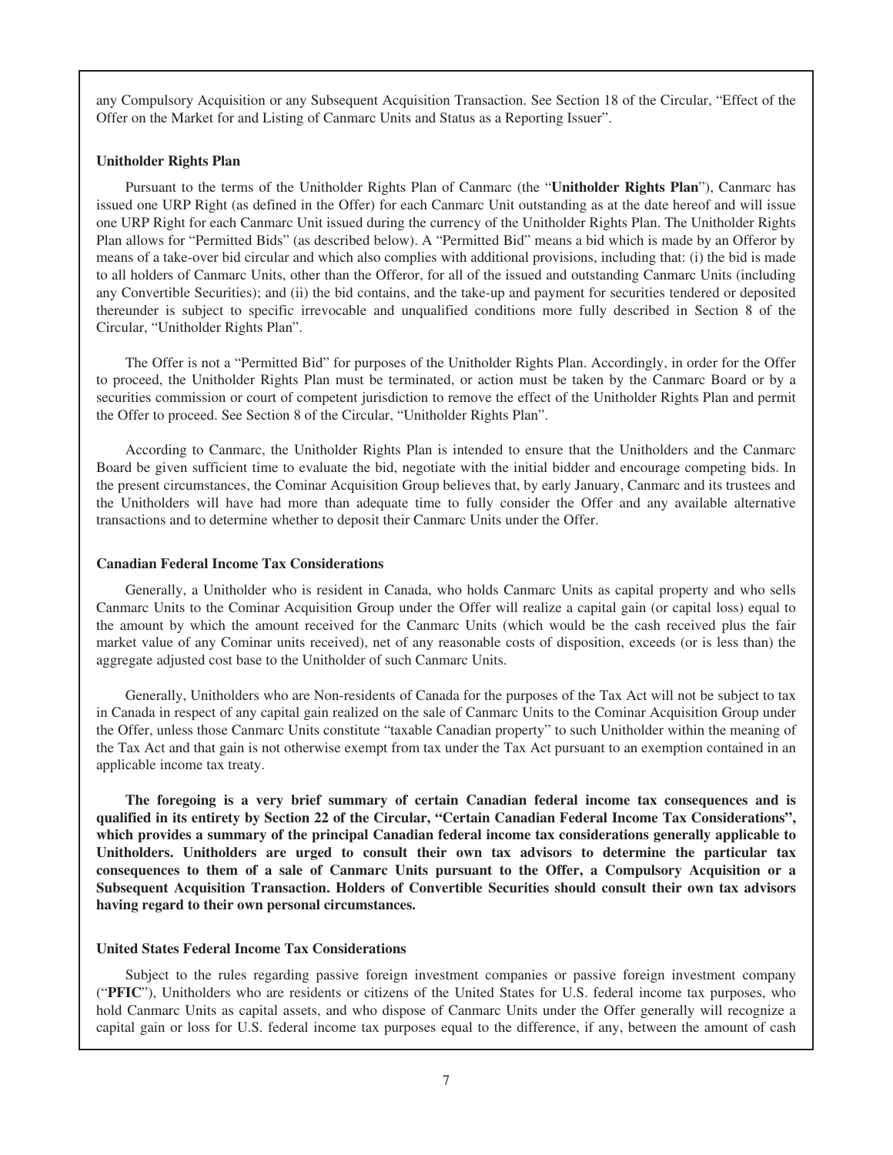any Compulsory Acquisition or any Subsequent Acquisition Transaction. See Section 18 of the Circular, "Effect of the Offer on the Market for and Listing of Canmarc Units and Status as a Reporting Issuer".

### **Unitholder Rights Plan**

Pursuant to the terms of the Unitholder Rights Plan of Canmarc (the "**Unitholder Rights Plan**"), Canmarc has issued one URP Right (as defined in the Offer) for each Canmarc Unit outstanding as at the date hereof and will issue one URP Right for each Canmarc Unit issued during the currency of the Unitholder Rights Plan. The Unitholder Rights Plan allows for "Permitted Bids" (as described below). A "Permitted Bid" means a bid which is made by an Offeror by means of a take-over bid circular and which also complies with additional provisions, including that: (i) the bid is made to all holders of Canmarc Units, other than the Offeror, for all of the issued and outstanding Canmarc Units (including any Convertible Securities); and (ii) the bid contains, and the take-up and payment for securities tendered or deposited thereunder is subject to specific irrevocable and unqualified conditions more fully described in Section 8 of the Circular, "Unitholder Rights Plan".

The Offer is not a "Permitted Bid" for purposes of the Unitholder Rights Plan. Accordingly, in order for the Offer to proceed, the Unitholder Rights Plan must be terminated, or action must be taken by the Canmarc Board or by a securities commission or court of competent jurisdiction to remove the effect of the Unitholder Rights Plan and permit the Offer to proceed. See Section 8 of the Circular, "Unitholder Rights Plan".

According to Canmarc, the Unitholder Rights Plan is intended to ensure that the Unitholders and the Canmarc Board be given sufficient time to evaluate the bid, negotiate with the initial bidder and encourage competing bids. In the present circumstances, the Cominar Acquisition Group believes that, by early January, Canmarc and its trustees and the Unitholders will have had more than adequate time to fully consider the Offer and any available alternative transactions and to determine whether to deposit their Canmarc Units under the Offer.

#### **Canadian Federal Income Tax Considerations**

Generally, a Unitholder who is resident in Canada, who holds Canmarc Units as capital property and who sells Canmarc Units to the Cominar Acquisition Group under the Offer will realize a capital gain (or capital loss) equal to the amount by which the amount received for the Canmarc Units (which would be the cash received plus the fair market value of any Cominar units received), net of any reasonable costs of disposition, exceeds (or is less than) the aggregate adjusted cost base to the Unitholder of such Canmarc Units.

Generally, Unitholders who are Non-residents of Canada for the purposes of the Tax Act will not be subject to tax in Canada in respect of any capital gain realized on the sale of Canmarc Units to the Cominar Acquisition Group under the Offer, unless those Canmarc Units constitute "taxable Canadian property" to such Unitholder within the meaning of the Tax Act and that gain is not otherwise exempt from tax under the Tax Act pursuant to an exemption contained in an applicable income tax treaty.

**The foregoing is a very brief summary of certain Canadian federal income tax consequences and is qualified in its entirety by Section 22 of the Circular, "Certain Canadian Federal Income Tax Considerations", which provides a summary of the principal Canadian federal income tax considerations generally applicable to Unitholders. Unitholders are urged to consult their own tax advisors to determine the particular tax consequences to them of a sale of Canmarc Units pursuant to the Offer, a Compulsory Acquisition or a Subsequent Acquisition Transaction. Holders of Convertible Securities should consult their own tax advisors having regard to their own personal circumstances.**

### **United States Federal Income Tax Considerations**

Subject to the rules regarding passive foreign investment companies or passive foreign investment company ("**PFIC**"), Unitholders who are residents or citizens of the United States for U.S. federal income tax purposes, who hold Canmarc Units as capital assets, and who dispose of Canmarc Units under the Offer generally will recognize a capital gain or loss for U.S. federal income tax purposes equal to the difference, if any, between the amount of cash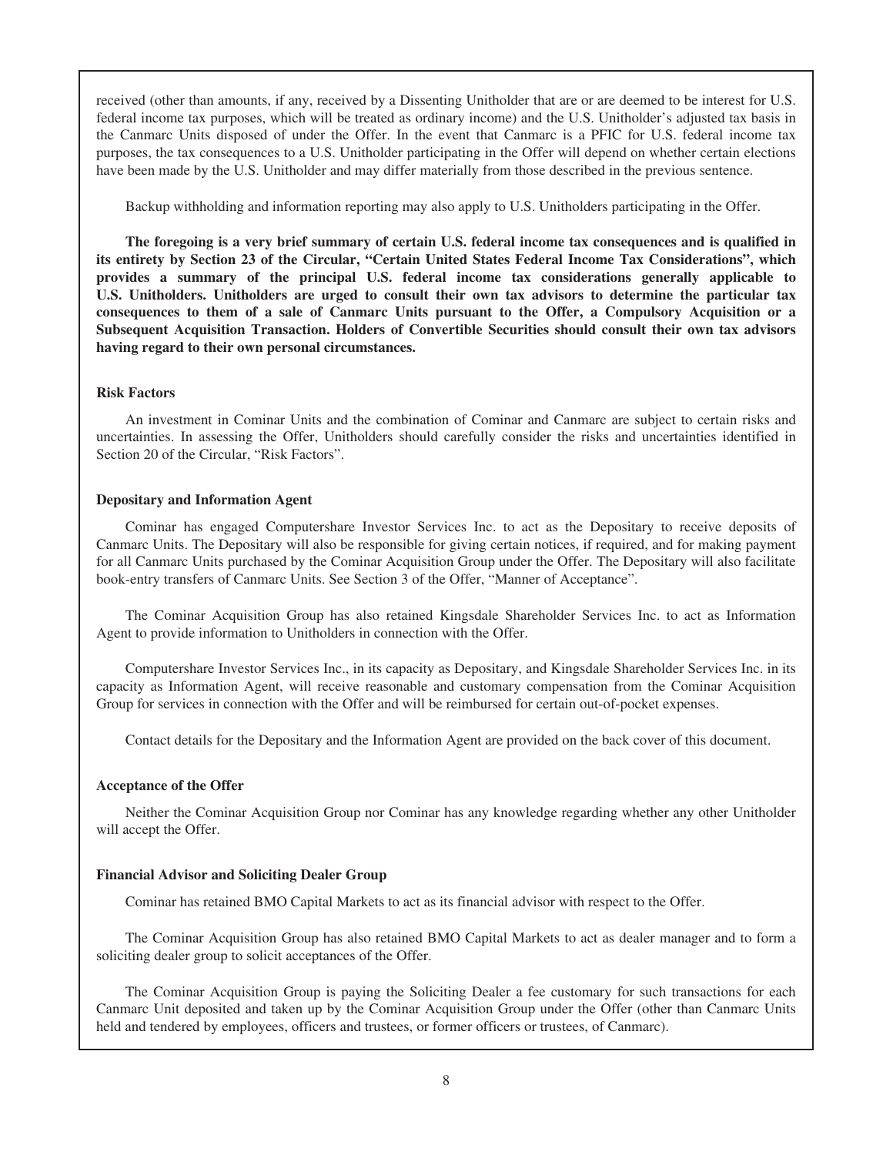received (other than amounts, if any, received by a Dissenting Unitholder that are or are deemed to be interest for U.S. federal income tax purposes, which will be treated as ordinary income) and the U.S. Unitholder's adjusted tax basis in the Canmarc Units disposed of under the Offer. In the event that Canmarc is a PFIC for U.S. federal income tax purposes, the tax consequences to a U.S. Unitholder participating in the Offer will depend on whether certain elections have been made by the U.S. Unitholder and may differ materially from those described in the previous sentence.

Backup withholding and information reporting may also apply to U.S. Unitholders participating in the Offer.

**The foregoing is a very brief summary of certain U.S. federal income tax consequences and is qualified in its entirety by Section 23 of the Circular, "Certain United States Federal Income Tax Considerations", which provides a summary of the principal U.S. federal income tax considerations generally applicable to U.S. Unitholders. Unitholders are urged to consult their own tax advisors to determine the particular tax consequences to them of a sale of Canmarc Units pursuant to the Offer, a Compulsory Acquisition or a Subsequent Acquisition Transaction. Holders of Convertible Securities should consult their own tax advisors having regard to their own personal circumstances.**

### **Risk Factors**

An investment in Cominar Units and the combination of Cominar and Canmarc are subject to certain risks and uncertainties. In assessing the Offer, Unitholders should carefully consider the risks and uncertainties identified in Section 20 of the Circular, "Risk Factors".

#### **Depositary and Information Agent**

Cominar has engaged Computershare Investor Services Inc. to act as the Depositary to receive deposits of Canmarc Units. The Depositary will also be responsible for giving certain notices, if required, and for making payment for all Canmarc Units purchased by the Cominar Acquisition Group under the Offer. The Depositary will also facilitate book-entry transfers of Canmarc Units. See Section 3 of the Offer, "Manner of Acceptance".

The Cominar Acquisition Group has also retained Kingsdale Shareholder Services Inc. to act as Information Agent to provide information to Unitholders in connection with the Offer.

Computershare Investor Services Inc., in its capacity as Depositary, and Kingsdale Shareholder Services Inc. in its capacity as Information Agent, will receive reasonable and customary compensation from the Cominar Acquisition Group for services in connection with the Offer and will be reimbursed for certain out-of-pocket expenses.

Contact details for the Depositary and the Information Agent are provided on the back cover of this document.

### **Acceptance of the Offer**

Neither the Cominar Acquisition Group nor Cominar has any knowledge regarding whether any other Unitholder will accept the Offer.

#### **Financial Advisor and Soliciting Dealer Group**

Cominar has retained BMO Capital Markets to act as its financial advisor with respect to the Offer.

The Cominar Acquisition Group has also retained BMO Capital Markets to act as dealer manager and to form a soliciting dealer group to solicit acceptances of the Offer.

The Cominar Acquisition Group is paying the Soliciting Dealer a fee customary for such transactions for each Canmarc Unit deposited and taken up by the Cominar Acquisition Group under the Offer (other than Canmarc Units held and tendered by employees, officers and trustees, or former officers or trustees, of Canmarc).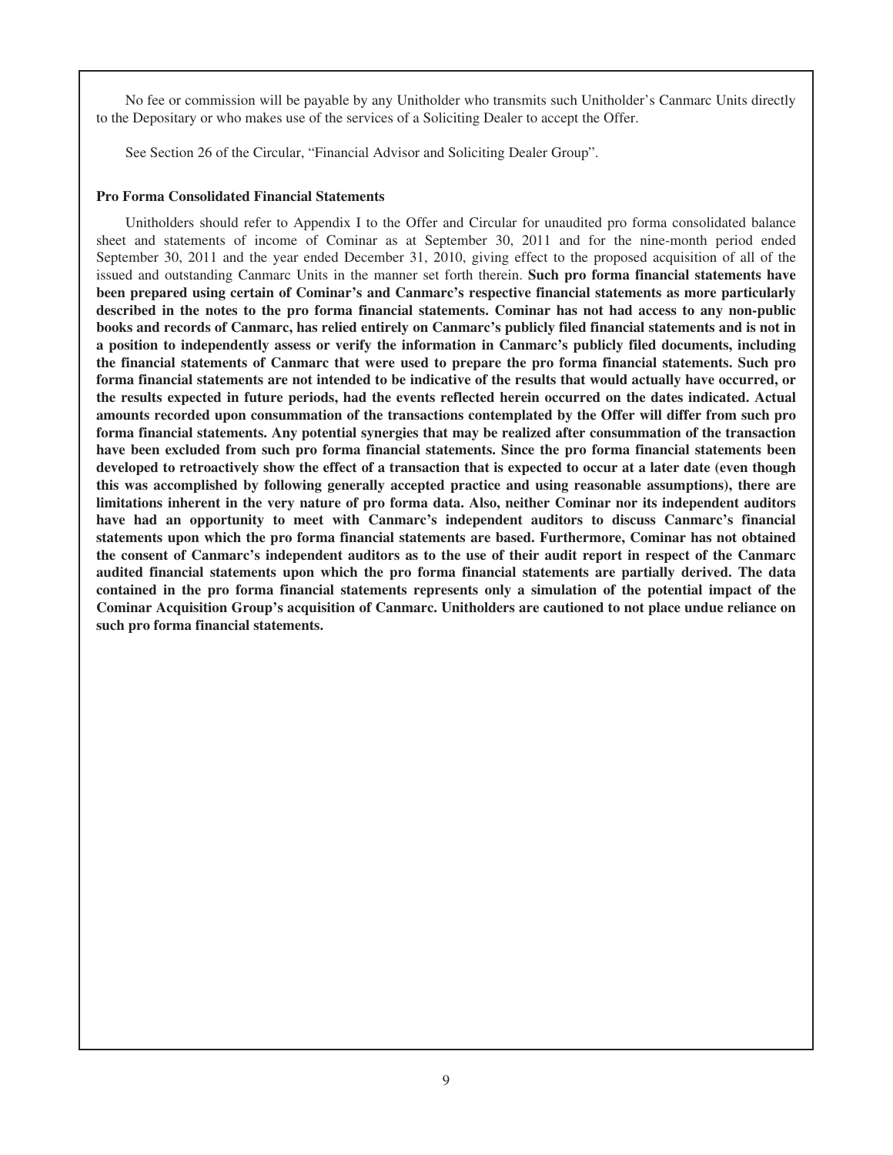No fee or commission will be payable by any Unitholder who transmits such Unitholder's Canmarc Units directly to the Depositary or who makes use of the services of a Soliciting Dealer to accept the Offer.

See Section 26 of the Circular, "Financial Advisor and Soliciting Dealer Group".

### **Pro Forma Consolidated Financial Statements**

Unitholders should refer to Appendix I to the Offer and Circular for unaudited pro forma consolidated balance sheet and statements of income of Cominar as at September 30, 2011 and for the nine-month period ended September 30, 2011 and the year ended December 31, 2010, giving effect to the proposed acquisition of all of the issued and outstanding Canmarc Units in the manner set forth therein. **Such pro forma financial statements have been prepared using certain of Cominar's and Canmarc's respective financial statements as more particularly described in the notes to the pro forma financial statements. Cominar has not had access to any non-public books and records of Canmarc, has relied entirely on Canmarc's publicly filed financial statements and is not in a position to independently assess or verify the information in Canmarc's publicly filed documents, including the financial statements of Canmarc that were used to prepare the pro forma financial statements. Such pro forma financial statements are not intended to be indicative of the results that would actually have occurred, or the results expected in future periods, had the events reflected herein occurred on the dates indicated. Actual amounts recorded upon consummation of the transactions contemplated by the Offer will differ from such pro forma financial statements. Any potential synergies that may be realized after consummation of the transaction have been excluded from such pro forma financial statements. Since the pro forma financial statements been developed to retroactively show the effect of a transaction that is expected to occur at a later date (even though this was accomplished by following generally accepted practice and using reasonable assumptions), there are limitations inherent in the very nature of pro forma data. Also, neither Cominar nor its independent auditors have had an opportunity to meet with Canmarc's independent auditors to discuss Canmarc's financial statements upon which the pro forma financial statements are based. Furthermore, Cominar has not obtained the consent of Canmarc's independent auditors as to the use of their audit report in respect of the Canmarc audited financial statements upon which the pro forma financial statements are partially derived. The data contained in the pro forma financial statements represents only a simulation of the potential impact of the Cominar Acquisition Group's acquisition of Canmarc. Unitholders are cautioned to not place undue reliance on such pro forma financial statements.**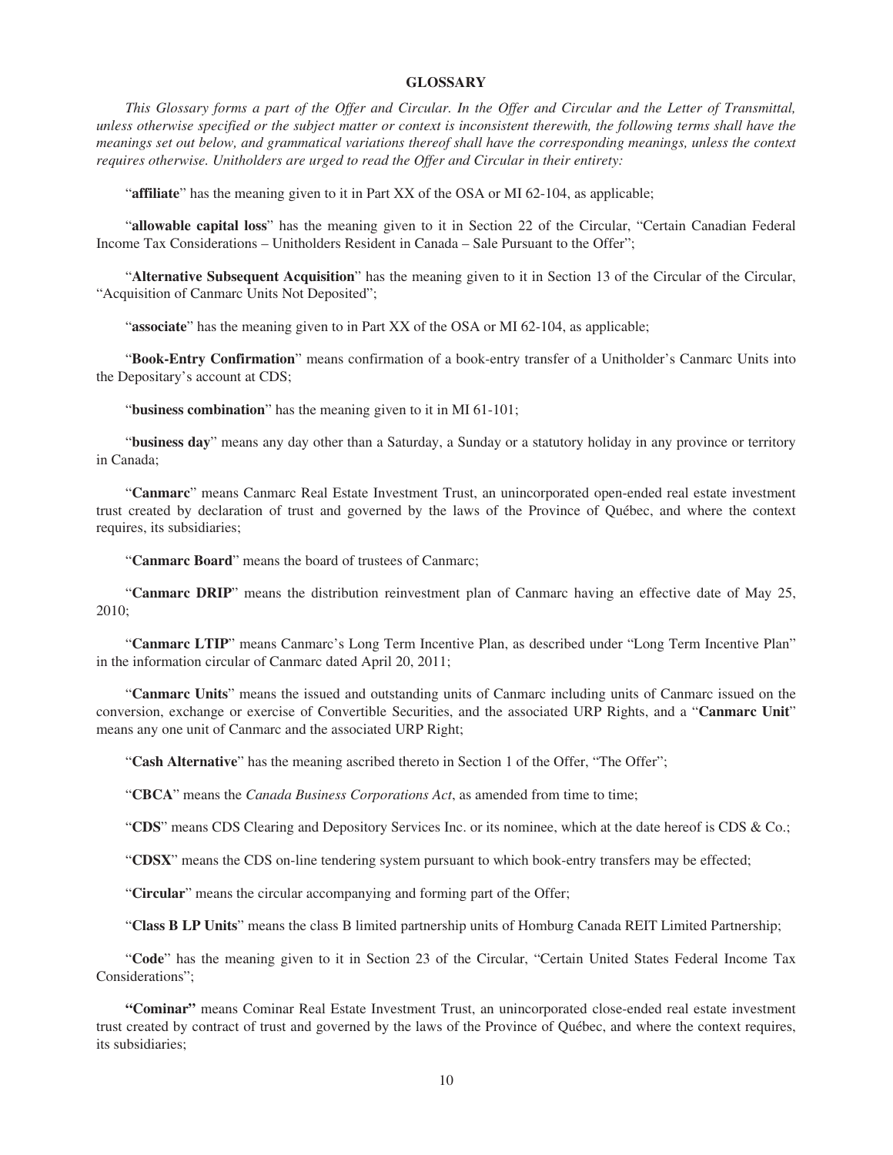### **GLOSSARY**

*This Glossary forms a part of the Offer and Circular. In the Offer and Circular and the Letter of Transmittal, unless otherwise specified or the subject matter or context is inconsistent therewith, the following terms shall have the meanings set out below, and grammatical variations thereof shall have the corresponding meanings, unless the context requires otherwise. Unitholders are urged to read the Offer and Circular in their entirety:*

"affiliate" has the meaning given to it in Part XX of the OSA or MI 62-104, as applicable;

"**allowable capital loss**" has the meaning given to it in Section 22 of the Circular, "Certain Canadian Federal Income Tax Considerations – Unitholders Resident in Canada – Sale Pursuant to the Offer";

"**Alternative Subsequent Acquisition**" has the meaning given to it in Section 13 of the Circular of the Circular, "Acquisition of Canmarc Units Not Deposited";

"**associate**" has the meaning given to in Part XX of the OSA or MI 62-104, as applicable;

"**Book-Entry Confirmation**" means confirmation of a book-entry transfer of a Unitholder's Canmarc Units into the Depositary's account at CDS;

"**business combination**" has the meaning given to it in MI 61-101;

"**business day**" means any day other than a Saturday, a Sunday or a statutory holiday in any province or territory in Canada;

"**Canmarc**" means Canmarc Real Estate Investment Trust, an unincorporated open-ended real estate investment trust created by declaration of trust and governed by the laws of the Province of Québec, and where the context requires, its subsidiaries;

"**Canmarc Board**" means the board of trustees of Canmarc;

"**Canmarc DRIP**" means the distribution reinvestment plan of Canmarc having an effective date of May 25, 2010;

"**Canmarc LTIP**" means Canmarc's Long Term Incentive Plan, as described under "Long Term Incentive Plan" in the information circular of Canmarc dated April 20, 2011;

"**Canmarc Units**" means the issued and outstanding units of Canmarc including units of Canmarc issued on the conversion, exchange or exercise of Convertible Securities, and the associated URP Rights, and a "**Canmarc Unit**" means any one unit of Canmarc and the associated URP Right;

"**Cash Alternative**" has the meaning ascribed thereto in Section 1 of the Offer, "The Offer";

"**CBCA**" means the *Canada Business Corporations Act*, as amended from time to time;

"**CDS**" means CDS Clearing and Depository Services Inc. or its nominee, which at the date hereof is CDS & Co.;

"**CDSX**" means the CDS on-line tendering system pursuant to which book-entry transfers may be effected;

"**Circular**" means the circular accompanying and forming part of the Offer;

"**Class B LP Units**" means the class B limited partnership units of Homburg Canada REIT Limited Partnership;

"**Code**" has the meaning given to it in Section 23 of the Circular, "Certain United States Federal Income Tax Considerations";

**"Cominar"** means Cominar Real Estate Investment Trust, an unincorporated close-ended real estate investment trust created by contract of trust and governed by the laws of the Province of Québec, and where the context requires, its subsidiaries;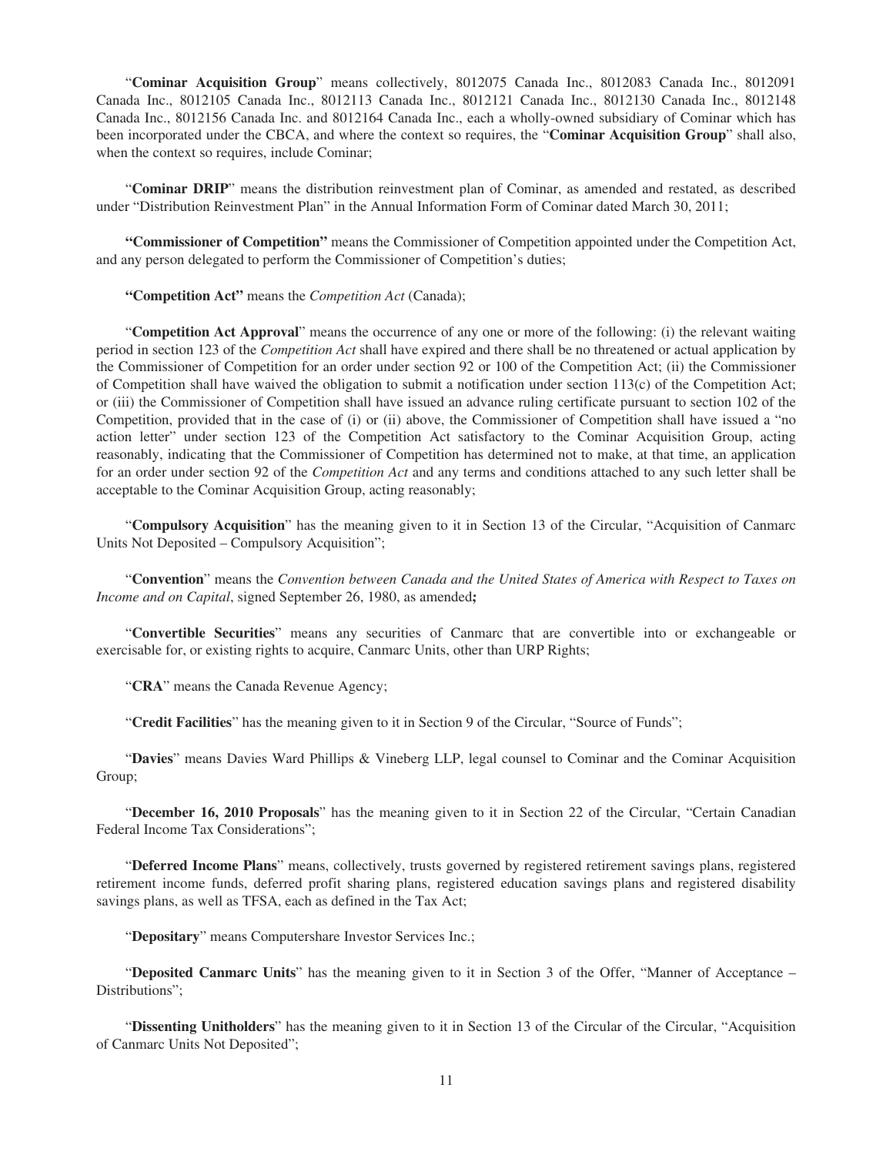"**Cominar Acquisition Group**" means collectively, 8012075 Canada Inc., 8012083 Canada Inc., 8012091 Canada Inc., 8012105 Canada Inc., 8012113 Canada Inc., 8012121 Canada Inc., 8012130 Canada Inc., 8012148 Canada Inc., 8012156 Canada Inc. and 8012164 Canada Inc., each a wholly-owned subsidiary of Cominar which has been incorporated under the CBCA, and where the context so requires, the "**Cominar Acquisition Group**" shall also, when the context so requires, include Cominar;

"**Cominar DRIP**" means the distribution reinvestment plan of Cominar, as amended and restated, as described under "Distribution Reinvestment Plan" in the Annual Information Form of Cominar dated March 30, 2011;

**"Commissioner of Competition"** means the Commissioner of Competition appointed under the Competition Act, and any person delegated to perform the Commissioner of Competition's duties;

**"Competition Act"** means the *Competition Act* (Canada);

"**Competition Act Approval**" means the occurrence of any one or more of the following: (i) the relevant waiting period in section 123 of the *Competition Act* shall have expired and there shall be no threatened or actual application by the Commissioner of Competition for an order under section 92 or 100 of the Competition Act; (ii) the Commissioner of Competition shall have waived the obligation to submit a notification under section  $113(c)$  of the Competition Act; or (iii) the Commissioner of Competition shall have issued an advance ruling certificate pursuant to section 102 of the Competition, provided that in the case of (i) or (ii) above, the Commissioner of Competition shall have issued a "no action letter" under section 123 of the Competition Act satisfactory to the Cominar Acquisition Group, acting reasonably, indicating that the Commissioner of Competition has determined not to make, at that time, an application for an order under section 92 of the *Competition Act* and any terms and conditions attached to any such letter shall be acceptable to the Cominar Acquisition Group, acting reasonably;

"**Compulsory Acquisition**" has the meaning given to it in Section 13 of the Circular, "Acquisition of Canmarc Units Not Deposited – Compulsory Acquisition";

"**Convention**" means the *Convention between Canada and the United States of America with Respect to Taxes on Income and on Capital*, signed September 26, 1980, as amended**;**

"**Convertible Securities**" means any securities of Canmarc that are convertible into or exchangeable or exercisable for, or existing rights to acquire, Canmarc Units, other than URP Rights;

"**CRA**" means the Canada Revenue Agency;

"**Credit Facilities**" has the meaning given to it in Section 9 of the Circular, "Source of Funds";

"**Davies**" means Davies Ward Phillips & Vineberg LLP, legal counsel to Cominar and the Cominar Acquisition Group;

"**December 16, 2010 Proposals**" has the meaning given to it in Section 22 of the Circular, "Certain Canadian Federal Income Tax Considerations";

"**Deferred Income Plans**" means, collectively, trusts governed by registered retirement savings plans, registered retirement income funds, deferred profit sharing plans, registered education savings plans and registered disability savings plans, as well as TFSA, each as defined in the Tax Act;

"**Depositary**" means Computershare Investor Services Inc.;

"**Deposited Canmarc Units**" has the meaning given to it in Section 3 of the Offer, "Manner of Acceptance – Distributions":

"Dissenting Unitholders" has the meaning given to it in Section 13 of the Circular of the Circular, "Acquisition of Canmarc Units Not Deposited";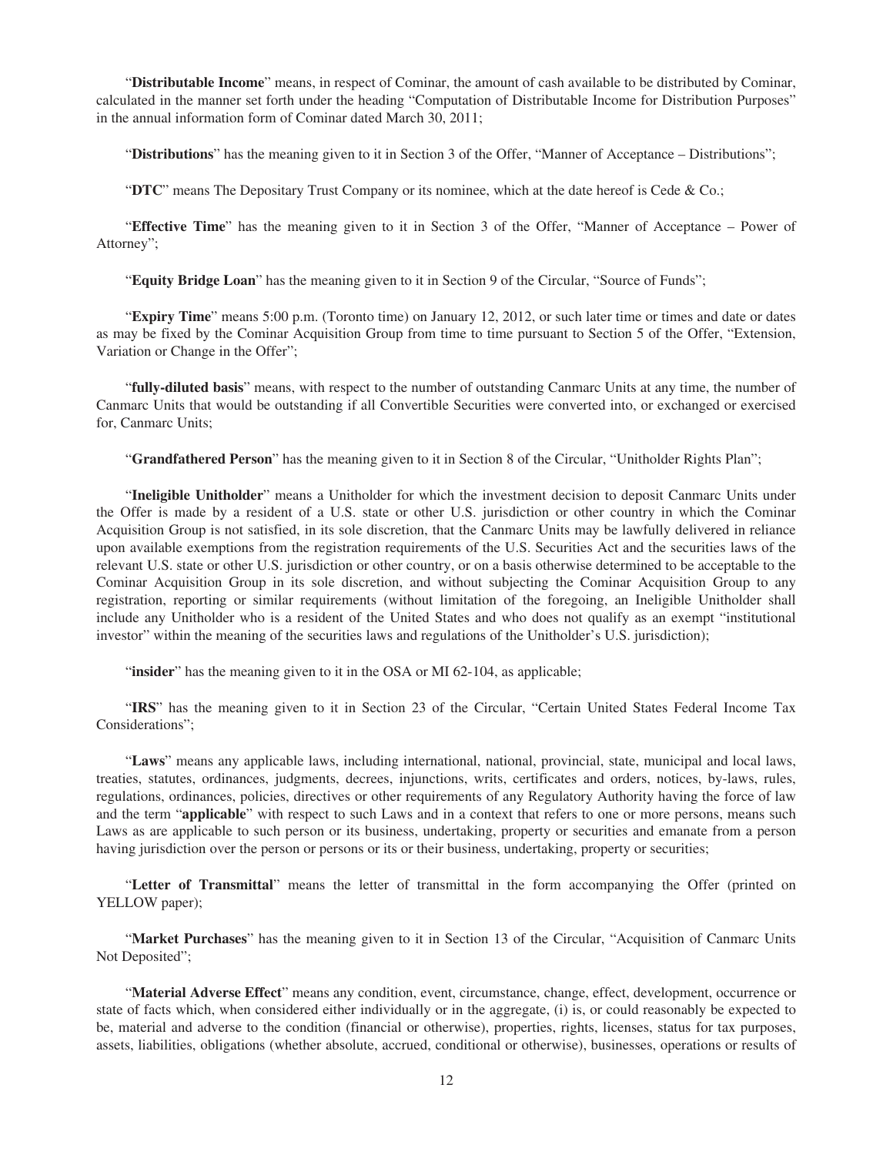"**Distributable Income**" means, in respect of Cominar, the amount of cash available to be distributed by Cominar, calculated in the manner set forth under the heading "Computation of Distributable Income for Distribution Purposes" in the annual information form of Cominar dated March 30, 2011;

"**Distributions**" has the meaning given to it in Section 3 of the Offer, "Manner of Acceptance – Distributions";

"**DTC**" means The Depositary Trust Company or its nominee, which at the date hereof is Cede & Co.;

"**Effective Time**" has the meaning given to it in Section 3 of the Offer, "Manner of Acceptance – Power of Attorney";

"**Equity Bridge Loan**" has the meaning given to it in Section 9 of the Circular, "Source of Funds";

"**Expiry Time**" means 5:00 p.m. (Toronto time) on January 12, 2012, or such later time or times and date or dates as may be fixed by the Cominar Acquisition Group from time to time pursuant to Section 5 of the Offer, "Extension, Variation or Change in the Offer";

"**fully-diluted basis**" means, with respect to the number of outstanding Canmarc Units at any time, the number of Canmarc Units that would be outstanding if all Convertible Securities were converted into, or exchanged or exercised for, Canmarc Units;

"**Grandfathered Person**" has the meaning given to it in Section 8 of the Circular, "Unitholder Rights Plan";

"**Ineligible Unitholder**" means a Unitholder for which the investment decision to deposit Canmarc Units under the Offer is made by a resident of a U.S. state or other U.S. jurisdiction or other country in which the Cominar Acquisition Group is not satisfied, in its sole discretion, that the Canmarc Units may be lawfully delivered in reliance upon available exemptions from the registration requirements of the U.S. Securities Act and the securities laws of the relevant U.S. state or other U.S. jurisdiction or other country, or on a basis otherwise determined to be acceptable to the Cominar Acquisition Group in its sole discretion, and without subjecting the Cominar Acquisition Group to any registration, reporting or similar requirements (without limitation of the foregoing, an Ineligible Unitholder shall include any Unitholder who is a resident of the United States and who does not qualify as an exempt "institutional investor" within the meaning of the securities laws and regulations of the Unitholder's U.S. jurisdiction);

"insider" has the meaning given to it in the OSA or MI 62-104, as applicable;

"**IRS**" has the meaning given to it in Section 23 of the Circular, "Certain United States Federal Income Tax Considerations";

"**Laws**" means any applicable laws, including international, national, provincial, state, municipal and local laws, treaties, statutes, ordinances, judgments, decrees, injunctions, writs, certificates and orders, notices, by-laws, rules, regulations, ordinances, policies, directives or other requirements of any Regulatory Authority having the force of law and the term "**applicable**" with respect to such Laws and in a context that refers to one or more persons, means such Laws as are applicable to such person or its business, undertaking, property or securities and emanate from a person having jurisdiction over the person or persons or its or their business, undertaking, property or securities;

"**Letter of Transmittal**" means the letter of transmittal in the form accompanying the Offer (printed on YELLOW paper);

"**Market Purchases**" has the meaning given to it in Section 13 of the Circular, "Acquisition of Canmarc Units Not Deposited";

"**Material Adverse Effect**" means any condition, event, circumstance, change, effect, development, occurrence or state of facts which, when considered either individually or in the aggregate, (i) is, or could reasonably be expected to be, material and adverse to the condition (financial or otherwise), properties, rights, licenses, status for tax purposes, assets, liabilities, obligations (whether absolute, accrued, conditional or otherwise), businesses, operations or results of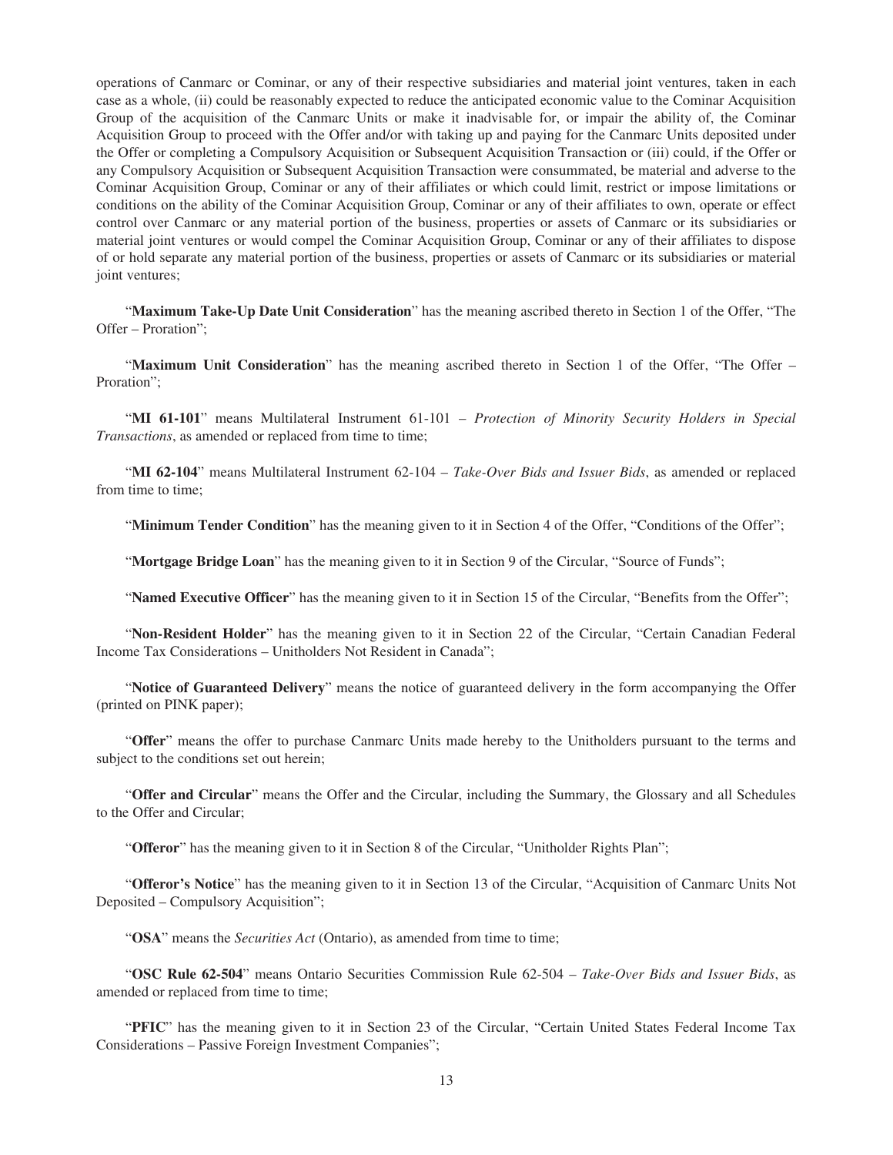operations of Canmarc or Cominar, or any of their respective subsidiaries and material joint ventures, taken in each case as a whole, (ii) could be reasonably expected to reduce the anticipated economic value to the Cominar Acquisition Group of the acquisition of the Canmarc Units or make it inadvisable for, or impair the ability of, the Cominar Acquisition Group to proceed with the Offer and/or with taking up and paying for the Canmarc Units deposited under the Offer or completing a Compulsory Acquisition or Subsequent Acquisition Transaction or (iii) could, if the Offer or any Compulsory Acquisition or Subsequent Acquisition Transaction were consummated, be material and adverse to the Cominar Acquisition Group, Cominar or any of their affiliates or which could limit, restrict or impose limitations or conditions on the ability of the Cominar Acquisition Group, Cominar or any of their affiliates to own, operate or effect control over Canmarc or any material portion of the business, properties or assets of Canmarc or its subsidiaries or material joint ventures or would compel the Cominar Acquisition Group, Cominar or any of their affiliates to dispose of or hold separate any material portion of the business, properties or assets of Canmarc or its subsidiaries or material joint ventures;

"**Maximum Take-Up Date Unit Consideration**" has the meaning ascribed thereto in Section 1 of the Offer, "The Offer – Proration";

"**Maximum Unit Consideration**" has the meaning ascribed thereto in Section 1 of the Offer, "The Offer – Proration";

"**MI 61-101**" means Multilateral Instrument 61-101 – *Protection of Minority Security Holders in Special Transactions*, as amended or replaced from time to time;

"**MI 62-104**" means Multilateral Instrument 62-104 – *Take-Over Bids and Issuer Bids*, as amended or replaced from time to time;

"Minimum Tender Condition" has the meaning given to it in Section 4 of the Offer, "Conditions of the Offer";

"**Mortgage Bridge Loan**" has the meaning given to it in Section 9 of the Circular, "Source of Funds";

"**Named Executive Officer**" has the meaning given to it in Section 15 of the Circular, "Benefits from the Offer";

"**Non-Resident Holder**" has the meaning given to it in Section 22 of the Circular, "Certain Canadian Federal Income Tax Considerations – Unitholders Not Resident in Canada";

"**Notice of Guaranteed Delivery**" means the notice of guaranteed delivery in the form accompanying the Offer (printed on PINK paper);

"**Offer**" means the offer to purchase Canmarc Units made hereby to the Unitholders pursuant to the terms and subject to the conditions set out herein;

"**Offer and Circular**" means the Offer and the Circular, including the Summary, the Glossary and all Schedules to the Offer and Circular;

"**Offeror**" has the meaning given to it in Section 8 of the Circular, "Unitholder Rights Plan";

"**Offeror's Notice**" has the meaning given to it in Section 13 of the Circular, "Acquisition of Canmarc Units Not Deposited – Compulsory Acquisition";

"**OSA**" means the *Securities Act* (Ontario), as amended from time to time;

"**OSC Rule 62-504**" means Ontario Securities Commission Rule 62-504 – *Take-Over Bids and Issuer Bids*, as amended or replaced from time to time;

"**PFIC**" has the meaning given to it in Section 23 of the Circular, "Certain United States Federal Income Tax Considerations – Passive Foreign Investment Companies";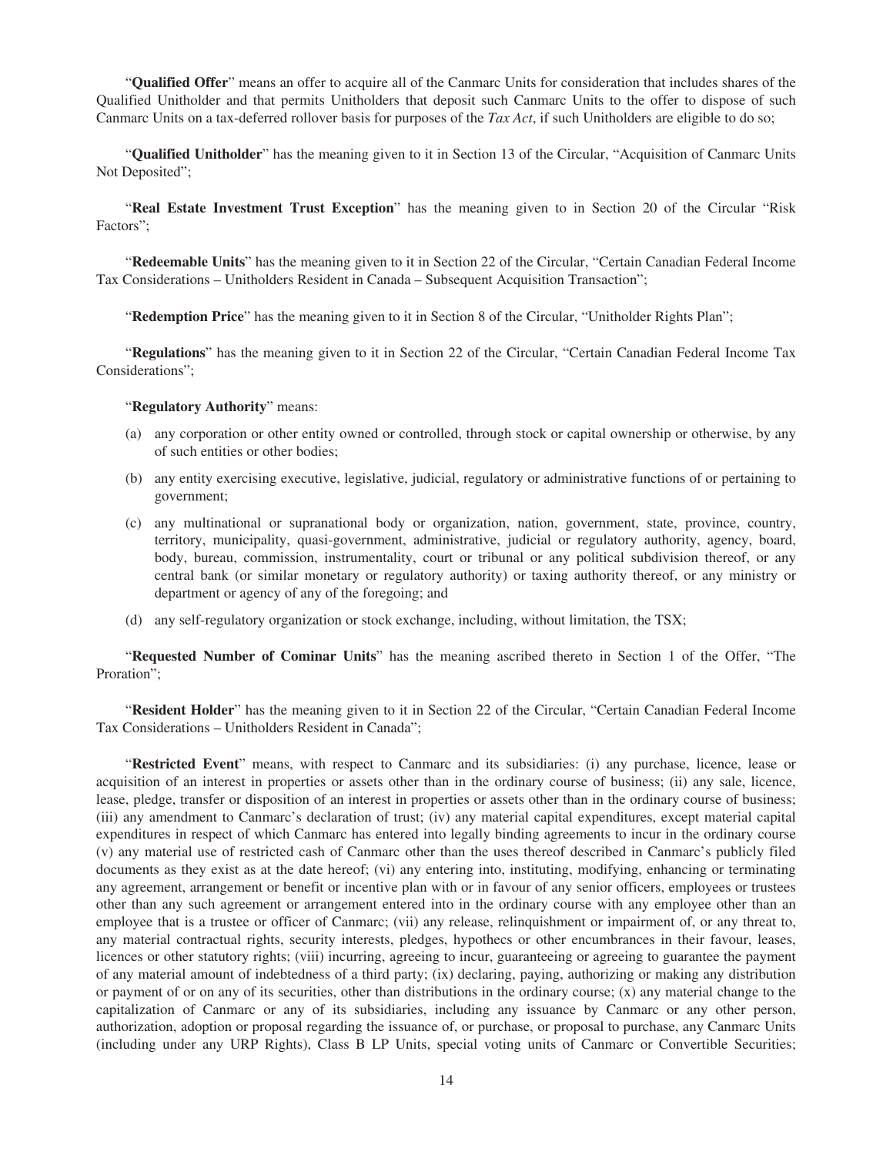"**Qualified Offer**" means an offer to acquire all of the Canmarc Units for consideration that includes shares of the Qualified Unitholder and that permits Unitholders that deposit such Canmarc Units to the offer to dispose of such Canmarc Units on a tax-deferred rollover basis for purposes of the *Tax Act*, if such Unitholders are eligible to do so;

"**Qualified Unitholder**" has the meaning given to it in Section 13 of the Circular, "Acquisition of Canmarc Units Not Deposited";

"**Real Estate Investment Trust Exception**" has the meaning given to in Section 20 of the Circular "Risk Factors";

"**Redeemable Units**" has the meaning given to it in Section 22 of the Circular, "Certain Canadian Federal Income Tax Considerations – Unitholders Resident in Canada – Subsequent Acquisition Transaction";

"**Redemption Price**" has the meaning given to it in Section 8 of the Circular, "Unitholder Rights Plan";

"**Regulations**" has the meaning given to it in Section 22 of the Circular, "Certain Canadian Federal Income Tax Considerations";

### "**Regulatory Authority**" means:

- (a) any corporation or other entity owned or controlled, through stock or capital ownership or otherwise, by any of such entities or other bodies;
- (b) any entity exercising executive, legislative, judicial, regulatory or administrative functions of or pertaining to government;
- (c) any multinational or supranational body or organization, nation, government, state, province, country, territory, municipality, quasi-government, administrative, judicial or regulatory authority, agency, board, body, bureau, commission, instrumentality, court or tribunal or any political subdivision thereof, or any central bank (or similar monetary or regulatory authority) or taxing authority thereof, or any ministry or department or agency of any of the foregoing; and
- (d) any self-regulatory organization or stock exchange, including, without limitation, the TSX;

"**Requested Number of Cominar Units**" has the meaning ascribed thereto in Section 1 of the Offer, "The Proration";

"**Resident Holder**" has the meaning given to it in Section 22 of the Circular, "Certain Canadian Federal Income Tax Considerations – Unitholders Resident in Canada";

"**Restricted Event**" means, with respect to Canmarc and its subsidiaries: (i) any purchase, licence, lease or acquisition of an interest in properties or assets other than in the ordinary course of business; (ii) any sale, licence, lease, pledge, transfer or disposition of an interest in properties or assets other than in the ordinary course of business; (iii) any amendment to Canmarc's declaration of trust; (iv) any material capital expenditures, except material capital expenditures in respect of which Canmarc has entered into legally binding agreements to incur in the ordinary course (v) any material use of restricted cash of Canmarc other than the uses thereof described in Canmarc's publicly filed documents as they exist as at the date hereof; (vi) any entering into, instituting, modifying, enhancing or terminating any agreement, arrangement or benefit or incentive plan with or in favour of any senior officers, employees or trustees other than any such agreement or arrangement entered into in the ordinary course with any employee other than an employee that is a trustee or officer of Canmarc; (vii) any release, relinquishment or impairment of, or any threat to, any material contractual rights, security interests, pledges, hypothecs or other encumbrances in their favour, leases, licences or other statutory rights; (viii) incurring, agreeing to incur, guaranteeing or agreeing to guarantee the payment of any material amount of indebtedness of a third party; (ix) declaring, paying, authorizing or making any distribution or payment of or on any of its securities, other than distributions in the ordinary course; (x) any material change to the capitalization of Canmarc or any of its subsidiaries, including any issuance by Canmarc or any other person, authorization, adoption or proposal regarding the issuance of, or purchase, or proposal to purchase, any Canmarc Units (including under any URP Rights), Class B LP Units, special voting units of Canmarc or Convertible Securities;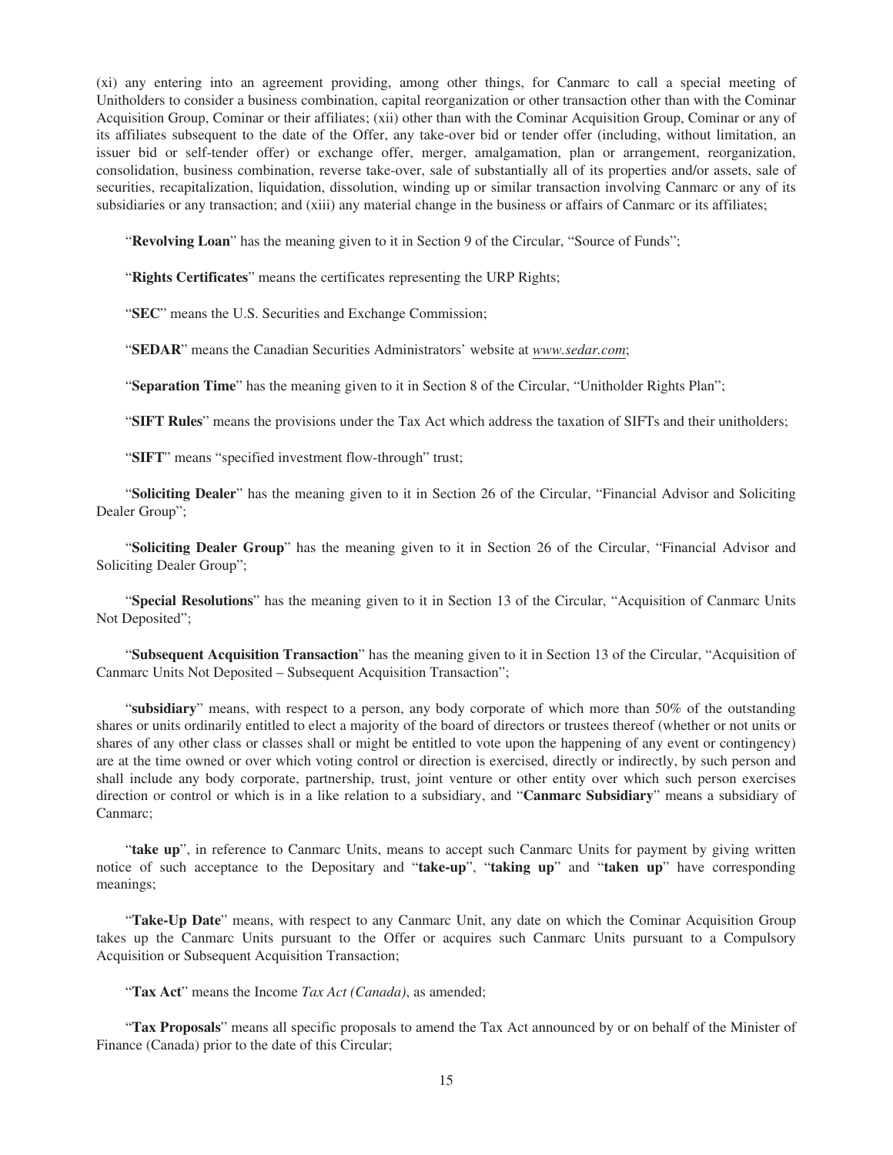(xi) any entering into an agreement providing, among other things, for Canmarc to call a special meeting of Unitholders to consider a business combination, capital reorganization or other transaction other than with the Cominar Acquisition Group, Cominar or their affiliates; (xii) other than with the Cominar Acquisition Group, Cominar or any of its affiliates subsequent to the date of the Offer, any take-over bid or tender offer (including, without limitation, an issuer bid or self-tender offer) or exchange offer, merger, amalgamation, plan or arrangement, reorganization, consolidation, business combination, reverse take-over, sale of substantially all of its properties and/or assets, sale of securities, recapitalization, liquidation, dissolution, winding up or similar transaction involving Canmarc or any of its subsidiaries or any transaction; and (xiii) any material change in the business or affairs of Canmarc or its affiliates;

"**Revolving Loan**" has the meaning given to it in Section 9 of the Circular, "Source of Funds";

"**Rights Certificates**" means the certificates representing the URP Rights;

"**SEC**" means the U.S. Securities and Exchange Commission;

"**SEDAR**" means the Canadian Securities Administrators' website at *www.sedar.com*;

"**Separation Time**" has the meaning given to it in Section 8 of the Circular, "Unitholder Rights Plan";

"**SIFT Rules**" means the provisions under the Tax Act which address the taxation of SIFTs and their unitholders;

"**SIFT**" means "specified investment flow-through" trust;

"**Soliciting Dealer**" has the meaning given to it in Section 26 of the Circular, "Financial Advisor and Soliciting Dealer Group";

"**Soliciting Dealer Group**" has the meaning given to it in Section 26 of the Circular, "Financial Advisor and Soliciting Dealer Group";

"**Special Resolutions**" has the meaning given to it in Section 13 of the Circular, "Acquisition of Canmarc Units Not Deposited";

"**Subsequent Acquisition Transaction**" has the meaning given to it in Section 13 of the Circular, "Acquisition of Canmarc Units Not Deposited – Subsequent Acquisition Transaction";

"**subsidiary**" means, with respect to a person, any body corporate of which more than 50% of the outstanding shares or units ordinarily entitled to elect a majority of the board of directors or trustees thereof (whether or not units or shares of any other class or classes shall or might be entitled to vote upon the happening of any event or contingency) are at the time owned or over which voting control or direction is exercised, directly or indirectly, by such person and shall include any body corporate, partnership, trust, joint venture or other entity over which such person exercises direction or control or which is in a like relation to a subsidiary, and "**Canmarc Subsidiary**" means a subsidiary of Canmarc;

"**take up**", in reference to Canmarc Units, means to accept such Canmarc Units for payment by giving written notice of such acceptance to the Depositary and "**take-up**", "**taking up**" and "**taken up**" have corresponding meanings;

"**Take-Up Date**" means, with respect to any Canmarc Unit, any date on which the Cominar Acquisition Group takes up the Canmarc Units pursuant to the Offer or acquires such Canmarc Units pursuant to a Compulsory Acquisition or Subsequent Acquisition Transaction;

"**Tax Act**" means the Income *Tax Act (Canada)*, as amended;

"**Tax Proposals**" means all specific proposals to amend the Tax Act announced by or on behalf of the Minister of Finance (Canada) prior to the date of this Circular;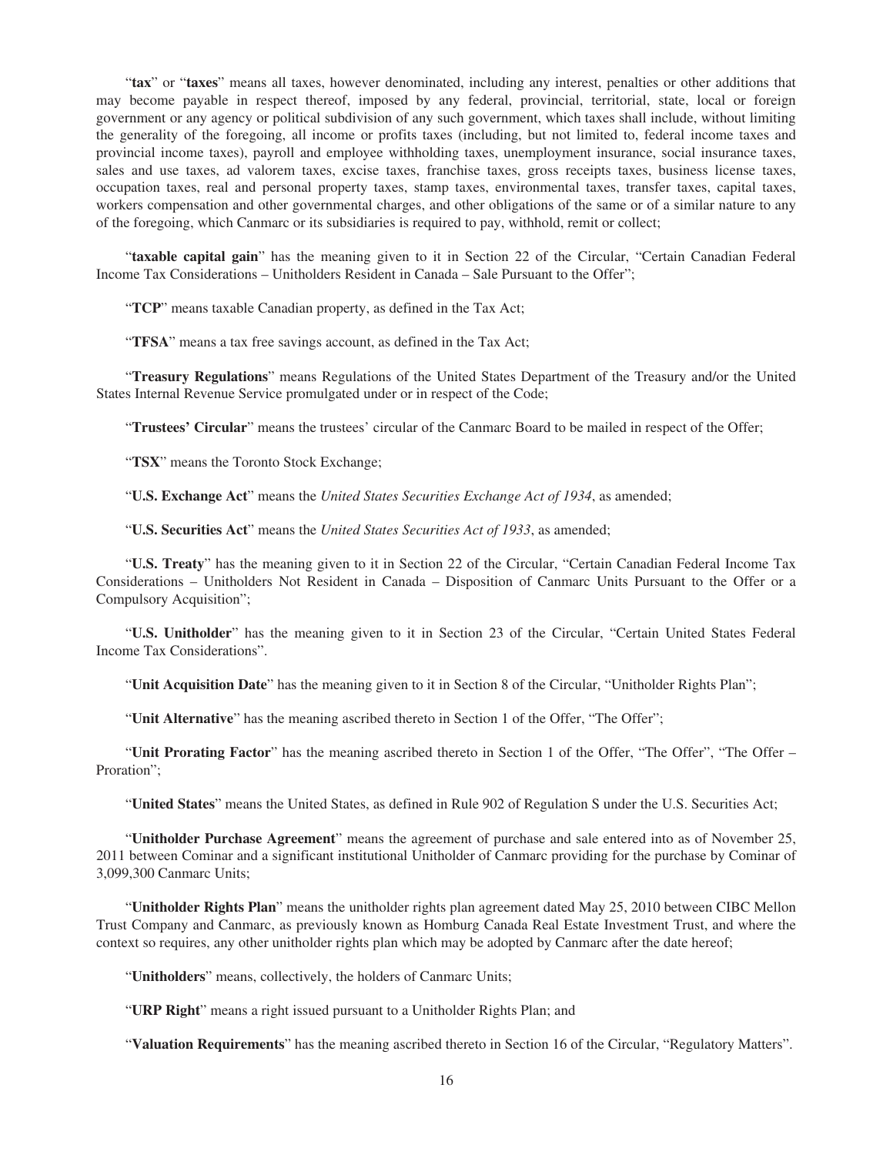"**tax**" or "**taxes**" means all taxes, however denominated, including any interest, penalties or other additions that may become payable in respect thereof, imposed by any federal, provincial, territorial, state, local or foreign government or any agency or political subdivision of any such government, which taxes shall include, without limiting the generality of the foregoing, all income or profits taxes (including, but not limited to, federal income taxes and provincial income taxes), payroll and employee withholding taxes, unemployment insurance, social insurance taxes, sales and use taxes, ad valorem taxes, excise taxes, franchise taxes, gross receipts taxes, business license taxes, occupation taxes, real and personal property taxes, stamp taxes, environmental taxes, transfer taxes, capital taxes, workers compensation and other governmental charges, and other obligations of the same or of a similar nature to any of the foregoing, which Canmarc or its subsidiaries is required to pay, withhold, remit or collect;

"**taxable capital gain**" has the meaning given to it in Section 22 of the Circular, "Certain Canadian Federal Income Tax Considerations – Unitholders Resident in Canada – Sale Pursuant to the Offer";

"**TCP**" means taxable Canadian property, as defined in the Tax Act;

"**TFSA**" means a tax free savings account, as defined in the Tax Act;

"**Treasury Regulations**" means Regulations of the United States Department of the Treasury and/or the United States Internal Revenue Service promulgated under or in respect of the Code;

"**Trustees' Circular**" means the trustees' circular of the Canmarc Board to be mailed in respect of the Offer;

"**TSX**" means the Toronto Stock Exchange;

"**U.S. Exchange Act**" means the *United States Securities Exchange Act of 1934*, as amended;

"**U.S. Securities Act**" means the *United States Securities Act of 1933*, as amended;

"**U.S. Treaty**" has the meaning given to it in Section 22 of the Circular, "Certain Canadian Federal Income Tax Considerations – Unitholders Not Resident in Canada – Disposition of Canmarc Units Pursuant to the Offer or a Compulsory Acquisition";

"**U.S. Unitholder**" has the meaning given to it in Section 23 of the Circular, "Certain United States Federal Income Tax Considerations".

"**Unit Acquisition Date**" has the meaning given to it in Section 8 of the Circular, "Unitholder Rights Plan";

"**Unit Alternative**" has the meaning ascribed thereto in Section 1 of the Offer, "The Offer";

"**Unit Prorating Factor**" has the meaning ascribed thereto in Section 1 of the Offer, "The Offer", "The Offer – Proration":

"**United States**" means the United States, as defined in Rule 902 of Regulation S under the U.S. Securities Act;

"**Unitholder Purchase Agreement**" means the agreement of purchase and sale entered into as of November 25, 2011 between Cominar and a significant institutional Unitholder of Canmarc providing for the purchase by Cominar of 3,099,300 Canmarc Units;

"**Unitholder Rights Plan**" means the unitholder rights plan agreement dated May 25, 2010 between CIBC Mellon Trust Company and Canmarc, as previously known as Homburg Canada Real Estate Investment Trust, and where the context so requires, any other unitholder rights plan which may be adopted by Canmarc after the date hereof;

"**Unitholders**" means, collectively, the holders of Canmarc Units;

"**URP Right**" means a right issued pursuant to a Unitholder Rights Plan; and

"**Valuation Requirements**" has the meaning ascribed thereto in Section 16 of the Circular, "Regulatory Matters".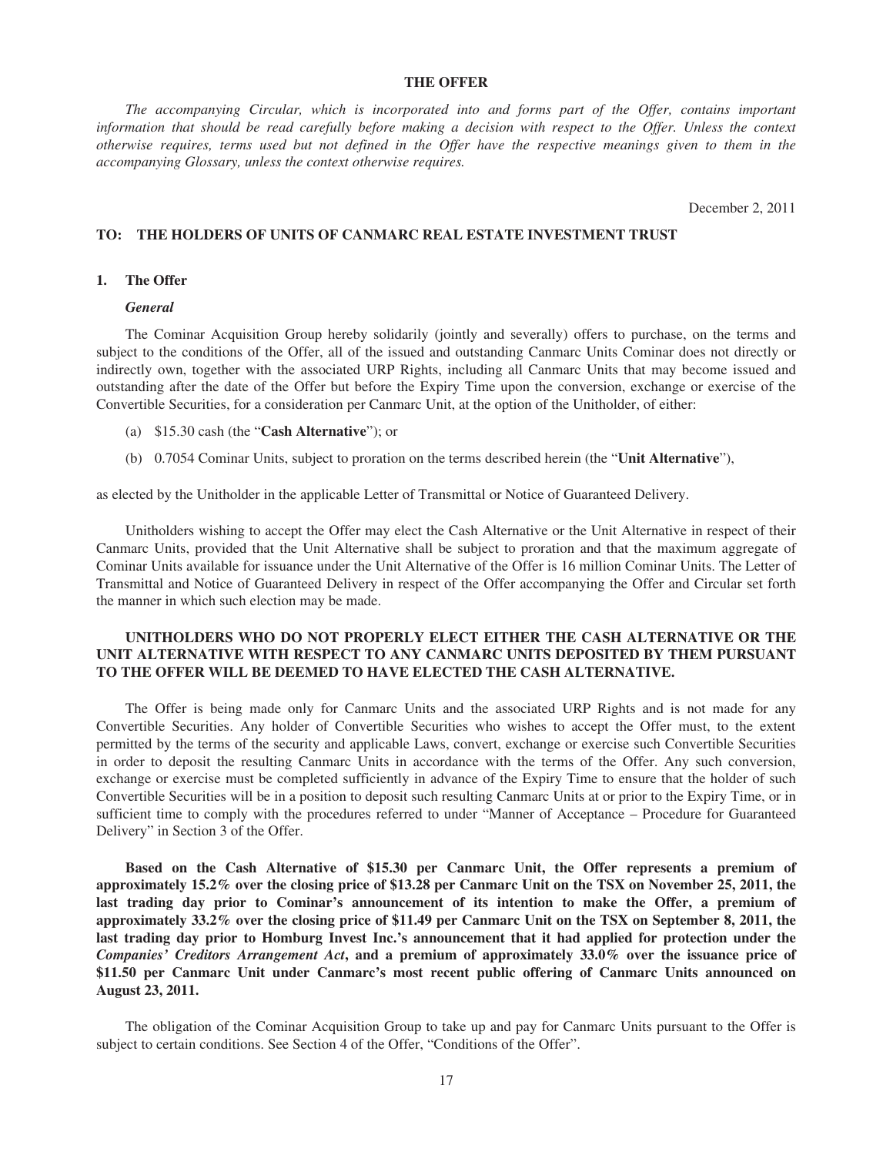### **THE OFFER**

*The accompanying Circular, which is incorporated into and forms part of the Offer, contains important information that should be read carefully before making a decision with respect to the Offer. Unless the context otherwise requires, terms used but not defined in the Offer have the respective meanings given to them in the accompanying Glossary, unless the context otherwise requires.*

December 2, 2011

### **TO: THE HOLDERS OF UNITS OF CANMARC REAL ESTATE INVESTMENT TRUST**

#### **1. The Offer**

#### *General*

The Cominar Acquisition Group hereby solidarily (jointly and severally) offers to purchase, on the terms and subject to the conditions of the Offer, all of the issued and outstanding Canmarc Units Cominar does not directly or indirectly own, together with the associated URP Rights, including all Canmarc Units that may become issued and outstanding after the date of the Offer but before the Expiry Time upon the conversion, exchange or exercise of the Convertible Securities, for a consideration per Canmarc Unit, at the option of the Unitholder, of either:

- (a) \$15.30 cash (the "**Cash Alternative**"); or
- (b) 0.7054 Cominar Units, subject to proration on the terms described herein (the "**Unit Alternative**"),

as elected by the Unitholder in the applicable Letter of Transmittal or Notice of Guaranteed Delivery.

Unitholders wishing to accept the Offer may elect the Cash Alternative or the Unit Alternative in respect of their Canmarc Units, provided that the Unit Alternative shall be subject to proration and that the maximum aggregate of Cominar Units available for issuance under the Unit Alternative of the Offer is 16 million Cominar Units. The Letter of Transmittal and Notice of Guaranteed Delivery in respect of the Offer accompanying the Offer and Circular set forth the manner in which such election may be made.

### **UNITHOLDERS WHO DO NOT PROPERLY ELECT EITHER THE CASH ALTERNATIVE OR THE UNIT ALTERNATIVE WITH RESPECT TO ANY CANMARC UNITS DEPOSITED BY THEM PURSUANT TO THE OFFER WILL BE DEEMED TO HAVE ELECTED THE CASH ALTERNATIVE.**

The Offer is being made only for Canmarc Units and the associated URP Rights and is not made for any Convertible Securities. Any holder of Convertible Securities who wishes to accept the Offer must, to the extent permitted by the terms of the security and applicable Laws, convert, exchange or exercise such Convertible Securities in order to deposit the resulting Canmarc Units in accordance with the terms of the Offer. Any such conversion, exchange or exercise must be completed sufficiently in advance of the Expiry Time to ensure that the holder of such Convertible Securities will be in a position to deposit such resulting Canmarc Units at or prior to the Expiry Time, or in sufficient time to comply with the procedures referred to under "Manner of Acceptance – Procedure for Guaranteed Delivery" in Section 3 of the Offer.

**Based on the Cash Alternative of \$15.30 per Canmarc Unit, the Offer represents a premium of approximately 15.2% over the closing price of \$13.28 per Canmarc Unit on the TSX on November 25, 2011, the last trading day prior to Cominar's announcement of its intention to make the Offer, a premium of approximately 33.2% over the closing price of \$11.49 per Canmarc Unit on the TSX on September 8, 2011, the last trading day prior to Homburg Invest Inc.'s announcement that it had applied for protection under the** *Companies' Creditors Arrangement Act***, and a premium of approximately 33.0% over the issuance price of \$11.50 per Canmarc Unit under Canmarc's most recent public offering of Canmarc Units announced on August 23, 2011.**

The obligation of the Cominar Acquisition Group to take up and pay for Canmarc Units pursuant to the Offer is subject to certain conditions. See Section 4 of the Offer, "Conditions of the Offer".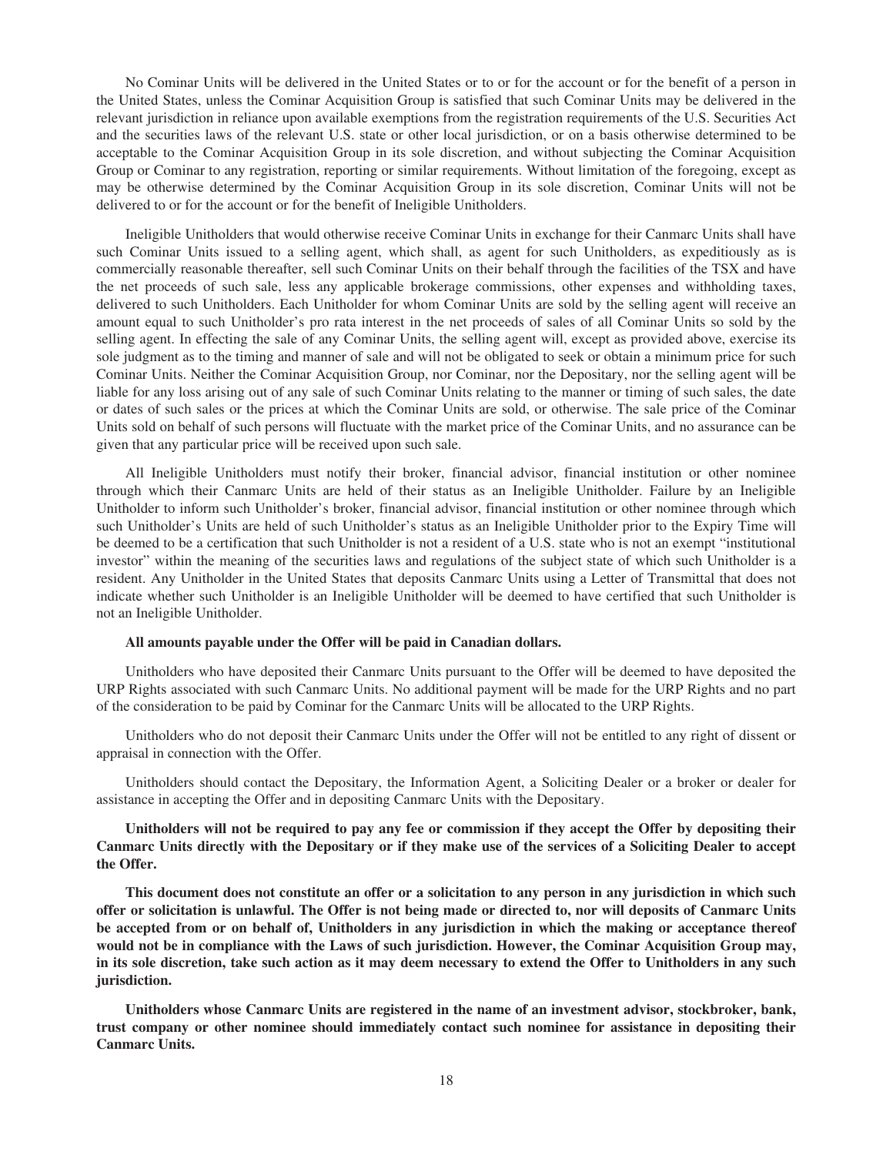No Cominar Units will be delivered in the United States or to or for the account or for the benefit of a person in the United States, unless the Cominar Acquisition Group is satisfied that such Cominar Units may be delivered in the relevant jurisdiction in reliance upon available exemptions from the registration requirements of the U.S. Securities Act and the securities laws of the relevant U.S. state or other local jurisdiction, or on a basis otherwise determined to be acceptable to the Cominar Acquisition Group in its sole discretion, and without subjecting the Cominar Acquisition Group or Cominar to any registration, reporting or similar requirements. Without limitation of the foregoing, except as may be otherwise determined by the Cominar Acquisition Group in its sole discretion, Cominar Units will not be delivered to or for the account or for the benefit of Ineligible Unitholders.

Ineligible Unitholders that would otherwise receive Cominar Units in exchange for their Canmarc Units shall have such Cominar Units issued to a selling agent, which shall, as agent for such Unitholders, as expeditiously as is commercially reasonable thereafter, sell such Cominar Units on their behalf through the facilities of the TSX and have the net proceeds of such sale, less any applicable brokerage commissions, other expenses and withholding taxes, delivered to such Unitholders. Each Unitholder for whom Cominar Units are sold by the selling agent will receive an amount equal to such Unitholder's pro rata interest in the net proceeds of sales of all Cominar Units so sold by the selling agent. In effecting the sale of any Cominar Units, the selling agent will, except as provided above, exercise its sole judgment as to the timing and manner of sale and will not be obligated to seek or obtain a minimum price for such Cominar Units. Neither the Cominar Acquisition Group, nor Cominar, nor the Depositary, nor the selling agent will be liable for any loss arising out of any sale of such Cominar Units relating to the manner or timing of such sales, the date or dates of such sales or the prices at which the Cominar Units are sold, or otherwise. The sale price of the Cominar Units sold on behalf of such persons will fluctuate with the market price of the Cominar Units, and no assurance can be given that any particular price will be received upon such sale.

All Ineligible Unitholders must notify their broker, financial advisor, financial institution or other nominee through which their Canmarc Units are held of their status as an Ineligible Unitholder. Failure by an Ineligible Unitholder to inform such Unitholder's broker, financial advisor, financial institution or other nominee through which such Unitholder's Units are held of such Unitholder's status as an Ineligible Unitholder prior to the Expiry Time will be deemed to be a certification that such Unitholder is not a resident of a U.S. state who is not an exempt "institutional investor" within the meaning of the securities laws and regulations of the subject state of which such Unitholder is a resident. Any Unitholder in the United States that deposits Canmarc Units using a Letter of Transmittal that does not indicate whether such Unitholder is an Ineligible Unitholder will be deemed to have certified that such Unitholder is not an Ineligible Unitholder.

#### **All amounts payable under the Offer will be paid in Canadian dollars.**

Unitholders who have deposited their Canmarc Units pursuant to the Offer will be deemed to have deposited the URP Rights associated with such Canmarc Units. No additional payment will be made for the URP Rights and no part of the consideration to be paid by Cominar for the Canmarc Units will be allocated to the URP Rights.

Unitholders who do not deposit their Canmarc Units under the Offer will not be entitled to any right of dissent or appraisal in connection with the Offer.

Unitholders should contact the Depositary, the Information Agent, a Soliciting Dealer or a broker or dealer for assistance in accepting the Offer and in depositing Canmarc Units with the Depositary.

**Unitholders will not be required to pay any fee or commission if they accept the Offer by depositing their Canmarc Units directly with the Depositary or if they make use of the services of a Soliciting Dealer to accept the Offer.**

**This document does not constitute an offer or a solicitation to any person in any jurisdiction in which such offer or solicitation is unlawful. The Offer is not being made or directed to, nor will deposits of Canmarc Units be accepted from or on behalf of, Unitholders in any jurisdiction in which the making or acceptance thereof would not be in compliance with the Laws of such jurisdiction. However, the Cominar Acquisition Group may, in its sole discretion, take such action as it may deem necessary to extend the Offer to Unitholders in any such jurisdiction.**

**Unitholders whose Canmarc Units are registered in the name of an investment advisor, stockbroker, bank, trust company or other nominee should immediately contact such nominee for assistance in depositing their Canmarc Units.**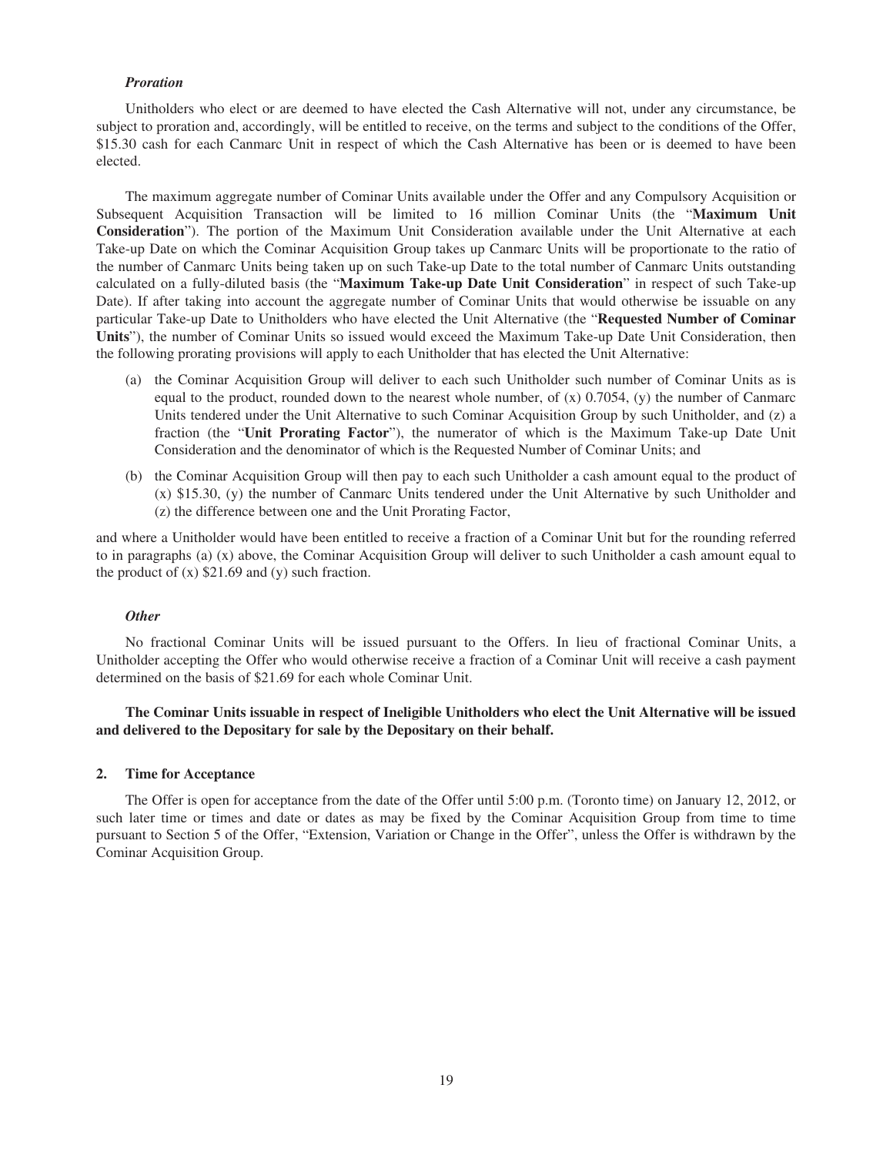### *Proration*

Unitholders who elect or are deemed to have elected the Cash Alternative will not, under any circumstance, be subject to proration and, accordingly, will be entitled to receive, on the terms and subject to the conditions of the Offer, \$15.30 cash for each Canmarc Unit in respect of which the Cash Alternative has been or is deemed to have been elected.

The maximum aggregate number of Cominar Units available under the Offer and any Compulsory Acquisition or Subsequent Acquisition Transaction will be limited to 16 million Cominar Units (the "**Maximum Unit Consideration**"). The portion of the Maximum Unit Consideration available under the Unit Alternative at each Take-up Date on which the Cominar Acquisition Group takes up Canmarc Units will be proportionate to the ratio of the number of Canmarc Units being taken up on such Take-up Date to the total number of Canmarc Units outstanding calculated on a fully-diluted basis (the "**Maximum Take-up Date Unit Consideration**" in respect of such Take-up Date). If after taking into account the aggregate number of Cominar Units that would otherwise be issuable on any particular Take-up Date to Unitholders who have elected the Unit Alternative (the "**Requested Number of Cominar Units**"), the number of Cominar Units so issued would exceed the Maximum Take-up Date Unit Consideration, then the following prorating provisions will apply to each Unitholder that has elected the Unit Alternative:

- (a) the Cominar Acquisition Group will deliver to each such Unitholder such number of Cominar Units as is equal to the product, rounded down to the nearest whole number, of  $(x)$  0.7054,  $(y)$  the number of Canmarc Units tendered under the Unit Alternative to such Cominar Acquisition Group by such Unitholder, and (z) a fraction (the "**Unit Prorating Factor**"), the numerator of which is the Maximum Take-up Date Unit Consideration and the denominator of which is the Requested Number of Cominar Units; and
- (b) the Cominar Acquisition Group will then pay to each such Unitholder a cash amount equal to the product of (x) \$15.30, (y) the number of Canmarc Units tendered under the Unit Alternative by such Unitholder and (z) the difference between one and the Unit Prorating Factor,

and where a Unitholder would have been entitled to receive a fraction of a Cominar Unit but for the rounding referred to in paragraphs (a) (x) above, the Cominar Acquisition Group will deliver to such Unitholder a cash amount equal to the product of  $(x)$  \$21.69 and  $(y)$  such fraction.

#### *Other*

No fractional Cominar Units will be issued pursuant to the Offers. In lieu of fractional Cominar Units, a Unitholder accepting the Offer who would otherwise receive a fraction of a Cominar Unit will receive a cash payment determined on the basis of \$21.69 for each whole Cominar Unit.

### **The Cominar Units issuable in respect of Ineligible Unitholders who elect the Unit Alternative will be issued and delivered to the Depositary for sale by the Depositary on their behalf.**

### **2. Time for Acceptance**

The Offer is open for acceptance from the date of the Offer until 5:00 p.m. (Toronto time) on January 12, 2012, or such later time or times and date or dates as may be fixed by the Cominar Acquisition Group from time to time pursuant to Section 5 of the Offer, "Extension, Variation or Change in the Offer", unless the Offer is withdrawn by the Cominar Acquisition Group.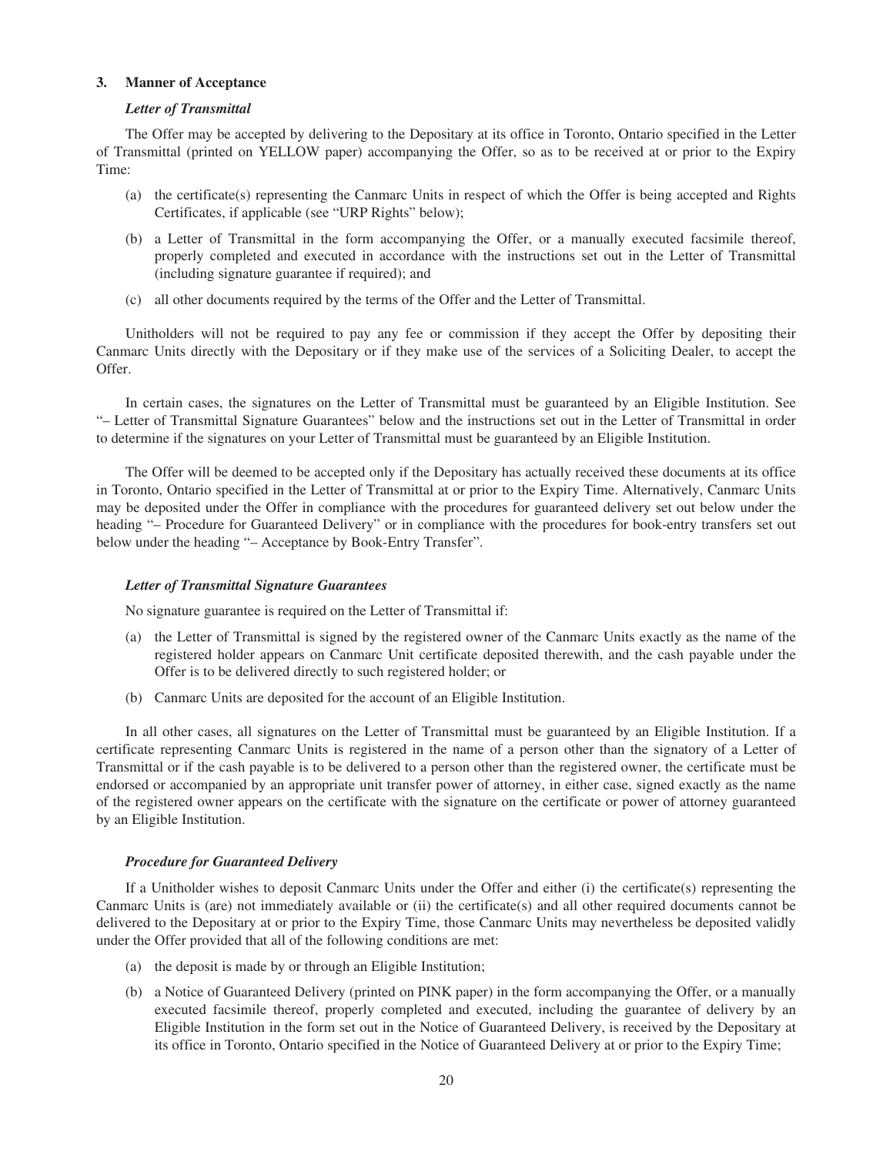### **3. Manner of Acceptance**

#### *Letter of Transmittal*

The Offer may be accepted by delivering to the Depositary at its office in Toronto, Ontario specified in the Letter of Transmittal (printed on YELLOW paper) accompanying the Offer, so as to be received at or prior to the Expiry Time:

- (a) the certificate(s) representing the Canmarc Units in respect of which the Offer is being accepted and Rights Certificates, if applicable (see "URP Rights" below);
- (b) a Letter of Transmittal in the form accompanying the Offer, or a manually executed facsimile thereof, properly completed and executed in accordance with the instructions set out in the Letter of Transmittal (including signature guarantee if required); and
- (c) all other documents required by the terms of the Offer and the Letter of Transmittal.

Unitholders will not be required to pay any fee or commission if they accept the Offer by depositing their Canmarc Units directly with the Depositary or if they make use of the services of a Soliciting Dealer, to accept the Offer.

In certain cases, the signatures on the Letter of Transmittal must be guaranteed by an Eligible Institution. See "– Letter of Transmittal Signature Guarantees" below and the instructions set out in the Letter of Transmittal in order to determine if the signatures on your Letter of Transmittal must be guaranteed by an Eligible Institution.

The Offer will be deemed to be accepted only if the Depositary has actually received these documents at its office in Toronto, Ontario specified in the Letter of Transmittal at or prior to the Expiry Time. Alternatively, Canmarc Units may be deposited under the Offer in compliance with the procedures for guaranteed delivery set out below under the heading "– Procedure for Guaranteed Delivery" or in compliance with the procedures for book-entry transfers set out below under the heading "– Acceptance by Book-Entry Transfer".

#### *Letter of Transmittal Signature Guarantees*

No signature guarantee is required on the Letter of Transmittal if:

- (a) the Letter of Transmittal is signed by the registered owner of the Canmarc Units exactly as the name of the registered holder appears on Canmarc Unit certificate deposited therewith, and the cash payable under the Offer is to be delivered directly to such registered holder; or
- (b) Canmarc Units are deposited for the account of an Eligible Institution.

In all other cases, all signatures on the Letter of Transmittal must be guaranteed by an Eligible Institution. If a certificate representing Canmarc Units is registered in the name of a person other than the signatory of a Letter of Transmittal or if the cash payable is to be delivered to a person other than the registered owner, the certificate must be endorsed or accompanied by an appropriate unit transfer power of attorney, in either case, signed exactly as the name of the registered owner appears on the certificate with the signature on the certificate or power of attorney guaranteed by an Eligible Institution.

#### *Procedure for Guaranteed Delivery*

If a Unitholder wishes to deposit Canmarc Units under the Offer and either (i) the certificate(s) representing the Canmarc Units is (are) not immediately available or (ii) the certificate(s) and all other required documents cannot be delivered to the Depositary at or prior to the Expiry Time, those Canmarc Units may nevertheless be deposited validly under the Offer provided that all of the following conditions are met:

- (a) the deposit is made by or through an Eligible Institution;
- (b) a Notice of Guaranteed Delivery (printed on PINK paper) in the form accompanying the Offer, or a manually executed facsimile thereof, properly completed and executed, including the guarantee of delivery by an Eligible Institution in the form set out in the Notice of Guaranteed Delivery, is received by the Depositary at its office in Toronto, Ontario specified in the Notice of Guaranteed Delivery at or prior to the Expiry Time;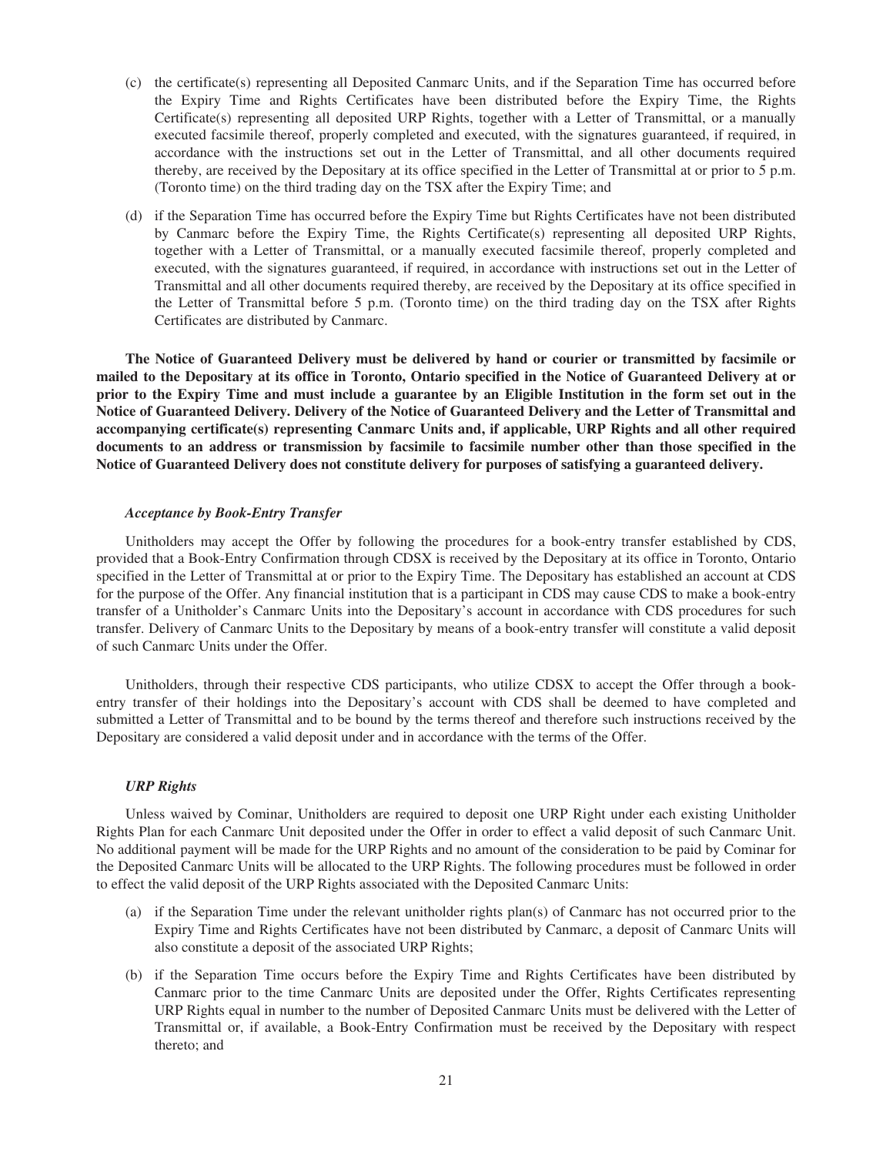- (c) the certificate(s) representing all Deposited Canmarc Units, and if the Separation Time has occurred before the Expiry Time and Rights Certificates have been distributed before the Expiry Time, the Rights Certificate(s) representing all deposited URP Rights, together with a Letter of Transmittal, or a manually executed facsimile thereof, properly completed and executed, with the signatures guaranteed, if required, in accordance with the instructions set out in the Letter of Transmittal, and all other documents required thereby, are received by the Depositary at its office specified in the Letter of Transmittal at or prior to 5 p.m. (Toronto time) on the third trading day on the TSX after the Expiry Time; and
- (d) if the Separation Time has occurred before the Expiry Time but Rights Certificates have not been distributed by Canmarc before the Expiry Time, the Rights Certificate(s) representing all deposited URP Rights, together with a Letter of Transmittal, or a manually executed facsimile thereof, properly completed and executed, with the signatures guaranteed, if required, in accordance with instructions set out in the Letter of Transmittal and all other documents required thereby, are received by the Depositary at its office specified in the Letter of Transmittal before 5 p.m. (Toronto time) on the third trading day on the TSX after Rights Certificates are distributed by Canmarc.

**The Notice of Guaranteed Delivery must be delivered by hand or courier or transmitted by facsimile or mailed to the Depositary at its office in Toronto, Ontario specified in the Notice of Guaranteed Delivery at or prior to the Expiry Time and must include a guarantee by an Eligible Institution in the form set out in the Notice of Guaranteed Delivery. Delivery of the Notice of Guaranteed Delivery and the Letter of Transmittal and accompanying certificate(s) representing Canmarc Units and, if applicable, URP Rights and all other required documents to an address or transmission by facsimile to facsimile number other than those specified in the Notice of Guaranteed Delivery does not constitute delivery for purposes of satisfying a guaranteed delivery.**

### *Acceptance by Book-Entry Transfer*

Unitholders may accept the Offer by following the procedures for a book-entry transfer established by CDS, provided that a Book-Entry Confirmation through CDSX is received by the Depositary at its office in Toronto, Ontario specified in the Letter of Transmittal at or prior to the Expiry Time. The Depositary has established an account at CDS for the purpose of the Offer. Any financial institution that is a participant in CDS may cause CDS to make a book-entry transfer of a Unitholder's Canmarc Units into the Depositary's account in accordance with CDS procedures for such transfer. Delivery of Canmarc Units to the Depositary by means of a book-entry transfer will constitute a valid deposit of such Canmarc Units under the Offer.

Unitholders, through their respective CDS participants, who utilize CDSX to accept the Offer through a bookentry transfer of their holdings into the Depositary's account with CDS shall be deemed to have completed and submitted a Letter of Transmittal and to be bound by the terms thereof and therefore such instructions received by the Depositary are considered a valid deposit under and in accordance with the terms of the Offer.

### *URP Rights*

Unless waived by Cominar, Unitholders are required to deposit one URP Right under each existing Unitholder Rights Plan for each Canmarc Unit deposited under the Offer in order to effect a valid deposit of such Canmarc Unit. No additional payment will be made for the URP Rights and no amount of the consideration to be paid by Cominar for the Deposited Canmarc Units will be allocated to the URP Rights. The following procedures must be followed in order to effect the valid deposit of the URP Rights associated with the Deposited Canmarc Units:

- (a) if the Separation Time under the relevant unitholder rights plan(s) of Canmarc has not occurred prior to the Expiry Time and Rights Certificates have not been distributed by Canmarc, a deposit of Canmarc Units will also constitute a deposit of the associated URP Rights;
- (b) if the Separation Time occurs before the Expiry Time and Rights Certificates have been distributed by Canmarc prior to the time Canmarc Units are deposited under the Offer, Rights Certificates representing URP Rights equal in number to the number of Deposited Canmarc Units must be delivered with the Letter of Transmittal or, if available, a Book-Entry Confirmation must be received by the Depositary with respect thereto; and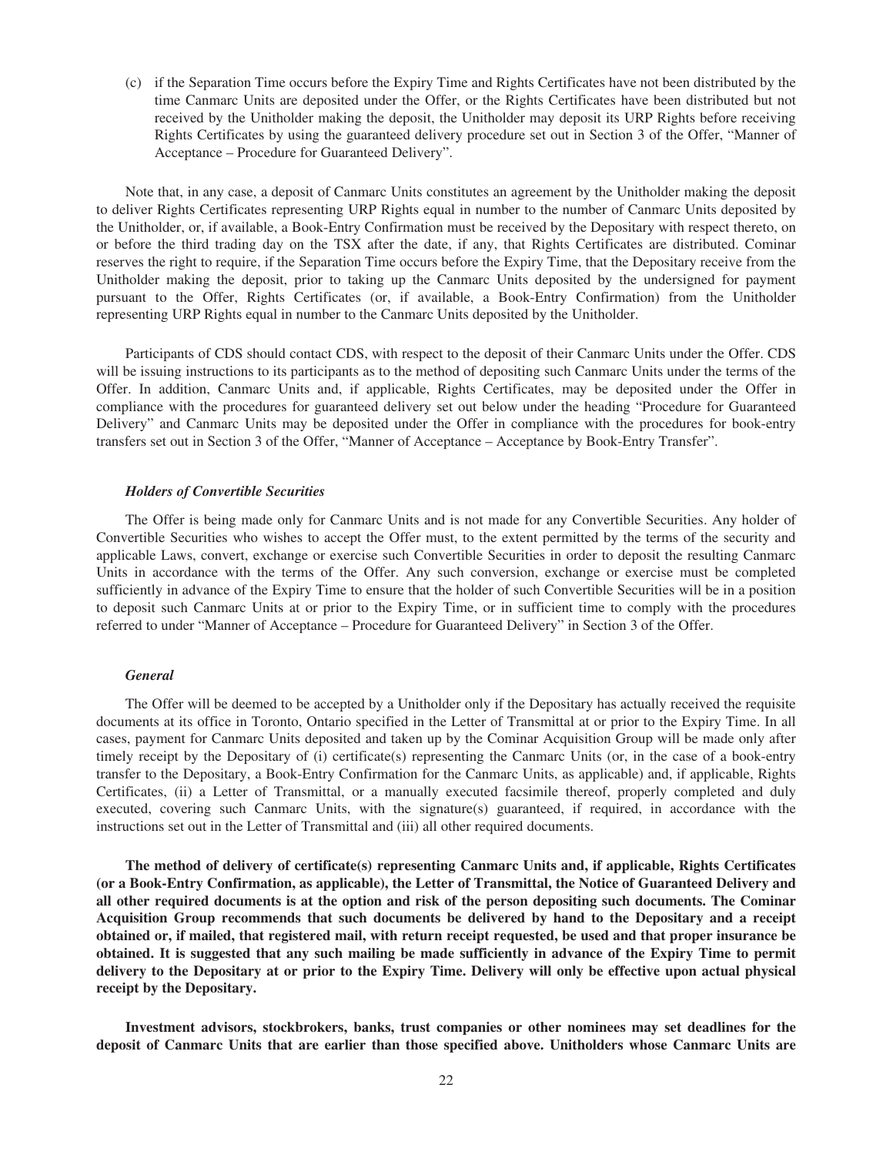(c) if the Separation Time occurs before the Expiry Time and Rights Certificates have not been distributed by the time Canmarc Units are deposited under the Offer, or the Rights Certificates have been distributed but not received by the Unitholder making the deposit, the Unitholder may deposit its URP Rights before receiving Rights Certificates by using the guaranteed delivery procedure set out in Section 3 of the Offer, "Manner of Acceptance – Procedure for Guaranteed Delivery".

Note that, in any case, a deposit of Canmarc Units constitutes an agreement by the Unitholder making the deposit to deliver Rights Certificates representing URP Rights equal in number to the number of Canmarc Units deposited by the Unitholder, or, if available, a Book-Entry Confirmation must be received by the Depositary with respect thereto, on or before the third trading day on the TSX after the date, if any, that Rights Certificates are distributed. Cominar reserves the right to require, if the Separation Time occurs before the Expiry Time, that the Depositary receive from the Unitholder making the deposit, prior to taking up the Canmarc Units deposited by the undersigned for payment pursuant to the Offer, Rights Certificates (or, if available, a Book-Entry Confirmation) from the Unitholder representing URP Rights equal in number to the Canmarc Units deposited by the Unitholder.

Participants of CDS should contact CDS, with respect to the deposit of their Canmarc Units under the Offer. CDS will be issuing instructions to its participants as to the method of depositing such Canmarc Units under the terms of the Offer. In addition, Canmarc Units and, if applicable, Rights Certificates, may be deposited under the Offer in compliance with the procedures for guaranteed delivery set out below under the heading "Procedure for Guaranteed Delivery" and Canmarc Units may be deposited under the Offer in compliance with the procedures for book-entry transfers set out in Section 3 of the Offer, "Manner of Acceptance – Acceptance by Book-Entry Transfer".

#### *Holders of Convertible Securities*

The Offer is being made only for Canmarc Units and is not made for any Convertible Securities. Any holder of Convertible Securities who wishes to accept the Offer must, to the extent permitted by the terms of the security and applicable Laws, convert, exchange or exercise such Convertible Securities in order to deposit the resulting Canmarc Units in accordance with the terms of the Offer. Any such conversion, exchange or exercise must be completed sufficiently in advance of the Expiry Time to ensure that the holder of such Convertible Securities will be in a position to deposit such Canmarc Units at or prior to the Expiry Time, or in sufficient time to comply with the procedures referred to under "Manner of Acceptance – Procedure for Guaranteed Delivery" in Section 3 of the Offer.

#### *General*

The Offer will be deemed to be accepted by a Unitholder only if the Depositary has actually received the requisite documents at its office in Toronto, Ontario specified in the Letter of Transmittal at or prior to the Expiry Time. In all cases, payment for Canmarc Units deposited and taken up by the Cominar Acquisition Group will be made only after timely receipt by the Depositary of (i) certificate(s) representing the Canmarc Units (or, in the case of a book-entry transfer to the Depositary, a Book-Entry Confirmation for the Canmarc Units, as applicable) and, if applicable, Rights Certificates, (ii) a Letter of Transmittal, or a manually executed facsimile thereof, properly completed and duly executed, covering such Canmarc Units, with the signature(s) guaranteed, if required, in accordance with the instructions set out in the Letter of Transmittal and (iii) all other required documents.

**The method of delivery of certificate(s) representing Canmarc Units and, if applicable, Rights Certificates (or a Book-Entry Confirmation, as applicable), the Letter of Transmittal, the Notice of Guaranteed Delivery and all other required documents is at the option and risk of the person depositing such documents. The Cominar Acquisition Group recommends that such documents be delivered by hand to the Depositary and a receipt obtained or, if mailed, that registered mail, with return receipt requested, be used and that proper insurance be obtained. It is suggested that any such mailing be made sufficiently in advance of the Expiry Time to permit delivery to the Depositary at or prior to the Expiry Time. Delivery will only be effective upon actual physical receipt by the Depositary.**

**Investment advisors, stockbrokers, banks, trust companies or other nominees may set deadlines for the deposit of Canmarc Units that are earlier than those specified above. Unitholders whose Canmarc Units are**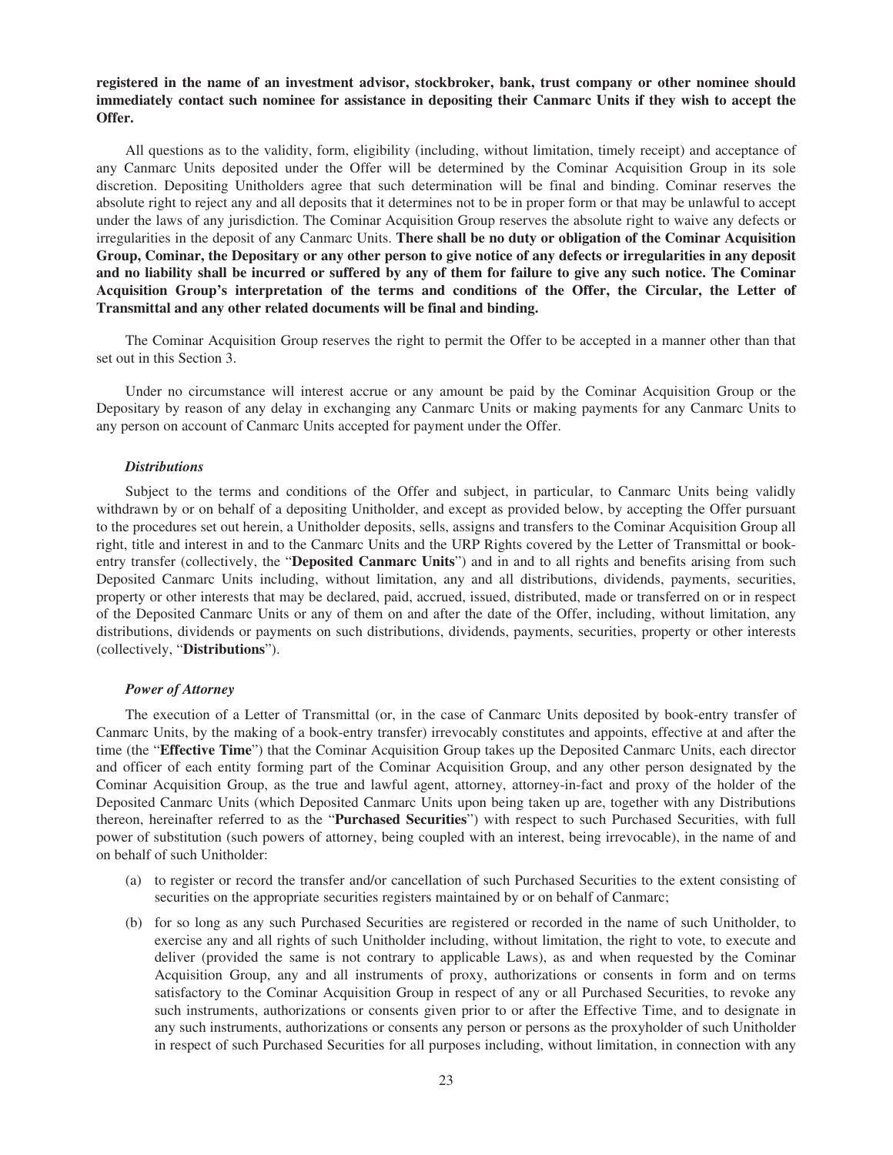### **registered in the name of an investment advisor, stockbroker, bank, trust company or other nominee should immediately contact such nominee for assistance in depositing their Canmarc Units if they wish to accept the Offer.**

All questions as to the validity, form, eligibility (including, without limitation, timely receipt) and acceptance of any Canmarc Units deposited under the Offer will be determined by the Cominar Acquisition Group in its sole discretion. Depositing Unitholders agree that such determination will be final and binding. Cominar reserves the absolute right to reject any and all deposits that it determines not to be in proper form or that may be unlawful to accept under the laws of any jurisdiction. The Cominar Acquisition Group reserves the absolute right to waive any defects or irregularities in the deposit of any Canmarc Units. **There shall be no duty or obligation of the Cominar Acquisition Group, Cominar, the Depositary or any other person to give notice of any defects or irregularities in any deposit and no liability shall be incurred or suffered by any of them for failure to give any such notice. The Cominar Acquisition Group's interpretation of the terms and conditions of the Offer, the Circular, the Letter of Transmittal and any other related documents will be final and binding.**

The Cominar Acquisition Group reserves the right to permit the Offer to be accepted in a manner other than that set out in this Section 3.

Under no circumstance will interest accrue or any amount be paid by the Cominar Acquisition Group or the Depositary by reason of any delay in exchanging any Canmarc Units or making payments for any Canmarc Units to any person on account of Canmarc Units accepted for payment under the Offer.

#### *Distributions*

Subject to the terms and conditions of the Offer and subject, in particular, to Canmarc Units being validly withdrawn by or on behalf of a depositing Unitholder, and except as provided below, by accepting the Offer pursuant to the procedures set out herein, a Unitholder deposits, sells, assigns and transfers to the Cominar Acquisition Group all right, title and interest in and to the Canmarc Units and the URP Rights covered by the Letter of Transmittal or bookentry transfer (collectively, the "**Deposited Canmarc Units**") and in and to all rights and benefits arising from such Deposited Canmarc Units including, without limitation, any and all distributions, dividends, payments, securities, property or other interests that may be declared, paid, accrued, issued, distributed, made or transferred on or in respect of the Deposited Canmarc Units or any of them on and after the date of the Offer, including, without limitation, any distributions, dividends or payments on such distributions, dividends, payments, securities, property or other interests (collectively, "**Distributions**").

#### *Power of Attorney*

The execution of a Letter of Transmittal (or, in the case of Canmarc Units deposited by book-entry transfer of Canmarc Units, by the making of a book-entry transfer) irrevocably constitutes and appoints, effective at and after the time (the "**Effective Time**") that the Cominar Acquisition Group takes up the Deposited Canmarc Units, each director and officer of each entity forming part of the Cominar Acquisition Group, and any other person designated by the Cominar Acquisition Group, as the true and lawful agent, attorney, attorney-in-fact and proxy of the holder of the Deposited Canmarc Units (which Deposited Canmarc Units upon being taken up are, together with any Distributions thereon, hereinafter referred to as the "**Purchased Securities**") with respect to such Purchased Securities, with full power of substitution (such powers of attorney, being coupled with an interest, being irrevocable), in the name of and on behalf of such Unitholder:

- (a) to register or record the transfer and/or cancellation of such Purchased Securities to the extent consisting of securities on the appropriate securities registers maintained by or on behalf of Canmarc;
- (b) for so long as any such Purchased Securities are registered or recorded in the name of such Unitholder, to exercise any and all rights of such Unitholder including, without limitation, the right to vote, to execute and deliver (provided the same is not contrary to applicable Laws), as and when requested by the Cominar Acquisition Group, any and all instruments of proxy, authorizations or consents in form and on terms satisfactory to the Cominar Acquisition Group in respect of any or all Purchased Securities, to revoke any such instruments, authorizations or consents given prior to or after the Effective Time, and to designate in any such instruments, authorizations or consents any person or persons as the proxyholder of such Unitholder in respect of such Purchased Securities for all purposes including, without limitation, in connection with any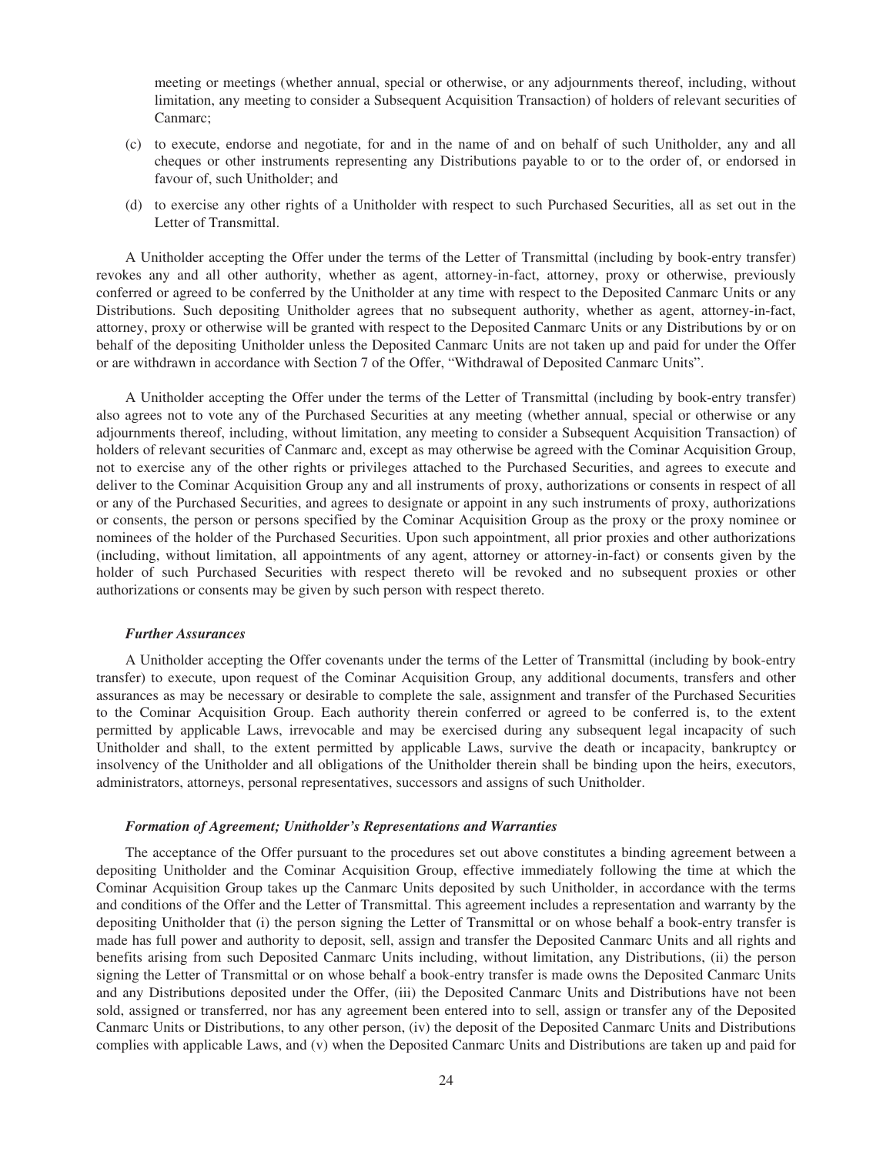meeting or meetings (whether annual, special or otherwise, or any adjournments thereof, including, without limitation, any meeting to consider a Subsequent Acquisition Transaction) of holders of relevant securities of Canmarc;

- (c) to execute, endorse and negotiate, for and in the name of and on behalf of such Unitholder, any and all cheques or other instruments representing any Distributions payable to or to the order of, or endorsed in favour of, such Unitholder; and
- (d) to exercise any other rights of a Unitholder with respect to such Purchased Securities, all as set out in the Letter of Transmittal.

A Unitholder accepting the Offer under the terms of the Letter of Transmittal (including by book-entry transfer) revokes any and all other authority, whether as agent, attorney-in-fact, attorney, proxy or otherwise, previously conferred or agreed to be conferred by the Unitholder at any time with respect to the Deposited Canmarc Units or any Distributions. Such depositing Unitholder agrees that no subsequent authority, whether as agent, attorney-in-fact, attorney, proxy or otherwise will be granted with respect to the Deposited Canmarc Units or any Distributions by or on behalf of the depositing Unitholder unless the Deposited Canmarc Units are not taken up and paid for under the Offer or are withdrawn in accordance with Section 7 of the Offer, "Withdrawal of Deposited Canmarc Units".

A Unitholder accepting the Offer under the terms of the Letter of Transmittal (including by book-entry transfer) also agrees not to vote any of the Purchased Securities at any meeting (whether annual, special or otherwise or any adjournments thereof, including, without limitation, any meeting to consider a Subsequent Acquisition Transaction) of holders of relevant securities of Canmarc and, except as may otherwise be agreed with the Cominar Acquisition Group, not to exercise any of the other rights or privileges attached to the Purchased Securities, and agrees to execute and deliver to the Cominar Acquisition Group any and all instruments of proxy, authorizations or consents in respect of all or any of the Purchased Securities, and agrees to designate or appoint in any such instruments of proxy, authorizations or consents, the person or persons specified by the Cominar Acquisition Group as the proxy or the proxy nominee or nominees of the holder of the Purchased Securities. Upon such appointment, all prior proxies and other authorizations (including, without limitation, all appointments of any agent, attorney or attorney-in-fact) or consents given by the holder of such Purchased Securities with respect thereto will be revoked and no subsequent proxies or other authorizations or consents may be given by such person with respect thereto.

#### *Further Assurances*

A Unitholder accepting the Offer covenants under the terms of the Letter of Transmittal (including by book-entry transfer) to execute, upon request of the Cominar Acquisition Group, any additional documents, transfers and other assurances as may be necessary or desirable to complete the sale, assignment and transfer of the Purchased Securities to the Cominar Acquisition Group. Each authority therein conferred or agreed to be conferred is, to the extent permitted by applicable Laws, irrevocable and may be exercised during any subsequent legal incapacity of such Unitholder and shall, to the extent permitted by applicable Laws, survive the death or incapacity, bankruptcy or insolvency of the Unitholder and all obligations of the Unitholder therein shall be binding upon the heirs, executors, administrators, attorneys, personal representatives, successors and assigns of such Unitholder.

#### *Formation of Agreement; Unitholder's Representations and Warranties*

The acceptance of the Offer pursuant to the procedures set out above constitutes a binding agreement between a depositing Unitholder and the Cominar Acquisition Group, effective immediately following the time at which the Cominar Acquisition Group takes up the Canmarc Units deposited by such Unitholder, in accordance with the terms and conditions of the Offer and the Letter of Transmittal. This agreement includes a representation and warranty by the depositing Unitholder that (i) the person signing the Letter of Transmittal or on whose behalf a book-entry transfer is made has full power and authority to deposit, sell, assign and transfer the Deposited Canmarc Units and all rights and benefits arising from such Deposited Canmarc Units including, without limitation, any Distributions, (ii) the person signing the Letter of Transmittal or on whose behalf a book-entry transfer is made owns the Deposited Canmarc Units and any Distributions deposited under the Offer, (iii) the Deposited Canmarc Units and Distributions have not been sold, assigned or transferred, nor has any agreement been entered into to sell, assign or transfer any of the Deposited Canmarc Units or Distributions, to any other person, (iv) the deposit of the Deposited Canmarc Units and Distributions complies with applicable Laws, and (v) when the Deposited Canmarc Units and Distributions are taken up and paid for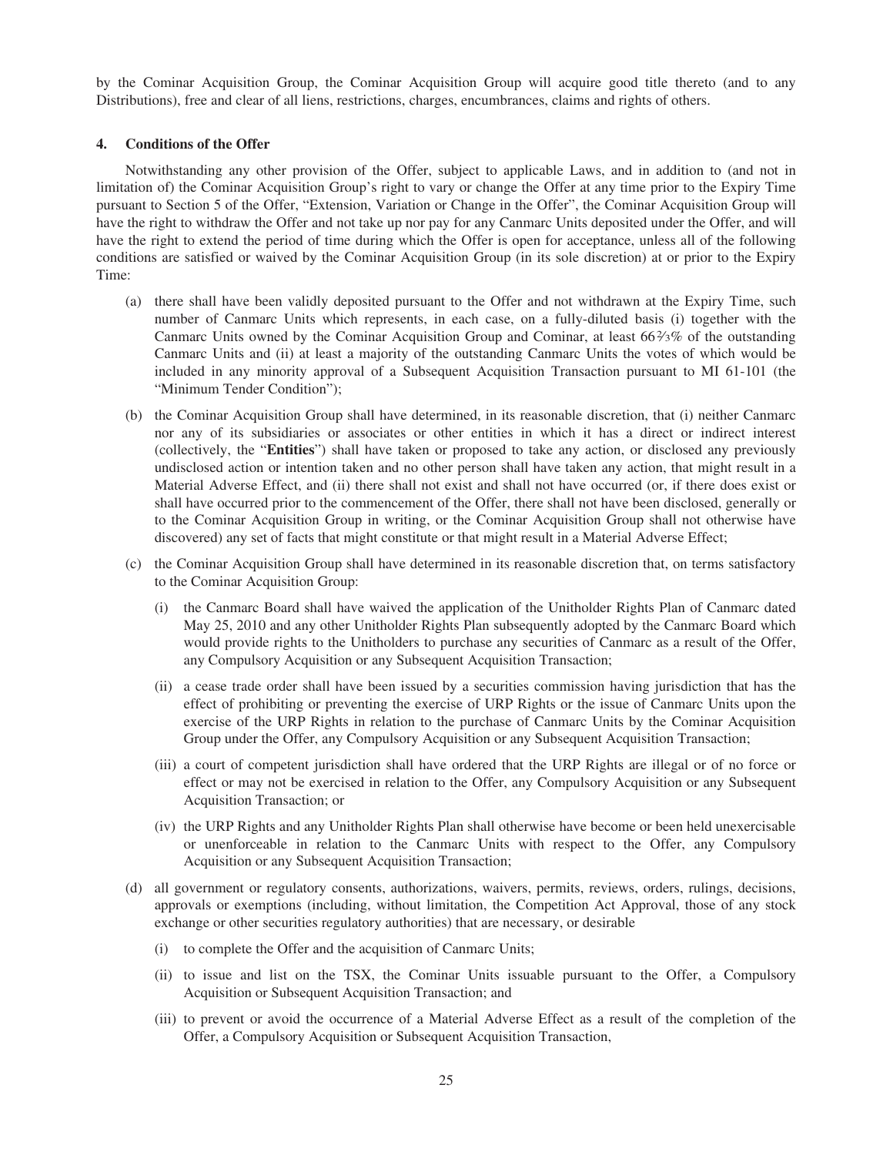by the Cominar Acquisition Group, the Cominar Acquisition Group will acquire good title thereto (and to any Distributions), free and clear of all liens, restrictions, charges, encumbrances, claims and rights of others.

### **4. Conditions of the Offer**

Notwithstanding any other provision of the Offer, subject to applicable Laws, and in addition to (and not in limitation of) the Cominar Acquisition Group's right to vary or change the Offer at any time prior to the Expiry Time pursuant to Section 5 of the Offer, "Extension, Variation or Change in the Offer", the Cominar Acquisition Group will have the right to withdraw the Offer and not take up nor pay for any Canmarc Units deposited under the Offer, and will have the right to extend the period of time during which the Offer is open for acceptance, unless all of the following conditions are satisfied or waived by the Cominar Acquisition Group (in its sole discretion) at or prior to the Expiry Time:

- (a) there shall have been validly deposited pursuant to the Offer and not withdrawn at the Expiry Time, such number of Canmarc Units which represents, in each case, on a fully-diluted basis (i) together with the Canmarc Units owned by the Cominar Acquisition Group and Cominar, at least  $66\frac{2}{3}\%$  of the outstanding Canmarc Units and (ii) at least a majority of the outstanding Canmarc Units the votes of which would be included in any minority approval of a Subsequent Acquisition Transaction pursuant to MI 61-101 (the "Minimum Tender Condition");
- (b) the Cominar Acquisition Group shall have determined, in its reasonable discretion, that (i) neither Canmarc nor any of its subsidiaries or associates or other entities in which it has a direct or indirect interest (collectively, the "**Entities**") shall have taken or proposed to take any action, or disclosed any previously undisclosed action or intention taken and no other person shall have taken any action, that might result in a Material Adverse Effect, and (ii) there shall not exist and shall not have occurred (or, if there does exist or shall have occurred prior to the commencement of the Offer, there shall not have been disclosed, generally or to the Cominar Acquisition Group in writing, or the Cominar Acquisition Group shall not otherwise have discovered) any set of facts that might constitute or that might result in a Material Adverse Effect;
- (c) the Cominar Acquisition Group shall have determined in its reasonable discretion that, on terms satisfactory to the Cominar Acquisition Group:
	- (i) the Canmarc Board shall have waived the application of the Unitholder Rights Plan of Canmarc dated May 25, 2010 and any other Unitholder Rights Plan subsequently adopted by the Canmarc Board which would provide rights to the Unitholders to purchase any securities of Canmarc as a result of the Offer, any Compulsory Acquisition or any Subsequent Acquisition Transaction;
	- (ii) a cease trade order shall have been issued by a securities commission having jurisdiction that has the effect of prohibiting or preventing the exercise of URP Rights or the issue of Canmarc Units upon the exercise of the URP Rights in relation to the purchase of Canmarc Units by the Cominar Acquisition Group under the Offer, any Compulsory Acquisition or any Subsequent Acquisition Transaction;
	- (iii) a court of competent jurisdiction shall have ordered that the URP Rights are illegal or of no force or effect or may not be exercised in relation to the Offer, any Compulsory Acquisition or any Subsequent Acquisition Transaction; or
	- (iv) the URP Rights and any Unitholder Rights Plan shall otherwise have become or been held unexercisable or unenforceable in relation to the Canmarc Units with respect to the Offer, any Compulsory Acquisition or any Subsequent Acquisition Transaction;
- (d) all government or regulatory consents, authorizations, waivers, permits, reviews, orders, rulings, decisions, approvals or exemptions (including, without limitation, the Competition Act Approval, those of any stock exchange or other securities regulatory authorities) that are necessary, or desirable
	- (i) to complete the Offer and the acquisition of Canmarc Units;
	- (ii) to issue and list on the TSX, the Cominar Units issuable pursuant to the Offer, a Compulsory Acquisition or Subsequent Acquisition Transaction; and
	- (iii) to prevent or avoid the occurrence of a Material Adverse Effect as a result of the completion of the Offer, a Compulsory Acquisition or Subsequent Acquisition Transaction,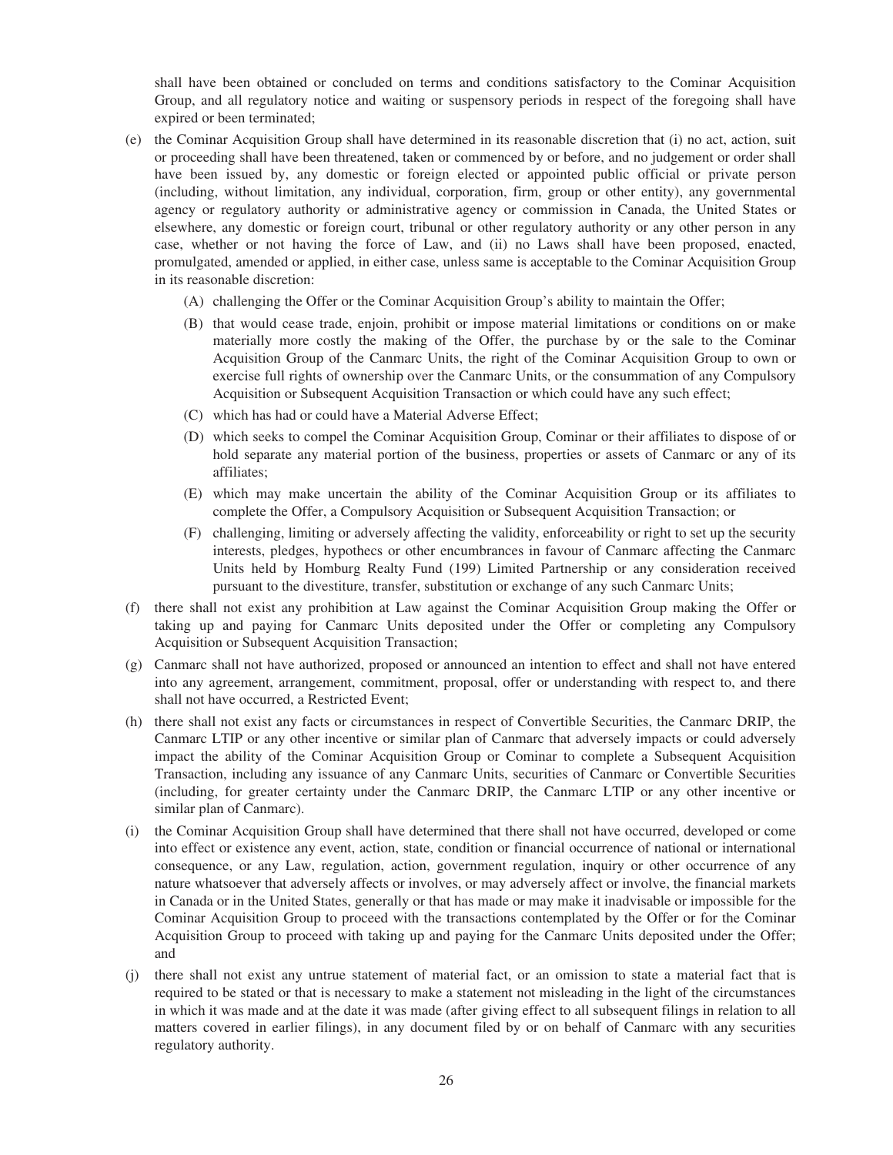shall have been obtained or concluded on terms and conditions satisfactory to the Cominar Acquisition Group, and all regulatory notice and waiting or suspensory periods in respect of the foregoing shall have expired or been terminated;

- (e) the Cominar Acquisition Group shall have determined in its reasonable discretion that (i) no act, action, suit or proceeding shall have been threatened, taken or commenced by or before, and no judgement or order shall have been issued by, any domestic or foreign elected or appointed public official or private person (including, without limitation, any individual, corporation, firm, group or other entity), any governmental agency or regulatory authority or administrative agency or commission in Canada, the United States or elsewhere, any domestic or foreign court, tribunal or other regulatory authority or any other person in any case, whether or not having the force of Law, and (ii) no Laws shall have been proposed, enacted, promulgated, amended or applied, in either case, unless same is acceptable to the Cominar Acquisition Group in its reasonable discretion:
	- (A) challenging the Offer or the Cominar Acquisition Group's ability to maintain the Offer;
	- (B) that would cease trade, enjoin, prohibit or impose material limitations or conditions on or make materially more costly the making of the Offer, the purchase by or the sale to the Cominar Acquisition Group of the Canmarc Units, the right of the Cominar Acquisition Group to own or exercise full rights of ownership over the Canmarc Units, or the consummation of any Compulsory Acquisition or Subsequent Acquisition Transaction or which could have any such effect;
	- (C) which has had or could have a Material Adverse Effect;
	- (D) which seeks to compel the Cominar Acquisition Group, Cominar or their affiliates to dispose of or hold separate any material portion of the business, properties or assets of Canmarc or any of its affiliates;
	- (E) which may make uncertain the ability of the Cominar Acquisition Group or its affiliates to complete the Offer, a Compulsory Acquisition or Subsequent Acquisition Transaction; or
	- (F) challenging, limiting or adversely affecting the validity, enforceability or right to set up the security interests, pledges, hypothecs or other encumbrances in favour of Canmarc affecting the Canmarc Units held by Homburg Realty Fund (199) Limited Partnership or any consideration received pursuant to the divestiture, transfer, substitution or exchange of any such Canmarc Units;
- (f) there shall not exist any prohibition at Law against the Cominar Acquisition Group making the Offer or taking up and paying for Canmarc Units deposited under the Offer or completing any Compulsory Acquisition or Subsequent Acquisition Transaction;
- (g) Canmarc shall not have authorized, proposed or announced an intention to effect and shall not have entered into any agreement, arrangement, commitment, proposal, offer or understanding with respect to, and there shall not have occurred, a Restricted Event;
- (h) there shall not exist any facts or circumstances in respect of Convertible Securities, the Canmarc DRIP, the Canmarc LTIP or any other incentive or similar plan of Canmarc that adversely impacts or could adversely impact the ability of the Cominar Acquisition Group or Cominar to complete a Subsequent Acquisition Transaction, including any issuance of any Canmarc Units, securities of Canmarc or Convertible Securities (including, for greater certainty under the Canmarc DRIP, the Canmarc LTIP or any other incentive or similar plan of Canmarc).
- (i) the Cominar Acquisition Group shall have determined that there shall not have occurred, developed or come into effect or existence any event, action, state, condition or financial occurrence of national or international consequence, or any Law, regulation, action, government regulation, inquiry or other occurrence of any nature whatsoever that adversely affects or involves, or may adversely affect or involve, the financial markets in Canada or in the United States, generally or that has made or may make it inadvisable or impossible for the Cominar Acquisition Group to proceed with the transactions contemplated by the Offer or for the Cominar Acquisition Group to proceed with taking up and paying for the Canmarc Units deposited under the Offer; and
- (j) there shall not exist any untrue statement of material fact, or an omission to state a material fact that is required to be stated or that is necessary to make a statement not misleading in the light of the circumstances in which it was made and at the date it was made (after giving effect to all subsequent filings in relation to all matters covered in earlier filings), in any document filed by or on behalf of Canmarc with any securities regulatory authority.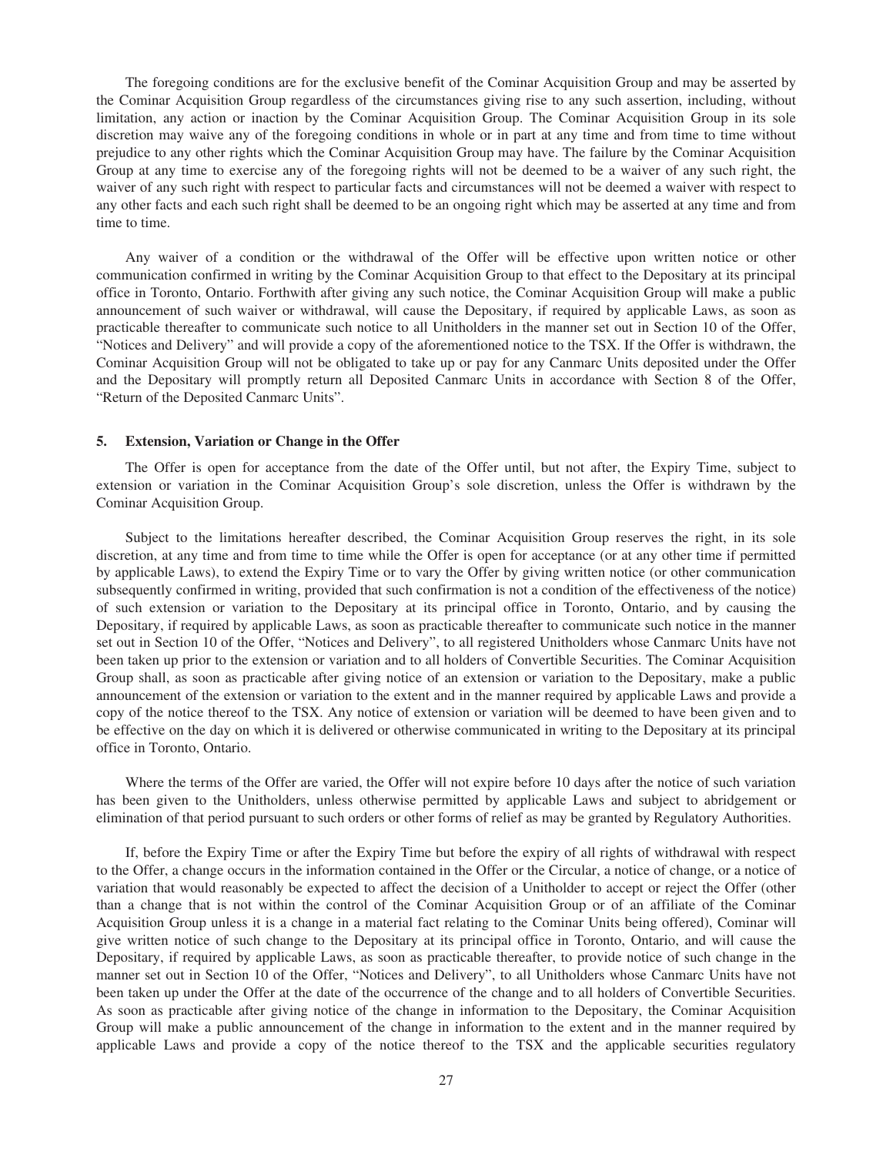The foregoing conditions are for the exclusive benefit of the Cominar Acquisition Group and may be asserted by the Cominar Acquisition Group regardless of the circumstances giving rise to any such assertion, including, without limitation, any action or inaction by the Cominar Acquisition Group. The Cominar Acquisition Group in its sole discretion may waive any of the foregoing conditions in whole or in part at any time and from time to time without prejudice to any other rights which the Cominar Acquisition Group may have. The failure by the Cominar Acquisition Group at any time to exercise any of the foregoing rights will not be deemed to be a waiver of any such right, the waiver of any such right with respect to particular facts and circumstances will not be deemed a waiver with respect to any other facts and each such right shall be deemed to be an ongoing right which may be asserted at any time and from time to time.

Any waiver of a condition or the withdrawal of the Offer will be effective upon written notice or other communication confirmed in writing by the Cominar Acquisition Group to that effect to the Depositary at its principal office in Toronto, Ontario. Forthwith after giving any such notice, the Cominar Acquisition Group will make a public announcement of such waiver or withdrawal, will cause the Depositary, if required by applicable Laws, as soon as practicable thereafter to communicate such notice to all Unitholders in the manner set out in Section 10 of the Offer, "Notices and Delivery" and will provide a copy of the aforementioned notice to the TSX. If the Offer is withdrawn, the Cominar Acquisition Group will not be obligated to take up or pay for any Canmarc Units deposited under the Offer and the Depositary will promptly return all Deposited Canmarc Units in accordance with Section 8 of the Offer, "Return of the Deposited Canmarc Units".

#### **5. Extension, Variation or Change in the Offer**

The Offer is open for acceptance from the date of the Offer until, but not after, the Expiry Time, subject to extension or variation in the Cominar Acquisition Group's sole discretion, unless the Offer is withdrawn by the Cominar Acquisition Group.

Subject to the limitations hereafter described, the Cominar Acquisition Group reserves the right, in its sole discretion, at any time and from time to time while the Offer is open for acceptance (or at any other time if permitted by applicable Laws), to extend the Expiry Time or to vary the Offer by giving written notice (or other communication subsequently confirmed in writing, provided that such confirmation is not a condition of the effectiveness of the notice) of such extension or variation to the Depositary at its principal office in Toronto, Ontario, and by causing the Depositary, if required by applicable Laws, as soon as practicable thereafter to communicate such notice in the manner set out in Section 10 of the Offer, "Notices and Delivery", to all registered Unitholders whose Canmarc Units have not been taken up prior to the extension or variation and to all holders of Convertible Securities. The Cominar Acquisition Group shall, as soon as practicable after giving notice of an extension or variation to the Depositary, make a public announcement of the extension or variation to the extent and in the manner required by applicable Laws and provide a copy of the notice thereof to the TSX. Any notice of extension or variation will be deemed to have been given and to be effective on the day on which it is delivered or otherwise communicated in writing to the Depositary at its principal office in Toronto, Ontario.

Where the terms of the Offer are varied, the Offer will not expire before 10 days after the notice of such variation has been given to the Unitholders, unless otherwise permitted by applicable Laws and subject to abridgement or elimination of that period pursuant to such orders or other forms of relief as may be granted by Regulatory Authorities.

If, before the Expiry Time or after the Expiry Time but before the expiry of all rights of withdrawal with respect to the Offer, a change occurs in the information contained in the Offer or the Circular, a notice of change, or a notice of variation that would reasonably be expected to affect the decision of a Unitholder to accept or reject the Offer (other than a change that is not within the control of the Cominar Acquisition Group or of an affiliate of the Cominar Acquisition Group unless it is a change in a material fact relating to the Cominar Units being offered), Cominar will give written notice of such change to the Depositary at its principal office in Toronto, Ontario, and will cause the Depositary, if required by applicable Laws, as soon as practicable thereafter, to provide notice of such change in the manner set out in Section 10 of the Offer, "Notices and Delivery", to all Unitholders whose Canmarc Units have not been taken up under the Offer at the date of the occurrence of the change and to all holders of Convertible Securities. As soon as practicable after giving notice of the change in information to the Depositary, the Cominar Acquisition Group will make a public announcement of the change in information to the extent and in the manner required by applicable Laws and provide a copy of the notice thereof to the TSX and the applicable securities regulatory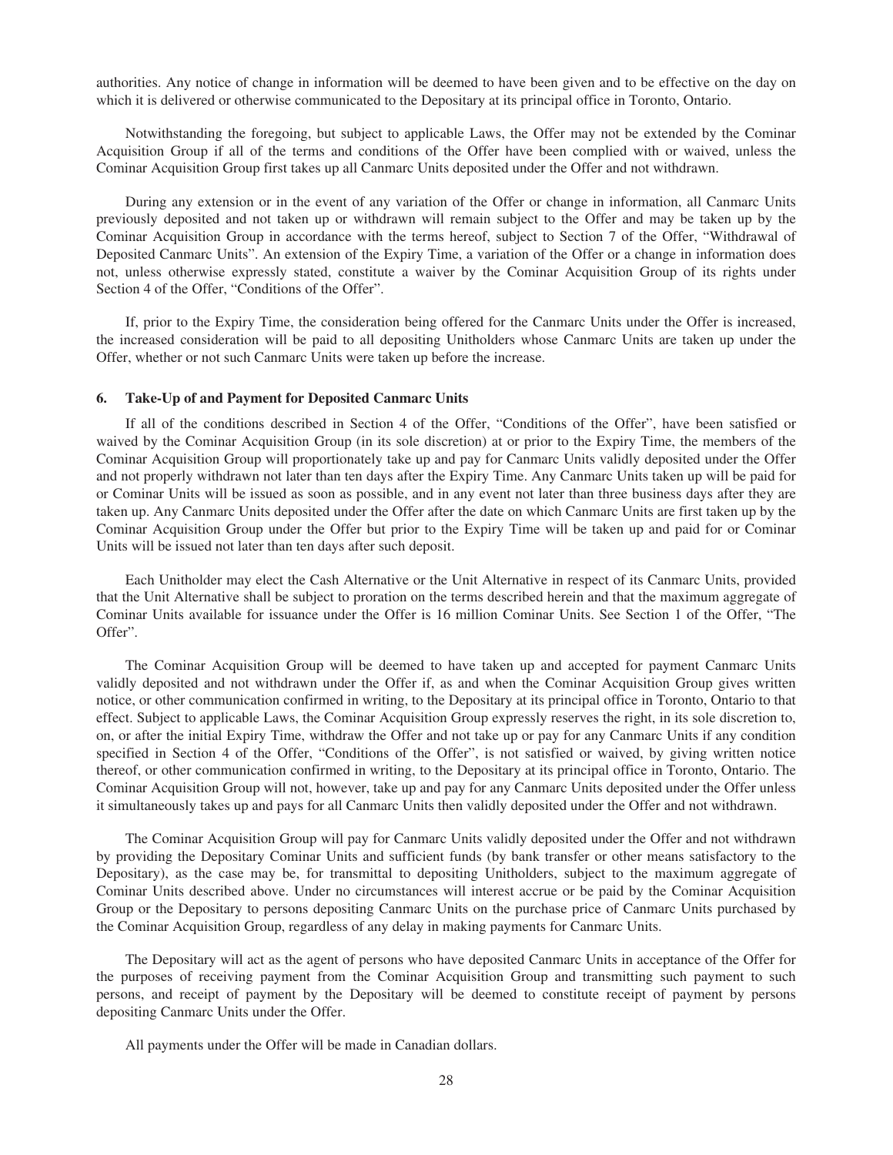authorities. Any notice of change in information will be deemed to have been given and to be effective on the day on which it is delivered or otherwise communicated to the Depositary at its principal office in Toronto, Ontario.

Notwithstanding the foregoing, but subject to applicable Laws, the Offer may not be extended by the Cominar Acquisition Group if all of the terms and conditions of the Offer have been complied with or waived, unless the Cominar Acquisition Group first takes up all Canmarc Units deposited under the Offer and not withdrawn.

During any extension or in the event of any variation of the Offer or change in information, all Canmarc Units previously deposited and not taken up or withdrawn will remain subject to the Offer and may be taken up by the Cominar Acquisition Group in accordance with the terms hereof, subject to Section 7 of the Offer, "Withdrawal of Deposited Canmarc Units". An extension of the Expiry Time, a variation of the Offer or a change in information does not, unless otherwise expressly stated, constitute a waiver by the Cominar Acquisition Group of its rights under Section 4 of the Offer, "Conditions of the Offer".

If, prior to the Expiry Time, the consideration being offered for the Canmarc Units under the Offer is increased, the increased consideration will be paid to all depositing Unitholders whose Canmarc Units are taken up under the Offer, whether or not such Canmarc Units were taken up before the increase.

#### **6. Take-Up of and Payment for Deposited Canmarc Units**

If all of the conditions described in Section 4 of the Offer, "Conditions of the Offer", have been satisfied or waived by the Cominar Acquisition Group (in its sole discretion) at or prior to the Expiry Time, the members of the Cominar Acquisition Group will proportionately take up and pay for Canmarc Units validly deposited under the Offer and not properly withdrawn not later than ten days after the Expiry Time. Any Canmarc Units taken up will be paid for or Cominar Units will be issued as soon as possible, and in any event not later than three business days after they are taken up. Any Canmarc Units deposited under the Offer after the date on which Canmarc Units are first taken up by the Cominar Acquisition Group under the Offer but prior to the Expiry Time will be taken up and paid for or Cominar Units will be issued not later than ten days after such deposit.

Each Unitholder may elect the Cash Alternative or the Unit Alternative in respect of its Canmarc Units, provided that the Unit Alternative shall be subject to proration on the terms described herein and that the maximum aggregate of Cominar Units available for issuance under the Offer is 16 million Cominar Units. See Section 1 of the Offer, "The Offer".

The Cominar Acquisition Group will be deemed to have taken up and accepted for payment Canmarc Units validly deposited and not withdrawn under the Offer if, as and when the Cominar Acquisition Group gives written notice, or other communication confirmed in writing, to the Depositary at its principal office in Toronto, Ontario to that effect. Subject to applicable Laws, the Cominar Acquisition Group expressly reserves the right, in its sole discretion to, on, or after the initial Expiry Time, withdraw the Offer and not take up or pay for any Canmarc Units if any condition specified in Section 4 of the Offer, "Conditions of the Offer", is not satisfied or waived, by giving written notice thereof, or other communication confirmed in writing, to the Depositary at its principal office in Toronto, Ontario. The Cominar Acquisition Group will not, however, take up and pay for any Canmarc Units deposited under the Offer unless it simultaneously takes up and pays for all Canmarc Units then validly deposited under the Offer and not withdrawn.

The Cominar Acquisition Group will pay for Canmarc Units validly deposited under the Offer and not withdrawn by providing the Depositary Cominar Units and sufficient funds (by bank transfer or other means satisfactory to the Depositary), as the case may be, for transmittal to depositing Unitholders, subject to the maximum aggregate of Cominar Units described above. Under no circumstances will interest accrue or be paid by the Cominar Acquisition Group or the Depositary to persons depositing Canmarc Units on the purchase price of Canmarc Units purchased by the Cominar Acquisition Group, regardless of any delay in making payments for Canmarc Units.

The Depositary will act as the agent of persons who have deposited Canmarc Units in acceptance of the Offer for the purposes of receiving payment from the Cominar Acquisition Group and transmitting such payment to such persons, and receipt of payment by the Depositary will be deemed to constitute receipt of payment by persons depositing Canmarc Units under the Offer.

All payments under the Offer will be made in Canadian dollars.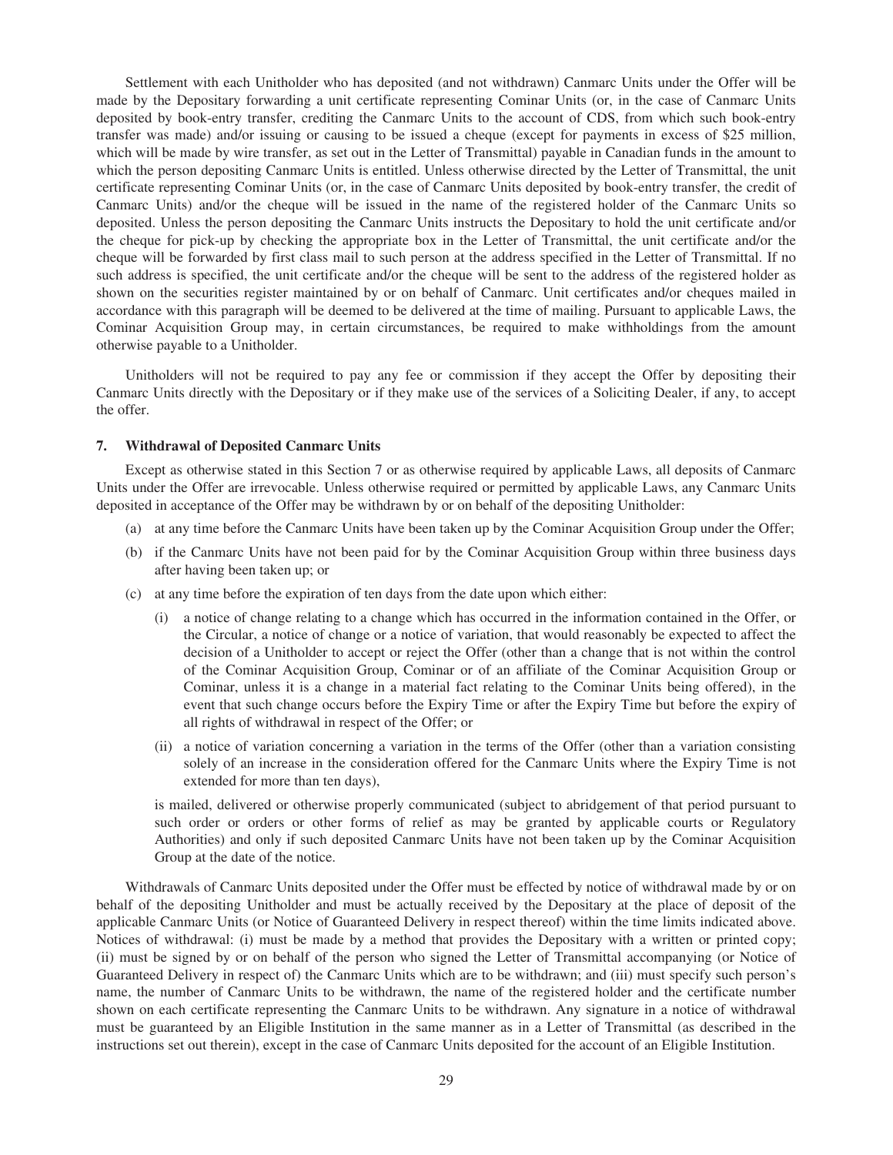Settlement with each Unitholder who has deposited (and not withdrawn) Canmarc Units under the Offer will be made by the Depositary forwarding a unit certificate representing Cominar Units (or, in the case of Canmarc Units deposited by book-entry transfer, crediting the Canmarc Units to the account of CDS, from which such book-entry transfer was made) and/or issuing or causing to be issued a cheque (except for payments in excess of \$25 million, which will be made by wire transfer, as set out in the Letter of Transmittal) payable in Canadian funds in the amount to which the person depositing Canmarc Units is entitled. Unless otherwise directed by the Letter of Transmittal, the unit certificate representing Cominar Units (or, in the case of Canmarc Units deposited by book-entry transfer, the credit of Canmarc Units) and/or the cheque will be issued in the name of the registered holder of the Canmarc Units so deposited. Unless the person depositing the Canmarc Units instructs the Depositary to hold the unit certificate and/or the cheque for pick-up by checking the appropriate box in the Letter of Transmittal, the unit certificate and/or the cheque will be forwarded by first class mail to such person at the address specified in the Letter of Transmittal. If no such address is specified, the unit certificate and/or the cheque will be sent to the address of the registered holder as shown on the securities register maintained by or on behalf of Canmarc. Unit certificates and/or cheques mailed in accordance with this paragraph will be deemed to be delivered at the time of mailing. Pursuant to applicable Laws, the Cominar Acquisition Group may, in certain circumstances, be required to make withholdings from the amount otherwise payable to a Unitholder.

Unitholders will not be required to pay any fee or commission if they accept the Offer by depositing their Canmarc Units directly with the Depositary or if they make use of the services of a Soliciting Dealer, if any, to accept the offer.

#### **7. Withdrawal of Deposited Canmarc Units**

Except as otherwise stated in this Section 7 or as otherwise required by applicable Laws, all deposits of Canmarc Units under the Offer are irrevocable. Unless otherwise required or permitted by applicable Laws, any Canmarc Units deposited in acceptance of the Offer may be withdrawn by or on behalf of the depositing Unitholder:

- (a) at any time before the Canmarc Units have been taken up by the Cominar Acquisition Group under the Offer;
- (b) if the Canmarc Units have not been paid for by the Cominar Acquisition Group within three business days after having been taken up; or
- (c) at any time before the expiration of ten days from the date upon which either:
	- (i) a notice of change relating to a change which has occurred in the information contained in the Offer, or the Circular, a notice of change or a notice of variation, that would reasonably be expected to affect the decision of a Unitholder to accept or reject the Offer (other than a change that is not within the control of the Cominar Acquisition Group, Cominar or of an affiliate of the Cominar Acquisition Group or Cominar, unless it is a change in a material fact relating to the Cominar Units being offered), in the event that such change occurs before the Expiry Time or after the Expiry Time but before the expiry of all rights of withdrawal in respect of the Offer; or
	- (ii) a notice of variation concerning a variation in the terms of the Offer (other than a variation consisting solely of an increase in the consideration offered for the Canmarc Units where the Expiry Time is not extended for more than ten days),

is mailed, delivered or otherwise properly communicated (subject to abridgement of that period pursuant to such order or orders or other forms of relief as may be granted by applicable courts or Regulatory Authorities) and only if such deposited Canmarc Units have not been taken up by the Cominar Acquisition Group at the date of the notice.

Withdrawals of Canmarc Units deposited under the Offer must be effected by notice of withdrawal made by or on behalf of the depositing Unitholder and must be actually received by the Depositary at the place of deposit of the applicable Canmarc Units (or Notice of Guaranteed Delivery in respect thereof) within the time limits indicated above. Notices of withdrawal: (i) must be made by a method that provides the Depositary with a written or printed copy; (ii) must be signed by or on behalf of the person who signed the Letter of Transmittal accompanying (or Notice of Guaranteed Delivery in respect of) the Canmarc Units which are to be withdrawn; and (iii) must specify such person's name, the number of Canmarc Units to be withdrawn, the name of the registered holder and the certificate number shown on each certificate representing the Canmarc Units to be withdrawn. Any signature in a notice of withdrawal must be guaranteed by an Eligible Institution in the same manner as in a Letter of Transmittal (as described in the instructions set out therein), except in the case of Canmarc Units deposited for the account of an Eligible Institution.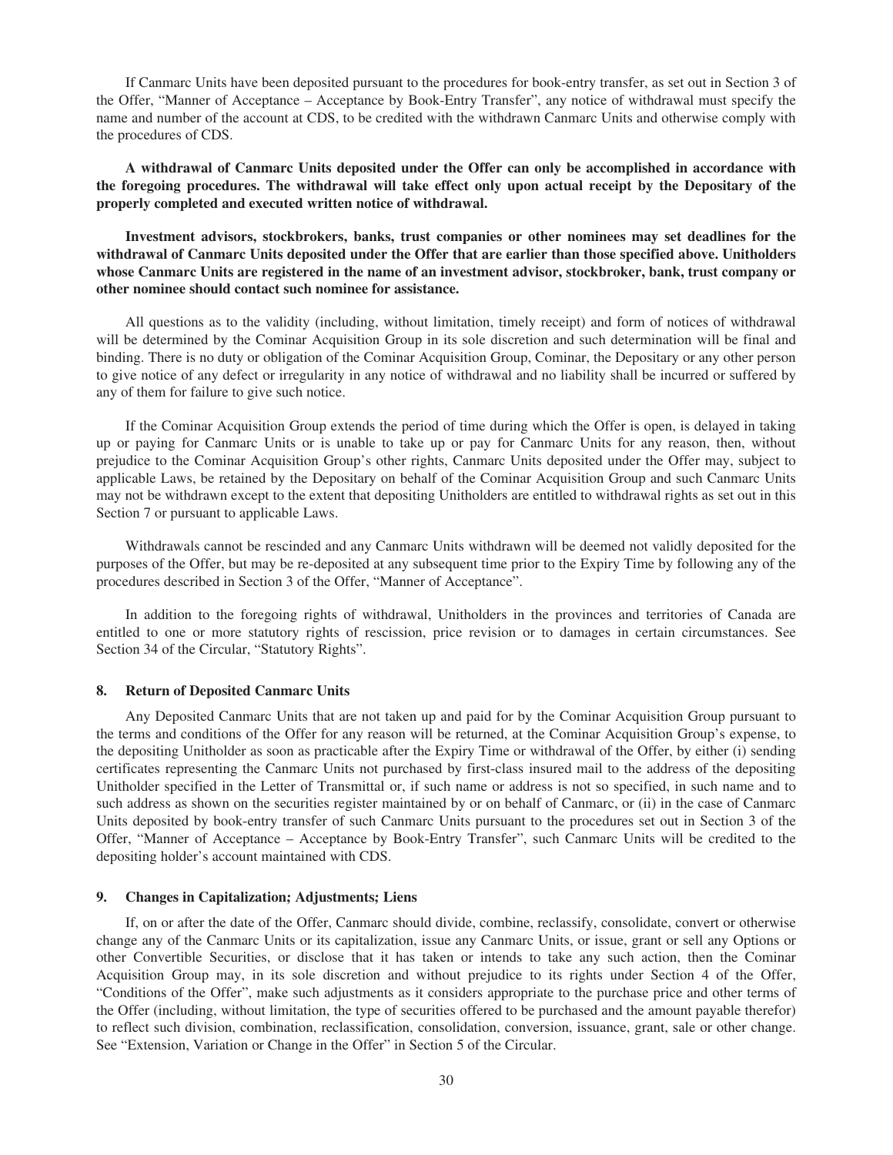If Canmarc Units have been deposited pursuant to the procedures for book-entry transfer, as set out in Section 3 of the Offer, "Manner of Acceptance – Acceptance by Book-Entry Transfer", any notice of withdrawal must specify the name and number of the account at CDS, to be credited with the withdrawn Canmarc Units and otherwise comply with the procedures of CDS.

**A withdrawal of Canmarc Units deposited under the Offer can only be accomplished in accordance with the foregoing procedures. The withdrawal will take effect only upon actual receipt by the Depositary of the properly completed and executed written notice of withdrawal.**

**Investment advisors, stockbrokers, banks, trust companies or other nominees may set deadlines for the withdrawal of Canmarc Units deposited under the Offer that are earlier than those specified above. Unitholders whose Canmarc Units are registered in the name of an investment advisor, stockbroker, bank, trust company or other nominee should contact such nominee for assistance.**

All questions as to the validity (including, without limitation, timely receipt) and form of notices of withdrawal will be determined by the Cominar Acquisition Group in its sole discretion and such determination will be final and binding. There is no duty or obligation of the Cominar Acquisition Group, Cominar, the Depositary or any other person to give notice of any defect or irregularity in any notice of withdrawal and no liability shall be incurred or suffered by any of them for failure to give such notice.

If the Cominar Acquisition Group extends the period of time during which the Offer is open, is delayed in taking up or paying for Canmarc Units or is unable to take up or pay for Canmarc Units for any reason, then, without prejudice to the Cominar Acquisition Group's other rights, Canmarc Units deposited under the Offer may, subject to applicable Laws, be retained by the Depositary on behalf of the Cominar Acquisition Group and such Canmarc Units may not be withdrawn except to the extent that depositing Unitholders are entitled to withdrawal rights as set out in this Section 7 or pursuant to applicable Laws.

Withdrawals cannot be rescinded and any Canmarc Units withdrawn will be deemed not validly deposited for the purposes of the Offer, but may be re-deposited at any subsequent time prior to the Expiry Time by following any of the procedures described in Section 3 of the Offer, "Manner of Acceptance".

In addition to the foregoing rights of withdrawal, Unitholders in the provinces and territories of Canada are entitled to one or more statutory rights of rescission, price revision or to damages in certain circumstances. See Section 34 of the Circular, "Statutory Rights".

## **8. Return of Deposited Canmarc Units**

Any Deposited Canmarc Units that are not taken up and paid for by the Cominar Acquisition Group pursuant to the terms and conditions of the Offer for any reason will be returned, at the Cominar Acquisition Group's expense, to the depositing Unitholder as soon as practicable after the Expiry Time or withdrawal of the Offer, by either (i) sending certificates representing the Canmarc Units not purchased by first-class insured mail to the address of the depositing Unitholder specified in the Letter of Transmittal or, if such name or address is not so specified, in such name and to such address as shown on the securities register maintained by or on behalf of Canmarc, or (ii) in the case of Canmarc Units deposited by book-entry transfer of such Canmarc Units pursuant to the procedures set out in Section 3 of the Offer, "Manner of Acceptance – Acceptance by Book-Entry Transfer", such Canmarc Units will be credited to the depositing holder's account maintained with CDS.

### **9. Changes in Capitalization; Adjustments; Liens**

If, on or after the date of the Offer, Canmarc should divide, combine, reclassify, consolidate, convert or otherwise change any of the Canmarc Units or its capitalization, issue any Canmarc Units, or issue, grant or sell any Options or other Convertible Securities, or disclose that it has taken or intends to take any such action, then the Cominar Acquisition Group may, in its sole discretion and without prejudice to its rights under Section 4 of the Offer, "Conditions of the Offer", make such adjustments as it considers appropriate to the purchase price and other terms of the Offer (including, without limitation, the type of securities offered to be purchased and the amount payable therefor) to reflect such division, combination, reclassification, consolidation, conversion, issuance, grant, sale or other change. See "Extension, Variation or Change in the Offer" in Section 5 of the Circular.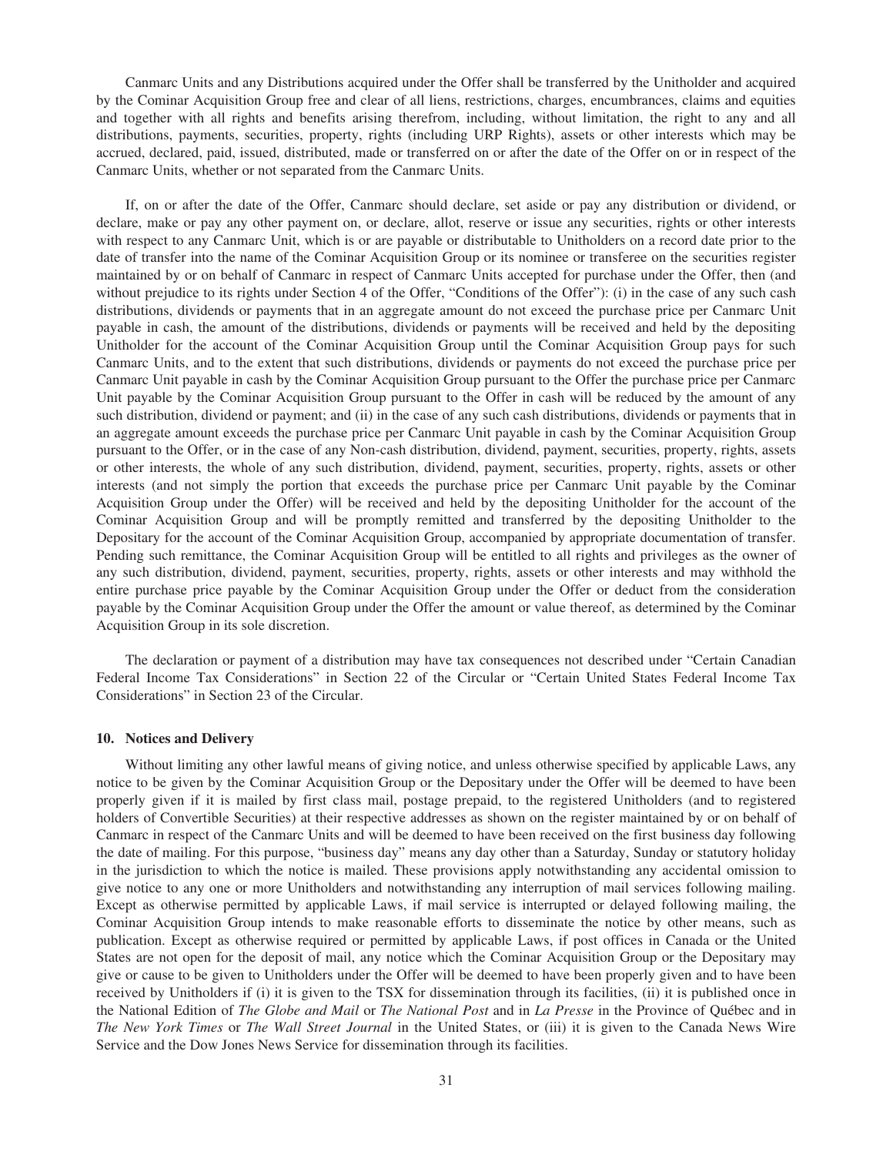Canmarc Units and any Distributions acquired under the Offer shall be transferred by the Unitholder and acquired by the Cominar Acquisition Group free and clear of all liens, restrictions, charges, encumbrances, claims and equities and together with all rights and benefits arising therefrom, including, without limitation, the right to any and all distributions, payments, securities, property, rights (including URP Rights), assets or other interests which may be accrued, declared, paid, issued, distributed, made or transferred on or after the date of the Offer on or in respect of the Canmarc Units, whether or not separated from the Canmarc Units.

If, on or after the date of the Offer, Canmarc should declare, set aside or pay any distribution or dividend, or declare, make or pay any other payment on, or declare, allot, reserve or issue any securities, rights or other interests with respect to any Canmarc Unit, which is or are payable or distributable to Unitholders on a record date prior to the date of transfer into the name of the Cominar Acquisition Group or its nominee or transferee on the securities register maintained by or on behalf of Canmarc in respect of Canmarc Units accepted for purchase under the Offer, then (and without prejudice to its rights under Section 4 of the Offer, "Conditions of the Offer"): (i) in the case of any such cash distributions, dividends or payments that in an aggregate amount do not exceed the purchase price per Canmarc Unit payable in cash, the amount of the distributions, dividends or payments will be received and held by the depositing Unitholder for the account of the Cominar Acquisition Group until the Cominar Acquisition Group pays for such Canmarc Units, and to the extent that such distributions, dividends or payments do not exceed the purchase price per Canmarc Unit payable in cash by the Cominar Acquisition Group pursuant to the Offer the purchase price per Canmarc Unit payable by the Cominar Acquisition Group pursuant to the Offer in cash will be reduced by the amount of any such distribution, dividend or payment; and (ii) in the case of any such cash distributions, dividends or payments that in an aggregate amount exceeds the purchase price per Canmarc Unit payable in cash by the Cominar Acquisition Group pursuant to the Offer, or in the case of any Non-cash distribution, dividend, payment, securities, property, rights, assets or other interests, the whole of any such distribution, dividend, payment, securities, property, rights, assets or other interests (and not simply the portion that exceeds the purchase price per Canmarc Unit payable by the Cominar Acquisition Group under the Offer) will be received and held by the depositing Unitholder for the account of the Cominar Acquisition Group and will be promptly remitted and transferred by the depositing Unitholder to the Depositary for the account of the Cominar Acquisition Group, accompanied by appropriate documentation of transfer. Pending such remittance, the Cominar Acquisition Group will be entitled to all rights and privileges as the owner of any such distribution, dividend, payment, securities, property, rights, assets or other interests and may withhold the entire purchase price payable by the Cominar Acquisition Group under the Offer or deduct from the consideration payable by the Cominar Acquisition Group under the Offer the amount or value thereof, as determined by the Cominar Acquisition Group in its sole discretion.

The declaration or payment of a distribution may have tax consequences not described under "Certain Canadian Federal Income Tax Considerations" in Section 22 of the Circular or "Certain United States Federal Income Tax Considerations" in Section 23 of the Circular.

### **10. Notices and Delivery**

Without limiting any other lawful means of giving notice, and unless otherwise specified by applicable Laws, any notice to be given by the Cominar Acquisition Group or the Depositary under the Offer will be deemed to have been properly given if it is mailed by first class mail, postage prepaid, to the registered Unitholders (and to registered holders of Convertible Securities) at their respective addresses as shown on the register maintained by or on behalf of Canmarc in respect of the Canmarc Units and will be deemed to have been received on the first business day following the date of mailing. For this purpose, "business day" means any day other than a Saturday, Sunday or statutory holiday in the jurisdiction to which the notice is mailed. These provisions apply notwithstanding any accidental omission to give notice to any one or more Unitholders and notwithstanding any interruption of mail services following mailing. Except as otherwise permitted by applicable Laws, if mail service is interrupted or delayed following mailing, the Cominar Acquisition Group intends to make reasonable efforts to disseminate the notice by other means, such as publication. Except as otherwise required or permitted by applicable Laws, if post offices in Canada or the United States are not open for the deposit of mail, any notice which the Cominar Acquisition Group or the Depositary may give or cause to be given to Unitholders under the Offer will be deemed to have been properly given and to have been received by Unitholders if (i) it is given to the TSX for dissemination through its facilities, (ii) it is published once in the National Edition of *The Globe and Mail* or *The National Post* and in *La Presse* in the Province of Québec and in *The New York Times* or *The Wall Street Journal* in the United States, or (iii) it is given to the Canada News Wire Service and the Dow Jones News Service for dissemination through its facilities.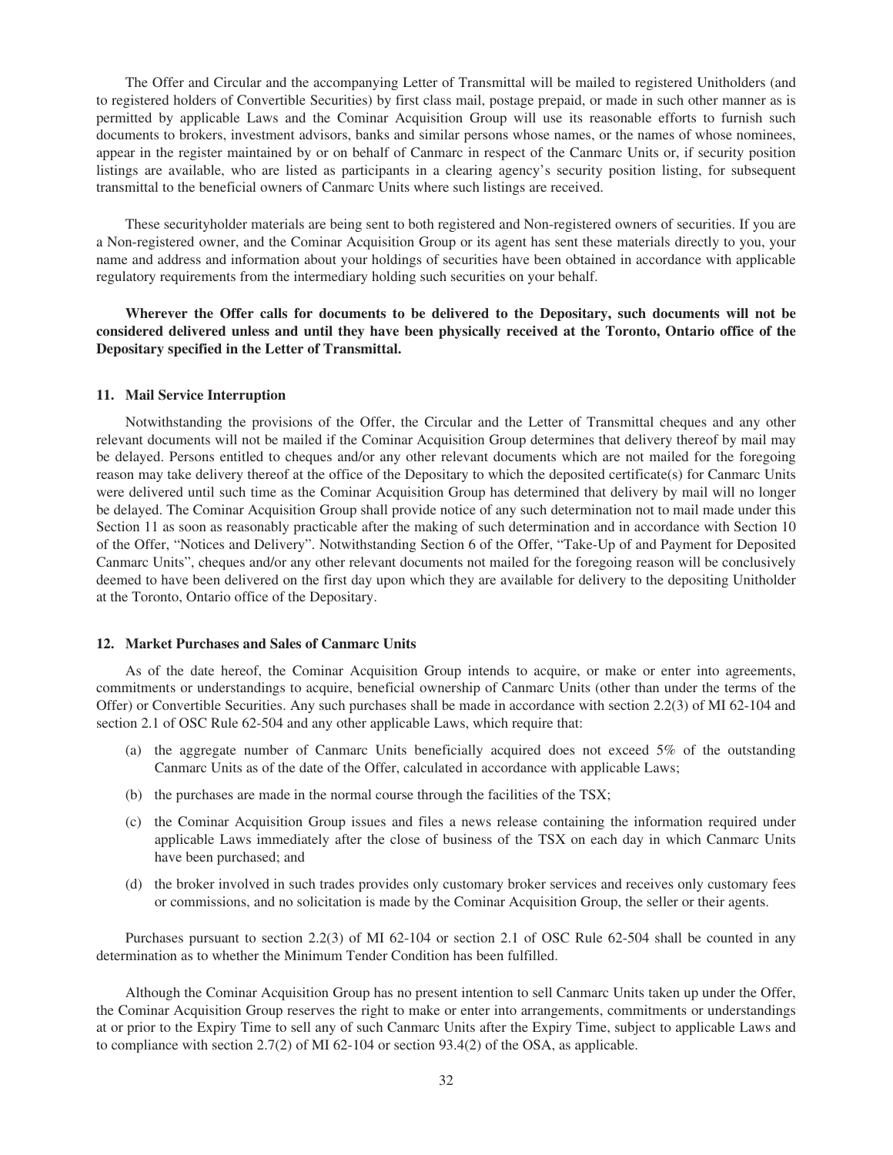The Offer and Circular and the accompanying Letter of Transmittal will be mailed to registered Unitholders (and to registered holders of Convertible Securities) by first class mail, postage prepaid, or made in such other manner as is permitted by applicable Laws and the Cominar Acquisition Group will use its reasonable efforts to furnish such documents to brokers, investment advisors, banks and similar persons whose names, or the names of whose nominees, appear in the register maintained by or on behalf of Canmarc in respect of the Canmarc Units or, if security position listings are available, who are listed as participants in a clearing agency's security position listing, for subsequent transmittal to the beneficial owners of Canmarc Units where such listings are received.

These securityholder materials are being sent to both registered and Non-registered owners of securities. If you are a Non-registered owner, and the Cominar Acquisition Group or its agent has sent these materials directly to you, your name and address and information about your holdings of securities have been obtained in accordance with applicable regulatory requirements from the intermediary holding such securities on your behalf.

**Wherever the Offer calls for documents to be delivered to the Depositary, such documents will not be considered delivered unless and until they have been physically received at the Toronto, Ontario office of the Depositary specified in the Letter of Transmittal.**

#### **11. Mail Service Interruption**

Notwithstanding the provisions of the Offer, the Circular and the Letter of Transmittal cheques and any other relevant documents will not be mailed if the Cominar Acquisition Group determines that delivery thereof by mail may be delayed. Persons entitled to cheques and/or any other relevant documents which are not mailed for the foregoing reason may take delivery thereof at the office of the Depositary to which the deposited certificate(s) for Canmarc Units were delivered until such time as the Cominar Acquisition Group has determined that delivery by mail will no longer be delayed. The Cominar Acquisition Group shall provide notice of any such determination not to mail made under this Section 11 as soon as reasonably practicable after the making of such determination and in accordance with Section 10 of the Offer, "Notices and Delivery". Notwithstanding Section 6 of the Offer, "Take-Up of and Payment for Deposited Canmarc Units", cheques and/or any other relevant documents not mailed for the foregoing reason will be conclusively deemed to have been delivered on the first day upon which they are available for delivery to the depositing Unitholder at the Toronto, Ontario office of the Depositary.

### **12. Market Purchases and Sales of Canmarc Units**

As of the date hereof, the Cominar Acquisition Group intends to acquire, or make or enter into agreements, commitments or understandings to acquire, beneficial ownership of Canmarc Units (other than under the terms of the Offer) or Convertible Securities. Any such purchases shall be made in accordance with section 2.2(3) of MI 62-104 and section 2.1 of OSC Rule 62-504 and any other applicable Laws, which require that:

- (a) the aggregate number of Canmarc Units beneficially acquired does not exceed 5% of the outstanding Canmarc Units as of the date of the Offer, calculated in accordance with applicable Laws;
- (b) the purchases are made in the normal course through the facilities of the TSX;
- (c) the Cominar Acquisition Group issues and files a news release containing the information required under applicable Laws immediately after the close of business of the TSX on each day in which Canmarc Units have been purchased; and
- (d) the broker involved in such trades provides only customary broker services and receives only customary fees or commissions, and no solicitation is made by the Cominar Acquisition Group, the seller or their agents.

Purchases pursuant to section 2.2(3) of MI 62-104 or section 2.1 of OSC Rule 62-504 shall be counted in any determination as to whether the Minimum Tender Condition has been fulfilled.

Although the Cominar Acquisition Group has no present intention to sell Canmarc Units taken up under the Offer, the Cominar Acquisition Group reserves the right to make or enter into arrangements, commitments or understandings at or prior to the Expiry Time to sell any of such Canmarc Units after the Expiry Time, subject to applicable Laws and to compliance with section 2.7(2) of MI 62-104 or section 93.4(2) of the OSA, as applicable.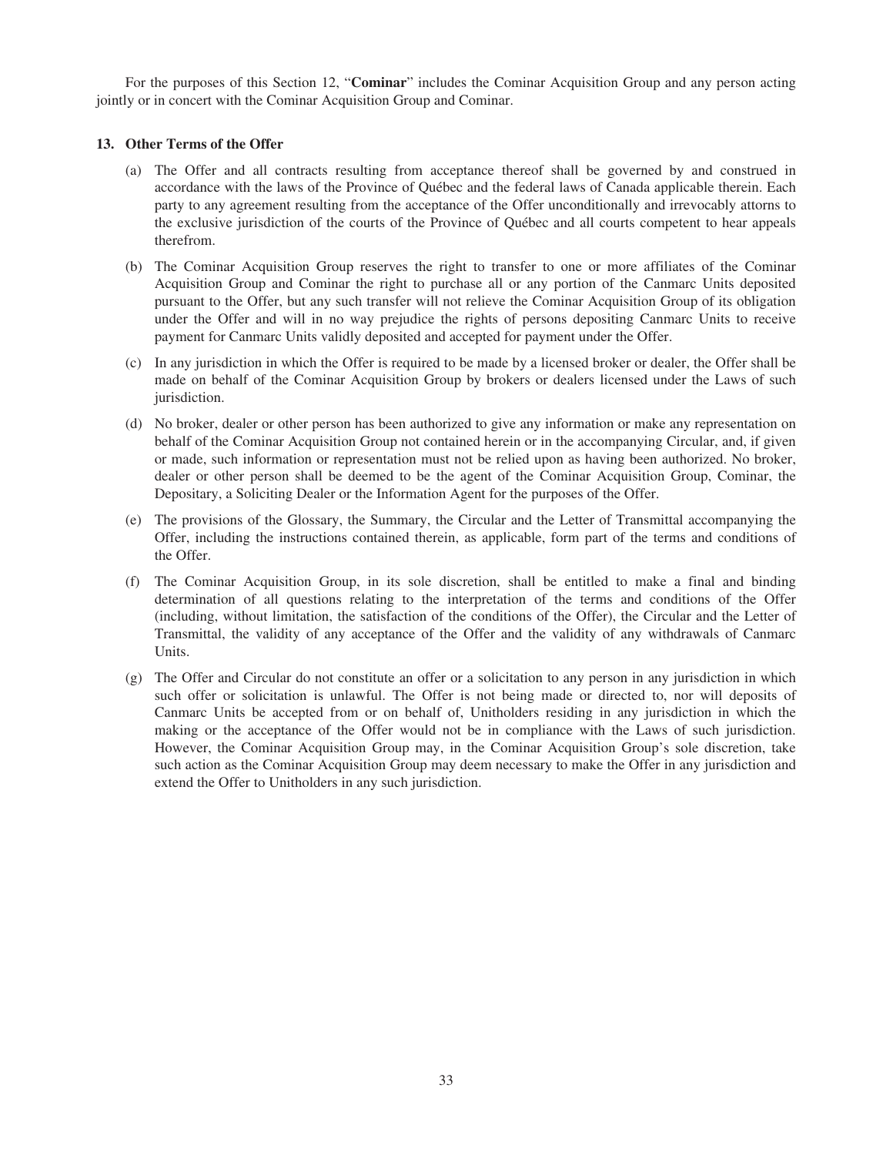For the purposes of this Section 12, "**Cominar**" includes the Cominar Acquisition Group and any person acting jointly or in concert with the Cominar Acquisition Group and Cominar.

# **13. Other Terms of the Offer**

- (a) The Offer and all contracts resulting from acceptance thereof shall be governed by and construed in accordance with the laws of the Province of Québec and the federal laws of Canada applicable therein. Each party to any agreement resulting from the acceptance of the Offer unconditionally and irrevocably attorns to the exclusive jurisdiction of the courts of the Province of Québec and all courts competent to hear appeals therefrom.
- (b) The Cominar Acquisition Group reserves the right to transfer to one or more affiliates of the Cominar Acquisition Group and Cominar the right to purchase all or any portion of the Canmarc Units deposited pursuant to the Offer, but any such transfer will not relieve the Cominar Acquisition Group of its obligation under the Offer and will in no way prejudice the rights of persons depositing Canmarc Units to receive payment for Canmarc Units validly deposited and accepted for payment under the Offer.
- (c) In any jurisdiction in which the Offer is required to be made by a licensed broker or dealer, the Offer shall be made on behalf of the Cominar Acquisition Group by brokers or dealers licensed under the Laws of such jurisdiction.
- (d) No broker, dealer or other person has been authorized to give any information or make any representation on behalf of the Cominar Acquisition Group not contained herein or in the accompanying Circular, and, if given or made, such information or representation must not be relied upon as having been authorized. No broker, dealer or other person shall be deemed to be the agent of the Cominar Acquisition Group, Cominar, the Depositary, a Soliciting Dealer or the Information Agent for the purposes of the Offer.
- (e) The provisions of the Glossary, the Summary, the Circular and the Letter of Transmittal accompanying the Offer, including the instructions contained therein, as applicable, form part of the terms and conditions of the Offer.
- (f) The Cominar Acquisition Group, in its sole discretion, shall be entitled to make a final and binding determination of all questions relating to the interpretation of the terms and conditions of the Offer (including, without limitation, the satisfaction of the conditions of the Offer), the Circular and the Letter of Transmittal, the validity of any acceptance of the Offer and the validity of any withdrawals of Canmarc Units.
- (g) The Offer and Circular do not constitute an offer or a solicitation to any person in any jurisdiction in which such offer or solicitation is unlawful. The Offer is not being made or directed to, nor will deposits of Canmarc Units be accepted from or on behalf of, Unitholders residing in any jurisdiction in which the making or the acceptance of the Offer would not be in compliance with the Laws of such jurisdiction. However, the Cominar Acquisition Group may, in the Cominar Acquisition Group's sole discretion, take such action as the Cominar Acquisition Group may deem necessary to make the Offer in any jurisdiction and extend the Offer to Unitholders in any such jurisdiction.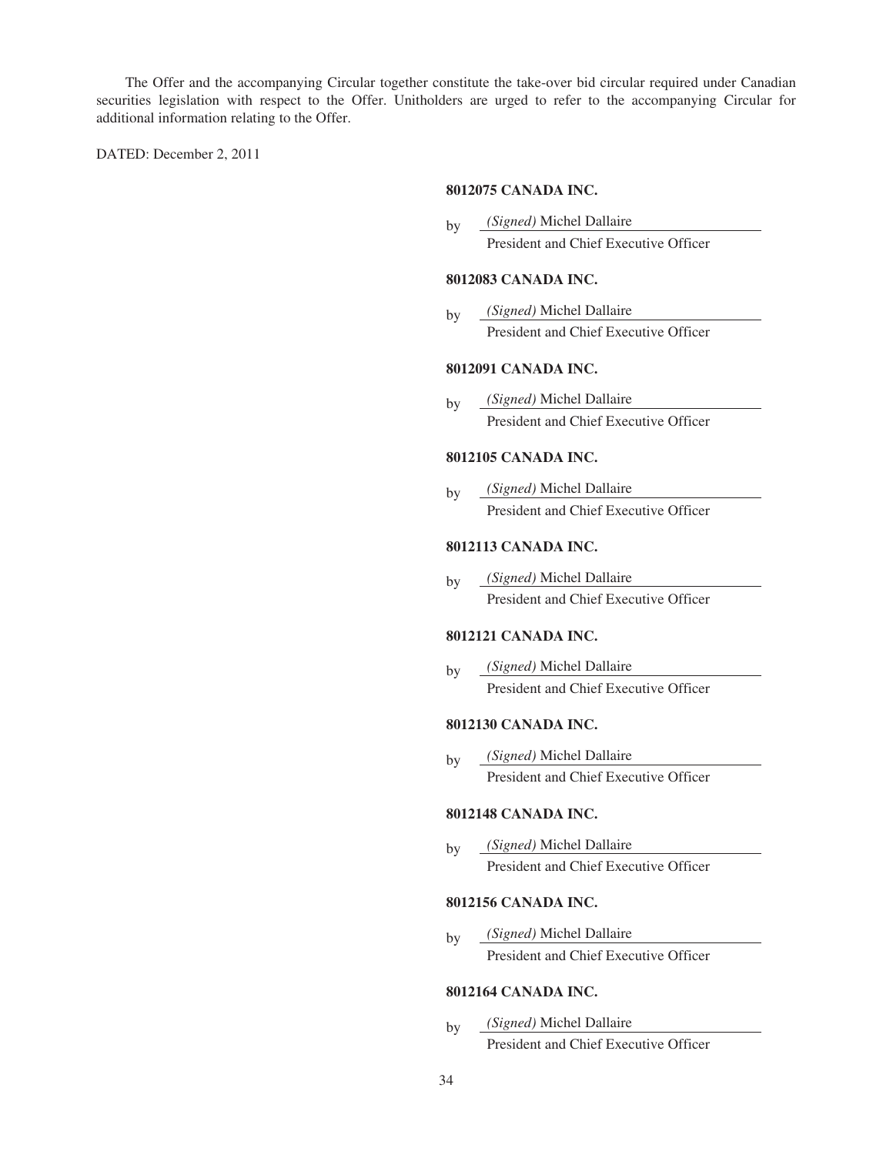The Offer and the accompanying Circular together constitute the take-over bid circular required under Canadian securities legislation with respect to the Offer. Unitholders are urged to refer to the accompanying Circular for additional information relating to the Offer.

DATED: December 2, 2011

## **8012075 CANADA INC.**

by *(Signed)* Michel Dallaire President and Chief Executive Officer

## **8012083 CANADA INC.**

by *(Signed)* Michel Dallaire President and Chief Executive Officer

# **8012091 CANADA INC.**

by *(Signed)* Michel Dallaire President and Chief Executive Officer

# **8012105 CANADA INC.**

by *(Signed)* Michel Dallaire President and Chief Executive Officer

# **8012113 CANADA INC.**

by *(Signed)* Michel Dallaire President and Chief Executive Officer

## **8012121 CANADA INC.**

by *(Signed)* Michel Dallaire President and Chief Executive Officer

# **8012130 CANADA INC.**

by *(Signed)* Michel Dallaire President and Chief Executive Officer

## **8012148 CANADA INC.**

by *(Signed)* Michel Dallaire President and Chief Executive Officer

## **8012156 CANADA INC.**

by *(Signed)* Michel Dallaire President and Chief Executive Officer

# **8012164 CANADA INC.**

by *(Signed)* Michel Dallaire President and Chief Executive Officer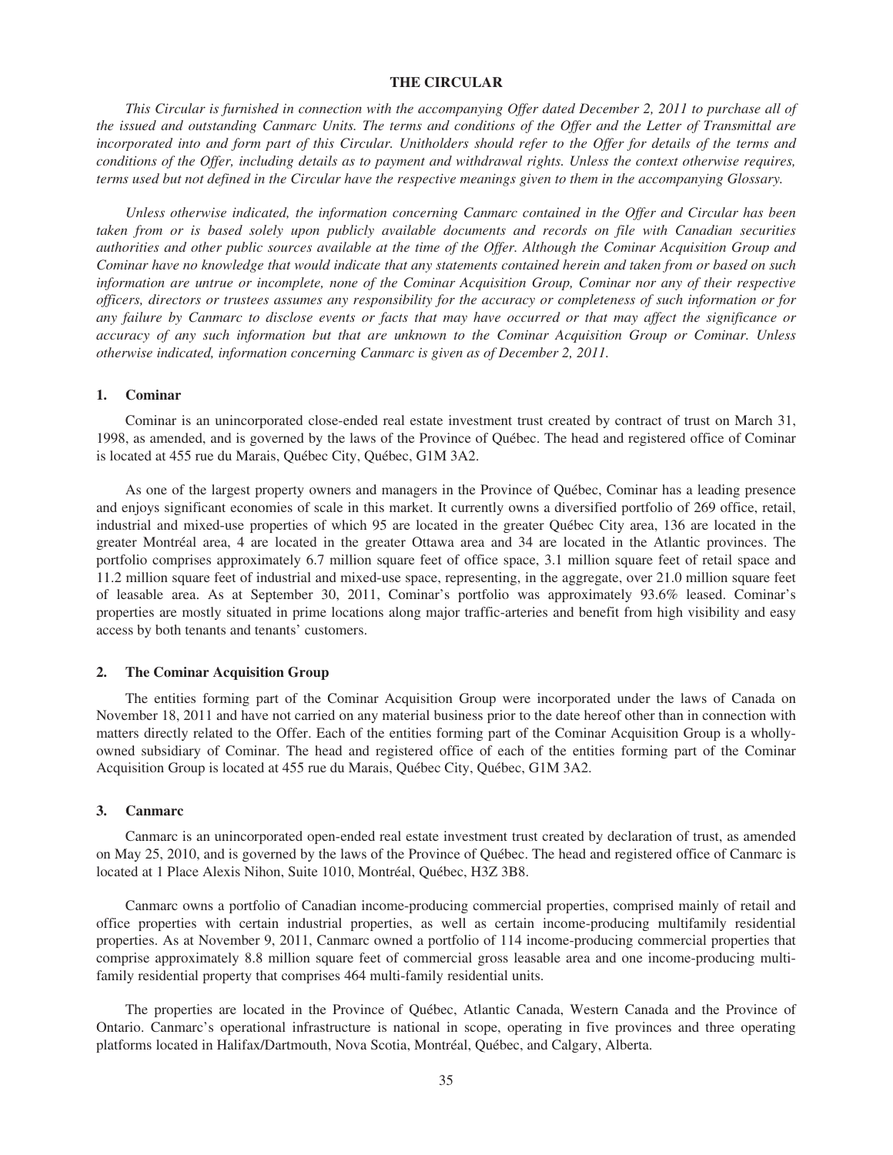### **THE CIRCULAR**

*This Circular is furnished in connection with the accompanying Offer dated December 2, 2011 to purchase all of the issued and outstanding Canmarc Units. The terms and conditions of the Offer and the Letter of Transmittal are incorporated into and form part of this Circular. Unitholders should refer to the Offer for details of the terms and conditions of the Offer, including details as to payment and withdrawal rights. Unless the context otherwise requires, terms used but not defined in the Circular have the respective meanings given to them in the accompanying Glossary.*

*Unless otherwise indicated, the information concerning Canmarc contained in the Offer and Circular has been taken from or is based solely upon publicly available documents and records on file with Canadian securities authorities and other public sources available at the time of the Offer. Although the Cominar Acquisition Group and Cominar have no knowledge that would indicate that any statements contained herein and taken from or based on such information are untrue or incomplete, none of the Cominar Acquisition Group, Cominar nor any of their respective officers, directors or trustees assumes any responsibility for the accuracy or completeness of such information or for any failure by Canmarc to disclose events or facts that may have occurred or that may affect the significance or accuracy of any such information but that are unknown to the Cominar Acquisition Group or Cominar. Unless otherwise indicated, information concerning Canmarc is given as of December 2, 2011.*

### **1. Cominar**

Cominar is an unincorporated close-ended real estate investment trust created by contract of trust on March 31, 1998, as amended, and is governed by the laws of the Province of Québec. The head and registered office of Cominar is located at 455 rue du Marais, Québec City, Québec, G1M 3A2.

As one of the largest property owners and managers in the Province of Québec, Cominar has a leading presence and enjoys significant economies of scale in this market. It currently owns a diversified portfolio of 269 office, retail, industrial and mixed-use properties of which 95 are located in the greater Québec City area, 136 are located in the greater Montréal area, 4 are located in the greater Ottawa area and 34 are located in the Atlantic provinces. The portfolio comprises approximately 6.7 million square feet of office space, 3.1 million square feet of retail space and 11.2 million square feet of industrial and mixed-use space, representing, in the aggregate, over 21.0 million square feet of leasable area. As at September 30, 2011, Cominar's portfolio was approximately 93.6% leased. Cominar's properties are mostly situated in prime locations along major traffic-arteries and benefit from high visibility and easy access by both tenants and tenants' customers.

### **2. The Cominar Acquisition Group**

The entities forming part of the Cominar Acquisition Group were incorporated under the laws of Canada on November 18, 2011 and have not carried on any material business prior to the date hereof other than in connection with matters directly related to the Offer. Each of the entities forming part of the Cominar Acquisition Group is a whollyowned subsidiary of Cominar. The head and registered office of each of the entities forming part of the Cominar Acquisition Group is located at 455 rue du Marais, Québec City, Québec, G1M 3A2.

#### **3. Canmarc**

Canmarc is an unincorporated open-ended real estate investment trust created by declaration of trust, as amended on May 25, 2010, and is governed by the laws of the Province of Québec. The head and registered office of Canmarc is located at 1 Place Alexis Nihon, Suite 1010, Montréal, Québec, H3Z 3B8.

Canmarc owns a portfolio of Canadian income-producing commercial properties, comprised mainly of retail and office properties with certain industrial properties, as well as certain income-producing multifamily residential properties. As at November 9, 2011, Canmarc owned a portfolio of 114 income-producing commercial properties that comprise approximately 8.8 million square feet of commercial gross leasable area and one income-producing multifamily residential property that comprises 464 multi-family residential units.

The properties are located in the Province of Québec, Atlantic Canada, Western Canada and the Province of Ontario. Canmarc's operational infrastructure is national in scope, operating in five provinces and three operating platforms located in Halifax/Dartmouth, Nova Scotia, Montréal, Québec, and Calgary, Alberta.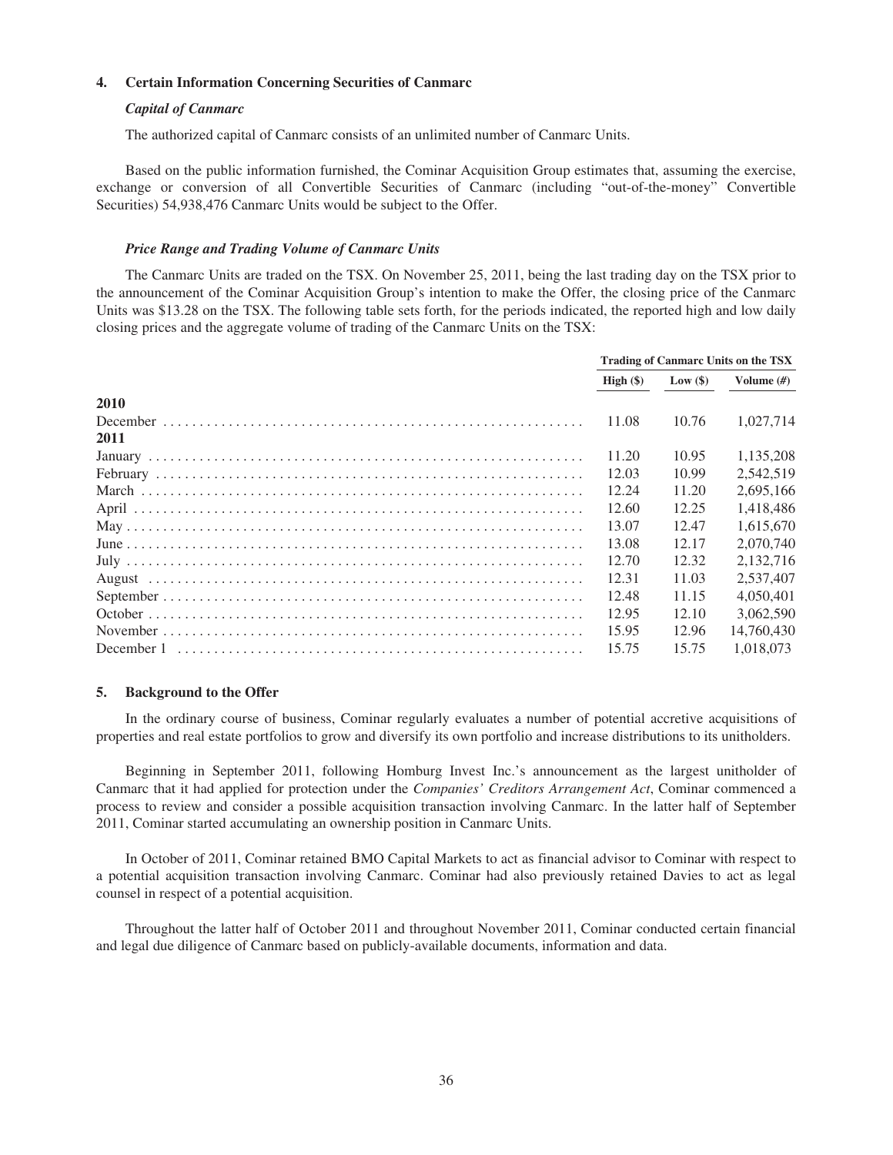## **4. Certain Information Concerning Securities of Canmarc**

## *Capital of Canmarc*

The authorized capital of Canmarc consists of an unlimited number of Canmarc Units.

Based on the public information furnished, the Cominar Acquisition Group estimates that, assuming the exercise, exchange or conversion of all Convertible Securities of Canmarc (including "out-of-the-money" Convertible Securities) 54,938,476 Canmarc Units would be subject to the Offer.

### *Price Range and Trading Volume of Canmarc Units*

The Canmarc Units are traded on the TSX. On November 25, 2011, being the last trading day on the TSX prior to the announcement of the Cominar Acquisition Group's intention to make the Offer, the closing price of the Canmarc Units was \$13.28 on the TSX. The following table sets forth, for the periods indicated, the reported high and low daily closing prices and the aggregate volume of trading of the Canmarc Units on the TSX:

|      | <b>Trading of Canmarc Units on the TSX</b> |                        |               |
|------|--------------------------------------------|------------------------|---------------|
|      |                                            | High $(\$)$ Low $(\$)$ | Volume $(\#)$ |
| 2010 |                                            |                        |               |
|      | 11.08                                      | 10.76                  | 1.027.714     |
| 2011 |                                            |                        |               |
|      | 11.20                                      | 10.95                  | 1.135.208     |
|      | 12.03                                      | 10.99                  | 2.542.519     |
|      | 12.24                                      | 11.20                  | 2.695.166     |
|      | 12.60                                      | 12.25                  | 1.418.486     |
|      | 13.07                                      | 12.47                  | 1.615.670     |
|      | 13.08                                      | 12.17                  | 2,070,740     |
|      | 12.70                                      | 12.32                  | 2.132.716     |
|      | 12.31                                      | 11.03                  | 2,537,407     |
|      | 12.48                                      | 11.15                  | 4.050.401     |
|      | 12.95                                      | 12.10                  | 3.062.590     |
|      | 15.95                                      | 12.96                  | 14,760,430    |
|      | 15.75                                      | 15.75                  | 1.018.073     |

#### **5. Background to the Offer**

In the ordinary course of business, Cominar regularly evaluates a number of potential accretive acquisitions of properties and real estate portfolios to grow and diversify its own portfolio and increase distributions to its unitholders.

Beginning in September 2011, following Homburg Invest Inc.'s announcement as the largest unitholder of Canmarc that it had applied for protection under the *Companies' Creditors Arrangement Act*, Cominar commenced a process to review and consider a possible acquisition transaction involving Canmarc. In the latter half of September 2011, Cominar started accumulating an ownership position in Canmarc Units.

In October of 2011, Cominar retained BMO Capital Markets to act as financial advisor to Cominar with respect to a potential acquisition transaction involving Canmarc. Cominar had also previously retained Davies to act as legal counsel in respect of a potential acquisition.

Throughout the latter half of October 2011 and throughout November 2011, Cominar conducted certain financial and legal due diligence of Canmarc based on publicly-available documents, information and data.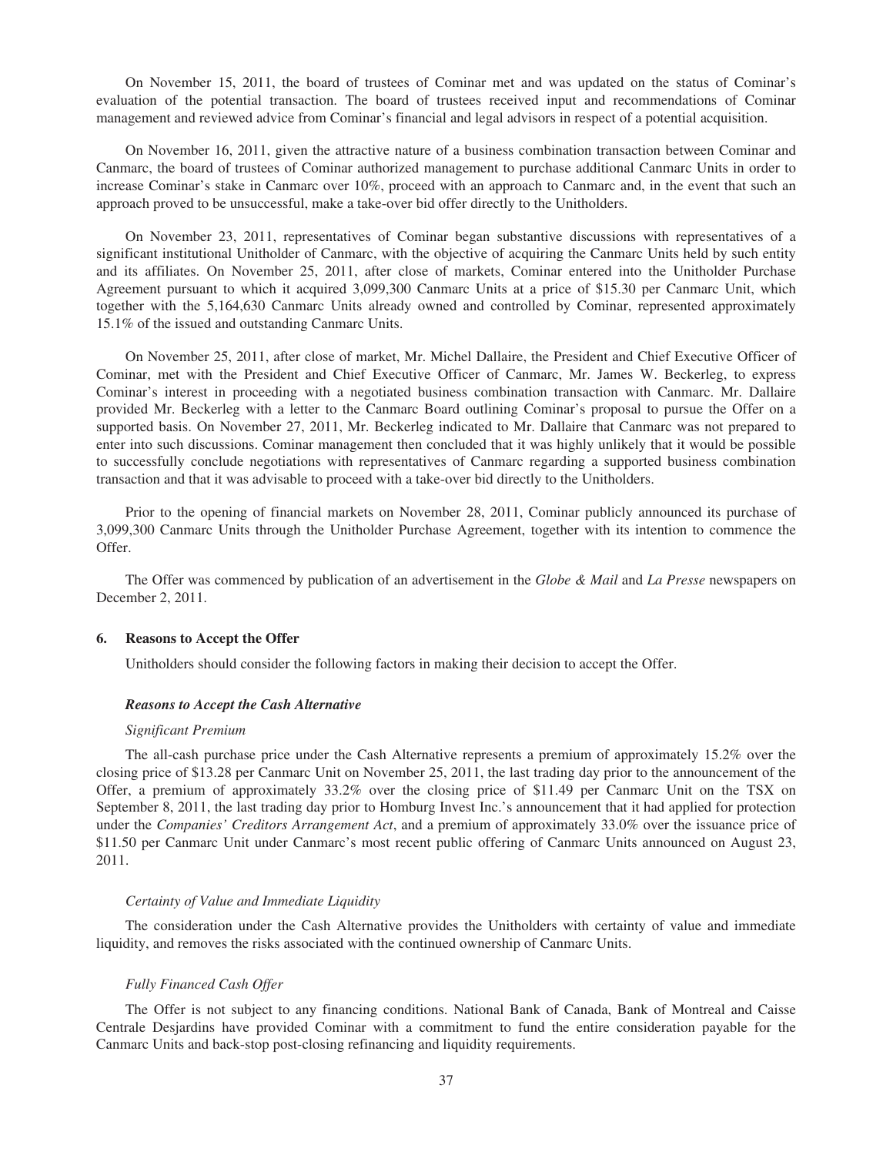On November 15, 2011, the board of trustees of Cominar met and was updated on the status of Cominar's evaluation of the potential transaction. The board of trustees received input and recommendations of Cominar management and reviewed advice from Cominar's financial and legal advisors in respect of a potential acquisition.

On November 16, 2011, given the attractive nature of a business combination transaction between Cominar and Canmarc, the board of trustees of Cominar authorized management to purchase additional Canmarc Units in order to increase Cominar's stake in Canmarc over 10%, proceed with an approach to Canmarc and, in the event that such an approach proved to be unsuccessful, make a take-over bid offer directly to the Unitholders.

On November 23, 2011, representatives of Cominar began substantive discussions with representatives of a significant institutional Unitholder of Canmarc, with the objective of acquiring the Canmarc Units held by such entity and its affiliates. On November 25, 2011, after close of markets, Cominar entered into the Unitholder Purchase Agreement pursuant to which it acquired 3,099,300 Canmarc Units at a price of \$15.30 per Canmarc Unit, which together with the 5,164,630 Canmarc Units already owned and controlled by Cominar, represented approximately 15.1% of the issued and outstanding Canmarc Units.

On November 25, 2011, after close of market, Mr. Michel Dallaire, the President and Chief Executive Officer of Cominar, met with the President and Chief Executive Officer of Canmarc, Mr. James W. Beckerleg, to express Cominar's interest in proceeding with a negotiated business combination transaction with Canmarc. Mr. Dallaire provided Mr. Beckerleg with a letter to the Canmarc Board outlining Cominar's proposal to pursue the Offer on a supported basis. On November 27, 2011, Mr. Beckerleg indicated to Mr. Dallaire that Canmarc was not prepared to enter into such discussions. Cominar management then concluded that it was highly unlikely that it would be possible to successfully conclude negotiations with representatives of Canmarc regarding a supported business combination transaction and that it was advisable to proceed with a take-over bid directly to the Unitholders.

Prior to the opening of financial markets on November 28, 2011, Cominar publicly announced its purchase of 3,099,300 Canmarc Units through the Unitholder Purchase Agreement, together with its intention to commence the Offer.

The Offer was commenced by publication of an advertisement in the *Globe & Mail* and *La Presse* newspapers on December 2, 2011.

#### **6. Reasons to Accept the Offer**

Unitholders should consider the following factors in making their decision to accept the Offer.

## *Reasons to Accept the Cash Alternative*

#### *Significant Premium*

The all-cash purchase price under the Cash Alternative represents a premium of approximately 15.2% over the closing price of \$13.28 per Canmarc Unit on November 25, 2011, the last trading day prior to the announcement of the Offer, a premium of approximately 33.2% over the closing price of \$11.49 per Canmarc Unit on the TSX on September 8, 2011, the last trading day prior to Homburg Invest Inc.'s announcement that it had applied for protection under the *Companies' Creditors Arrangement Act*, and a premium of approximately 33.0% over the issuance price of \$11.50 per Canmarc Unit under Canmarc's most recent public offering of Canmarc Units announced on August 23, 2011.

#### *Certainty of Value and Immediate Liquidity*

The consideration under the Cash Alternative provides the Unitholders with certainty of value and immediate liquidity, and removes the risks associated with the continued ownership of Canmarc Units.

### *Fully Financed Cash Offer*

The Offer is not subject to any financing conditions. National Bank of Canada, Bank of Montreal and Caisse Centrale Desjardins have provided Cominar with a commitment to fund the entire consideration payable for the Canmarc Units and back-stop post-closing refinancing and liquidity requirements.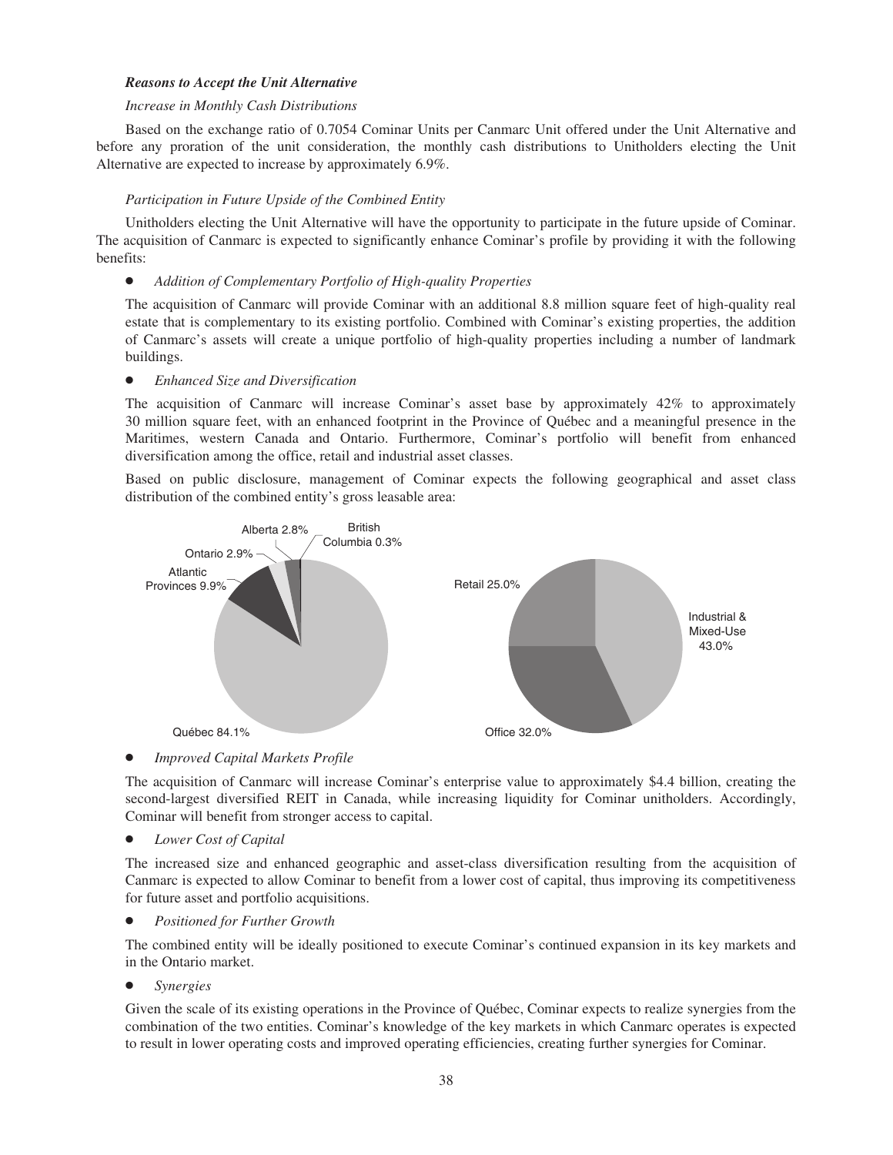## *Reasons to Accept the Unit Alternative*

## *Increase in Monthly Cash Distributions*

Based on the exchange ratio of 0.7054 Cominar Units per Canmarc Unit offered under the Unit Alternative and before any proration of the unit consideration, the monthly cash distributions to Unitholders electing the Unit Alternative are expected to increase by approximately 6.9%.

# *Participation in Future Upside of the Combined Entity*

Unitholders electing the Unit Alternative will have the opportunity to participate in the future upside of Cominar. The acquisition of Canmarc is expected to significantly enhance Cominar's profile by providing it with the following benefits:

# • Addition of Complementary Portfolio of High-quality Properties

The acquisition of Canmarc will provide Cominar with an additional 8.8 million square feet of high-quality real estate that is complementary to its existing portfolio. Combined with Cominar's existing properties, the addition of Canmarc's assets will create a unique portfolio of high-quality properties including a number of landmark buildings.

# **•** *Enhanced Size and Diversification*

The acquisition of Canmarc will increase Cominar's asset base by approximately 42% to approximately 30 million square feet, with an enhanced footprint in the Province of Québec and a meaningful presence in the Maritimes, western Canada and Ontario. Furthermore, Cominar's portfolio will benefit from enhanced diversification among the office, retail and industrial asset classes.

Based on public disclosure, management of Cominar expects the following geographical and asset class distribution of the combined entity's gross leasable area:



*Improved Capital Markets Profile* 

The acquisition of Canmarc will increase Cominar's enterprise value to approximately \$4.4 billion, creating the second-largest diversified REIT in Canada, while increasing liquidity for Cominar unitholders. Accordingly, Cominar will benefit from stronger access to capital.

• *Lower Cost of Capital* 

The increased size and enhanced geographic and asset-class diversification resulting from the acquisition of Canmarc is expected to allow Cominar to benefit from a lower cost of capital, thus improving its competitiveness for future asset and portfolio acquisitions.

**Positioned for Further Growth** 

The combined entity will be ideally positioned to execute Cominar's continued expansion in its key markets and in the Ontario market.

Š *Synergies*

Given the scale of its existing operations in the Province of Québec, Cominar expects to realize synergies from the combination of the two entities. Cominar's knowledge of the key markets in which Canmarc operates is expected to result in lower operating costs and improved operating efficiencies, creating further synergies for Cominar.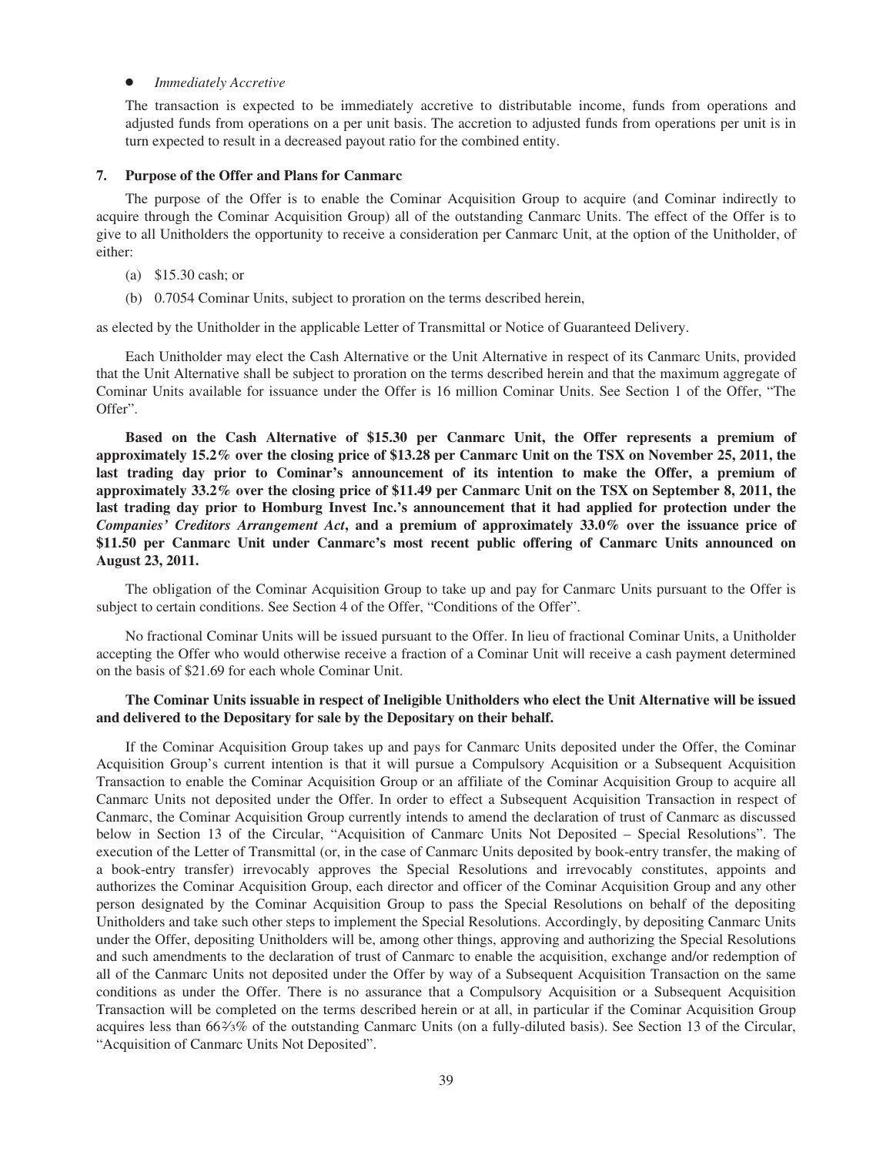#### *Immediately Accretive*

The transaction is expected to be immediately accretive to distributable income, funds from operations and adjusted funds from operations on a per unit basis. The accretion to adjusted funds from operations per unit is in turn expected to result in a decreased payout ratio for the combined entity.

### **7. Purpose of the Offer and Plans for Canmarc**

The purpose of the Offer is to enable the Cominar Acquisition Group to acquire (and Cominar indirectly to acquire through the Cominar Acquisition Group) all of the outstanding Canmarc Units. The effect of the Offer is to give to all Unitholders the opportunity to receive a consideration per Canmarc Unit, at the option of the Unitholder, of either:

- (a) \$15.30 cash; or
- (b) 0.7054 Cominar Units, subject to proration on the terms described herein,

as elected by the Unitholder in the applicable Letter of Transmittal or Notice of Guaranteed Delivery.

Each Unitholder may elect the Cash Alternative or the Unit Alternative in respect of its Canmarc Units, provided that the Unit Alternative shall be subject to proration on the terms described herein and that the maximum aggregate of Cominar Units available for issuance under the Offer is 16 million Cominar Units. See Section 1 of the Offer, "The Offer".

**Based on the Cash Alternative of \$15.30 per Canmarc Unit, the Offer represents a premium of approximately 15.2% over the closing price of \$13.28 per Canmarc Unit on the TSX on November 25, 2011, the last trading day prior to Cominar's announcement of its intention to make the Offer, a premium of approximately 33.2% over the closing price of \$11.49 per Canmarc Unit on the TSX on September 8, 2011, the last trading day prior to Homburg Invest Inc.'s announcement that it had applied for protection under the** *Companies' Creditors Arrangement Act***, and a premium of approximately 33.0% over the issuance price of \$11.50 per Canmarc Unit under Canmarc's most recent public offering of Canmarc Units announced on August 23, 2011.**

The obligation of the Cominar Acquisition Group to take up and pay for Canmarc Units pursuant to the Offer is subject to certain conditions. See Section 4 of the Offer, "Conditions of the Offer".

No fractional Cominar Units will be issued pursuant to the Offer. In lieu of fractional Cominar Units, a Unitholder accepting the Offer who would otherwise receive a fraction of a Cominar Unit will receive a cash payment determined on the basis of \$21.69 for each whole Cominar Unit.

## **The Cominar Units issuable in respect of Ineligible Unitholders who elect the Unit Alternative will be issued and delivered to the Depositary for sale by the Depositary on their behalf.**

If the Cominar Acquisition Group takes up and pays for Canmarc Units deposited under the Offer, the Cominar Acquisition Group's current intention is that it will pursue a Compulsory Acquisition or a Subsequent Acquisition Transaction to enable the Cominar Acquisition Group or an affiliate of the Cominar Acquisition Group to acquire all Canmarc Units not deposited under the Offer. In order to effect a Subsequent Acquisition Transaction in respect of Canmarc, the Cominar Acquisition Group currently intends to amend the declaration of trust of Canmarc as discussed below in Section 13 of the Circular, "Acquisition of Canmarc Units Not Deposited – Special Resolutions". The execution of the Letter of Transmittal (or, in the case of Canmarc Units deposited by book-entry transfer, the making of a book-entry transfer) irrevocably approves the Special Resolutions and irrevocably constitutes, appoints and authorizes the Cominar Acquisition Group, each director and officer of the Cominar Acquisition Group and any other person designated by the Cominar Acquisition Group to pass the Special Resolutions on behalf of the depositing Unitholders and take such other steps to implement the Special Resolutions. Accordingly, by depositing Canmarc Units under the Offer, depositing Unitholders will be, among other things, approving and authorizing the Special Resolutions and such amendments to the declaration of trust of Canmarc to enable the acquisition, exchange and/or redemption of all of the Canmarc Units not deposited under the Offer by way of a Subsequent Acquisition Transaction on the same conditions as under the Offer. There is no assurance that a Compulsory Acquisition or a Subsequent Acquisition Transaction will be completed on the terms described herein or at all, in particular if the Cominar Acquisition Group acquires less than 662⁄3% of the outstanding Canmarc Units (on a fully-diluted basis). See Section 13 of the Circular, "Acquisition of Canmarc Units Not Deposited".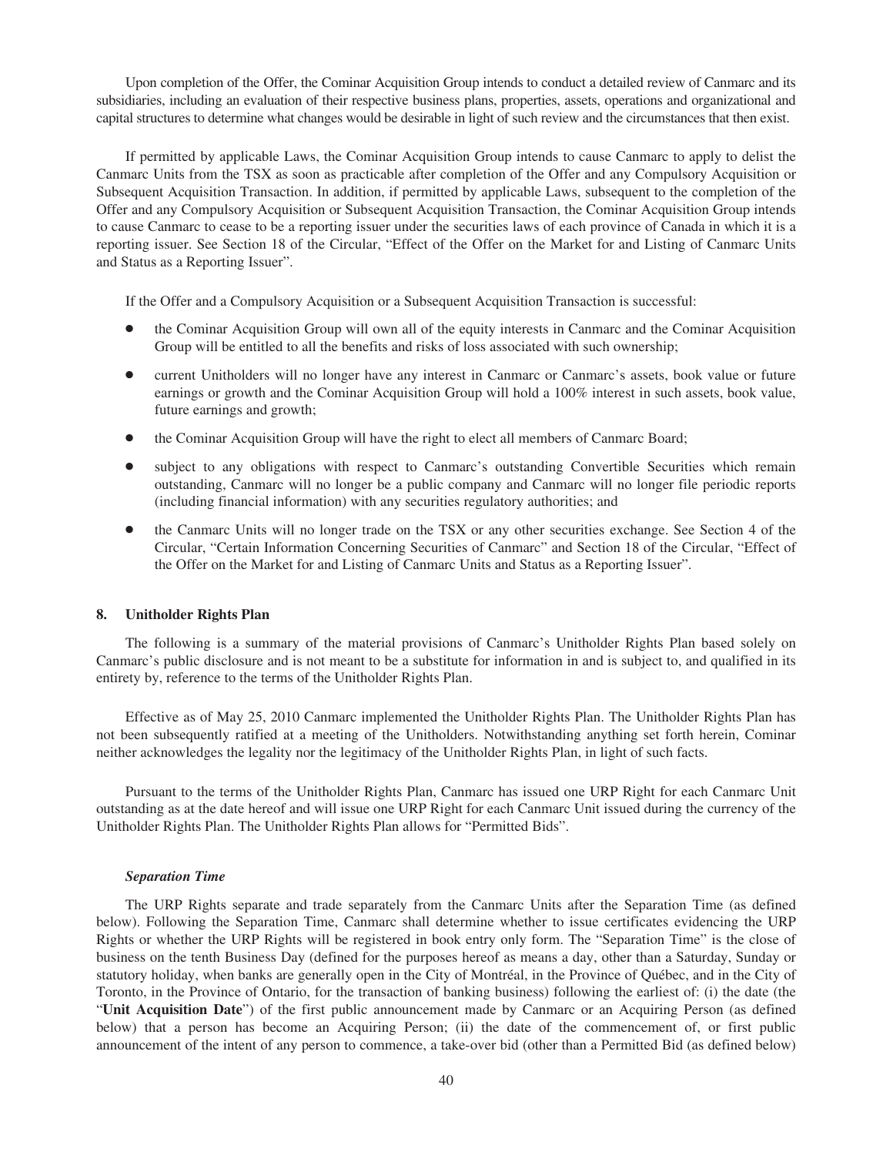Upon completion of the Offer, the Cominar Acquisition Group intends to conduct a detailed review of Canmarc and its subsidiaries, including an evaluation of their respective business plans, properties, assets, operations and organizational and capital structures to determine what changes would be desirable in light of such review and the circumstances that then exist.

If permitted by applicable Laws, the Cominar Acquisition Group intends to cause Canmarc to apply to delist the Canmarc Units from the TSX as soon as practicable after completion of the Offer and any Compulsory Acquisition or Subsequent Acquisition Transaction. In addition, if permitted by applicable Laws, subsequent to the completion of the Offer and any Compulsory Acquisition or Subsequent Acquisition Transaction, the Cominar Acquisition Group intends to cause Canmarc to cease to be a reporting issuer under the securities laws of each province of Canada in which it is a reporting issuer. See Section 18 of the Circular, "Effect of the Offer on the Market for and Listing of Canmarc Units and Status as a Reporting Issuer".

If the Offer and a Compulsory Acquisition or a Subsequent Acquisition Transaction is successful:

- the Cominar Acquisition Group will own all of the equity interests in Canmarc and the Cominar Acquisition Group will be entitled to all the benefits and risks of loss associated with such ownership;
- current Unitholders will no longer have any interest in Canmarc or Canmarc's assets, book value or future earnings or growth and the Cominar Acquisition Group will hold a 100% interest in such assets, book value, future earnings and growth;
- the Cominar Acquisition Group will have the right to elect all members of Canmarc Board;
- subject to any obligations with respect to Canmarc's outstanding Convertible Securities which remain outstanding, Canmarc will no longer be a public company and Canmarc will no longer file periodic reports (including financial information) with any securities regulatory authorities; and
- the Canmarc Units will no longer trade on the TSX or any other securities exchange. See Section 4 of the Circular, "Certain Information Concerning Securities of Canmarc" and Section 18 of the Circular, "Effect of the Offer on the Market for and Listing of Canmarc Units and Status as a Reporting Issuer".

### **8. Unitholder Rights Plan**

The following is a summary of the material provisions of Canmarc's Unitholder Rights Plan based solely on Canmarc's public disclosure and is not meant to be a substitute for information in and is subject to, and qualified in its entirety by, reference to the terms of the Unitholder Rights Plan.

Effective as of May 25, 2010 Canmarc implemented the Unitholder Rights Plan. The Unitholder Rights Plan has not been subsequently ratified at a meeting of the Unitholders. Notwithstanding anything set forth herein, Cominar neither acknowledges the legality nor the legitimacy of the Unitholder Rights Plan, in light of such facts.

Pursuant to the terms of the Unitholder Rights Plan, Canmarc has issued one URP Right for each Canmarc Unit outstanding as at the date hereof and will issue one URP Right for each Canmarc Unit issued during the currency of the Unitholder Rights Plan. The Unitholder Rights Plan allows for "Permitted Bids".

### *Separation Time*

The URP Rights separate and trade separately from the Canmarc Units after the Separation Time (as defined below). Following the Separation Time, Canmarc shall determine whether to issue certificates evidencing the URP Rights or whether the URP Rights will be registered in book entry only form. The "Separation Time" is the close of business on the tenth Business Day (defined for the purposes hereof as means a day, other than a Saturday, Sunday or statutory holiday, when banks are generally open in the City of Montréal, in the Province of Québec, and in the City of Toronto, in the Province of Ontario, for the transaction of banking business) following the earliest of: (i) the date (the "**Unit Acquisition Date**") of the first public announcement made by Canmarc or an Acquiring Person (as defined below) that a person has become an Acquiring Person; (ii) the date of the commencement of, or first public announcement of the intent of any person to commence, a take-over bid (other than a Permitted Bid (as defined below)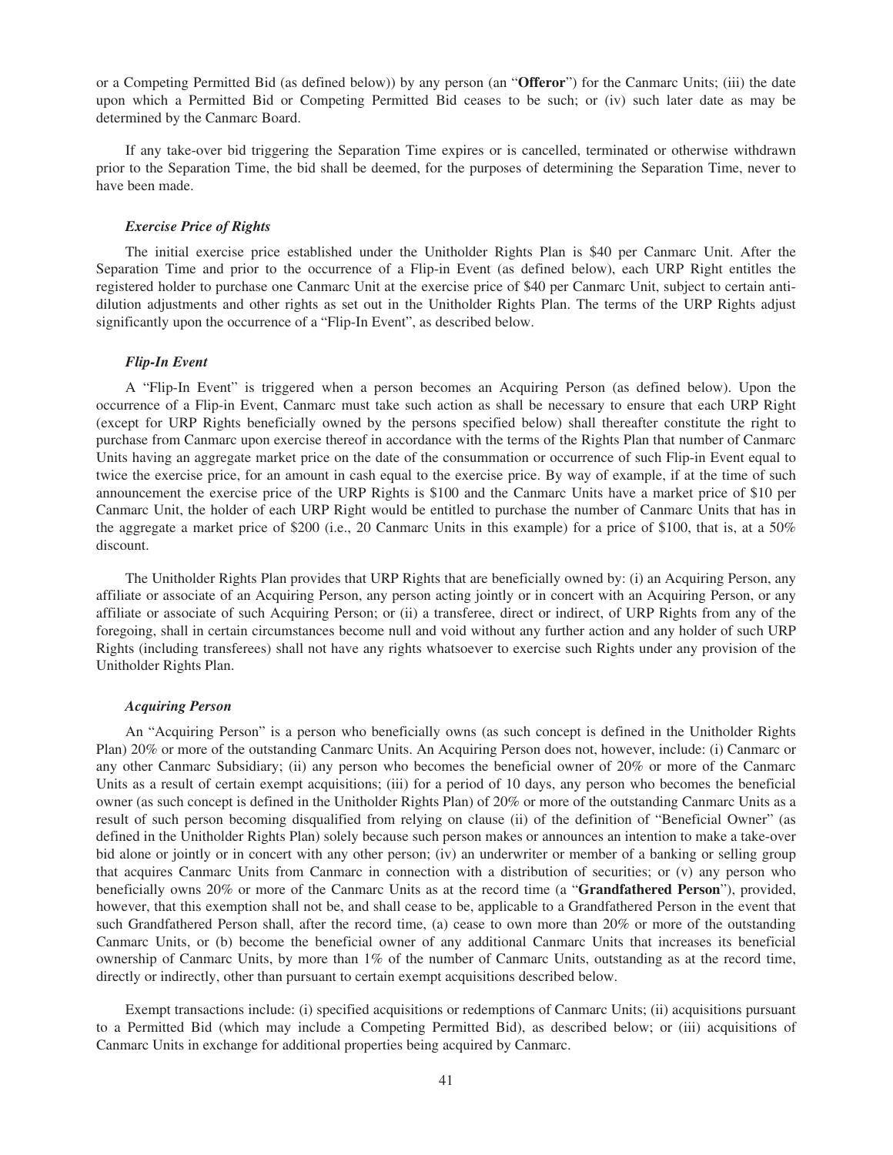or a Competing Permitted Bid (as defined below)) by any person (an "**Offeror**") for the Canmarc Units; (iii) the date upon which a Permitted Bid or Competing Permitted Bid ceases to be such; or (iv) such later date as may be determined by the Canmarc Board.

If any take-over bid triggering the Separation Time expires or is cancelled, terminated or otherwise withdrawn prior to the Separation Time, the bid shall be deemed, for the purposes of determining the Separation Time, never to have been made.

### *Exercise Price of Rights*

The initial exercise price established under the Unitholder Rights Plan is \$40 per Canmarc Unit. After the Separation Time and prior to the occurrence of a Flip-in Event (as defined below), each URP Right entitles the registered holder to purchase one Canmarc Unit at the exercise price of \$40 per Canmarc Unit, subject to certain antidilution adjustments and other rights as set out in the Unitholder Rights Plan. The terms of the URP Rights adjust significantly upon the occurrence of a "Flip-In Event", as described below.

### *Flip-In Event*

A "Flip-In Event" is triggered when a person becomes an Acquiring Person (as defined below). Upon the occurrence of a Flip-in Event, Canmarc must take such action as shall be necessary to ensure that each URP Right (except for URP Rights beneficially owned by the persons specified below) shall thereafter constitute the right to purchase from Canmarc upon exercise thereof in accordance with the terms of the Rights Plan that number of Canmarc Units having an aggregate market price on the date of the consummation or occurrence of such Flip-in Event equal to twice the exercise price, for an amount in cash equal to the exercise price. By way of example, if at the time of such announcement the exercise price of the URP Rights is \$100 and the Canmarc Units have a market price of \$10 per Canmarc Unit, the holder of each URP Right would be entitled to purchase the number of Canmarc Units that has in the aggregate a market price of \$200 (i.e., 20 Canmarc Units in this example) for a price of \$100, that is, at a 50% discount.

The Unitholder Rights Plan provides that URP Rights that are beneficially owned by: (i) an Acquiring Person, any affiliate or associate of an Acquiring Person, any person acting jointly or in concert with an Acquiring Person, or any affiliate or associate of such Acquiring Person; or (ii) a transferee, direct or indirect, of URP Rights from any of the foregoing, shall in certain circumstances become null and void without any further action and any holder of such URP Rights (including transferees) shall not have any rights whatsoever to exercise such Rights under any provision of the Unitholder Rights Plan.

#### *Acquiring Person*

An "Acquiring Person" is a person who beneficially owns (as such concept is defined in the Unitholder Rights Plan) 20% or more of the outstanding Canmarc Units. An Acquiring Person does not, however, include: (i) Canmarc or any other Canmarc Subsidiary; (ii) any person who becomes the beneficial owner of 20% or more of the Canmarc Units as a result of certain exempt acquisitions; (iii) for a period of 10 days, any person who becomes the beneficial owner (as such concept is defined in the Unitholder Rights Plan) of 20% or more of the outstanding Canmarc Units as a result of such person becoming disqualified from relying on clause (ii) of the definition of "Beneficial Owner" (as defined in the Unitholder Rights Plan) solely because such person makes or announces an intention to make a take-over bid alone or jointly or in concert with any other person; (iv) an underwriter or member of a banking or selling group that acquires Canmarc Units from Canmarc in connection with a distribution of securities; or (v) any person who beneficially owns 20% or more of the Canmarc Units as at the record time (a "**Grandfathered Person**"), provided, however, that this exemption shall not be, and shall cease to be, applicable to a Grandfathered Person in the event that such Grandfathered Person shall, after the record time, (a) cease to own more than 20% or more of the outstanding Canmarc Units, or (b) become the beneficial owner of any additional Canmarc Units that increases its beneficial ownership of Canmarc Units, by more than 1% of the number of Canmarc Units, outstanding as at the record time, directly or indirectly, other than pursuant to certain exempt acquisitions described below.

Exempt transactions include: (i) specified acquisitions or redemptions of Canmarc Units; (ii) acquisitions pursuant to a Permitted Bid (which may include a Competing Permitted Bid), as described below; or (iii) acquisitions of Canmarc Units in exchange for additional properties being acquired by Canmarc.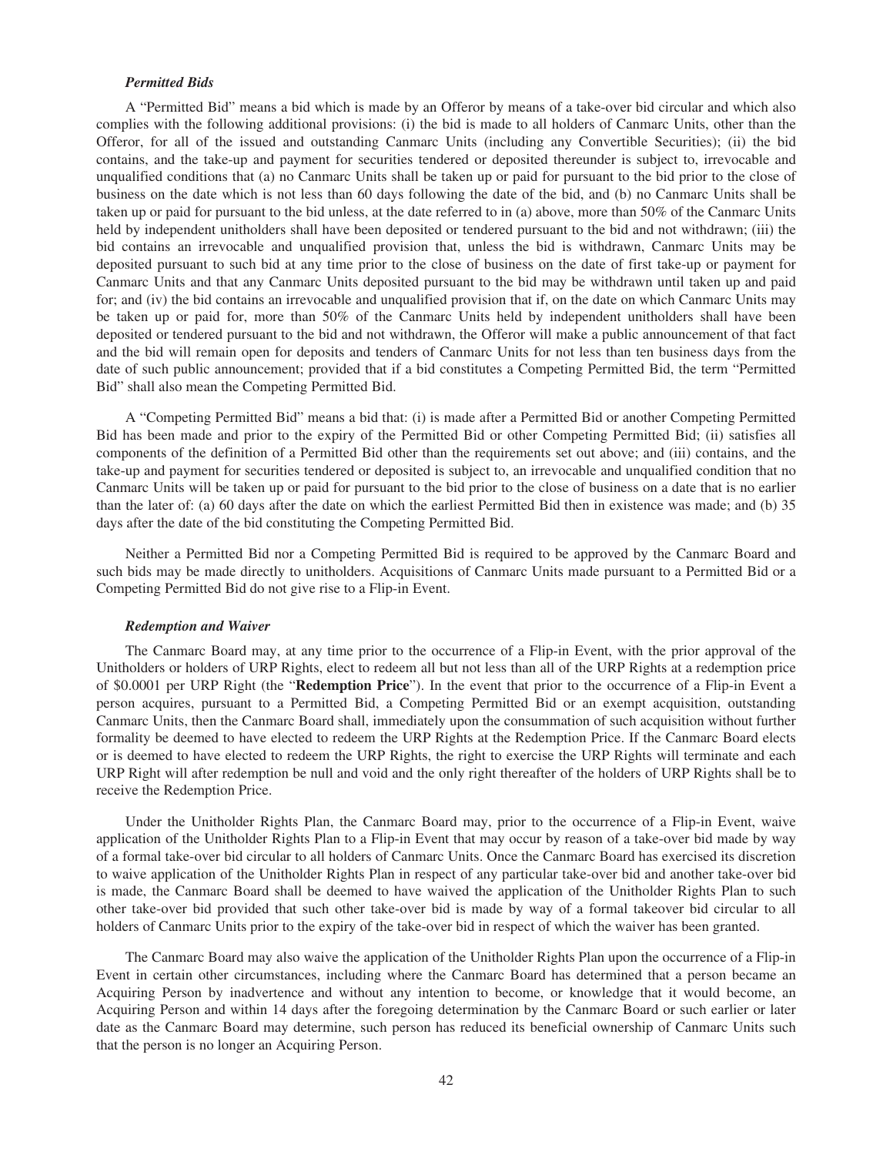## *Permitted Bids*

A "Permitted Bid" means a bid which is made by an Offeror by means of a take-over bid circular and which also complies with the following additional provisions: (i) the bid is made to all holders of Canmarc Units, other than the Offeror, for all of the issued and outstanding Canmarc Units (including any Convertible Securities); (ii) the bid contains, and the take-up and payment for securities tendered or deposited thereunder is subject to, irrevocable and unqualified conditions that (a) no Canmarc Units shall be taken up or paid for pursuant to the bid prior to the close of business on the date which is not less than 60 days following the date of the bid, and (b) no Canmarc Units shall be taken up or paid for pursuant to the bid unless, at the date referred to in (a) above, more than 50% of the Canmarc Units held by independent unitholders shall have been deposited or tendered pursuant to the bid and not withdrawn; (iii) the bid contains an irrevocable and unqualified provision that, unless the bid is withdrawn, Canmarc Units may be deposited pursuant to such bid at any time prior to the close of business on the date of first take-up or payment for Canmarc Units and that any Canmarc Units deposited pursuant to the bid may be withdrawn until taken up and paid for; and (iv) the bid contains an irrevocable and unqualified provision that if, on the date on which Canmarc Units may be taken up or paid for, more than 50% of the Canmarc Units held by independent unitholders shall have been deposited or tendered pursuant to the bid and not withdrawn, the Offeror will make a public announcement of that fact and the bid will remain open for deposits and tenders of Canmarc Units for not less than ten business days from the date of such public announcement; provided that if a bid constitutes a Competing Permitted Bid, the term "Permitted Bid" shall also mean the Competing Permitted Bid.

A "Competing Permitted Bid" means a bid that: (i) is made after a Permitted Bid or another Competing Permitted Bid has been made and prior to the expiry of the Permitted Bid or other Competing Permitted Bid; (ii) satisfies all components of the definition of a Permitted Bid other than the requirements set out above; and (iii) contains, and the take-up and payment for securities tendered or deposited is subject to, an irrevocable and unqualified condition that no Canmarc Units will be taken up or paid for pursuant to the bid prior to the close of business on a date that is no earlier than the later of: (a) 60 days after the date on which the earliest Permitted Bid then in existence was made; and (b) 35 days after the date of the bid constituting the Competing Permitted Bid.

Neither a Permitted Bid nor a Competing Permitted Bid is required to be approved by the Canmarc Board and such bids may be made directly to unitholders. Acquisitions of Canmarc Units made pursuant to a Permitted Bid or a Competing Permitted Bid do not give rise to a Flip-in Event.

#### *Redemption and Waiver*

The Canmarc Board may, at any time prior to the occurrence of a Flip-in Event, with the prior approval of the Unitholders or holders of URP Rights, elect to redeem all but not less than all of the URP Rights at a redemption price of \$0.0001 per URP Right (the "**Redemption Price**"). In the event that prior to the occurrence of a Flip-in Event a person acquires, pursuant to a Permitted Bid, a Competing Permitted Bid or an exempt acquisition, outstanding Canmarc Units, then the Canmarc Board shall, immediately upon the consummation of such acquisition without further formality be deemed to have elected to redeem the URP Rights at the Redemption Price. If the Canmarc Board elects or is deemed to have elected to redeem the URP Rights, the right to exercise the URP Rights will terminate and each URP Right will after redemption be null and void and the only right thereafter of the holders of URP Rights shall be to receive the Redemption Price.

Under the Unitholder Rights Plan, the Canmarc Board may, prior to the occurrence of a Flip-in Event, waive application of the Unitholder Rights Plan to a Flip-in Event that may occur by reason of a take-over bid made by way of a formal take-over bid circular to all holders of Canmarc Units. Once the Canmarc Board has exercised its discretion to waive application of the Unitholder Rights Plan in respect of any particular take-over bid and another take-over bid is made, the Canmarc Board shall be deemed to have waived the application of the Unitholder Rights Plan to such other take-over bid provided that such other take-over bid is made by way of a formal takeover bid circular to all holders of Canmarc Units prior to the expiry of the take-over bid in respect of which the waiver has been granted.

The Canmarc Board may also waive the application of the Unitholder Rights Plan upon the occurrence of a Flip-in Event in certain other circumstances, including where the Canmarc Board has determined that a person became an Acquiring Person by inadvertence and without any intention to become, or knowledge that it would become, an Acquiring Person and within 14 days after the foregoing determination by the Canmarc Board or such earlier or later date as the Canmarc Board may determine, such person has reduced its beneficial ownership of Canmarc Units such that the person is no longer an Acquiring Person.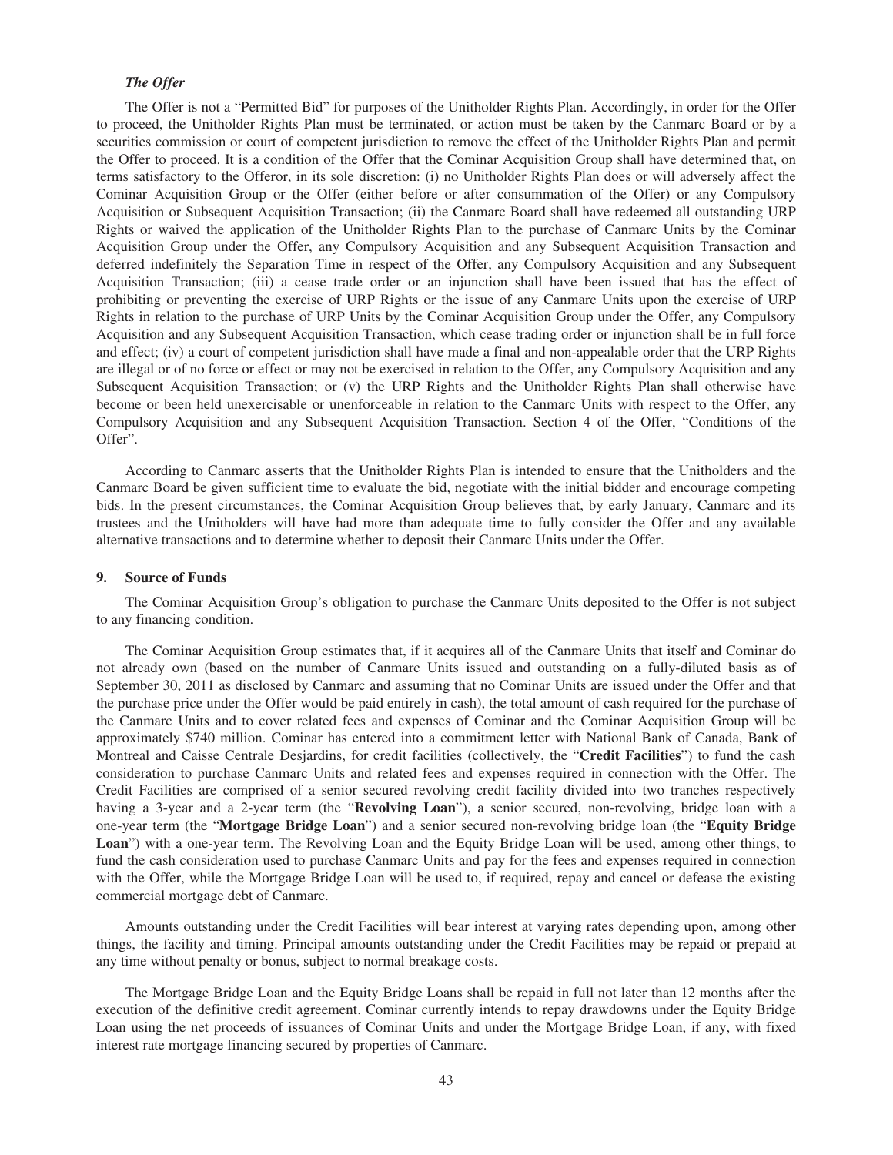# *The Offer*

The Offer is not a "Permitted Bid" for purposes of the Unitholder Rights Plan. Accordingly, in order for the Offer to proceed, the Unitholder Rights Plan must be terminated, or action must be taken by the Canmarc Board or by a securities commission or court of competent jurisdiction to remove the effect of the Unitholder Rights Plan and permit the Offer to proceed. It is a condition of the Offer that the Cominar Acquisition Group shall have determined that, on terms satisfactory to the Offeror, in its sole discretion: (i) no Unitholder Rights Plan does or will adversely affect the Cominar Acquisition Group or the Offer (either before or after consummation of the Offer) or any Compulsory Acquisition or Subsequent Acquisition Transaction; (ii) the Canmarc Board shall have redeemed all outstanding URP Rights or waived the application of the Unitholder Rights Plan to the purchase of Canmarc Units by the Cominar Acquisition Group under the Offer, any Compulsory Acquisition and any Subsequent Acquisition Transaction and deferred indefinitely the Separation Time in respect of the Offer, any Compulsory Acquisition and any Subsequent Acquisition Transaction; (iii) a cease trade order or an injunction shall have been issued that has the effect of prohibiting or preventing the exercise of URP Rights or the issue of any Canmarc Units upon the exercise of URP Rights in relation to the purchase of URP Units by the Cominar Acquisition Group under the Offer, any Compulsory Acquisition and any Subsequent Acquisition Transaction, which cease trading order or injunction shall be in full force and effect; (iv) a court of competent jurisdiction shall have made a final and non-appealable order that the URP Rights are illegal or of no force or effect or may not be exercised in relation to the Offer, any Compulsory Acquisition and any Subsequent Acquisition Transaction; or (v) the URP Rights and the Unitholder Rights Plan shall otherwise have become or been held unexercisable or unenforceable in relation to the Canmarc Units with respect to the Offer, any Compulsory Acquisition and any Subsequent Acquisition Transaction. Section 4 of the Offer, "Conditions of the Offer".

According to Canmarc asserts that the Unitholder Rights Plan is intended to ensure that the Unitholders and the Canmarc Board be given sufficient time to evaluate the bid, negotiate with the initial bidder and encourage competing bids. In the present circumstances, the Cominar Acquisition Group believes that, by early January, Canmarc and its trustees and the Unitholders will have had more than adequate time to fully consider the Offer and any available alternative transactions and to determine whether to deposit their Canmarc Units under the Offer.

## **9. Source of Funds**

The Cominar Acquisition Group's obligation to purchase the Canmarc Units deposited to the Offer is not subject to any financing condition.

The Cominar Acquisition Group estimates that, if it acquires all of the Canmarc Units that itself and Cominar do not already own (based on the number of Canmarc Units issued and outstanding on a fully-diluted basis as of September 30, 2011 as disclosed by Canmarc and assuming that no Cominar Units are issued under the Offer and that the purchase price under the Offer would be paid entirely in cash), the total amount of cash required for the purchase of the Canmarc Units and to cover related fees and expenses of Cominar and the Cominar Acquisition Group will be approximately \$740 million. Cominar has entered into a commitment letter with National Bank of Canada, Bank of Montreal and Caisse Centrale Desjardins, for credit facilities (collectively, the "**Credit Facilities**") to fund the cash consideration to purchase Canmarc Units and related fees and expenses required in connection with the Offer. The Credit Facilities are comprised of a senior secured revolving credit facility divided into two tranches respectively having a 3-year and a 2-year term (the "**Revolving Loan**"), a senior secured, non-revolving, bridge loan with a one-year term (the "**Mortgage Bridge Loan**") and a senior secured non-revolving bridge loan (the "**Equity Bridge Loan**") with a one-year term. The Revolving Loan and the Equity Bridge Loan will be used, among other things, to fund the cash consideration used to purchase Canmarc Units and pay for the fees and expenses required in connection with the Offer, while the Mortgage Bridge Loan will be used to, if required, repay and cancel or defease the existing commercial mortgage debt of Canmarc.

Amounts outstanding under the Credit Facilities will bear interest at varying rates depending upon, among other things, the facility and timing. Principal amounts outstanding under the Credit Facilities may be repaid or prepaid at any time without penalty or bonus, subject to normal breakage costs.

The Mortgage Bridge Loan and the Equity Bridge Loans shall be repaid in full not later than 12 months after the execution of the definitive credit agreement. Cominar currently intends to repay drawdowns under the Equity Bridge Loan using the net proceeds of issuances of Cominar Units and under the Mortgage Bridge Loan, if any, with fixed interest rate mortgage financing secured by properties of Canmarc.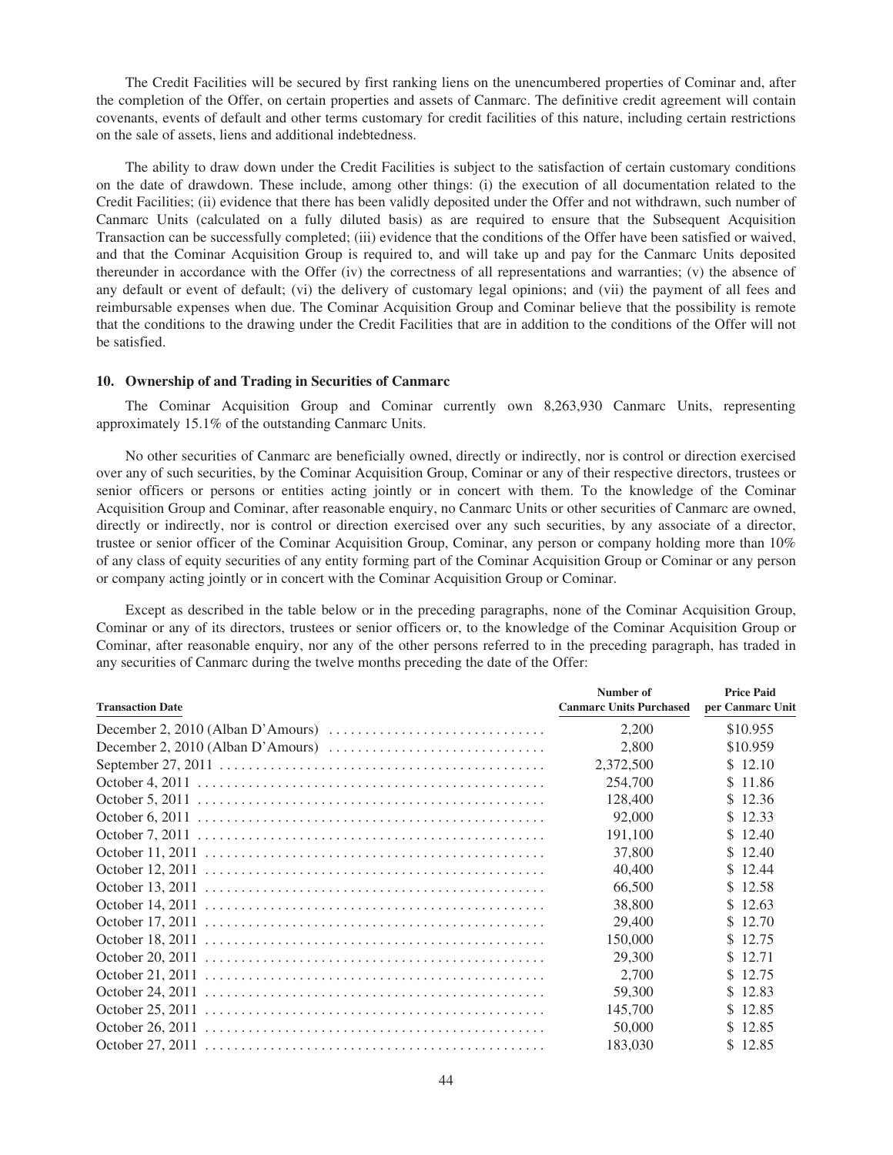The Credit Facilities will be secured by first ranking liens on the unencumbered properties of Cominar and, after the completion of the Offer, on certain properties and assets of Canmarc. The definitive credit agreement will contain covenants, events of default and other terms customary for credit facilities of this nature, including certain restrictions on the sale of assets, liens and additional indebtedness.

The ability to draw down under the Credit Facilities is subject to the satisfaction of certain customary conditions on the date of drawdown. These include, among other things: (i) the execution of all documentation related to the Credit Facilities; (ii) evidence that there has been validly deposited under the Offer and not withdrawn, such number of Canmarc Units (calculated on a fully diluted basis) as are required to ensure that the Subsequent Acquisition Transaction can be successfully completed; (iii) evidence that the conditions of the Offer have been satisfied or waived, and that the Cominar Acquisition Group is required to, and will take up and pay for the Canmarc Units deposited thereunder in accordance with the Offer (iv) the correctness of all representations and warranties; (v) the absence of any default or event of default; (vi) the delivery of customary legal opinions; and (vii) the payment of all fees and reimbursable expenses when due. The Cominar Acquisition Group and Cominar believe that the possibility is remote that the conditions to the drawing under the Credit Facilities that are in addition to the conditions of the Offer will not be satisfied.

## **10. Ownership of and Trading in Securities of Canmarc**

The Cominar Acquisition Group and Cominar currently own 8,263,930 Canmarc Units, representing approximately 15.1% of the outstanding Canmarc Units.

No other securities of Canmarc are beneficially owned, directly or indirectly, nor is control or direction exercised over any of such securities, by the Cominar Acquisition Group, Cominar or any of their respective directors, trustees or senior officers or persons or entities acting jointly or in concert with them. To the knowledge of the Cominar Acquisition Group and Cominar, after reasonable enquiry, no Canmarc Units or other securities of Canmarc are owned, directly or indirectly, nor is control or direction exercised over any such securities, by any associate of a director, trustee or senior officer of the Cominar Acquisition Group, Cominar, any person or company holding more than 10% of any class of equity securities of any entity forming part of the Cominar Acquisition Group or Cominar or any person or company acting jointly or in concert with the Cominar Acquisition Group or Cominar.

Except as described in the table below or in the preceding paragraphs, none of the Cominar Acquisition Group, Cominar or any of its directors, trustees or senior officers or, to the knowledge of the Cominar Acquisition Group or Cominar, after reasonable enquiry, nor any of the other persons referred to in the preceding paragraph, has traded in any securities of Canmarc during the twelve months preceding the date of the Offer:

| <b>Transaction Date</b> | Number of<br><b>Canmarc Units Purchased</b> | <b>Price Paid</b><br>per Canmarc Unit |
|-------------------------|---------------------------------------------|---------------------------------------|
|                         | 2.200                                       | \$10.955                              |
|                         | 2,800                                       | \$10.959                              |
|                         | 2,372,500                                   | \$12.10                               |
|                         | 254,700                                     | \$11.86                               |
|                         | 128,400                                     | \$12.36                               |
|                         | 92,000                                      | \$12.33                               |
|                         | 191,100                                     | \$12.40                               |
|                         | 37,800                                      | \$12.40                               |
|                         | 40,400                                      | \$12.44                               |
|                         | 66,500                                      | \$12.58                               |
|                         | 38,800                                      | \$12.63                               |
|                         | 29,400                                      | \$12.70                               |
|                         | 150,000                                     | \$12.75                               |
|                         | 29,300                                      | \$12.71                               |
|                         | 2.700                                       | \$12.75                               |
|                         | 59,300                                      | \$12.83                               |
|                         | 145,700                                     | \$12.85                               |
|                         | 50,000                                      | \$12.85                               |
|                         | 183,030                                     | \$12.85                               |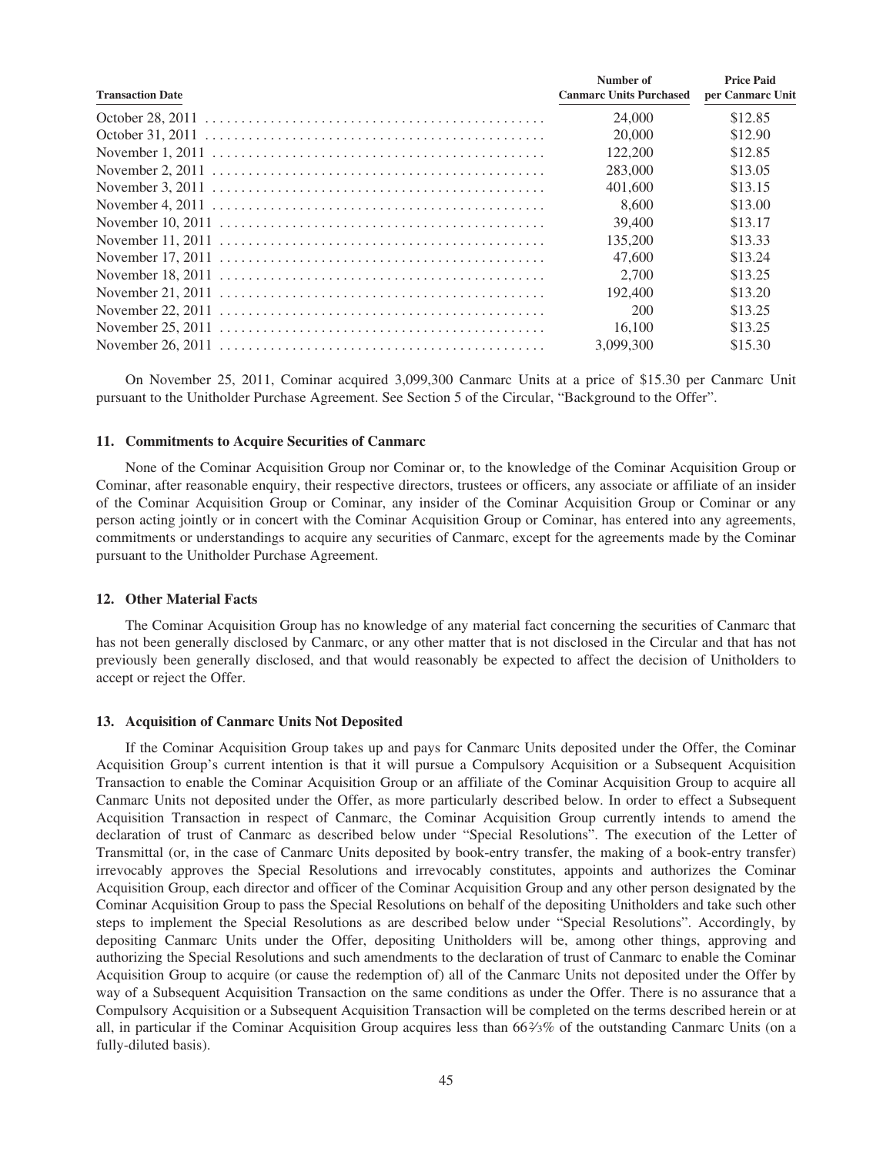| <b>Transaction Date</b> | Number of<br><b>Canmarc Units Purchased</b> | <b>Price Paid</b><br>per Canmarc Unit |
|-------------------------|---------------------------------------------|---------------------------------------|
|                         | 24,000                                      | \$12.85                               |
|                         | 20,000                                      | \$12.90                               |
|                         | 122,200                                     | \$12.85                               |
|                         | 283,000                                     | \$13.05                               |
|                         | 401,600                                     | \$13.15                               |
|                         | 8.600                                       | \$13.00                               |
|                         | 39,400                                      | \$13.17                               |
|                         | 135,200                                     | \$13.33                               |
|                         | 47.600                                      | \$13.24                               |
|                         | 2.700                                       | \$13.25                               |
|                         | 192,400                                     | \$13.20                               |
|                         | 200                                         | \$13.25                               |
|                         | 16.100                                      | \$13.25                               |
|                         | 3.099.300                                   | \$15.30                               |

On November 25, 2011, Cominar acquired 3,099,300 Canmarc Units at a price of \$15.30 per Canmarc Unit pursuant to the Unitholder Purchase Agreement. See Section 5 of the Circular, "Background to the Offer".

## **11. Commitments to Acquire Securities of Canmarc**

None of the Cominar Acquisition Group nor Cominar or, to the knowledge of the Cominar Acquisition Group or Cominar, after reasonable enquiry, their respective directors, trustees or officers, any associate or affiliate of an insider of the Cominar Acquisition Group or Cominar, any insider of the Cominar Acquisition Group or Cominar or any person acting jointly or in concert with the Cominar Acquisition Group or Cominar, has entered into any agreements, commitments or understandings to acquire any securities of Canmarc, except for the agreements made by the Cominar pursuant to the Unitholder Purchase Agreement.

## **12. Other Material Facts**

The Cominar Acquisition Group has no knowledge of any material fact concerning the securities of Canmarc that has not been generally disclosed by Canmarc, or any other matter that is not disclosed in the Circular and that has not previously been generally disclosed, and that would reasonably be expected to affect the decision of Unitholders to accept or reject the Offer.

## **13. Acquisition of Canmarc Units Not Deposited**

If the Cominar Acquisition Group takes up and pays for Canmarc Units deposited under the Offer, the Cominar Acquisition Group's current intention is that it will pursue a Compulsory Acquisition or a Subsequent Acquisition Transaction to enable the Cominar Acquisition Group or an affiliate of the Cominar Acquisition Group to acquire all Canmarc Units not deposited under the Offer, as more particularly described below. In order to effect a Subsequent Acquisition Transaction in respect of Canmarc, the Cominar Acquisition Group currently intends to amend the declaration of trust of Canmarc as described below under "Special Resolutions". The execution of the Letter of Transmittal (or, in the case of Canmarc Units deposited by book-entry transfer, the making of a book-entry transfer) irrevocably approves the Special Resolutions and irrevocably constitutes, appoints and authorizes the Cominar Acquisition Group, each director and officer of the Cominar Acquisition Group and any other person designated by the Cominar Acquisition Group to pass the Special Resolutions on behalf of the depositing Unitholders and take such other steps to implement the Special Resolutions as are described below under "Special Resolutions". Accordingly, by depositing Canmarc Units under the Offer, depositing Unitholders will be, among other things, approving and authorizing the Special Resolutions and such amendments to the declaration of trust of Canmarc to enable the Cominar Acquisition Group to acquire (or cause the redemption of) all of the Canmarc Units not deposited under the Offer by way of a Subsequent Acquisition Transaction on the same conditions as under the Offer. There is no assurance that a Compulsory Acquisition or a Subsequent Acquisition Transaction will be completed on the terms described herein or at all, in particular if the Cominar Acquisition Group acquires less than 662⁄3% of the outstanding Canmarc Units (on a fully-diluted basis).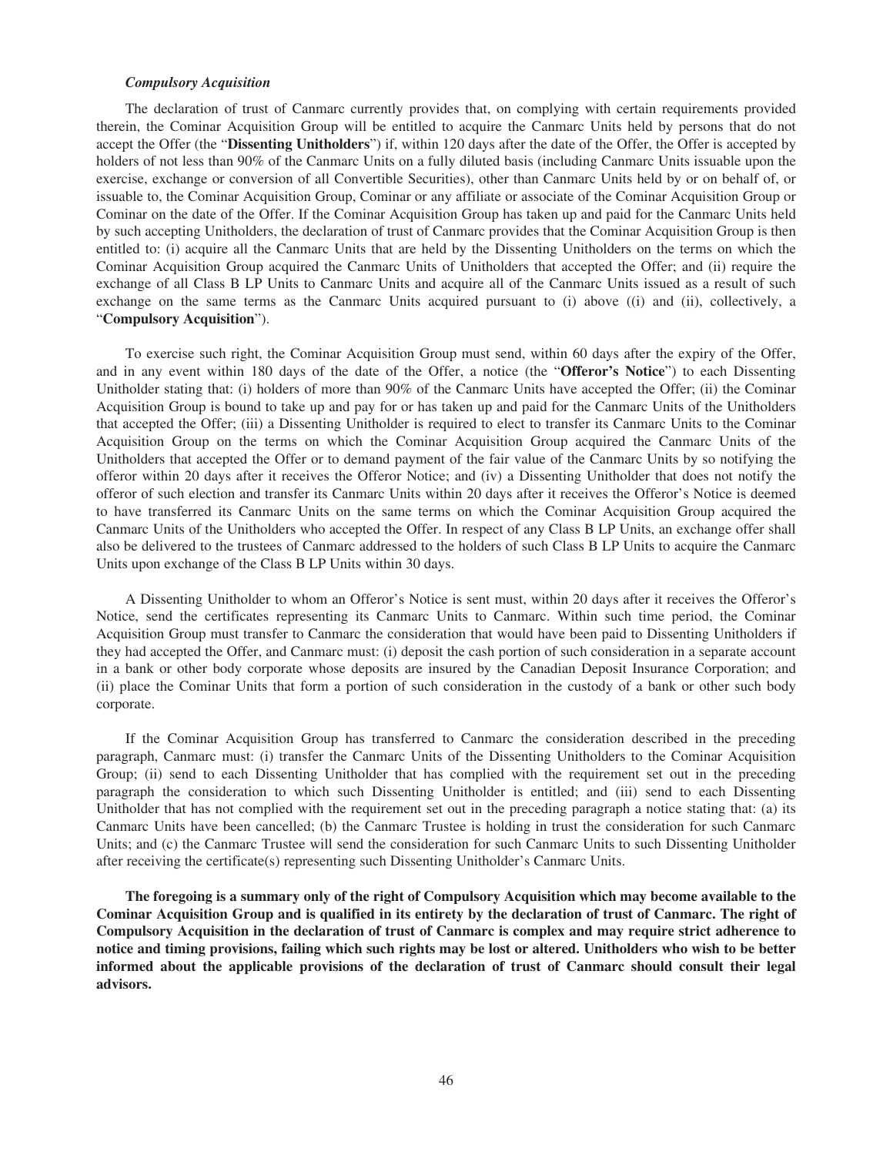#### *Compulsory Acquisition*

The declaration of trust of Canmarc currently provides that, on complying with certain requirements provided therein, the Cominar Acquisition Group will be entitled to acquire the Canmarc Units held by persons that do not accept the Offer (the "**Dissenting Unitholders**") if, within 120 days after the date of the Offer, the Offer is accepted by holders of not less than 90% of the Canmarc Units on a fully diluted basis (including Canmarc Units issuable upon the exercise, exchange or conversion of all Convertible Securities), other than Canmarc Units held by or on behalf of, or issuable to, the Cominar Acquisition Group, Cominar or any affiliate or associate of the Cominar Acquisition Group or Cominar on the date of the Offer. If the Cominar Acquisition Group has taken up and paid for the Canmarc Units held by such accepting Unitholders, the declaration of trust of Canmarc provides that the Cominar Acquisition Group is then entitled to: (i) acquire all the Canmarc Units that are held by the Dissenting Unitholders on the terms on which the Cominar Acquisition Group acquired the Canmarc Units of Unitholders that accepted the Offer; and (ii) require the exchange of all Class B LP Units to Canmarc Units and acquire all of the Canmarc Units issued as a result of such exchange on the same terms as the Canmarc Units acquired pursuant to (i) above ((i) and (ii), collectively, a "**Compulsory Acquisition**").

To exercise such right, the Cominar Acquisition Group must send, within 60 days after the expiry of the Offer, and in any event within 180 days of the date of the Offer, a notice (the "**Offeror's Notice**") to each Dissenting Unitholder stating that: (i) holders of more than 90% of the Canmarc Units have accepted the Offer; (ii) the Cominar Acquisition Group is bound to take up and pay for or has taken up and paid for the Canmarc Units of the Unitholders that accepted the Offer; (iii) a Dissenting Unitholder is required to elect to transfer its Canmarc Units to the Cominar Acquisition Group on the terms on which the Cominar Acquisition Group acquired the Canmarc Units of the Unitholders that accepted the Offer or to demand payment of the fair value of the Canmarc Units by so notifying the offeror within 20 days after it receives the Offeror Notice; and (iv) a Dissenting Unitholder that does not notify the offeror of such election and transfer its Canmarc Units within 20 days after it receives the Offeror's Notice is deemed to have transferred its Canmarc Units on the same terms on which the Cominar Acquisition Group acquired the Canmarc Units of the Unitholders who accepted the Offer. In respect of any Class B LP Units, an exchange offer shall also be delivered to the trustees of Canmarc addressed to the holders of such Class B LP Units to acquire the Canmarc Units upon exchange of the Class B LP Units within 30 days.

A Dissenting Unitholder to whom an Offeror's Notice is sent must, within 20 days after it receives the Offeror's Notice, send the certificates representing its Canmarc Units to Canmarc. Within such time period, the Cominar Acquisition Group must transfer to Canmarc the consideration that would have been paid to Dissenting Unitholders if they had accepted the Offer, and Canmarc must: (i) deposit the cash portion of such consideration in a separate account in a bank or other body corporate whose deposits are insured by the Canadian Deposit Insurance Corporation; and (ii) place the Cominar Units that form a portion of such consideration in the custody of a bank or other such body corporate.

If the Cominar Acquisition Group has transferred to Canmarc the consideration described in the preceding paragraph, Canmarc must: (i) transfer the Canmarc Units of the Dissenting Unitholders to the Cominar Acquisition Group; (ii) send to each Dissenting Unitholder that has complied with the requirement set out in the preceding paragraph the consideration to which such Dissenting Unitholder is entitled; and (iii) send to each Dissenting Unitholder that has not complied with the requirement set out in the preceding paragraph a notice stating that: (a) its Canmarc Units have been cancelled; (b) the Canmarc Trustee is holding in trust the consideration for such Canmarc Units; and (c) the Canmarc Trustee will send the consideration for such Canmarc Units to such Dissenting Unitholder after receiving the certificate(s) representing such Dissenting Unitholder's Canmarc Units.

**The foregoing is a summary only of the right of Compulsory Acquisition which may become available to the Cominar Acquisition Group and is qualified in its entirety by the declaration of trust of Canmarc. The right of Compulsory Acquisition in the declaration of trust of Canmarc is complex and may require strict adherence to notice and timing provisions, failing which such rights may be lost or altered. Unitholders who wish to be better informed about the applicable provisions of the declaration of trust of Canmarc should consult their legal advisors.**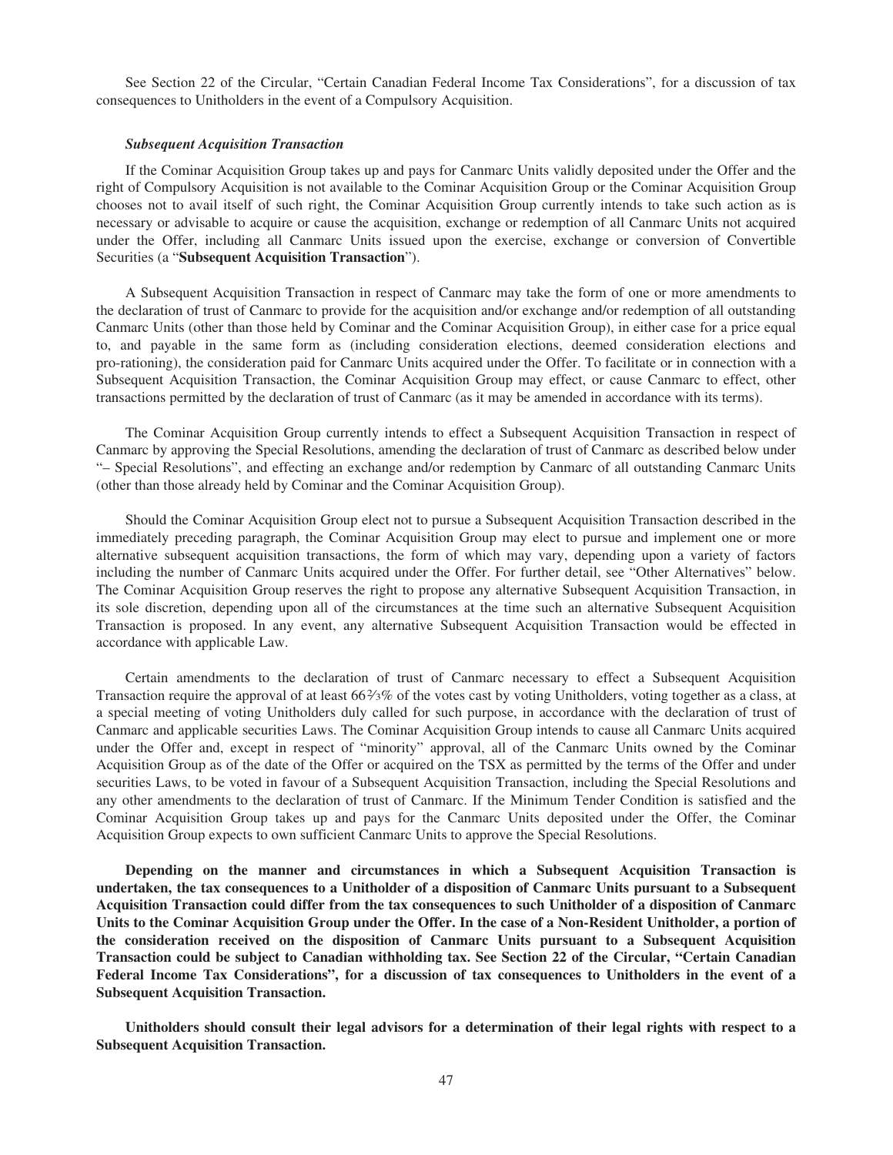See Section 22 of the Circular, "Certain Canadian Federal Income Tax Considerations", for a discussion of tax consequences to Unitholders in the event of a Compulsory Acquisition.

#### *Subsequent Acquisition Transaction*

If the Cominar Acquisition Group takes up and pays for Canmarc Units validly deposited under the Offer and the right of Compulsory Acquisition is not available to the Cominar Acquisition Group or the Cominar Acquisition Group chooses not to avail itself of such right, the Cominar Acquisition Group currently intends to take such action as is necessary or advisable to acquire or cause the acquisition, exchange or redemption of all Canmarc Units not acquired under the Offer, including all Canmarc Units issued upon the exercise, exchange or conversion of Convertible Securities (a "**Subsequent Acquisition Transaction**").

A Subsequent Acquisition Transaction in respect of Canmarc may take the form of one or more amendments to the declaration of trust of Canmarc to provide for the acquisition and/or exchange and/or redemption of all outstanding Canmarc Units (other than those held by Cominar and the Cominar Acquisition Group), in either case for a price equal to, and payable in the same form as (including consideration elections, deemed consideration elections and pro-rationing), the consideration paid for Canmarc Units acquired under the Offer. To facilitate or in connection with a Subsequent Acquisition Transaction, the Cominar Acquisition Group may effect, or cause Canmarc to effect, other transactions permitted by the declaration of trust of Canmarc (as it may be amended in accordance with its terms).

The Cominar Acquisition Group currently intends to effect a Subsequent Acquisition Transaction in respect of Canmarc by approving the Special Resolutions, amending the declaration of trust of Canmarc as described below under "– Special Resolutions", and effecting an exchange and/or redemption by Canmarc of all outstanding Canmarc Units (other than those already held by Cominar and the Cominar Acquisition Group).

Should the Cominar Acquisition Group elect not to pursue a Subsequent Acquisition Transaction described in the immediately preceding paragraph, the Cominar Acquisition Group may elect to pursue and implement one or more alternative subsequent acquisition transactions, the form of which may vary, depending upon a variety of factors including the number of Canmarc Units acquired under the Offer. For further detail, see "Other Alternatives" below. The Cominar Acquisition Group reserves the right to propose any alternative Subsequent Acquisition Transaction, in its sole discretion, depending upon all of the circumstances at the time such an alternative Subsequent Acquisition Transaction is proposed. In any event, any alternative Subsequent Acquisition Transaction would be effected in accordance with applicable Law.

Certain amendments to the declaration of trust of Canmarc necessary to effect a Subsequent Acquisition Transaction require the approval of at least 66 $\frac{2}{3}$ % of the votes cast by voting Unitholders, voting together as a class, at a special meeting of voting Unitholders duly called for such purpose, in accordance with the declaration of trust of Canmarc and applicable securities Laws. The Cominar Acquisition Group intends to cause all Canmarc Units acquired under the Offer and, except in respect of "minority" approval, all of the Canmarc Units owned by the Cominar Acquisition Group as of the date of the Offer or acquired on the TSX as permitted by the terms of the Offer and under securities Laws, to be voted in favour of a Subsequent Acquisition Transaction, including the Special Resolutions and any other amendments to the declaration of trust of Canmarc. If the Minimum Tender Condition is satisfied and the Cominar Acquisition Group takes up and pays for the Canmarc Units deposited under the Offer, the Cominar Acquisition Group expects to own sufficient Canmarc Units to approve the Special Resolutions.

**Depending on the manner and circumstances in which a Subsequent Acquisition Transaction is undertaken, the tax consequences to a Unitholder of a disposition of Canmarc Units pursuant to a Subsequent Acquisition Transaction could differ from the tax consequences to such Unitholder of a disposition of Canmarc Units to the Cominar Acquisition Group under the Offer. In the case of a Non-Resident Unitholder, a portion of the consideration received on the disposition of Canmarc Units pursuant to a Subsequent Acquisition Transaction could be subject to Canadian withholding tax. See Section 22 of the Circular, "Certain Canadian Federal Income Tax Considerations", for a discussion of tax consequences to Unitholders in the event of a Subsequent Acquisition Transaction.**

**Unitholders should consult their legal advisors for a determination of their legal rights with respect to a Subsequent Acquisition Transaction.**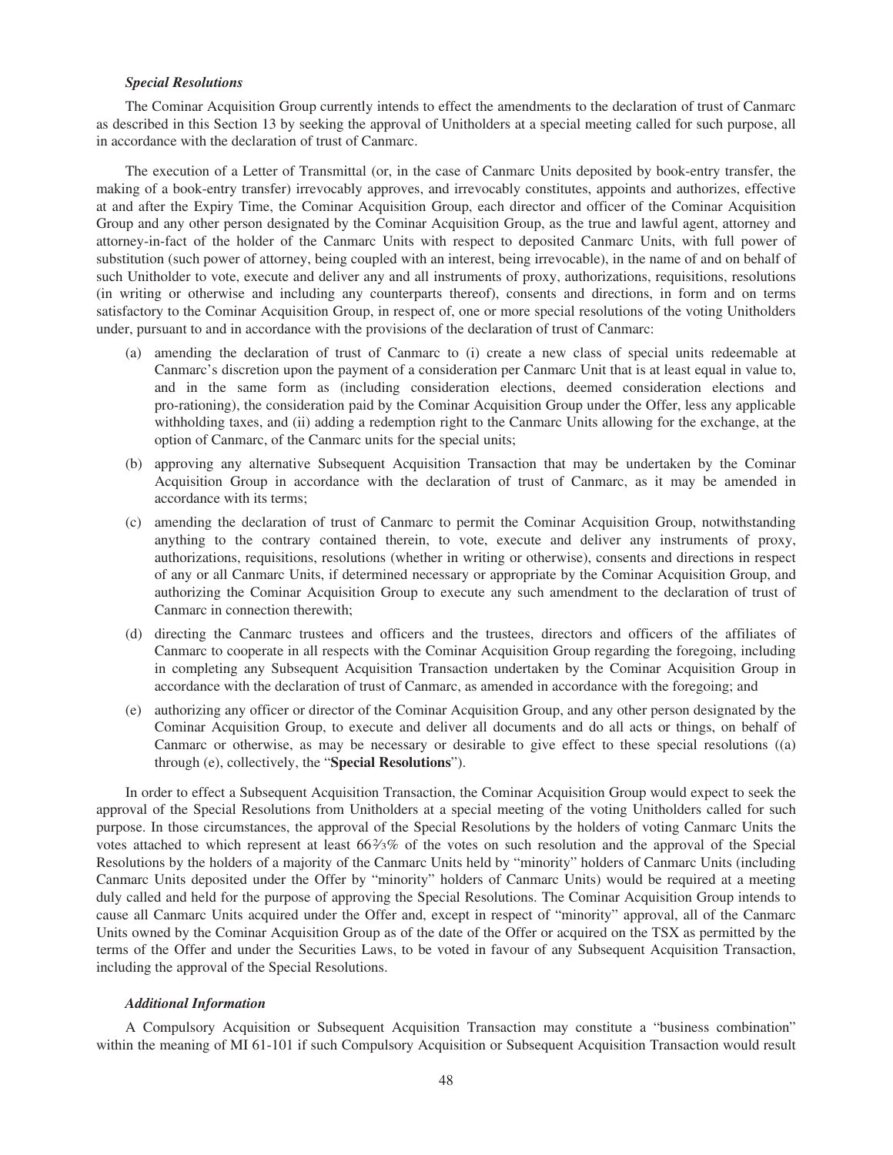### *Special Resolutions*

The Cominar Acquisition Group currently intends to effect the amendments to the declaration of trust of Canmarc as described in this Section 13 by seeking the approval of Unitholders at a special meeting called for such purpose, all in accordance with the declaration of trust of Canmarc.

The execution of a Letter of Transmittal (or, in the case of Canmarc Units deposited by book-entry transfer, the making of a book-entry transfer) irrevocably approves, and irrevocably constitutes, appoints and authorizes, effective at and after the Expiry Time, the Cominar Acquisition Group, each director and officer of the Cominar Acquisition Group and any other person designated by the Cominar Acquisition Group, as the true and lawful agent, attorney and attorney-in-fact of the holder of the Canmarc Units with respect to deposited Canmarc Units, with full power of substitution (such power of attorney, being coupled with an interest, being irrevocable), in the name of and on behalf of such Unitholder to vote, execute and deliver any and all instruments of proxy, authorizations, requisitions, resolutions (in writing or otherwise and including any counterparts thereof), consents and directions, in form and on terms satisfactory to the Cominar Acquisition Group, in respect of, one or more special resolutions of the voting Unitholders under, pursuant to and in accordance with the provisions of the declaration of trust of Canmarc:

- (a) amending the declaration of trust of Canmarc to (i) create a new class of special units redeemable at Canmarc's discretion upon the payment of a consideration per Canmarc Unit that is at least equal in value to, and in the same form as (including consideration elections, deemed consideration elections and pro-rationing), the consideration paid by the Cominar Acquisition Group under the Offer, less any applicable withholding taxes, and (ii) adding a redemption right to the Canmarc Units allowing for the exchange, at the option of Canmarc, of the Canmarc units for the special units;
- (b) approving any alternative Subsequent Acquisition Transaction that may be undertaken by the Cominar Acquisition Group in accordance with the declaration of trust of Canmarc, as it may be amended in accordance with its terms;
- (c) amending the declaration of trust of Canmarc to permit the Cominar Acquisition Group, notwithstanding anything to the contrary contained therein, to vote, execute and deliver any instruments of proxy, authorizations, requisitions, resolutions (whether in writing or otherwise), consents and directions in respect of any or all Canmarc Units, if determined necessary or appropriate by the Cominar Acquisition Group, and authorizing the Cominar Acquisition Group to execute any such amendment to the declaration of trust of Canmarc in connection therewith;
- (d) directing the Canmarc trustees and officers and the trustees, directors and officers of the affiliates of Canmarc to cooperate in all respects with the Cominar Acquisition Group regarding the foregoing, including in completing any Subsequent Acquisition Transaction undertaken by the Cominar Acquisition Group in accordance with the declaration of trust of Canmarc, as amended in accordance with the foregoing; and
- (e) authorizing any officer or director of the Cominar Acquisition Group, and any other person designated by the Cominar Acquisition Group, to execute and deliver all documents and do all acts or things, on behalf of Canmarc or otherwise, as may be necessary or desirable to give effect to these special resolutions ((a) through (e), collectively, the "**Special Resolutions**").

In order to effect a Subsequent Acquisition Transaction, the Cominar Acquisition Group would expect to seek the approval of the Special Resolutions from Unitholders at a special meeting of the voting Unitholders called for such purpose. In those circumstances, the approval of the Special Resolutions by the holders of voting Canmarc Units the votes attached to which represent at least 662⁄3% of the votes on such resolution and the approval of the Special Resolutions by the holders of a majority of the Canmarc Units held by "minority" holders of Canmarc Units (including Canmarc Units deposited under the Offer by "minority" holders of Canmarc Units) would be required at a meeting duly called and held for the purpose of approving the Special Resolutions. The Cominar Acquisition Group intends to cause all Canmarc Units acquired under the Offer and, except in respect of "minority" approval, all of the Canmarc Units owned by the Cominar Acquisition Group as of the date of the Offer or acquired on the TSX as permitted by the terms of the Offer and under the Securities Laws, to be voted in favour of any Subsequent Acquisition Transaction, including the approval of the Special Resolutions.

#### *Additional Information*

A Compulsory Acquisition or Subsequent Acquisition Transaction may constitute a "business combination" within the meaning of MI 61-101 if such Compulsory Acquisition or Subsequent Acquisition Transaction would result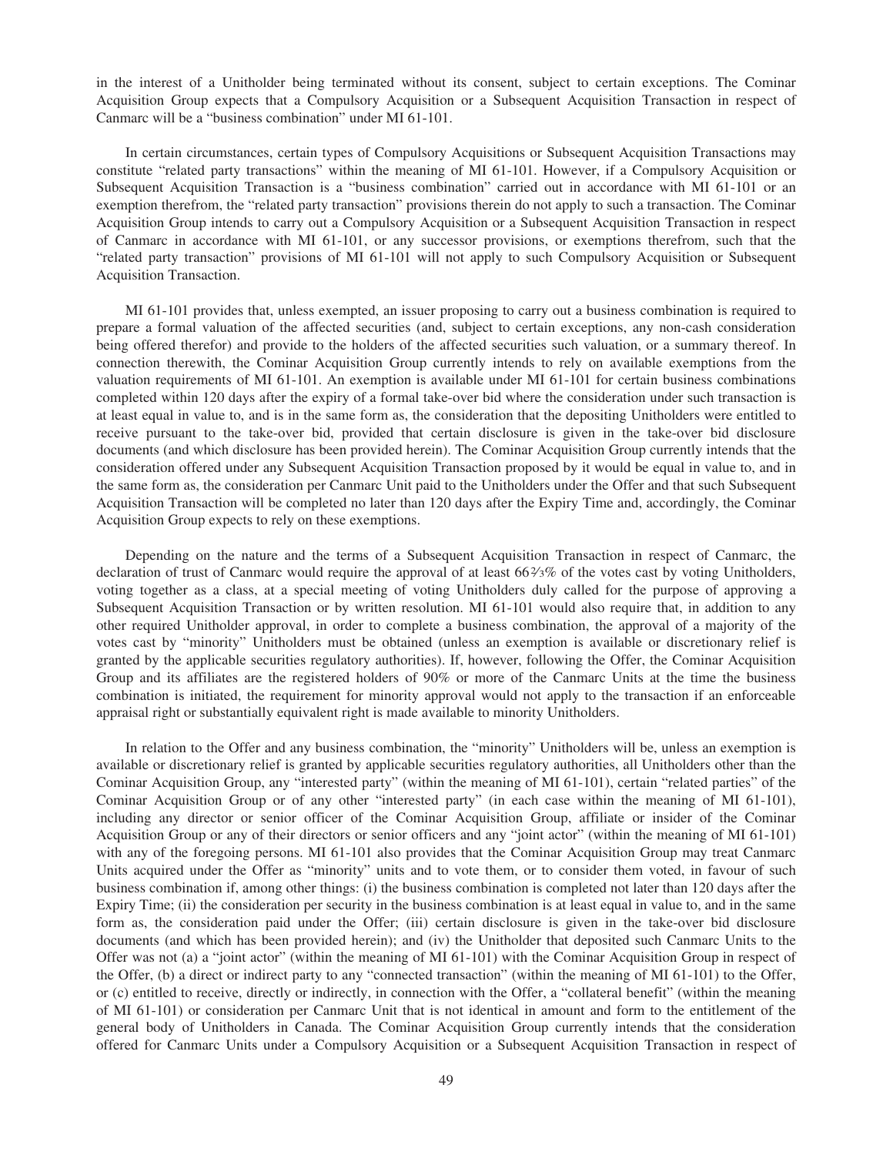in the interest of a Unitholder being terminated without its consent, subject to certain exceptions. The Cominar Acquisition Group expects that a Compulsory Acquisition or a Subsequent Acquisition Transaction in respect of Canmarc will be a "business combination" under MI 61-101.

In certain circumstances, certain types of Compulsory Acquisitions or Subsequent Acquisition Transactions may constitute "related party transactions" within the meaning of MI 61-101. However, if a Compulsory Acquisition or Subsequent Acquisition Transaction is a "business combination" carried out in accordance with MI 61-101 or an exemption therefrom, the "related party transaction" provisions therein do not apply to such a transaction. The Cominar Acquisition Group intends to carry out a Compulsory Acquisition or a Subsequent Acquisition Transaction in respect of Canmarc in accordance with MI 61-101, or any successor provisions, or exemptions therefrom, such that the "related party transaction" provisions of MI 61-101 will not apply to such Compulsory Acquisition or Subsequent Acquisition Transaction.

MI 61-101 provides that, unless exempted, an issuer proposing to carry out a business combination is required to prepare a formal valuation of the affected securities (and, subject to certain exceptions, any non-cash consideration being offered therefor) and provide to the holders of the affected securities such valuation, or a summary thereof. In connection therewith, the Cominar Acquisition Group currently intends to rely on available exemptions from the valuation requirements of MI 61-101. An exemption is available under MI 61-101 for certain business combinations completed within 120 days after the expiry of a formal take-over bid where the consideration under such transaction is at least equal in value to, and is in the same form as, the consideration that the depositing Unitholders were entitled to receive pursuant to the take-over bid, provided that certain disclosure is given in the take-over bid disclosure documents (and which disclosure has been provided herein). The Cominar Acquisition Group currently intends that the consideration offered under any Subsequent Acquisition Transaction proposed by it would be equal in value to, and in the same form as, the consideration per Canmarc Unit paid to the Unitholders under the Offer and that such Subsequent Acquisition Transaction will be completed no later than 120 days after the Expiry Time and, accordingly, the Cominar Acquisition Group expects to rely on these exemptions.

Depending on the nature and the terms of a Subsequent Acquisition Transaction in respect of Canmarc, the declaration of trust of Canmarc would require the approval of at least  $66\frac{2}{3}\%$  of the votes cast by voting Unitholders, voting together as a class, at a special meeting of voting Unitholders duly called for the purpose of approving a Subsequent Acquisition Transaction or by written resolution. MI 61-101 would also require that, in addition to any other required Unitholder approval, in order to complete a business combination, the approval of a majority of the votes cast by "minority" Unitholders must be obtained (unless an exemption is available or discretionary relief is granted by the applicable securities regulatory authorities). If, however, following the Offer, the Cominar Acquisition Group and its affiliates are the registered holders of 90% or more of the Canmarc Units at the time the business combination is initiated, the requirement for minority approval would not apply to the transaction if an enforceable appraisal right or substantially equivalent right is made available to minority Unitholders.

In relation to the Offer and any business combination, the "minority" Unitholders will be, unless an exemption is available or discretionary relief is granted by applicable securities regulatory authorities, all Unitholders other than the Cominar Acquisition Group, any "interested party" (within the meaning of MI 61-101), certain "related parties" of the Cominar Acquisition Group or of any other "interested party" (in each case within the meaning of MI 61-101), including any director or senior officer of the Cominar Acquisition Group, affiliate or insider of the Cominar Acquisition Group or any of their directors or senior officers and any "joint actor" (within the meaning of MI 61-101) with any of the foregoing persons. MI 61-101 also provides that the Cominar Acquisition Group may treat Canmarc Units acquired under the Offer as "minority" units and to vote them, or to consider them voted, in favour of such business combination if, among other things: (i) the business combination is completed not later than 120 days after the Expiry Time; (ii) the consideration per security in the business combination is at least equal in value to, and in the same form as, the consideration paid under the Offer; (iii) certain disclosure is given in the take-over bid disclosure documents (and which has been provided herein); and (iv) the Unitholder that deposited such Canmarc Units to the Offer was not (a) a "joint actor" (within the meaning of MI 61-101) with the Cominar Acquisition Group in respect of the Offer, (b) a direct or indirect party to any "connected transaction" (within the meaning of MI 61-101) to the Offer, or (c) entitled to receive, directly or indirectly, in connection with the Offer, a "collateral benefit" (within the meaning of MI 61-101) or consideration per Canmarc Unit that is not identical in amount and form to the entitlement of the general body of Unitholders in Canada. The Cominar Acquisition Group currently intends that the consideration offered for Canmarc Units under a Compulsory Acquisition or a Subsequent Acquisition Transaction in respect of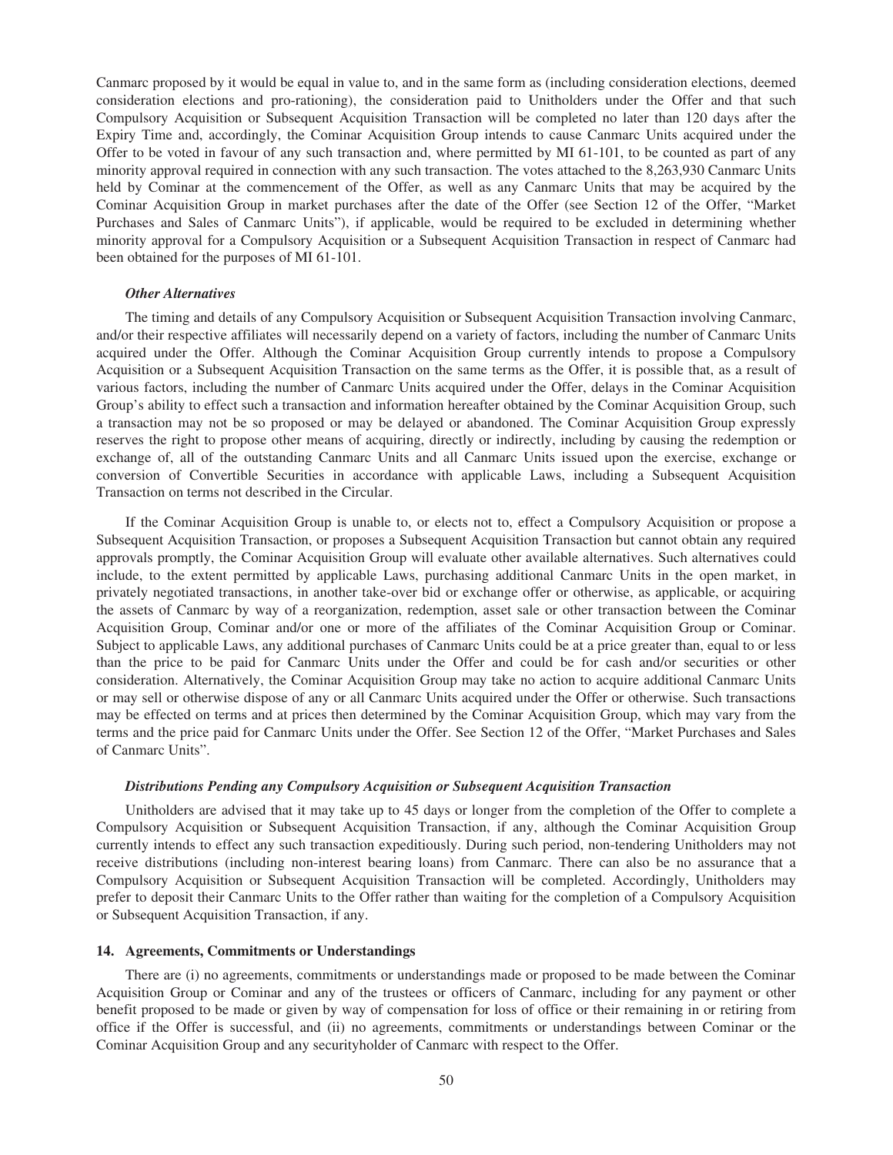Canmarc proposed by it would be equal in value to, and in the same form as (including consideration elections, deemed consideration elections and pro-rationing), the consideration paid to Unitholders under the Offer and that such Compulsory Acquisition or Subsequent Acquisition Transaction will be completed no later than 120 days after the Expiry Time and, accordingly, the Cominar Acquisition Group intends to cause Canmarc Units acquired under the Offer to be voted in favour of any such transaction and, where permitted by MI 61-101, to be counted as part of any minority approval required in connection with any such transaction. The votes attached to the 8,263,930 Canmarc Units held by Cominar at the commencement of the Offer, as well as any Canmarc Units that may be acquired by the Cominar Acquisition Group in market purchases after the date of the Offer (see Section 12 of the Offer, "Market Purchases and Sales of Canmarc Units"), if applicable, would be required to be excluded in determining whether minority approval for a Compulsory Acquisition or a Subsequent Acquisition Transaction in respect of Canmarc had been obtained for the purposes of MI 61-101.

### *Other Alternatives*

The timing and details of any Compulsory Acquisition or Subsequent Acquisition Transaction involving Canmarc, and/or their respective affiliates will necessarily depend on a variety of factors, including the number of Canmarc Units acquired under the Offer. Although the Cominar Acquisition Group currently intends to propose a Compulsory Acquisition or a Subsequent Acquisition Transaction on the same terms as the Offer, it is possible that, as a result of various factors, including the number of Canmarc Units acquired under the Offer, delays in the Cominar Acquisition Group's ability to effect such a transaction and information hereafter obtained by the Cominar Acquisition Group, such a transaction may not be so proposed or may be delayed or abandoned. The Cominar Acquisition Group expressly reserves the right to propose other means of acquiring, directly or indirectly, including by causing the redemption or exchange of, all of the outstanding Canmarc Units and all Canmarc Units issued upon the exercise, exchange or conversion of Convertible Securities in accordance with applicable Laws, including a Subsequent Acquisition Transaction on terms not described in the Circular.

If the Cominar Acquisition Group is unable to, or elects not to, effect a Compulsory Acquisition or propose a Subsequent Acquisition Transaction, or proposes a Subsequent Acquisition Transaction but cannot obtain any required approvals promptly, the Cominar Acquisition Group will evaluate other available alternatives. Such alternatives could include, to the extent permitted by applicable Laws, purchasing additional Canmarc Units in the open market, in privately negotiated transactions, in another take-over bid or exchange offer or otherwise, as applicable, or acquiring the assets of Canmarc by way of a reorganization, redemption, asset sale or other transaction between the Cominar Acquisition Group, Cominar and/or one or more of the affiliates of the Cominar Acquisition Group or Cominar. Subject to applicable Laws, any additional purchases of Canmarc Units could be at a price greater than, equal to or less than the price to be paid for Canmarc Units under the Offer and could be for cash and/or securities or other consideration. Alternatively, the Cominar Acquisition Group may take no action to acquire additional Canmarc Units or may sell or otherwise dispose of any or all Canmarc Units acquired under the Offer or otherwise. Such transactions may be effected on terms and at prices then determined by the Cominar Acquisition Group, which may vary from the terms and the price paid for Canmarc Units under the Offer. See Section 12 of the Offer, "Market Purchases and Sales of Canmarc Units".

## *Distributions Pending any Compulsory Acquisition or Subsequent Acquisition Transaction*

Unitholders are advised that it may take up to 45 days or longer from the completion of the Offer to complete a Compulsory Acquisition or Subsequent Acquisition Transaction, if any, although the Cominar Acquisition Group currently intends to effect any such transaction expeditiously. During such period, non-tendering Unitholders may not receive distributions (including non-interest bearing loans) from Canmarc. There can also be no assurance that a Compulsory Acquisition or Subsequent Acquisition Transaction will be completed. Accordingly, Unitholders may prefer to deposit their Canmarc Units to the Offer rather than waiting for the completion of a Compulsory Acquisition or Subsequent Acquisition Transaction, if any.

#### **14. Agreements, Commitments or Understandings**

There are (i) no agreements, commitments or understandings made or proposed to be made between the Cominar Acquisition Group or Cominar and any of the trustees or officers of Canmarc, including for any payment or other benefit proposed to be made or given by way of compensation for loss of office or their remaining in or retiring from office if the Offer is successful, and (ii) no agreements, commitments or understandings between Cominar or the Cominar Acquisition Group and any securityholder of Canmarc with respect to the Offer.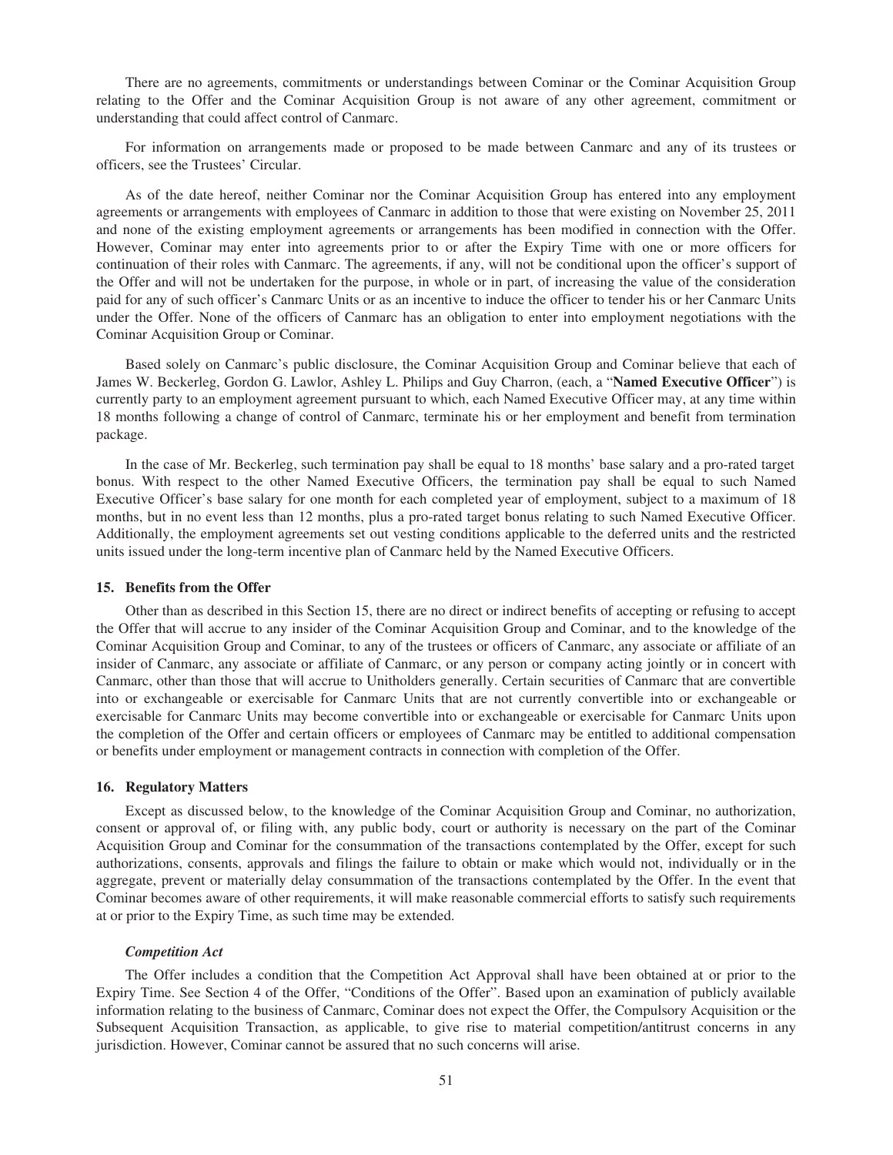There are no agreements, commitments or understandings between Cominar or the Cominar Acquisition Group relating to the Offer and the Cominar Acquisition Group is not aware of any other agreement, commitment or understanding that could affect control of Canmarc.

For information on arrangements made or proposed to be made between Canmarc and any of its trustees or officers, see the Trustees' Circular.

As of the date hereof, neither Cominar nor the Cominar Acquisition Group has entered into any employment agreements or arrangements with employees of Canmarc in addition to those that were existing on November 25, 2011 and none of the existing employment agreements or arrangements has been modified in connection with the Offer. However, Cominar may enter into agreements prior to or after the Expiry Time with one or more officers for continuation of their roles with Canmarc. The agreements, if any, will not be conditional upon the officer's support of the Offer and will not be undertaken for the purpose, in whole or in part, of increasing the value of the consideration paid for any of such officer's Canmarc Units or as an incentive to induce the officer to tender his or her Canmarc Units under the Offer. None of the officers of Canmarc has an obligation to enter into employment negotiations with the Cominar Acquisition Group or Cominar.

Based solely on Canmarc's public disclosure, the Cominar Acquisition Group and Cominar believe that each of James W. Beckerleg, Gordon G. Lawlor, Ashley L. Philips and Guy Charron, (each, a "**Named Executive Officer**") is currently party to an employment agreement pursuant to which, each Named Executive Officer may, at any time within 18 months following a change of control of Canmarc, terminate his or her employment and benefit from termination package.

In the case of Mr. Beckerleg, such termination pay shall be equal to 18 months' base salary and a pro-rated target bonus. With respect to the other Named Executive Officers, the termination pay shall be equal to such Named Executive Officer's base salary for one month for each completed year of employment, subject to a maximum of 18 months, but in no event less than 12 months, plus a pro-rated target bonus relating to such Named Executive Officer. Additionally, the employment agreements set out vesting conditions applicable to the deferred units and the restricted units issued under the long-term incentive plan of Canmarc held by the Named Executive Officers.

#### **15. Benefits from the Offer**

Other than as described in this Section 15, there are no direct or indirect benefits of accepting or refusing to accept the Offer that will accrue to any insider of the Cominar Acquisition Group and Cominar, and to the knowledge of the Cominar Acquisition Group and Cominar, to any of the trustees or officers of Canmarc, any associate or affiliate of an insider of Canmarc, any associate or affiliate of Canmarc, or any person or company acting jointly or in concert with Canmarc, other than those that will accrue to Unitholders generally. Certain securities of Canmarc that are convertible into or exchangeable or exercisable for Canmarc Units that are not currently convertible into or exchangeable or exercisable for Canmarc Units may become convertible into or exchangeable or exercisable for Canmarc Units upon the completion of the Offer and certain officers or employees of Canmarc may be entitled to additional compensation or benefits under employment or management contracts in connection with completion of the Offer.

### **16. Regulatory Matters**

Except as discussed below, to the knowledge of the Cominar Acquisition Group and Cominar, no authorization, consent or approval of, or filing with, any public body, court or authority is necessary on the part of the Cominar Acquisition Group and Cominar for the consummation of the transactions contemplated by the Offer, except for such authorizations, consents, approvals and filings the failure to obtain or make which would not, individually or in the aggregate, prevent or materially delay consummation of the transactions contemplated by the Offer. In the event that Cominar becomes aware of other requirements, it will make reasonable commercial efforts to satisfy such requirements at or prior to the Expiry Time, as such time may be extended.

#### *Competition Act*

The Offer includes a condition that the Competition Act Approval shall have been obtained at or prior to the Expiry Time. See Section 4 of the Offer, "Conditions of the Offer". Based upon an examination of publicly available information relating to the business of Canmarc, Cominar does not expect the Offer, the Compulsory Acquisition or the Subsequent Acquisition Transaction, as applicable, to give rise to material competition/antitrust concerns in any jurisdiction. However, Cominar cannot be assured that no such concerns will arise.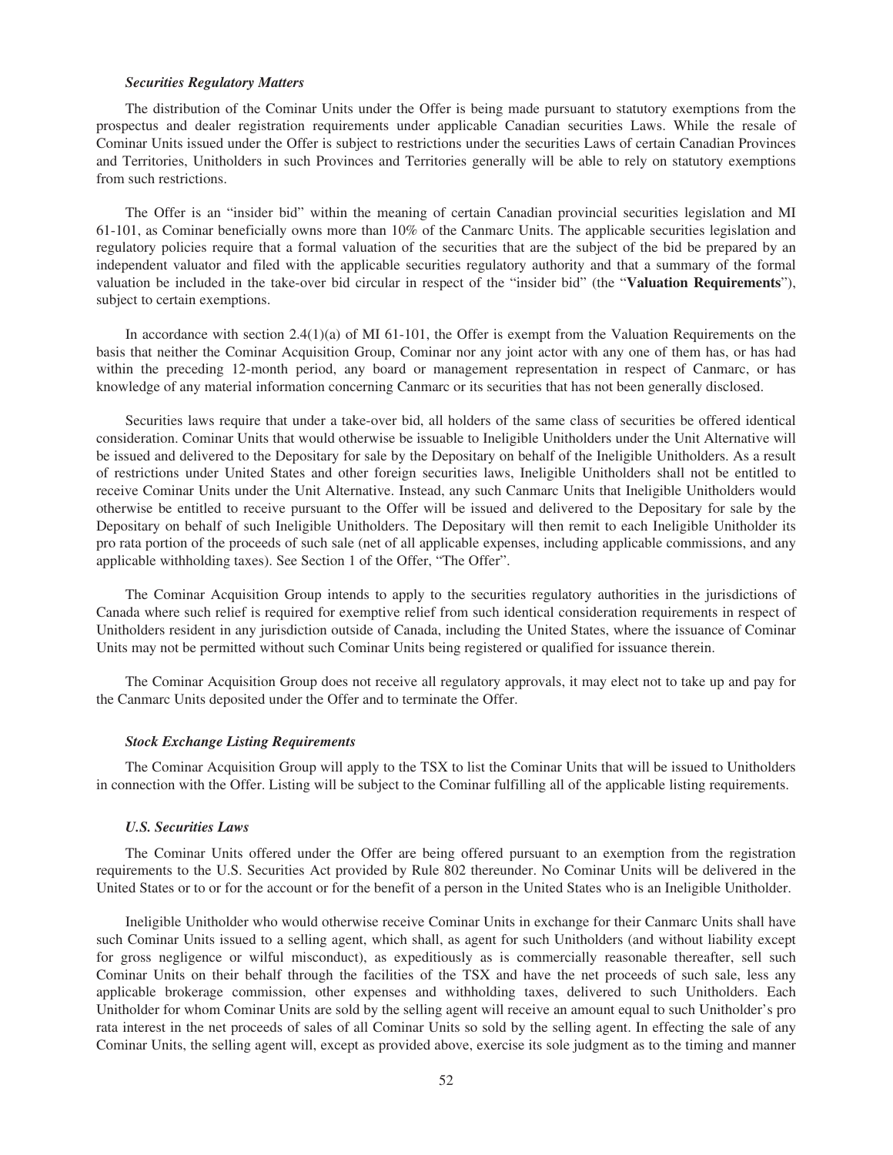#### *Securities Regulatory Matters*

The distribution of the Cominar Units under the Offer is being made pursuant to statutory exemptions from the prospectus and dealer registration requirements under applicable Canadian securities Laws. While the resale of Cominar Units issued under the Offer is subject to restrictions under the securities Laws of certain Canadian Provinces and Territories, Unitholders in such Provinces and Territories generally will be able to rely on statutory exemptions from such restrictions.

The Offer is an "insider bid" within the meaning of certain Canadian provincial securities legislation and MI 61-101, as Cominar beneficially owns more than 10% of the Canmarc Units. The applicable securities legislation and regulatory policies require that a formal valuation of the securities that are the subject of the bid be prepared by an independent valuator and filed with the applicable securities regulatory authority and that a summary of the formal valuation be included in the take-over bid circular in respect of the "insider bid" (the "**Valuation Requirements**"), subject to certain exemptions.

In accordance with section  $2.4(1)(a)$  of MI 61-101, the Offer is exempt from the Valuation Requirements on the basis that neither the Cominar Acquisition Group, Cominar nor any joint actor with any one of them has, or has had within the preceding 12-month period, any board or management representation in respect of Canmarc, or has knowledge of any material information concerning Canmarc or its securities that has not been generally disclosed.

Securities laws require that under a take-over bid, all holders of the same class of securities be offered identical consideration. Cominar Units that would otherwise be issuable to Ineligible Unitholders under the Unit Alternative will be issued and delivered to the Depositary for sale by the Depositary on behalf of the Ineligible Unitholders. As a result of restrictions under United States and other foreign securities laws, Ineligible Unitholders shall not be entitled to receive Cominar Units under the Unit Alternative. Instead, any such Canmarc Units that Ineligible Unitholders would otherwise be entitled to receive pursuant to the Offer will be issued and delivered to the Depositary for sale by the Depositary on behalf of such Ineligible Unitholders. The Depositary will then remit to each Ineligible Unitholder its pro rata portion of the proceeds of such sale (net of all applicable expenses, including applicable commissions, and any applicable withholding taxes). See Section 1 of the Offer, "The Offer".

The Cominar Acquisition Group intends to apply to the securities regulatory authorities in the jurisdictions of Canada where such relief is required for exemptive relief from such identical consideration requirements in respect of Unitholders resident in any jurisdiction outside of Canada, including the United States, where the issuance of Cominar Units may not be permitted without such Cominar Units being registered or qualified for issuance therein.

The Cominar Acquisition Group does not receive all regulatory approvals, it may elect not to take up and pay for the Canmarc Units deposited under the Offer and to terminate the Offer.

#### *Stock Exchange Listing Requirements*

The Cominar Acquisition Group will apply to the TSX to list the Cominar Units that will be issued to Unitholders in connection with the Offer. Listing will be subject to the Cominar fulfilling all of the applicable listing requirements.

#### *U.S. Securities Laws*

The Cominar Units offered under the Offer are being offered pursuant to an exemption from the registration requirements to the U.S. Securities Act provided by Rule 802 thereunder. No Cominar Units will be delivered in the United States or to or for the account or for the benefit of a person in the United States who is an Ineligible Unitholder.

Ineligible Unitholder who would otherwise receive Cominar Units in exchange for their Canmarc Units shall have such Cominar Units issued to a selling agent, which shall, as agent for such Unitholders (and without liability except for gross negligence or wilful misconduct), as expeditiously as is commercially reasonable thereafter, sell such Cominar Units on their behalf through the facilities of the TSX and have the net proceeds of such sale, less any applicable brokerage commission, other expenses and withholding taxes, delivered to such Unitholders. Each Unitholder for whom Cominar Units are sold by the selling agent will receive an amount equal to such Unitholder's pro rata interest in the net proceeds of sales of all Cominar Units so sold by the selling agent. In effecting the sale of any Cominar Units, the selling agent will, except as provided above, exercise its sole judgment as to the timing and manner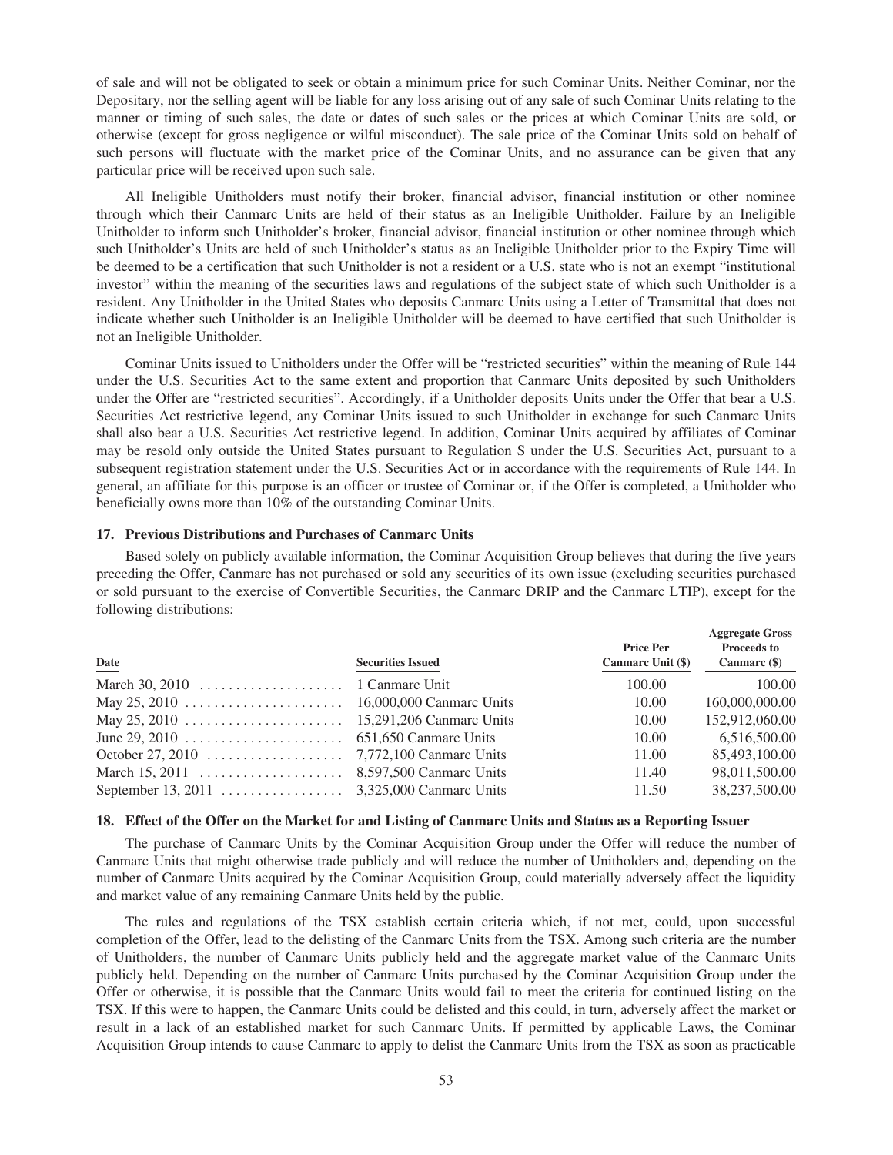of sale and will not be obligated to seek or obtain a minimum price for such Cominar Units. Neither Cominar, nor the Depositary, nor the selling agent will be liable for any loss arising out of any sale of such Cominar Units relating to the manner or timing of such sales, the date or dates of such sales or the prices at which Cominar Units are sold, or otherwise (except for gross negligence or wilful misconduct). The sale price of the Cominar Units sold on behalf of such persons will fluctuate with the market price of the Cominar Units, and no assurance can be given that any particular price will be received upon such sale.

All Ineligible Unitholders must notify their broker, financial advisor, financial institution or other nominee through which their Canmarc Units are held of their status as an Ineligible Unitholder. Failure by an Ineligible Unitholder to inform such Unitholder's broker, financial advisor, financial institution or other nominee through which such Unitholder's Units are held of such Unitholder's status as an Ineligible Unitholder prior to the Expiry Time will be deemed to be a certification that such Unitholder is not a resident or a U.S. state who is not an exempt "institutional investor" within the meaning of the securities laws and regulations of the subject state of which such Unitholder is a resident. Any Unitholder in the United States who deposits Canmarc Units using a Letter of Transmittal that does not indicate whether such Unitholder is an Ineligible Unitholder will be deemed to have certified that such Unitholder is not an Ineligible Unitholder.

Cominar Units issued to Unitholders under the Offer will be "restricted securities" within the meaning of Rule 144 under the U.S. Securities Act to the same extent and proportion that Canmarc Units deposited by such Unitholders under the Offer are "restricted securities". Accordingly, if a Unitholder deposits Units under the Offer that bear a U.S. Securities Act restrictive legend, any Cominar Units issued to such Unitholder in exchange for such Canmarc Units shall also bear a U.S. Securities Act restrictive legend. In addition, Cominar Units acquired by affiliates of Cominar may be resold only outside the United States pursuant to Regulation S under the U.S. Securities Act, pursuant to a subsequent registration statement under the U.S. Securities Act or in accordance with the requirements of Rule 144. In general, an affiliate for this purpose is an officer or trustee of Cominar or, if the Offer is completed, a Unitholder who beneficially owns more than 10% of the outstanding Cominar Units.

## **17. Previous Distributions and Purchases of Canmarc Units**

Based solely on publicly available information, the Cominar Acquisition Group believes that during the five years preceding the Offer, Canmarc has not purchased or sold any securities of its own issue (excluding securities purchased or sold pursuant to the exercise of Convertible Securities, the Canmarc DRIP and the Canmarc LTIP), except for the following distributions:

| Date                                                                               | <b>Securities Issued</b> | <b>Price Per</b><br>Canmarc Unit (\$) | <b>Aggregate Gross</b><br><b>Proceeds to</b><br>Canmarc $(\$)$ |
|------------------------------------------------------------------------------------|--------------------------|---------------------------------------|----------------------------------------------------------------|
| March 30, 2010 $\ldots \ldots \ldots \ldots \ldots \ldots$ 1 Canmarc Unit          |                          | 100.00                                | 100.00                                                         |
|                                                                                    |                          | 10.00                                 | 160,000,000.00                                                 |
|                                                                                    |                          | 10.00                                 | 152,912,060.00                                                 |
|                                                                                    |                          | 10.00                                 | 6,516,500.00                                                   |
| October 27, 2010 $\dots$ $\dots$ $\dots$ $\dots$ $\dots$ $7,772,100$ Canmarc Units |                          | 11.00                                 | 85,493,100.00                                                  |
|                                                                                    |                          | 11.40                                 | 98.011.500.00                                                  |
|                                                                                    |                          | 11.50                                 | 38,237,500.00                                                  |

## **18. Effect of the Offer on the Market for and Listing of Canmarc Units and Status as a Reporting Issuer**

The purchase of Canmarc Units by the Cominar Acquisition Group under the Offer will reduce the number of Canmarc Units that might otherwise trade publicly and will reduce the number of Unitholders and, depending on the number of Canmarc Units acquired by the Cominar Acquisition Group, could materially adversely affect the liquidity and market value of any remaining Canmarc Units held by the public.

The rules and regulations of the TSX establish certain criteria which, if not met, could, upon successful completion of the Offer, lead to the delisting of the Canmarc Units from the TSX. Among such criteria are the number of Unitholders, the number of Canmarc Units publicly held and the aggregate market value of the Canmarc Units publicly held. Depending on the number of Canmarc Units purchased by the Cominar Acquisition Group under the Offer or otherwise, it is possible that the Canmarc Units would fail to meet the criteria for continued listing on the TSX. If this were to happen, the Canmarc Units could be delisted and this could, in turn, adversely affect the market or result in a lack of an established market for such Canmarc Units. If permitted by applicable Laws, the Cominar Acquisition Group intends to cause Canmarc to apply to delist the Canmarc Units from the TSX as soon as practicable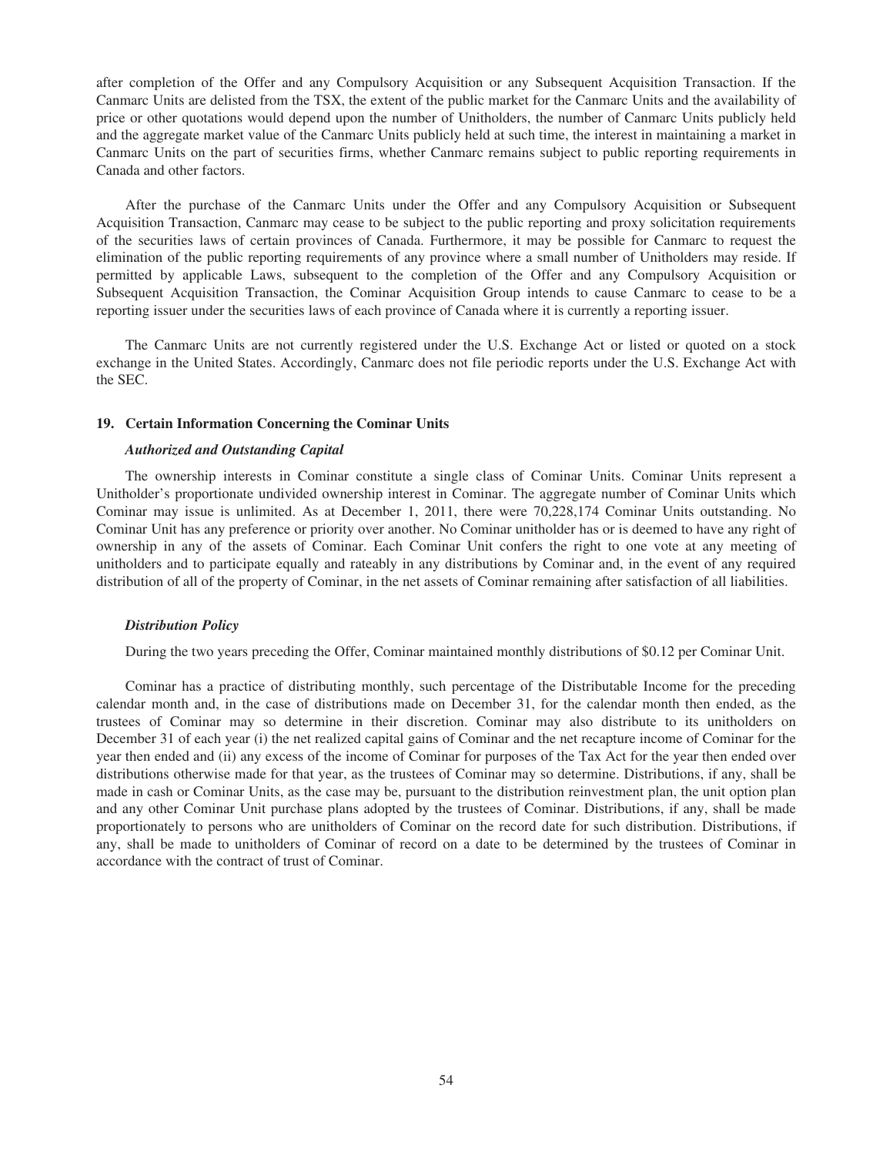after completion of the Offer and any Compulsory Acquisition or any Subsequent Acquisition Transaction. If the Canmarc Units are delisted from the TSX, the extent of the public market for the Canmarc Units and the availability of price or other quotations would depend upon the number of Unitholders, the number of Canmarc Units publicly held and the aggregate market value of the Canmarc Units publicly held at such time, the interest in maintaining a market in Canmarc Units on the part of securities firms, whether Canmarc remains subject to public reporting requirements in Canada and other factors.

After the purchase of the Canmarc Units under the Offer and any Compulsory Acquisition or Subsequent Acquisition Transaction, Canmarc may cease to be subject to the public reporting and proxy solicitation requirements of the securities laws of certain provinces of Canada. Furthermore, it may be possible for Canmarc to request the elimination of the public reporting requirements of any province where a small number of Unitholders may reside. If permitted by applicable Laws, subsequent to the completion of the Offer and any Compulsory Acquisition or Subsequent Acquisition Transaction, the Cominar Acquisition Group intends to cause Canmarc to cease to be a reporting issuer under the securities laws of each province of Canada where it is currently a reporting issuer.

The Canmarc Units are not currently registered under the U.S. Exchange Act or listed or quoted on a stock exchange in the United States. Accordingly, Canmarc does not file periodic reports under the U.S. Exchange Act with the SEC.

#### **19. Certain Information Concerning the Cominar Units**

## *Authorized and Outstanding Capital*

The ownership interests in Cominar constitute a single class of Cominar Units. Cominar Units represent a Unitholder's proportionate undivided ownership interest in Cominar. The aggregate number of Cominar Units which Cominar may issue is unlimited. As at December 1, 2011, there were 70,228,174 Cominar Units outstanding. No Cominar Unit has any preference or priority over another. No Cominar unitholder has or is deemed to have any right of ownership in any of the assets of Cominar. Each Cominar Unit confers the right to one vote at any meeting of unitholders and to participate equally and rateably in any distributions by Cominar and, in the event of any required distribution of all of the property of Cominar, in the net assets of Cominar remaining after satisfaction of all liabilities.

#### *Distribution Policy*

During the two years preceding the Offer, Cominar maintained monthly distributions of \$0.12 per Cominar Unit.

Cominar has a practice of distributing monthly, such percentage of the Distributable Income for the preceding calendar month and, in the case of distributions made on December 31, for the calendar month then ended, as the trustees of Cominar may so determine in their discretion. Cominar may also distribute to its unitholders on December 31 of each year (i) the net realized capital gains of Cominar and the net recapture income of Cominar for the year then ended and (ii) any excess of the income of Cominar for purposes of the Tax Act for the year then ended over distributions otherwise made for that year, as the trustees of Cominar may so determine. Distributions, if any, shall be made in cash or Cominar Units, as the case may be, pursuant to the distribution reinvestment plan, the unit option plan and any other Cominar Unit purchase plans adopted by the trustees of Cominar. Distributions, if any, shall be made proportionately to persons who are unitholders of Cominar on the record date for such distribution. Distributions, if any, shall be made to unitholders of Cominar of record on a date to be determined by the trustees of Cominar in accordance with the contract of trust of Cominar.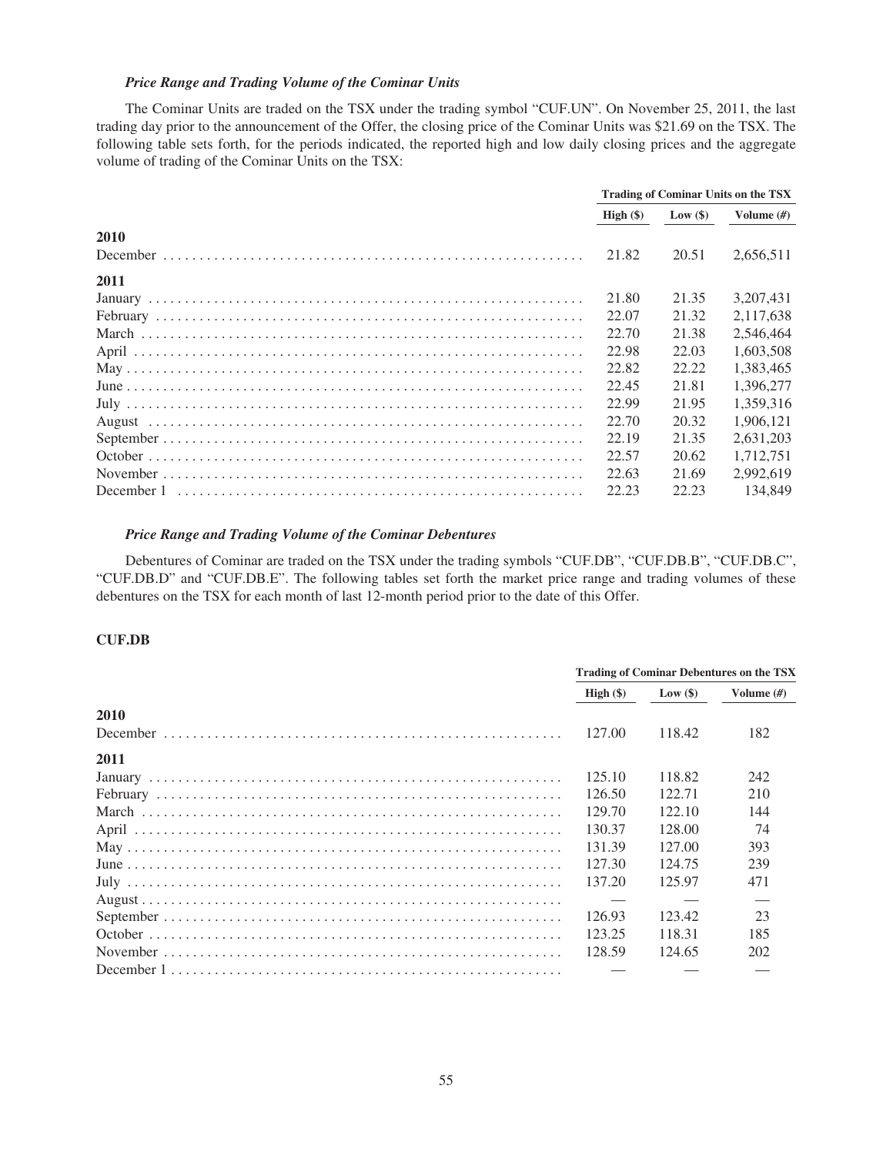# *Price Range and Trading Volume of the Cominar Units*

The Cominar Units are traded on the TSX under the trading symbol "CUF.UN". On November 25, 2011, the last trading day prior to the announcement of the Offer, the closing price of the Cominar Units was \$21.69 on the TSX. The following table sets forth, for the periods indicated, the reported high and low daily closing prices and the aggregate volume of trading of the Cominar Units on the TSX:

|      | <b>Trading of Cominar Units on the TSX</b> |            |               |
|------|--------------------------------------------|------------|---------------|
|      | High $(\$)$                                | Low $(\$)$ | Volume $(\#)$ |
| 2010 |                                            |            |               |
|      | 21.82                                      | 20.51      | 2,656,511     |
| 2011 |                                            |            |               |
|      | 21.80                                      | 21.35      | 3.207.431     |
|      | 22.07                                      | 21.32      | 2,117,638     |
|      | 22.70                                      | 21.38      | 2.546.464     |
|      | 22.98                                      | 22.03      | 1.603.508     |
|      | 22.82                                      | 22.22      | 1,383,465     |
|      | 22.45                                      | 21.81      | 1.396.277     |
|      | 22.99                                      | 21.95      | 1.359.316     |
|      | 22.70                                      | 20.32      | 1.906.121     |
|      | 22.19                                      | 21.35      | 2.631.203     |
|      | 22.57                                      | 20.62      | 1.712.751     |
|      | 22.63                                      | 21.69      | 2.992.619     |
|      | 22.23                                      | 22.23      | 134,849       |

#### *Price Range and Trading Volume of the Cominar Debentures*

Debentures of Cominar are traded on the TSX under the trading symbols "CUF.DB", "CUF.DB.B", "CUF.DB.C", "CUF.DB.D" and "CUF.DB.E". The following tables set forth the market price range and trading volumes of these debentures on the TSX for each month of last 12-month period prior to the date of this Offer.

## **CUF.DB**

|      |             | <b>Trading of Cominar Debentures on the TSX</b> |               |  |
|------|-------------|-------------------------------------------------|---------------|--|
|      | High $(\$)$ | Low $(\$)$                                      | Volume $(\#)$ |  |
| 2010 |             |                                                 |               |  |
|      | 127.00      | 118.42                                          | 182           |  |
| 2011 |             |                                                 |               |  |
|      | 125.10      | 118.82                                          | 242           |  |
|      | 126.50      | 122.71                                          | 210           |  |
|      | 129.70      | 122.10                                          | 144           |  |
|      | 130.37      | 128.00                                          | 74            |  |
|      | 131.39      | 127.00                                          | 393           |  |
|      | 127.30      | 124.75                                          | 239           |  |
|      | 137.20      | 125.97                                          | 471           |  |
|      |             |                                                 |               |  |
|      | 126.93      | 123.42                                          | 23            |  |
|      | 123.25      | 118.31                                          | 185           |  |
|      | 128.59      | 124.65                                          | 202           |  |
|      |             |                                                 |               |  |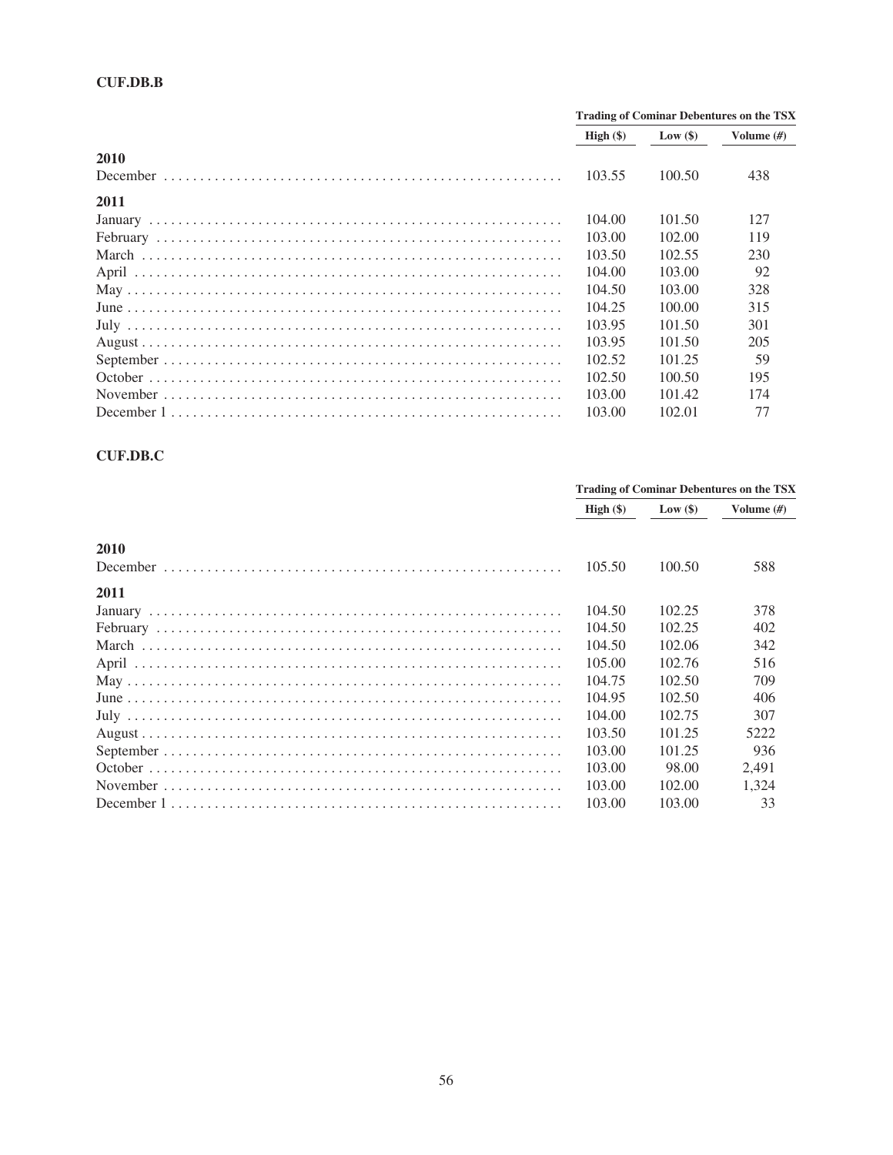# **CUF.DB.B**

|      | <b>Trading of Cominar Debentures on the TSX</b> |            |               |
|------|-------------------------------------------------|------------|---------------|
|      | High (§)                                        | Low $(\$)$ | Volume $(\#)$ |
| 2010 |                                                 |            |               |
|      | 103.55                                          | 100.50     | 438           |
| 2011 |                                                 |            |               |
|      | 104.00                                          | 101.50     | 127           |
|      | 103.00                                          | 102.00     | 119           |
|      | 103.50                                          | 102.55     | 230           |
|      | 104.00                                          | 103.00     | 92            |
|      | 104.50                                          | 103.00     | 328           |
|      | 104.25                                          | 100.00     | 315           |
|      | 103.95                                          | 101.50     | 301           |
|      | 103.95                                          | 101.50     | 205           |
|      | 102.52                                          | 101.25     | 59            |
|      | 102.50                                          | 100.50     | 195           |
|      | 103.00                                          | 101.42     | 174           |
|      | 103.00                                          | 102.01     | 77            |

# $CUF.DB.C$

|      | <b>Trading of Cominar Debentures on the TSX</b> |         |               |
|------|-------------------------------------------------|---------|---------------|
|      | High $(\$)$                                     | Low(\$) | Volume $(\#)$ |
| 2010 |                                                 |         |               |
|      | 105.50                                          | 100.50  | 588           |
| 2011 |                                                 |         |               |
|      | 104.50                                          | 102.25  | 378           |
|      | 104.50                                          | 102.25  | 402           |
|      | 104.50                                          | 102.06  | 342           |
|      | 105.00                                          | 102.76  | 516           |
|      | 104.75                                          | 102.50  | 709           |
|      | 104.95                                          | 102.50  | 406           |
|      | 104.00                                          | 102.75  | 307           |
|      | 103.50                                          | 101.25  | 5222          |
|      | 103.00                                          | 101.25  | 936           |
|      | 103.00                                          | 98.00   | 2.491         |
|      | 103.00                                          | 102.00  | 1.324         |
|      | 103.00                                          | 103.00  | 33            |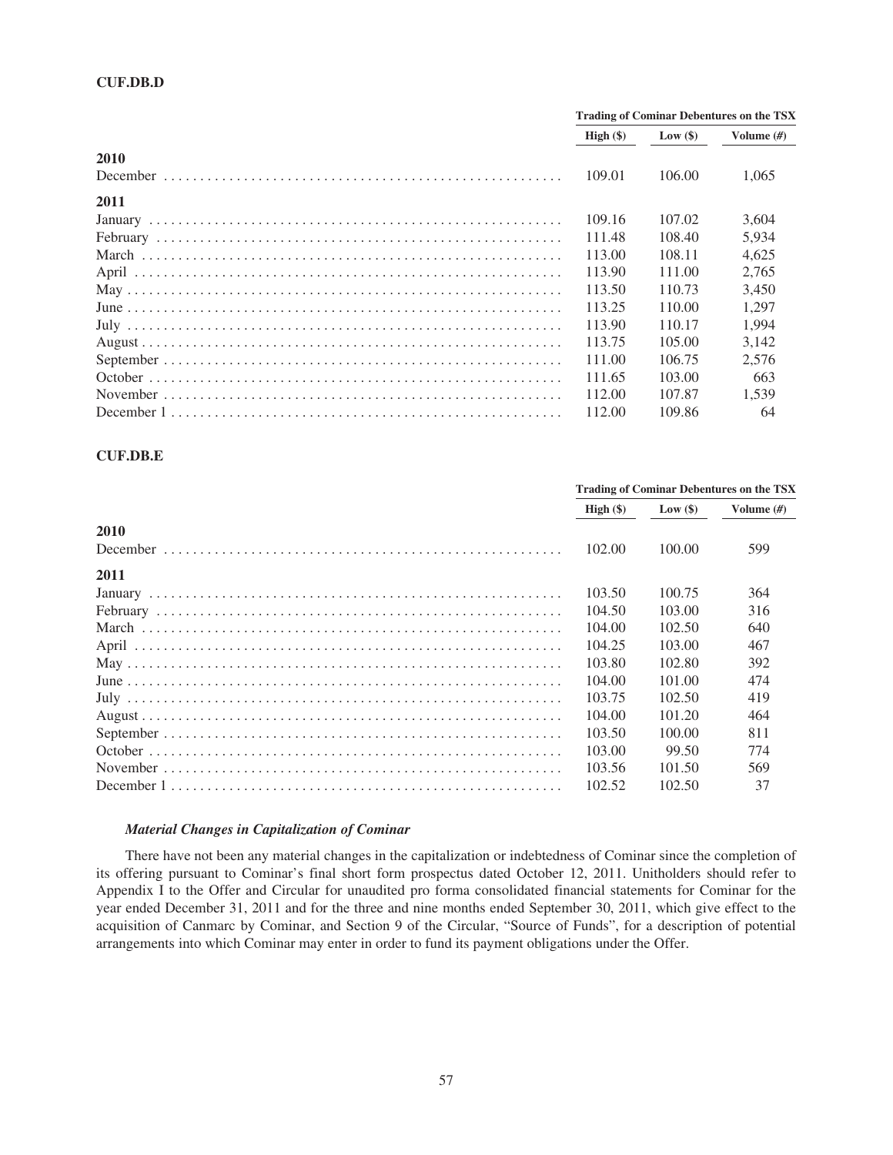|      |             | <b>Trading of Cominar Debentures on the TSX</b> |               |  |
|------|-------------|-------------------------------------------------|---------------|--|
|      | High $(\$)$ | Low $(\$)$                                      | Volume $(\#)$ |  |
| 2010 |             |                                                 |               |  |
|      | 109.01      | 106.00                                          | 1.065         |  |
| 2011 |             |                                                 |               |  |
|      | 109.16      | 107.02                                          | 3.604         |  |
|      | 111.48      | 108.40                                          | 5.934         |  |
|      | 113.00      | 108.11                                          | 4.625         |  |
|      | 113.90      | 111.00                                          | 2.765         |  |
|      | 113.50      | 110.73                                          | 3.450         |  |
|      | 113.25      | 110.00                                          | 1.297         |  |
|      | 113.90      | 110.17                                          | 1.994         |  |
|      | 113.75      | 105.00                                          | 3.142         |  |
|      | 111.00      | 106.75                                          | 2.576         |  |
|      | 111.65      | 103.00                                          | 663           |  |
|      | 112.00      | 107.87                                          | 1.539         |  |
|      | 112.00      | 109.86                                          | 64            |  |

## **CUF.DB.E**

|      | <b>Trading of Cominar Debentures on the TSX</b> |            |              |
|------|-------------------------------------------------|------------|--------------|
|      | High $(\$)$                                     | Low $(\$)$ | Volume $(H)$ |
| 2010 |                                                 |            |              |
|      | 102.00                                          | 100.00     | 599          |
| 2011 |                                                 |            |              |
|      | 103.50                                          | 100.75     | 364          |
|      | 104.50                                          | 103.00     | 316          |
|      | 104.00                                          | 102.50     | 640          |
|      | 104.25                                          | 103.00     | 467          |
|      | 103.80                                          | 102.80     | 392          |
|      | 104.00                                          | 101.00     | 474          |
|      | 103.75                                          | 102.50     | 419          |
|      | 104.00                                          | 101.20     | 464          |
|      | 103.50                                          | 100.00     | 811          |
|      | 103.00                                          | 99.50      | 774          |
|      | 103.56                                          | 101.50     | 569          |
|      | 102.52                                          | 102.50     | 37           |

#### *Material Changes in Capitalization of Cominar*

There have not been any material changes in the capitalization or indebtedness of Cominar since the completion of its offering pursuant to Cominar's final short form prospectus dated October 12, 2011. Unitholders should refer to Appendix I to the Offer and Circular for unaudited pro forma consolidated financial statements for Cominar for the year ended December 31, 2011 and for the three and nine months ended September 30, 2011, which give effect to the acquisition of Canmarc by Cominar, and Section 9 of the Circular, "Source of Funds", for a description of potential arrangements into which Cominar may enter in order to fund its payment obligations under the Offer.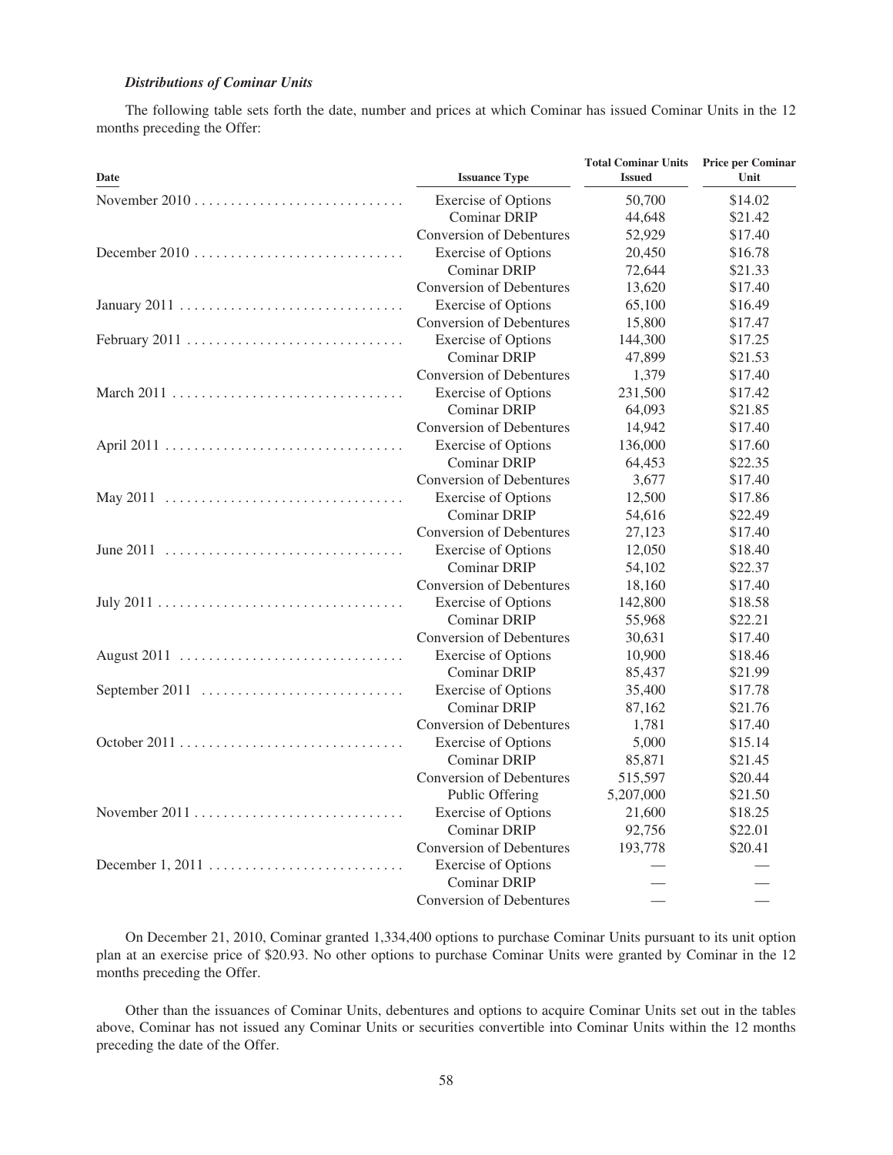# *Distributions of Cominar Units*

The following table sets forth the date, number and prices at which Cominar has issued Cominar Units in the 12 months preceding the Offer:

| Date                                                                         | <b>Issuance Type</b>            | <b>Total Cominar Units</b><br><b>Issued</b> | <b>Price per Cominar</b><br>Unit |
|------------------------------------------------------------------------------|---------------------------------|---------------------------------------------|----------------------------------|
|                                                                              | <b>Exercise of Options</b>      | 50,700                                      | \$14.02                          |
|                                                                              | <b>Cominar DRIP</b>             | 44,648                                      | \$21.42                          |
|                                                                              | <b>Conversion of Debentures</b> | 52,929                                      | \$17.40                          |
| December 2010 $\dots\dots\dots\dots\dots\dots\dots\dots\dots\dots\dots\dots$ | <b>Exercise</b> of Options      | 20,450                                      | \$16.78                          |
|                                                                              | <b>Cominar DRIP</b>             | 72,644                                      | \$21.33                          |
|                                                                              | <b>Conversion of Debentures</b> | 13,620                                      | \$17.40                          |
|                                                                              | <b>Exercise</b> of Options      | 65,100                                      | \$16.49                          |
|                                                                              | <b>Conversion of Debentures</b> | 15,800                                      | \$17.47                          |
| February 2011                                                                | <b>Exercise of Options</b>      | 144,300                                     | \$17.25                          |
|                                                                              | <b>Cominar DRIP</b>             | 47,899                                      | \$21.53                          |
|                                                                              | Conversion of Debentures        | 1,379                                       | \$17.40                          |
|                                                                              | <b>Exercise of Options</b>      | 231,500                                     | \$17.42                          |
|                                                                              | <b>Cominar DRIP</b>             | 64,093                                      | \$21.85                          |
|                                                                              | <b>Conversion of Debentures</b> | 14,942                                      | \$17.40                          |
|                                                                              | <b>Exercise of Options</b>      | 136,000                                     | \$17.60                          |
|                                                                              | <b>Cominar DRIP</b>             | 64,453                                      | \$22.35                          |
|                                                                              | <b>Conversion of Debentures</b> | 3,677                                       | \$17.40                          |
|                                                                              | <b>Exercise of Options</b>      | 12,500                                      | \$17.86                          |
|                                                                              | <b>Cominar DRIP</b>             | 54,616                                      | \$22.49                          |
|                                                                              | <b>Conversion of Debentures</b> | 27,123                                      | \$17.40                          |
|                                                                              | <b>Exercise of Options</b>      | 12,050                                      | \$18.40                          |
|                                                                              | <b>Cominar DRIP</b>             | 54,102                                      | \$22.37                          |
|                                                                              | <b>Conversion of Debentures</b> | 18,160                                      | \$17.40                          |
|                                                                              | <b>Exercise of Options</b>      | 142,800                                     | \$18.58                          |
|                                                                              | <b>Cominar DRIP</b>             | 55,968                                      | \$22.21                          |
|                                                                              | <b>Conversion of Debentures</b> | 30,631                                      | \$17.40                          |
|                                                                              | <b>Exercise of Options</b>      | 10,900                                      | \$18.46                          |
|                                                                              | <b>Cominar DRIP</b>             | 85,437                                      | \$21.99                          |
| September 2011                                                               | <b>Exercise</b> of Options      | 35,400                                      | \$17.78                          |
|                                                                              | <b>Cominar DRIP</b>             | 87,162                                      | \$21.76                          |
|                                                                              | <b>Conversion of Debentures</b> | 1,781                                       | \$17.40                          |
|                                                                              | <b>Exercise of Options</b>      | 5,000                                       | \$15.14                          |
|                                                                              | <b>Cominar DRIP</b>             | 85,871                                      | \$21.45                          |
|                                                                              | <b>Conversion of Debentures</b> | 515,597                                     | \$20.44                          |
|                                                                              | Public Offering                 | 5,207,000                                   | \$21.50                          |
|                                                                              | <b>Exercise of Options</b>      | 21,600                                      | \$18.25                          |
|                                                                              | <b>Cominar DRIP</b>             | 92,756                                      | \$22.01                          |
|                                                                              | <b>Conversion of Debentures</b> | 193,778                                     | \$20.41                          |
|                                                                              | <b>Exercise of Options</b>      |                                             |                                  |
|                                                                              | <b>Cominar DRIP</b>             |                                             |                                  |
|                                                                              | <b>Conversion of Debentures</b> |                                             |                                  |

On December 21, 2010, Cominar granted 1,334,400 options to purchase Cominar Units pursuant to its unit option plan at an exercise price of \$20.93. No other options to purchase Cominar Units were granted by Cominar in the 12 months preceding the Offer.

Other than the issuances of Cominar Units, debentures and options to acquire Cominar Units set out in the tables above, Cominar has not issued any Cominar Units or securities convertible into Cominar Units within the 12 months preceding the date of the Offer.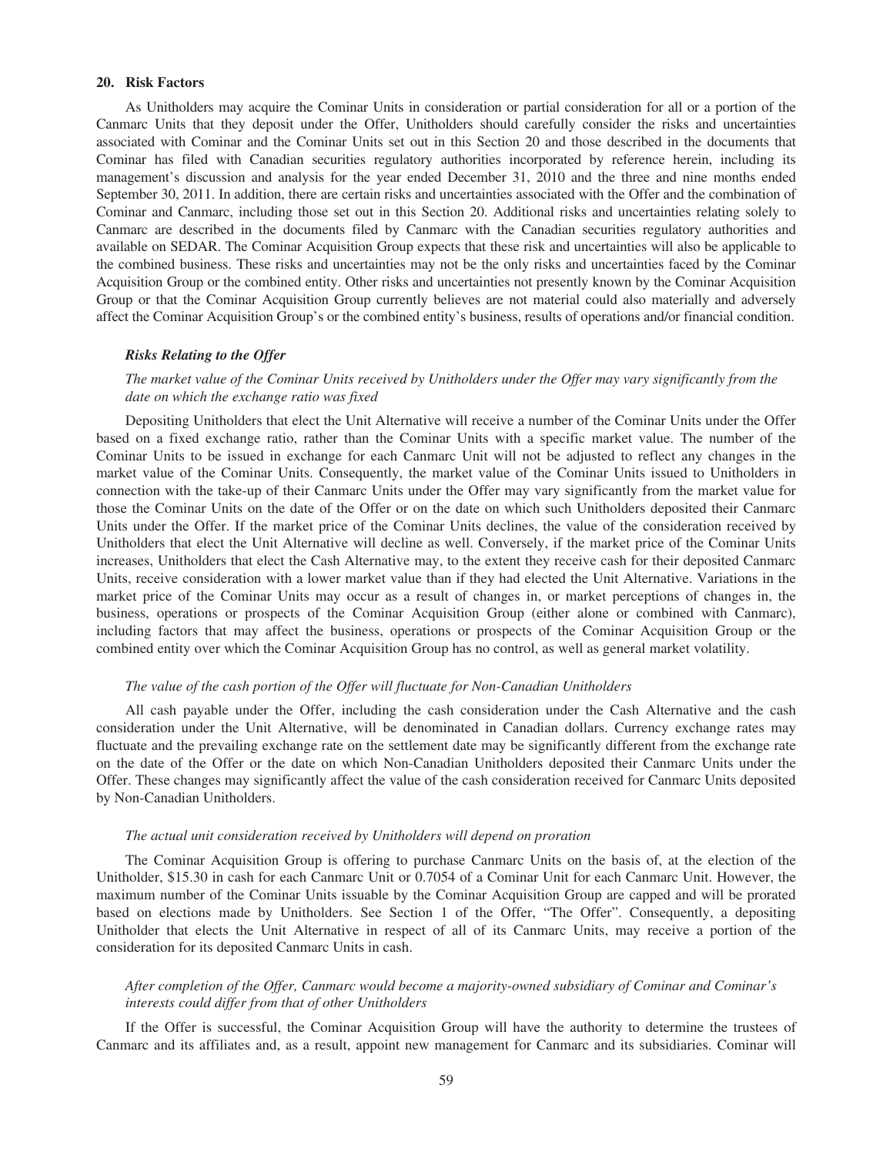### **20. Risk Factors**

As Unitholders may acquire the Cominar Units in consideration or partial consideration for all or a portion of the Canmarc Units that they deposit under the Offer, Unitholders should carefully consider the risks and uncertainties associated with Cominar and the Cominar Units set out in this Section 20 and those described in the documents that Cominar has filed with Canadian securities regulatory authorities incorporated by reference herein, including its management's discussion and analysis for the year ended December 31, 2010 and the three and nine months ended September 30, 2011. In addition, there are certain risks and uncertainties associated with the Offer and the combination of Cominar and Canmarc, including those set out in this Section 20. Additional risks and uncertainties relating solely to Canmarc are described in the documents filed by Canmarc with the Canadian securities regulatory authorities and available on SEDAR. The Cominar Acquisition Group expects that these risk and uncertainties will also be applicable to the combined business. These risks and uncertainties may not be the only risks and uncertainties faced by the Cominar Acquisition Group or the combined entity. Other risks and uncertainties not presently known by the Cominar Acquisition Group or that the Cominar Acquisition Group currently believes are not material could also materially and adversely affect the Cominar Acquisition Group's or the combined entity's business, results of operations and/or financial condition.

## *Risks Relating to the Offer*

# *The market value of the Cominar Units received by Unitholders under the Offer may vary significantly from the date on which the exchange ratio was fixed*

Depositing Unitholders that elect the Unit Alternative will receive a number of the Cominar Units under the Offer based on a fixed exchange ratio, rather than the Cominar Units with a specific market value. The number of the Cominar Units to be issued in exchange for each Canmarc Unit will not be adjusted to reflect any changes in the market value of the Cominar Units. Consequently, the market value of the Cominar Units issued to Unitholders in connection with the take-up of their Canmarc Units under the Offer may vary significantly from the market value for those the Cominar Units on the date of the Offer or on the date on which such Unitholders deposited their Canmarc Units under the Offer. If the market price of the Cominar Units declines, the value of the consideration received by Unitholders that elect the Unit Alternative will decline as well. Conversely, if the market price of the Cominar Units increases, Unitholders that elect the Cash Alternative may, to the extent they receive cash for their deposited Canmarc Units, receive consideration with a lower market value than if they had elected the Unit Alternative. Variations in the market price of the Cominar Units may occur as a result of changes in, or market perceptions of changes in, the business, operations or prospects of the Cominar Acquisition Group (either alone or combined with Canmarc), including factors that may affect the business, operations or prospects of the Cominar Acquisition Group or the combined entity over which the Cominar Acquisition Group has no control, as well as general market volatility.

#### *The value of the cash portion of the Offer will fluctuate for Non-Canadian Unitholders*

All cash payable under the Offer, including the cash consideration under the Cash Alternative and the cash consideration under the Unit Alternative, will be denominated in Canadian dollars. Currency exchange rates may fluctuate and the prevailing exchange rate on the settlement date may be significantly different from the exchange rate on the date of the Offer or the date on which Non-Canadian Unitholders deposited their Canmarc Units under the Offer. These changes may significantly affect the value of the cash consideration received for Canmarc Units deposited by Non-Canadian Unitholders.

#### *The actual unit consideration received by Unitholders will depend on proration*

The Cominar Acquisition Group is offering to purchase Canmarc Units on the basis of, at the election of the Unitholder, \$15.30 in cash for each Canmarc Unit or 0.7054 of a Cominar Unit for each Canmarc Unit. However, the maximum number of the Cominar Units issuable by the Cominar Acquisition Group are capped and will be prorated based on elections made by Unitholders. See Section 1 of the Offer, "The Offer". Consequently, a depositing Unitholder that elects the Unit Alternative in respect of all of its Canmarc Units, may receive a portion of the consideration for its deposited Canmarc Units in cash.

# *After completion of the Offer, Canmarc would become a majority-owned subsidiary of Cominar and Cominar's interests could differ from that of other Unitholders*

If the Offer is successful, the Cominar Acquisition Group will have the authority to determine the trustees of Canmarc and its affiliates and, as a result, appoint new management for Canmarc and its subsidiaries. Cominar will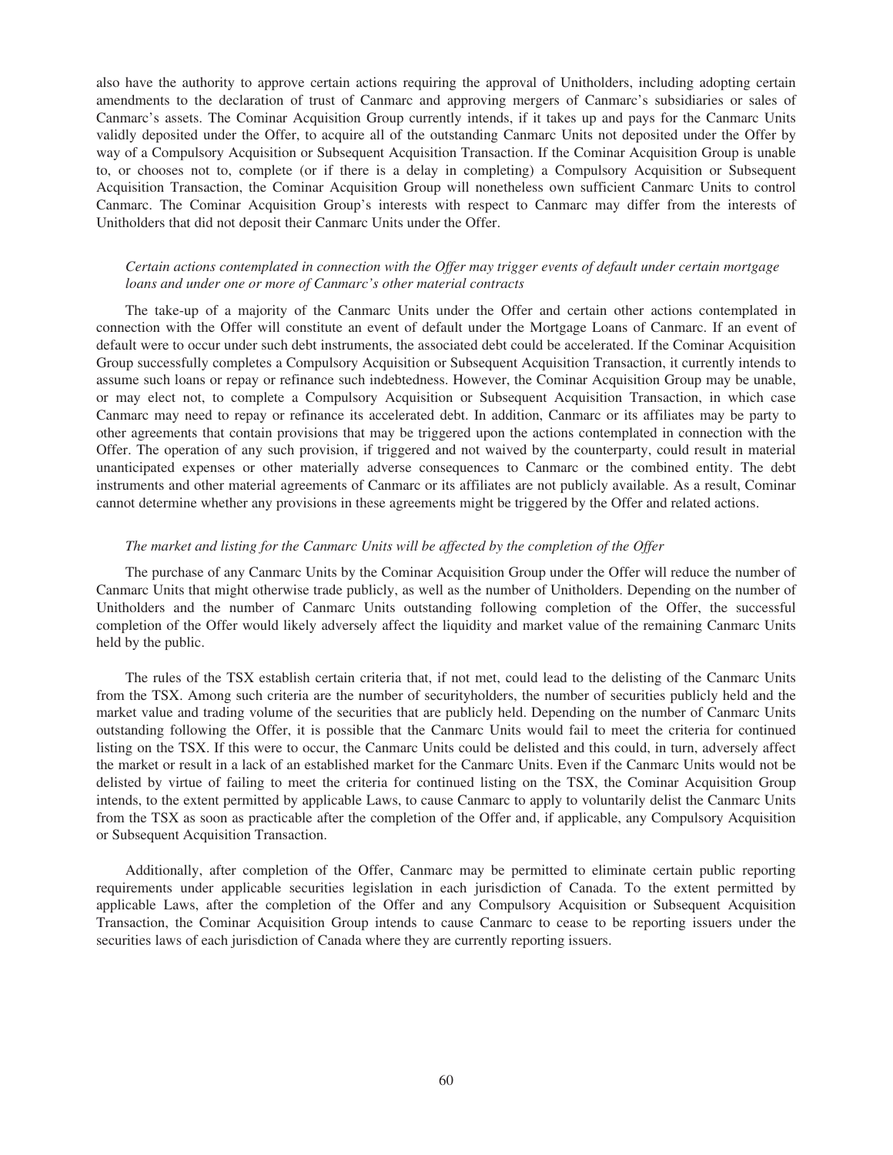also have the authority to approve certain actions requiring the approval of Unitholders, including adopting certain amendments to the declaration of trust of Canmarc and approving mergers of Canmarc's subsidiaries or sales of Canmarc's assets. The Cominar Acquisition Group currently intends, if it takes up and pays for the Canmarc Units validly deposited under the Offer, to acquire all of the outstanding Canmarc Units not deposited under the Offer by way of a Compulsory Acquisition or Subsequent Acquisition Transaction. If the Cominar Acquisition Group is unable to, or chooses not to, complete (or if there is a delay in completing) a Compulsory Acquisition or Subsequent Acquisition Transaction, the Cominar Acquisition Group will nonetheless own sufficient Canmarc Units to control Canmarc. The Cominar Acquisition Group's interests with respect to Canmarc may differ from the interests of Unitholders that did not deposit their Canmarc Units under the Offer.

## *Certain actions contemplated in connection with the Offer may trigger events of default under certain mortgage loans and under one or more of Canmarc's other material contracts*

The take-up of a majority of the Canmarc Units under the Offer and certain other actions contemplated in connection with the Offer will constitute an event of default under the Mortgage Loans of Canmarc. If an event of default were to occur under such debt instruments, the associated debt could be accelerated. If the Cominar Acquisition Group successfully completes a Compulsory Acquisition or Subsequent Acquisition Transaction, it currently intends to assume such loans or repay or refinance such indebtedness. However, the Cominar Acquisition Group may be unable, or may elect not, to complete a Compulsory Acquisition or Subsequent Acquisition Transaction, in which case Canmarc may need to repay or refinance its accelerated debt. In addition, Canmarc or its affiliates may be party to other agreements that contain provisions that may be triggered upon the actions contemplated in connection with the Offer. The operation of any such provision, if triggered and not waived by the counterparty, could result in material unanticipated expenses or other materially adverse consequences to Canmarc or the combined entity. The debt instruments and other material agreements of Canmarc or its affiliates are not publicly available. As a result, Cominar cannot determine whether any provisions in these agreements might be triggered by the Offer and related actions.

## *The market and listing for the Canmarc Units will be affected by the completion of the Offer*

The purchase of any Canmarc Units by the Cominar Acquisition Group under the Offer will reduce the number of Canmarc Units that might otherwise trade publicly, as well as the number of Unitholders. Depending on the number of Unitholders and the number of Canmarc Units outstanding following completion of the Offer, the successful completion of the Offer would likely adversely affect the liquidity and market value of the remaining Canmarc Units held by the public.

The rules of the TSX establish certain criteria that, if not met, could lead to the delisting of the Canmarc Units from the TSX. Among such criteria are the number of securityholders, the number of securities publicly held and the market value and trading volume of the securities that are publicly held. Depending on the number of Canmarc Units outstanding following the Offer, it is possible that the Canmarc Units would fail to meet the criteria for continued listing on the TSX. If this were to occur, the Canmarc Units could be delisted and this could, in turn, adversely affect the market or result in a lack of an established market for the Canmarc Units. Even if the Canmarc Units would not be delisted by virtue of failing to meet the criteria for continued listing on the TSX, the Cominar Acquisition Group intends, to the extent permitted by applicable Laws, to cause Canmarc to apply to voluntarily delist the Canmarc Units from the TSX as soon as practicable after the completion of the Offer and, if applicable, any Compulsory Acquisition or Subsequent Acquisition Transaction.

Additionally, after completion of the Offer, Canmarc may be permitted to eliminate certain public reporting requirements under applicable securities legislation in each jurisdiction of Canada. To the extent permitted by applicable Laws, after the completion of the Offer and any Compulsory Acquisition or Subsequent Acquisition Transaction, the Cominar Acquisition Group intends to cause Canmarc to cease to be reporting issuers under the securities laws of each jurisdiction of Canada where they are currently reporting issuers.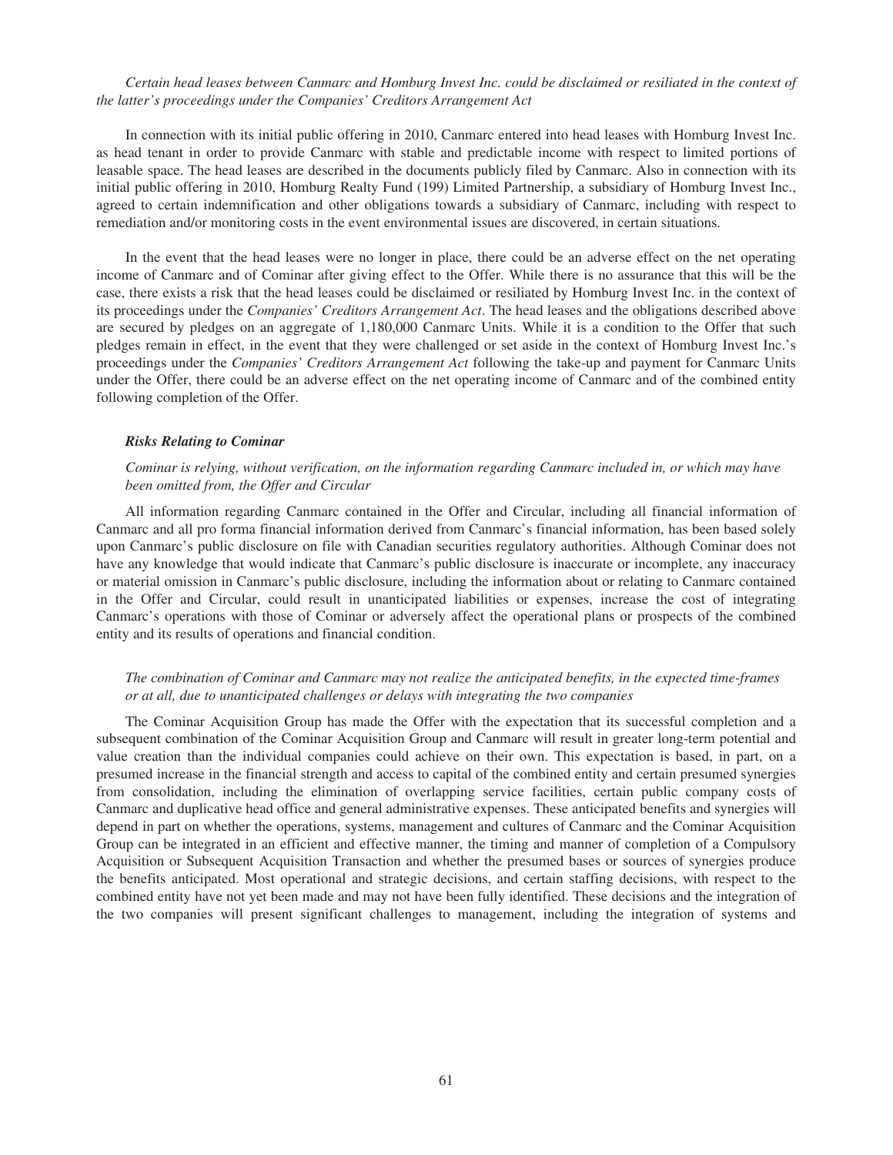## *Certain head leases between Canmarc and Homburg Invest Inc. could be disclaimed or resiliated in the context of the latter's proceedings under the Companies' Creditors Arrangement Act*

In connection with its initial public offering in 2010, Canmarc entered into head leases with Homburg Invest Inc. as head tenant in order to provide Canmarc with stable and predictable income with respect to limited portions of leasable space. The head leases are described in the documents publicly filed by Canmarc. Also in connection with its initial public offering in 2010, Homburg Realty Fund (199) Limited Partnership, a subsidiary of Homburg Invest Inc., agreed to certain indemnification and other obligations towards a subsidiary of Canmarc, including with respect to remediation and/or monitoring costs in the event environmental issues are discovered, in certain situations.

In the event that the head leases were no longer in place, there could be an adverse effect on the net operating income of Canmarc and of Cominar after giving effect to the Offer. While there is no assurance that this will be the case, there exists a risk that the head leases could be disclaimed or resiliated by Homburg Invest Inc. in the context of its proceedings under the *Companies' Creditors Arrangement Act*. The head leases and the obligations described above are secured by pledges on an aggregate of 1,180,000 Canmarc Units. While it is a condition to the Offer that such pledges remain in effect, in the event that they were challenged or set aside in the context of Homburg Invest Inc.'s proceedings under the *Companies' Creditors Arrangement Act* following the take-up and payment for Canmarc Units under the Offer, there could be an adverse effect on the net operating income of Canmarc and of the combined entity following completion of the Offer.

### *Risks Relating to Cominar*

## *Cominar is relying, without verification, on the information regarding Canmarc included in, or which may have been omitted from, the Offer and Circular*

All information regarding Canmarc contained in the Offer and Circular, including all financial information of Canmarc and all pro forma financial information derived from Canmarc's financial information, has been based solely upon Canmarc's public disclosure on file with Canadian securities regulatory authorities. Although Cominar does not have any knowledge that would indicate that Canmarc's public disclosure is inaccurate or incomplete, any inaccuracy or material omission in Canmarc's public disclosure, including the information about or relating to Canmarc contained in the Offer and Circular, could result in unanticipated liabilities or expenses, increase the cost of integrating Canmarc's operations with those of Cominar or adversely affect the operational plans or prospects of the combined entity and its results of operations and financial condition.

## *The combination of Cominar and Canmarc may not realize the anticipated benefits, in the expected time-frames or at all, due to unanticipated challenges or delays with integrating the two companies*

The Cominar Acquisition Group has made the Offer with the expectation that its successful completion and a subsequent combination of the Cominar Acquisition Group and Canmarc will result in greater long-term potential and value creation than the individual companies could achieve on their own. This expectation is based, in part, on a presumed increase in the financial strength and access to capital of the combined entity and certain presumed synergies from consolidation, including the elimination of overlapping service facilities, certain public company costs of Canmarc and duplicative head office and general administrative expenses. These anticipated benefits and synergies will depend in part on whether the operations, systems, management and cultures of Canmarc and the Cominar Acquisition Group can be integrated in an efficient and effective manner, the timing and manner of completion of a Compulsory Acquisition or Subsequent Acquisition Transaction and whether the presumed bases or sources of synergies produce the benefits anticipated. Most operational and strategic decisions, and certain staffing decisions, with respect to the combined entity have not yet been made and may not have been fully identified. These decisions and the integration of the two companies will present significant challenges to management, including the integration of systems and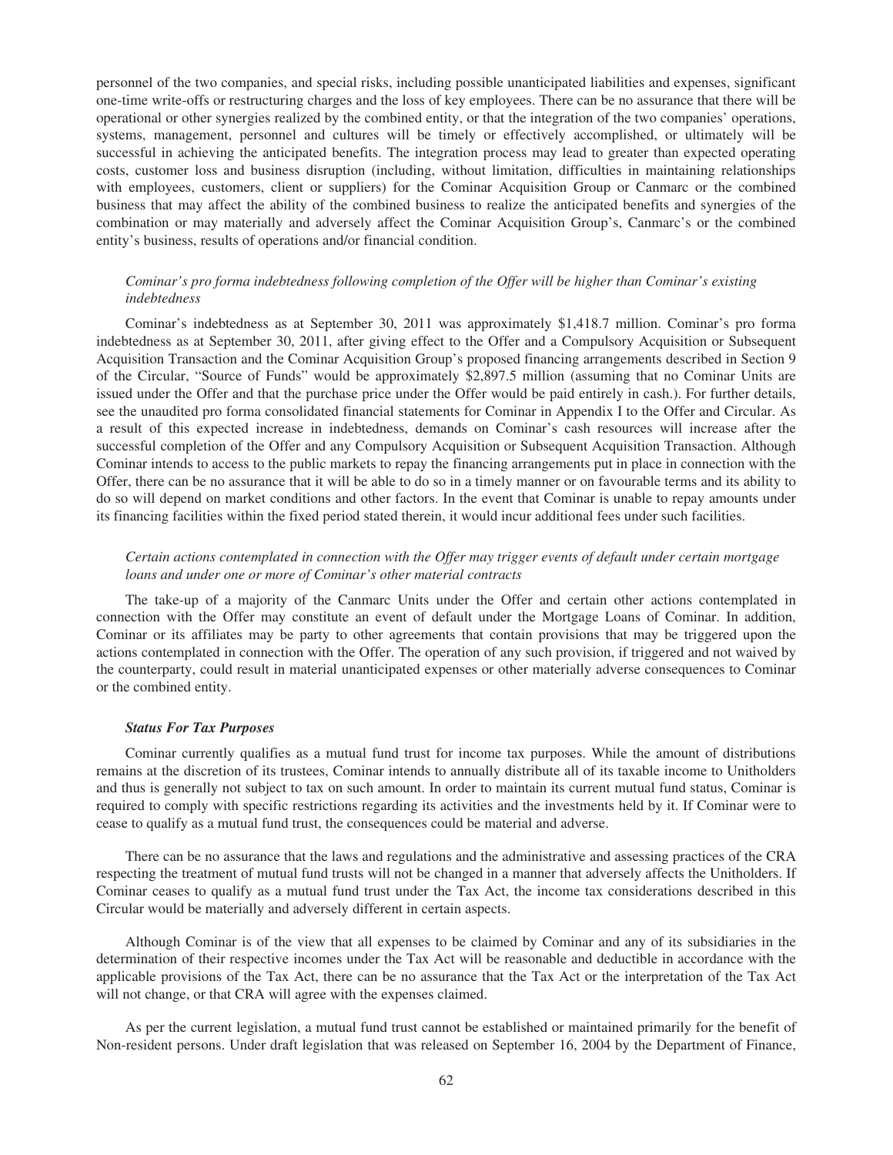personnel of the two companies, and special risks, including possible unanticipated liabilities and expenses, significant one-time write-offs or restructuring charges and the loss of key employees. There can be no assurance that there will be operational or other synergies realized by the combined entity, or that the integration of the two companies' operations, systems, management, personnel and cultures will be timely or effectively accomplished, or ultimately will be successful in achieving the anticipated benefits. The integration process may lead to greater than expected operating costs, customer loss and business disruption (including, without limitation, difficulties in maintaining relationships with employees, customers, client or suppliers) for the Cominar Acquisition Group or Canmarc or the combined business that may affect the ability of the combined business to realize the anticipated benefits and synergies of the combination or may materially and adversely affect the Cominar Acquisition Group's, Canmarc's or the combined entity's business, results of operations and/or financial condition.

# *Cominar's pro forma indebtedness following completion of the Offer will be higher than Cominar's existing indebtedness*

Cominar's indebtedness as at September 30, 2011 was approximately \$1,418.7 million. Cominar's pro forma indebtedness as at September 30, 2011, after giving effect to the Offer and a Compulsory Acquisition or Subsequent Acquisition Transaction and the Cominar Acquisition Group's proposed financing arrangements described in Section 9 of the Circular, "Source of Funds" would be approximately \$2,897.5 million (assuming that no Cominar Units are issued under the Offer and that the purchase price under the Offer would be paid entirely in cash.). For further details, see the unaudited pro forma consolidated financial statements for Cominar in Appendix I to the Offer and Circular. As a result of this expected increase in indebtedness, demands on Cominar's cash resources will increase after the successful completion of the Offer and any Compulsory Acquisition or Subsequent Acquisition Transaction. Although Cominar intends to access to the public markets to repay the financing arrangements put in place in connection with the Offer, there can be no assurance that it will be able to do so in a timely manner or on favourable terms and its ability to do so will depend on market conditions and other factors. In the event that Cominar is unable to repay amounts under its financing facilities within the fixed period stated therein, it would incur additional fees under such facilities.

## *Certain actions contemplated in connection with the Offer may trigger events of default under certain mortgage loans and under one or more of Cominar's other material contracts*

The take-up of a majority of the Canmarc Units under the Offer and certain other actions contemplated in connection with the Offer may constitute an event of default under the Mortgage Loans of Cominar. In addition, Cominar or its affiliates may be party to other agreements that contain provisions that may be triggered upon the actions contemplated in connection with the Offer. The operation of any such provision, if triggered and not waived by the counterparty, could result in material unanticipated expenses or other materially adverse consequences to Cominar or the combined entity.

### *Status For Tax Purposes*

Cominar currently qualifies as a mutual fund trust for income tax purposes. While the amount of distributions remains at the discretion of its trustees, Cominar intends to annually distribute all of its taxable income to Unitholders and thus is generally not subject to tax on such amount. In order to maintain its current mutual fund status, Cominar is required to comply with specific restrictions regarding its activities and the investments held by it. If Cominar were to cease to qualify as a mutual fund trust, the consequences could be material and adverse.

There can be no assurance that the laws and regulations and the administrative and assessing practices of the CRA respecting the treatment of mutual fund trusts will not be changed in a manner that adversely affects the Unitholders. If Cominar ceases to qualify as a mutual fund trust under the Tax Act, the income tax considerations described in this Circular would be materially and adversely different in certain aspects.

Although Cominar is of the view that all expenses to be claimed by Cominar and any of its subsidiaries in the determination of their respective incomes under the Tax Act will be reasonable and deductible in accordance with the applicable provisions of the Tax Act, there can be no assurance that the Tax Act or the interpretation of the Tax Act will not change, or that CRA will agree with the expenses claimed.

As per the current legislation, a mutual fund trust cannot be established or maintained primarily for the benefit of Non-resident persons. Under draft legislation that was released on September 16, 2004 by the Department of Finance,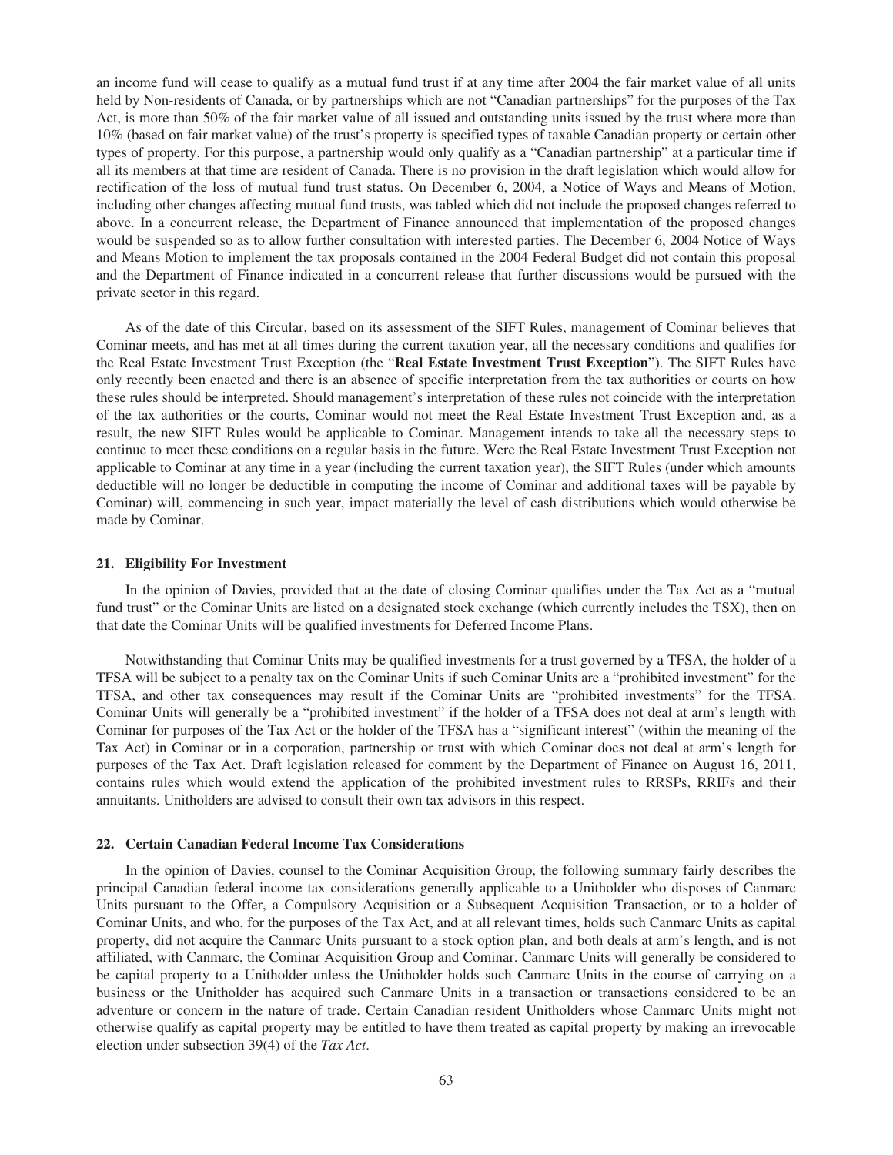an income fund will cease to qualify as a mutual fund trust if at any time after 2004 the fair market value of all units held by Non-residents of Canada, or by partnerships which are not "Canadian partnerships" for the purposes of the Tax Act, is more than 50% of the fair market value of all issued and outstanding units issued by the trust where more than 10% (based on fair market value) of the trust's property is specified types of taxable Canadian property or certain other types of property. For this purpose, a partnership would only qualify as a "Canadian partnership" at a particular time if all its members at that time are resident of Canada. There is no provision in the draft legislation which would allow for rectification of the loss of mutual fund trust status. On December 6, 2004, a Notice of Ways and Means of Motion, including other changes affecting mutual fund trusts, was tabled which did not include the proposed changes referred to above. In a concurrent release, the Department of Finance announced that implementation of the proposed changes would be suspended so as to allow further consultation with interested parties. The December 6, 2004 Notice of Ways and Means Motion to implement the tax proposals contained in the 2004 Federal Budget did not contain this proposal and the Department of Finance indicated in a concurrent release that further discussions would be pursued with the private sector in this regard.

As of the date of this Circular, based on its assessment of the SIFT Rules, management of Cominar believes that Cominar meets, and has met at all times during the current taxation year, all the necessary conditions and qualifies for the Real Estate Investment Trust Exception (the "**Real Estate Investment Trust Exception**"). The SIFT Rules have only recently been enacted and there is an absence of specific interpretation from the tax authorities or courts on how these rules should be interpreted. Should management's interpretation of these rules not coincide with the interpretation of the tax authorities or the courts, Cominar would not meet the Real Estate Investment Trust Exception and, as a result, the new SIFT Rules would be applicable to Cominar. Management intends to take all the necessary steps to continue to meet these conditions on a regular basis in the future. Were the Real Estate Investment Trust Exception not applicable to Cominar at any time in a year (including the current taxation year), the SIFT Rules (under which amounts deductible will no longer be deductible in computing the income of Cominar and additional taxes will be payable by Cominar) will, commencing in such year, impact materially the level of cash distributions which would otherwise be made by Cominar.

#### **21. Eligibility For Investment**

In the opinion of Davies, provided that at the date of closing Cominar qualifies under the Tax Act as a "mutual fund trust" or the Cominar Units are listed on a designated stock exchange (which currently includes the TSX), then on that date the Cominar Units will be qualified investments for Deferred Income Plans.

Notwithstanding that Cominar Units may be qualified investments for a trust governed by a TFSA, the holder of a TFSA will be subject to a penalty tax on the Cominar Units if such Cominar Units are a "prohibited investment" for the TFSA, and other tax consequences may result if the Cominar Units are "prohibited investments" for the TFSA. Cominar Units will generally be a "prohibited investment" if the holder of a TFSA does not deal at arm's length with Cominar for purposes of the Tax Act or the holder of the TFSA has a "significant interest" (within the meaning of the Tax Act) in Cominar or in a corporation, partnership or trust with which Cominar does not deal at arm's length for purposes of the Tax Act. Draft legislation released for comment by the Department of Finance on August 16, 2011, contains rules which would extend the application of the prohibited investment rules to RRSPs, RRIFs and their annuitants. Unitholders are advised to consult their own tax advisors in this respect.

#### **22. Certain Canadian Federal Income Tax Considerations**

In the opinion of Davies, counsel to the Cominar Acquisition Group, the following summary fairly describes the principal Canadian federal income tax considerations generally applicable to a Unitholder who disposes of Canmarc Units pursuant to the Offer, a Compulsory Acquisition or a Subsequent Acquisition Transaction, or to a holder of Cominar Units, and who, for the purposes of the Tax Act, and at all relevant times, holds such Canmarc Units as capital property, did not acquire the Canmarc Units pursuant to a stock option plan, and both deals at arm's length, and is not affiliated, with Canmarc, the Cominar Acquisition Group and Cominar. Canmarc Units will generally be considered to be capital property to a Unitholder unless the Unitholder holds such Canmarc Units in the course of carrying on a business or the Unitholder has acquired such Canmarc Units in a transaction or transactions considered to be an adventure or concern in the nature of trade. Certain Canadian resident Unitholders whose Canmarc Units might not otherwise qualify as capital property may be entitled to have them treated as capital property by making an irrevocable election under subsection 39(4) of the *Tax Act*.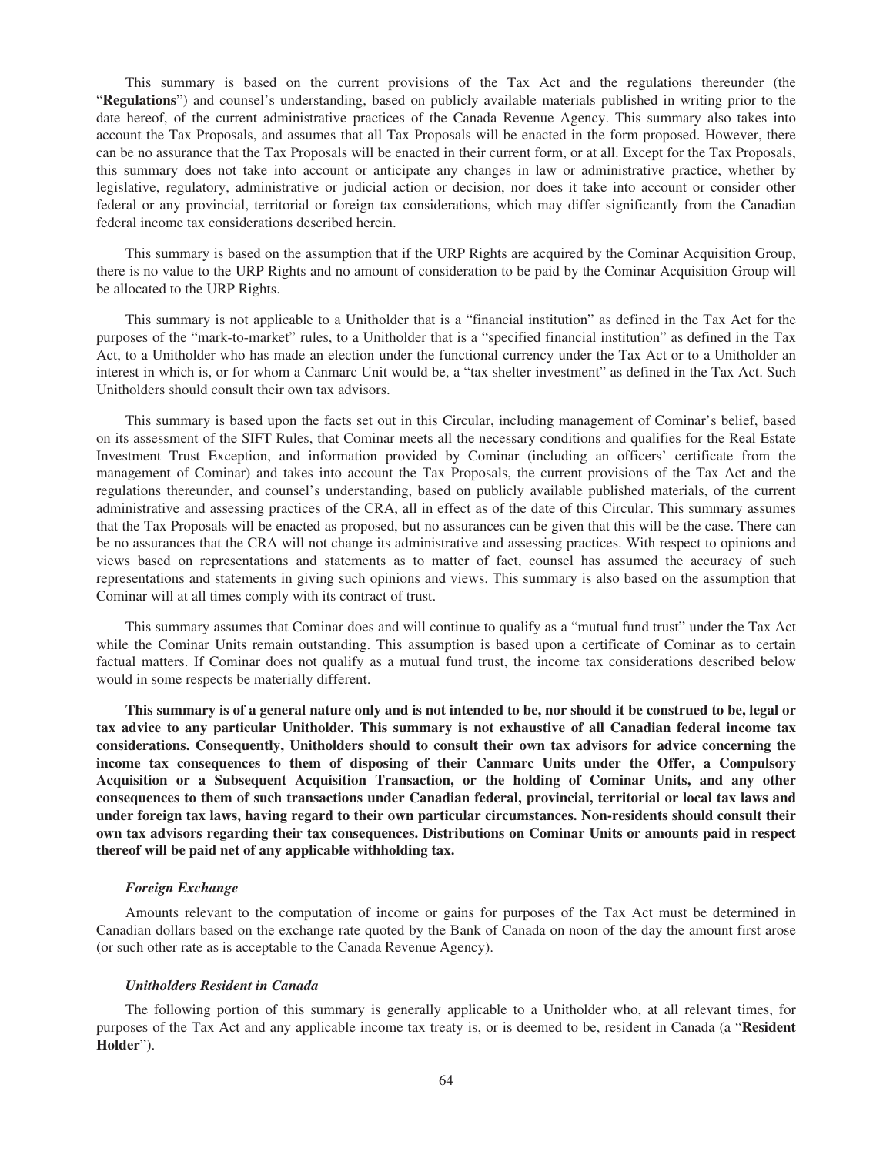This summary is based on the current provisions of the Tax Act and the regulations thereunder (the "**Regulations**") and counsel's understanding, based on publicly available materials published in writing prior to the date hereof, of the current administrative practices of the Canada Revenue Agency. This summary also takes into account the Tax Proposals, and assumes that all Tax Proposals will be enacted in the form proposed. However, there can be no assurance that the Tax Proposals will be enacted in their current form, or at all. Except for the Tax Proposals, this summary does not take into account or anticipate any changes in law or administrative practice, whether by legislative, regulatory, administrative or judicial action or decision, nor does it take into account or consider other federal or any provincial, territorial or foreign tax considerations, which may differ significantly from the Canadian federal income tax considerations described herein.

This summary is based on the assumption that if the URP Rights are acquired by the Cominar Acquisition Group, there is no value to the URP Rights and no amount of consideration to be paid by the Cominar Acquisition Group will be allocated to the URP Rights.

This summary is not applicable to a Unitholder that is a "financial institution" as defined in the Tax Act for the purposes of the "mark-to-market" rules, to a Unitholder that is a "specified financial institution" as defined in the Tax Act, to a Unitholder who has made an election under the functional currency under the Tax Act or to a Unitholder an interest in which is, or for whom a Canmarc Unit would be, a "tax shelter investment" as defined in the Tax Act. Such Unitholders should consult their own tax advisors.

This summary is based upon the facts set out in this Circular, including management of Cominar's belief, based on its assessment of the SIFT Rules, that Cominar meets all the necessary conditions and qualifies for the Real Estate Investment Trust Exception, and information provided by Cominar (including an officers' certificate from the management of Cominar) and takes into account the Tax Proposals, the current provisions of the Tax Act and the regulations thereunder, and counsel's understanding, based on publicly available published materials, of the current administrative and assessing practices of the CRA, all in effect as of the date of this Circular. This summary assumes that the Tax Proposals will be enacted as proposed, but no assurances can be given that this will be the case. There can be no assurances that the CRA will not change its administrative and assessing practices. With respect to opinions and views based on representations and statements as to matter of fact, counsel has assumed the accuracy of such representations and statements in giving such opinions and views. This summary is also based on the assumption that Cominar will at all times comply with its contract of trust.

This summary assumes that Cominar does and will continue to qualify as a "mutual fund trust" under the Tax Act while the Cominar Units remain outstanding. This assumption is based upon a certificate of Cominar as to certain factual matters. If Cominar does not qualify as a mutual fund trust, the income tax considerations described below would in some respects be materially different.

**This summary is of a general nature only and is not intended to be, nor should it be construed to be, legal or tax advice to any particular Unitholder. This summary is not exhaustive of all Canadian federal income tax considerations. Consequently, Unitholders should to consult their own tax advisors for advice concerning the income tax consequences to them of disposing of their Canmarc Units under the Offer, a Compulsory Acquisition or a Subsequent Acquisition Transaction, or the holding of Cominar Units, and any other consequences to them of such transactions under Canadian federal, provincial, territorial or local tax laws and under foreign tax laws, having regard to their own particular circumstances. Non-residents should consult their own tax advisors regarding their tax consequences. Distributions on Cominar Units or amounts paid in respect thereof will be paid net of any applicable withholding tax.**

### *Foreign Exchange*

Amounts relevant to the computation of income or gains for purposes of the Tax Act must be determined in Canadian dollars based on the exchange rate quoted by the Bank of Canada on noon of the day the amount first arose (or such other rate as is acceptable to the Canada Revenue Agency).

#### *Unitholders Resident in Canada*

The following portion of this summary is generally applicable to a Unitholder who, at all relevant times, for purposes of the Tax Act and any applicable income tax treaty is, or is deemed to be, resident in Canada (a "**Resident Holder**").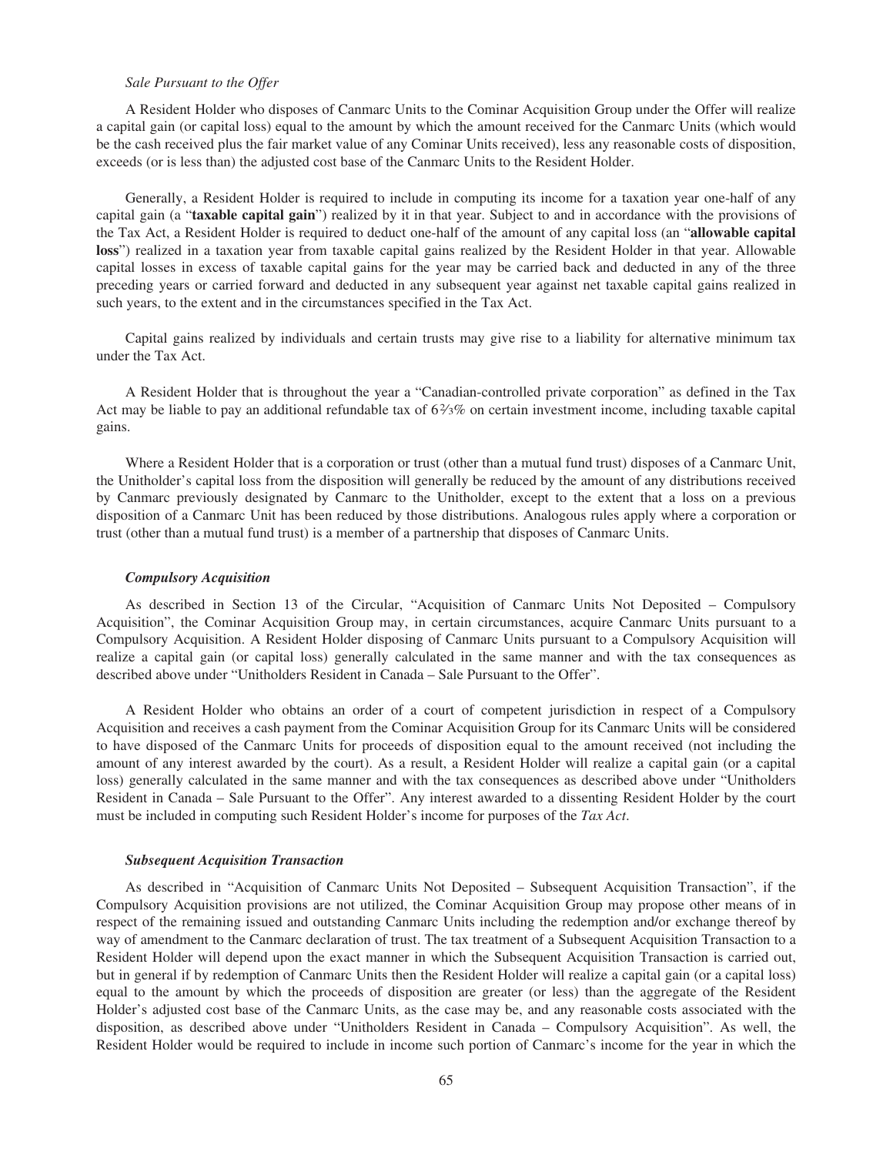#### *Sale Pursuant to the Offer*

A Resident Holder who disposes of Canmarc Units to the Cominar Acquisition Group under the Offer will realize a capital gain (or capital loss) equal to the amount by which the amount received for the Canmarc Units (which would be the cash received plus the fair market value of any Cominar Units received), less any reasonable costs of disposition, exceeds (or is less than) the adjusted cost base of the Canmarc Units to the Resident Holder.

Generally, a Resident Holder is required to include in computing its income for a taxation year one-half of any capital gain (a "**taxable capital gain**") realized by it in that year. Subject to and in accordance with the provisions of the Tax Act, a Resident Holder is required to deduct one-half of the amount of any capital loss (an "**allowable capital loss**") realized in a taxation year from taxable capital gains realized by the Resident Holder in that year. Allowable capital losses in excess of taxable capital gains for the year may be carried back and deducted in any of the three preceding years or carried forward and deducted in any subsequent year against net taxable capital gains realized in such years, to the extent and in the circumstances specified in the Tax Act.

Capital gains realized by individuals and certain trusts may give rise to a liability for alternative minimum tax under the Tax Act.

A Resident Holder that is throughout the year a "Canadian-controlled private corporation" as defined in the Tax Act may be liable to pay an additional refundable tax of  $6\frac{2}{3}\%$  on certain investment income, including taxable capital gains.

Where a Resident Holder that is a corporation or trust (other than a mutual fund trust) disposes of a Canmarc Unit, the Unitholder's capital loss from the disposition will generally be reduced by the amount of any distributions received by Canmarc previously designated by Canmarc to the Unitholder, except to the extent that a loss on a previous disposition of a Canmarc Unit has been reduced by those distributions. Analogous rules apply where a corporation or trust (other than a mutual fund trust) is a member of a partnership that disposes of Canmarc Units.

#### *Compulsory Acquisition*

As described in Section 13 of the Circular, "Acquisition of Canmarc Units Not Deposited – Compulsory Acquisition", the Cominar Acquisition Group may, in certain circumstances, acquire Canmarc Units pursuant to a Compulsory Acquisition. A Resident Holder disposing of Canmarc Units pursuant to a Compulsory Acquisition will realize a capital gain (or capital loss) generally calculated in the same manner and with the tax consequences as described above under "Unitholders Resident in Canada – Sale Pursuant to the Offer".

A Resident Holder who obtains an order of a court of competent jurisdiction in respect of a Compulsory Acquisition and receives a cash payment from the Cominar Acquisition Group for its Canmarc Units will be considered to have disposed of the Canmarc Units for proceeds of disposition equal to the amount received (not including the amount of any interest awarded by the court). As a result, a Resident Holder will realize a capital gain (or a capital loss) generally calculated in the same manner and with the tax consequences as described above under "Unitholders Resident in Canada – Sale Pursuant to the Offer". Any interest awarded to a dissenting Resident Holder by the court must be included in computing such Resident Holder's income for purposes of the *Tax Act*.

#### *Subsequent Acquisition Transaction*

As described in "Acquisition of Canmarc Units Not Deposited – Subsequent Acquisition Transaction", if the Compulsory Acquisition provisions are not utilized, the Cominar Acquisition Group may propose other means of in respect of the remaining issued and outstanding Canmarc Units including the redemption and/or exchange thereof by way of amendment to the Canmarc declaration of trust. The tax treatment of a Subsequent Acquisition Transaction to a Resident Holder will depend upon the exact manner in which the Subsequent Acquisition Transaction is carried out, but in general if by redemption of Canmarc Units then the Resident Holder will realize a capital gain (or a capital loss) equal to the amount by which the proceeds of disposition are greater (or less) than the aggregate of the Resident Holder's adjusted cost base of the Canmarc Units, as the case may be, and any reasonable costs associated with the disposition, as described above under "Unitholders Resident in Canada – Compulsory Acquisition". As well, the Resident Holder would be required to include in income such portion of Canmarc's income for the year in which the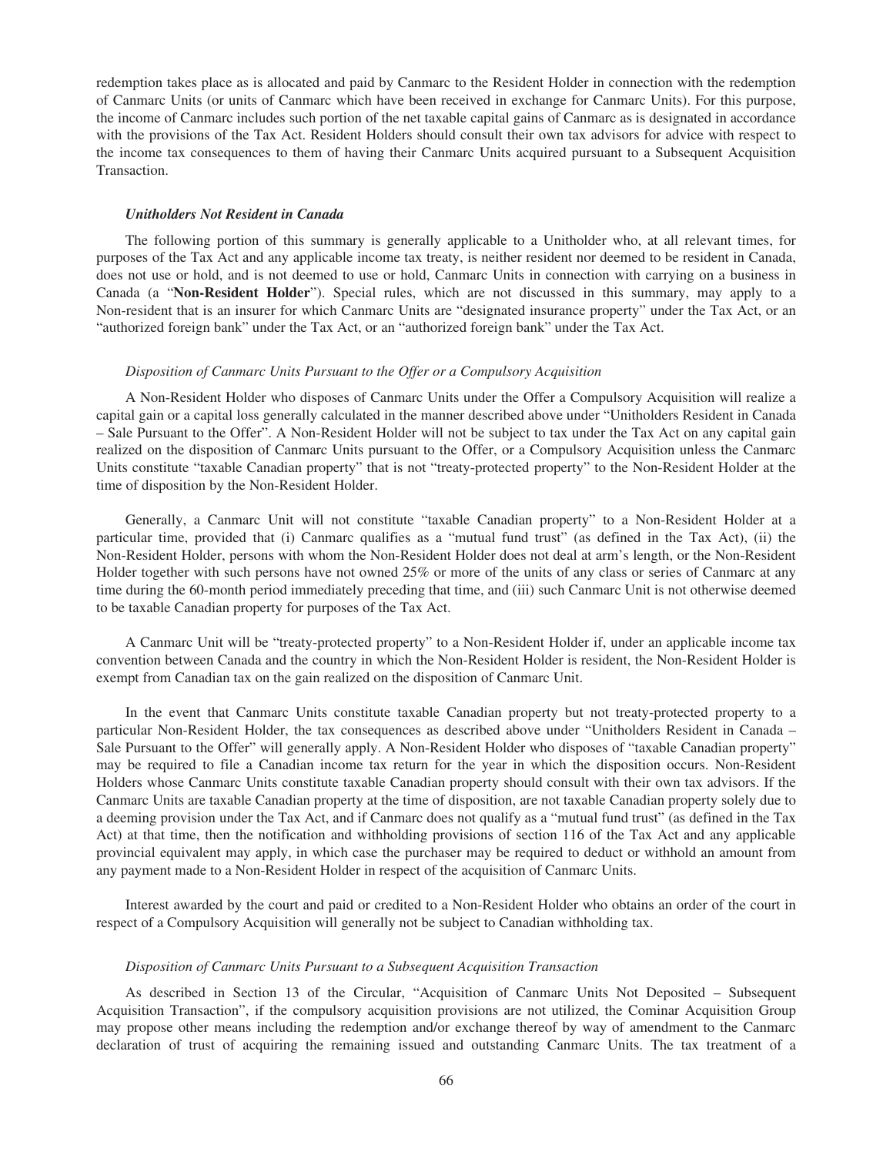redemption takes place as is allocated and paid by Canmarc to the Resident Holder in connection with the redemption of Canmarc Units (or units of Canmarc which have been received in exchange for Canmarc Units). For this purpose, the income of Canmarc includes such portion of the net taxable capital gains of Canmarc as is designated in accordance with the provisions of the Tax Act. Resident Holders should consult their own tax advisors for advice with respect to the income tax consequences to them of having their Canmarc Units acquired pursuant to a Subsequent Acquisition Transaction.

## *Unitholders Not Resident in Canada*

The following portion of this summary is generally applicable to a Unitholder who, at all relevant times, for purposes of the Tax Act and any applicable income tax treaty, is neither resident nor deemed to be resident in Canada, does not use or hold, and is not deemed to use or hold, Canmarc Units in connection with carrying on a business in Canada (a "**Non-Resident Holder**"). Special rules, which are not discussed in this summary, may apply to a Non-resident that is an insurer for which Canmarc Units are "designated insurance property" under the Tax Act, or an "authorized foreign bank" under the Tax Act, or an "authorized foreign bank" under the Tax Act.

#### *Disposition of Canmarc Units Pursuant to the Offer or a Compulsory Acquisition*

A Non-Resident Holder who disposes of Canmarc Units under the Offer a Compulsory Acquisition will realize a capital gain or a capital loss generally calculated in the manner described above under "Unitholders Resident in Canada – Sale Pursuant to the Offer". A Non-Resident Holder will not be subject to tax under the Tax Act on any capital gain realized on the disposition of Canmarc Units pursuant to the Offer, or a Compulsory Acquisition unless the Canmarc Units constitute "taxable Canadian property" that is not "treaty-protected property" to the Non-Resident Holder at the time of disposition by the Non-Resident Holder.

Generally, a Canmarc Unit will not constitute "taxable Canadian property" to a Non-Resident Holder at a particular time, provided that (i) Canmarc qualifies as a "mutual fund trust" (as defined in the Tax Act), (ii) the Non-Resident Holder, persons with whom the Non-Resident Holder does not deal at arm's length, or the Non-Resident Holder together with such persons have not owned 25% or more of the units of any class or series of Canmarc at any time during the 60-month period immediately preceding that time, and (iii) such Canmarc Unit is not otherwise deemed to be taxable Canadian property for purposes of the Tax Act.

A Canmarc Unit will be "treaty-protected property" to a Non-Resident Holder if, under an applicable income tax convention between Canada and the country in which the Non-Resident Holder is resident, the Non-Resident Holder is exempt from Canadian tax on the gain realized on the disposition of Canmarc Unit.

In the event that Canmarc Units constitute taxable Canadian property but not treaty-protected property to a particular Non-Resident Holder, the tax consequences as described above under "Unitholders Resident in Canada – Sale Pursuant to the Offer" will generally apply. A Non-Resident Holder who disposes of "taxable Canadian property" may be required to file a Canadian income tax return for the year in which the disposition occurs. Non-Resident Holders whose Canmarc Units constitute taxable Canadian property should consult with their own tax advisors. If the Canmarc Units are taxable Canadian property at the time of disposition, are not taxable Canadian property solely due to a deeming provision under the Tax Act, and if Canmarc does not qualify as a "mutual fund trust" (as defined in the Tax Act) at that time, then the notification and withholding provisions of section 116 of the Tax Act and any applicable provincial equivalent may apply, in which case the purchaser may be required to deduct or withhold an amount from any payment made to a Non-Resident Holder in respect of the acquisition of Canmarc Units.

Interest awarded by the court and paid or credited to a Non-Resident Holder who obtains an order of the court in respect of a Compulsory Acquisition will generally not be subject to Canadian withholding tax.

## *Disposition of Canmarc Units Pursuant to a Subsequent Acquisition Transaction*

As described in Section 13 of the Circular, "Acquisition of Canmarc Units Not Deposited – Subsequent Acquisition Transaction", if the compulsory acquisition provisions are not utilized, the Cominar Acquisition Group may propose other means including the redemption and/or exchange thereof by way of amendment to the Canmarc declaration of trust of acquiring the remaining issued and outstanding Canmarc Units. The tax treatment of a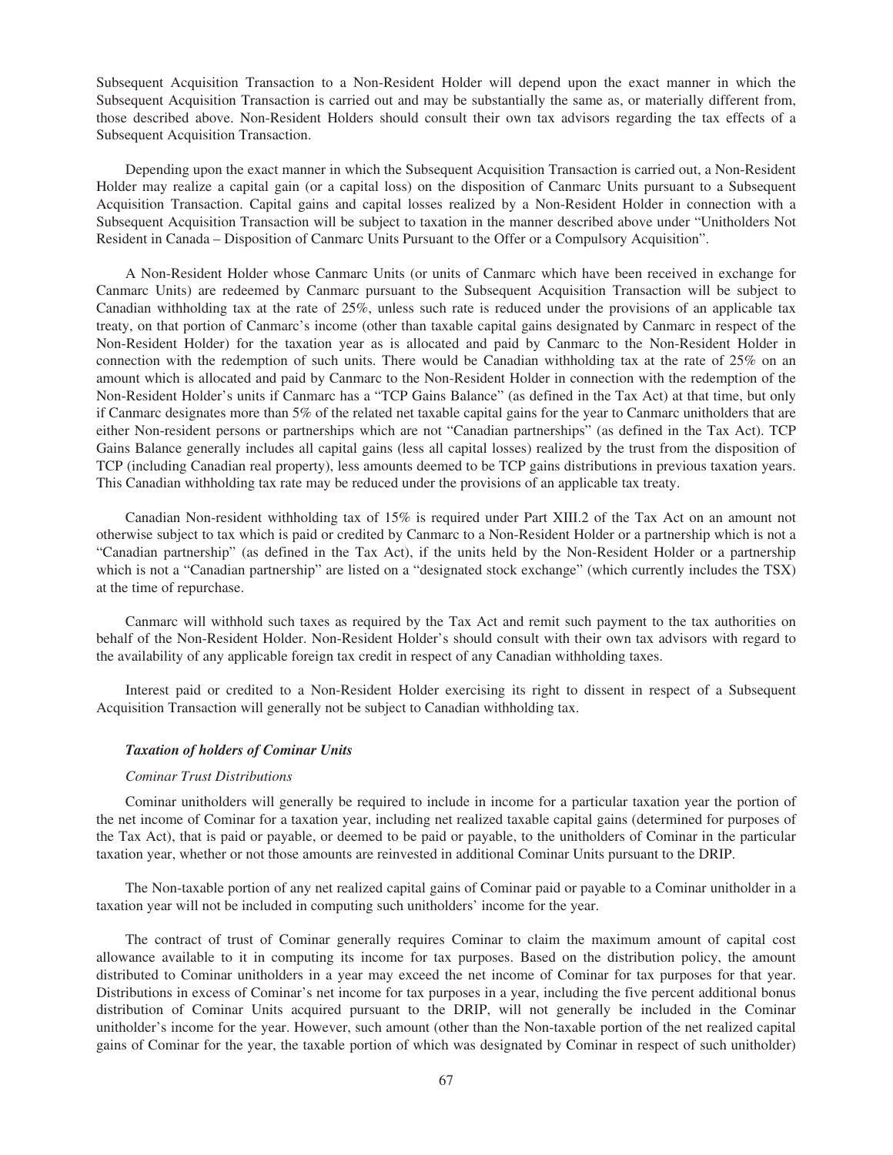Subsequent Acquisition Transaction to a Non-Resident Holder will depend upon the exact manner in which the Subsequent Acquisition Transaction is carried out and may be substantially the same as, or materially different from, those described above. Non-Resident Holders should consult their own tax advisors regarding the tax effects of a Subsequent Acquisition Transaction.

Depending upon the exact manner in which the Subsequent Acquisition Transaction is carried out, a Non-Resident Holder may realize a capital gain (or a capital loss) on the disposition of Canmarc Units pursuant to a Subsequent Acquisition Transaction. Capital gains and capital losses realized by a Non-Resident Holder in connection with a Subsequent Acquisition Transaction will be subject to taxation in the manner described above under "Unitholders Not Resident in Canada – Disposition of Canmarc Units Pursuant to the Offer or a Compulsory Acquisition".

A Non-Resident Holder whose Canmarc Units (or units of Canmarc which have been received in exchange for Canmarc Units) are redeemed by Canmarc pursuant to the Subsequent Acquisition Transaction will be subject to Canadian withholding tax at the rate of 25%, unless such rate is reduced under the provisions of an applicable tax treaty, on that portion of Canmarc's income (other than taxable capital gains designated by Canmarc in respect of the Non-Resident Holder) for the taxation year as is allocated and paid by Canmarc to the Non-Resident Holder in connection with the redemption of such units. There would be Canadian withholding tax at the rate of 25% on an amount which is allocated and paid by Canmarc to the Non-Resident Holder in connection with the redemption of the Non-Resident Holder's units if Canmarc has a "TCP Gains Balance" (as defined in the Tax Act) at that time, but only if Canmarc designates more than 5% of the related net taxable capital gains for the year to Canmarc unitholders that are either Non-resident persons or partnerships which are not "Canadian partnerships" (as defined in the Tax Act). TCP Gains Balance generally includes all capital gains (less all capital losses) realized by the trust from the disposition of TCP (including Canadian real property), less amounts deemed to be TCP gains distributions in previous taxation years. This Canadian withholding tax rate may be reduced under the provisions of an applicable tax treaty.

Canadian Non-resident withholding tax of 15% is required under Part XIII.2 of the Tax Act on an amount not otherwise subject to tax which is paid or credited by Canmarc to a Non-Resident Holder or a partnership which is not a "Canadian partnership" (as defined in the Tax Act), if the units held by the Non-Resident Holder or a partnership which is not a "Canadian partnership" are listed on a "designated stock exchange" (which currently includes the TSX) at the time of repurchase.

Canmarc will withhold such taxes as required by the Tax Act and remit such payment to the tax authorities on behalf of the Non-Resident Holder. Non-Resident Holder's should consult with their own tax advisors with regard to the availability of any applicable foreign tax credit in respect of any Canadian withholding taxes.

Interest paid or credited to a Non-Resident Holder exercising its right to dissent in respect of a Subsequent Acquisition Transaction will generally not be subject to Canadian withholding tax.

## *Taxation of holders of Cominar Units*

## *Cominar Trust Distributions*

Cominar unitholders will generally be required to include in income for a particular taxation year the portion of the net income of Cominar for a taxation year, including net realized taxable capital gains (determined for purposes of the Tax Act), that is paid or payable, or deemed to be paid or payable, to the unitholders of Cominar in the particular taxation year, whether or not those amounts are reinvested in additional Cominar Units pursuant to the DRIP.

The Non-taxable portion of any net realized capital gains of Cominar paid or payable to a Cominar unitholder in a taxation year will not be included in computing such unitholders' income for the year.

The contract of trust of Cominar generally requires Cominar to claim the maximum amount of capital cost allowance available to it in computing its income for tax purposes. Based on the distribution policy, the amount distributed to Cominar unitholders in a year may exceed the net income of Cominar for tax purposes for that year. Distributions in excess of Cominar's net income for tax purposes in a year, including the five percent additional bonus distribution of Cominar Units acquired pursuant to the DRIP, will not generally be included in the Cominar unitholder's income for the year. However, such amount (other than the Non-taxable portion of the net realized capital gains of Cominar for the year, the taxable portion of which was designated by Cominar in respect of such unitholder)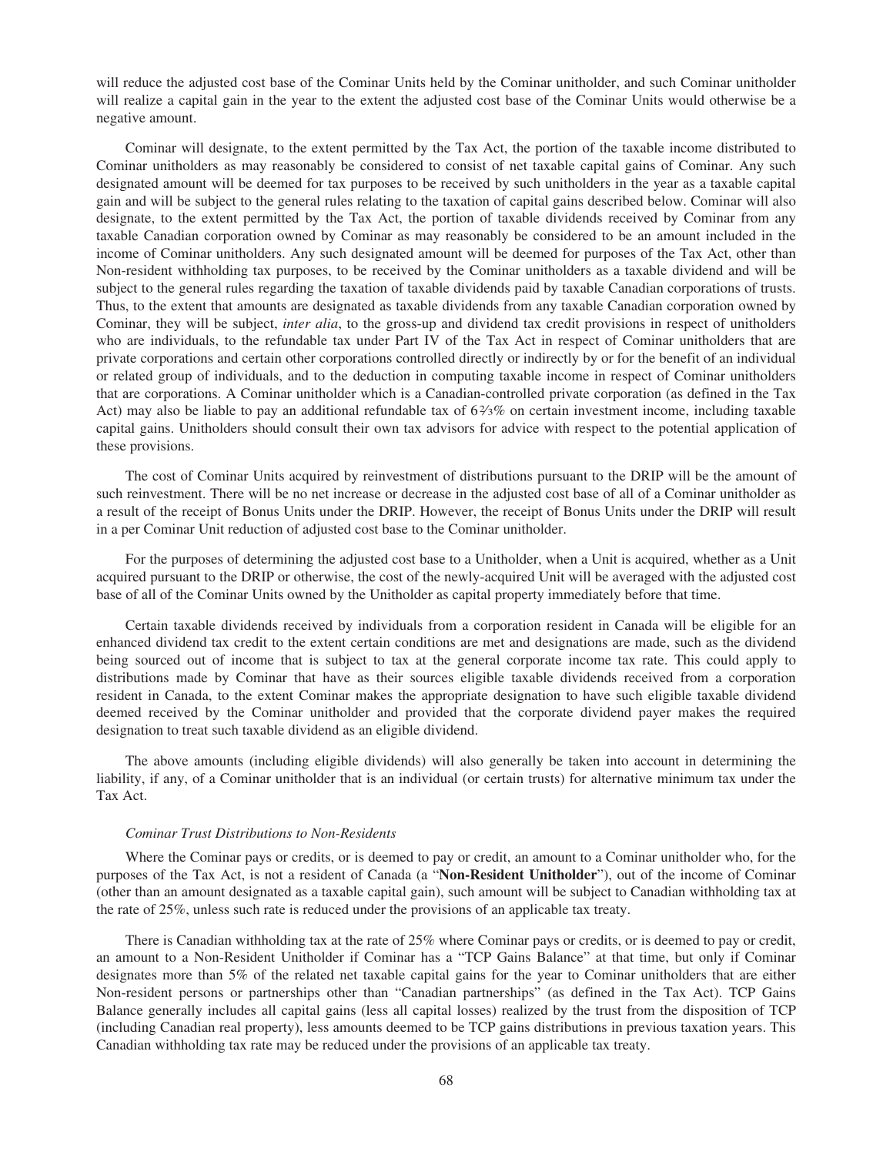will reduce the adjusted cost base of the Cominar Units held by the Cominar unitholder, and such Cominar unitholder will realize a capital gain in the year to the extent the adjusted cost base of the Cominar Units would otherwise be a negative amount.

Cominar will designate, to the extent permitted by the Tax Act, the portion of the taxable income distributed to Cominar unitholders as may reasonably be considered to consist of net taxable capital gains of Cominar. Any such designated amount will be deemed for tax purposes to be received by such unitholders in the year as a taxable capital gain and will be subject to the general rules relating to the taxation of capital gains described below. Cominar will also designate, to the extent permitted by the Tax Act, the portion of taxable dividends received by Cominar from any taxable Canadian corporation owned by Cominar as may reasonably be considered to be an amount included in the income of Cominar unitholders. Any such designated amount will be deemed for purposes of the Tax Act, other than Non-resident withholding tax purposes, to be received by the Cominar unitholders as a taxable dividend and will be subject to the general rules regarding the taxation of taxable dividends paid by taxable Canadian corporations of trusts. Thus, to the extent that amounts are designated as taxable dividends from any taxable Canadian corporation owned by Cominar, they will be subject, *inter alia*, to the gross-up and dividend tax credit provisions in respect of unitholders who are individuals, to the refundable tax under Part IV of the Tax Act in respect of Cominar unitholders that are private corporations and certain other corporations controlled directly or indirectly by or for the benefit of an individual or related group of individuals, and to the deduction in computing taxable income in respect of Cominar unitholders that are corporations. A Cominar unitholder which is a Canadian-controlled private corporation (as defined in the Tax Act) may also be liable to pay an additional refundable tax of  $6\frac{2}{3}\%$  on certain investment income, including taxable capital gains. Unitholders should consult their own tax advisors for advice with respect to the potential application of these provisions.

The cost of Cominar Units acquired by reinvestment of distributions pursuant to the DRIP will be the amount of such reinvestment. There will be no net increase or decrease in the adjusted cost base of all of a Cominar unitholder as a result of the receipt of Bonus Units under the DRIP. However, the receipt of Bonus Units under the DRIP will result in a per Cominar Unit reduction of adjusted cost base to the Cominar unitholder.

For the purposes of determining the adjusted cost base to a Unitholder, when a Unit is acquired, whether as a Unit acquired pursuant to the DRIP or otherwise, the cost of the newly-acquired Unit will be averaged with the adjusted cost base of all of the Cominar Units owned by the Unitholder as capital property immediately before that time.

Certain taxable dividends received by individuals from a corporation resident in Canada will be eligible for an enhanced dividend tax credit to the extent certain conditions are met and designations are made, such as the dividend being sourced out of income that is subject to tax at the general corporate income tax rate. This could apply to distributions made by Cominar that have as their sources eligible taxable dividends received from a corporation resident in Canada, to the extent Cominar makes the appropriate designation to have such eligible taxable dividend deemed received by the Cominar unitholder and provided that the corporate dividend payer makes the required designation to treat such taxable dividend as an eligible dividend.

The above amounts (including eligible dividends) will also generally be taken into account in determining the liability, if any, of a Cominar unitholder that is an individual (or certain trusts) for alternative minimum tax under the Tax Act.

## *Cominar Trust Distributions to Non-Residents*

Where the Cominar pays or credits, or is deemed to pay or credit, an amount to a Cominar unitholder who, for the purposes of the Tax Act, is not a resident of Canada (a "**Non-Resident Unitholder**"), out of the income of Cominar (other than an amount designated as a taxable capital gain), such amount will be subject to Canadian withholding tax at the rate of 25%, unless such rate is reduced under the provisions of an applicable tax treaty.

There is Canadian withholding tax at the rate of 25% where Cominar pays or credits, or is deemed to pay or credit, an amount to a Non-Resident Unitholder if Cominar has a "TCP Gains Balance" at that time, but only if Cominar designates more than 5% of the related net taxable capital gains for the year to Cominar unitholders that are either Non-resident persons or partnerships other than "Canadian partnerships" (as defined in the Tax Act). TCP Gains Balance generally includes all capital gains (less all capital losses) realized by the trust from the disposition of TCP (including Canadian real property), less amounts deemed to be TCP gains distributions in previous taxation years. This Canadian withholding tax rate may be reduced under the provisions of an applicable tax treaty.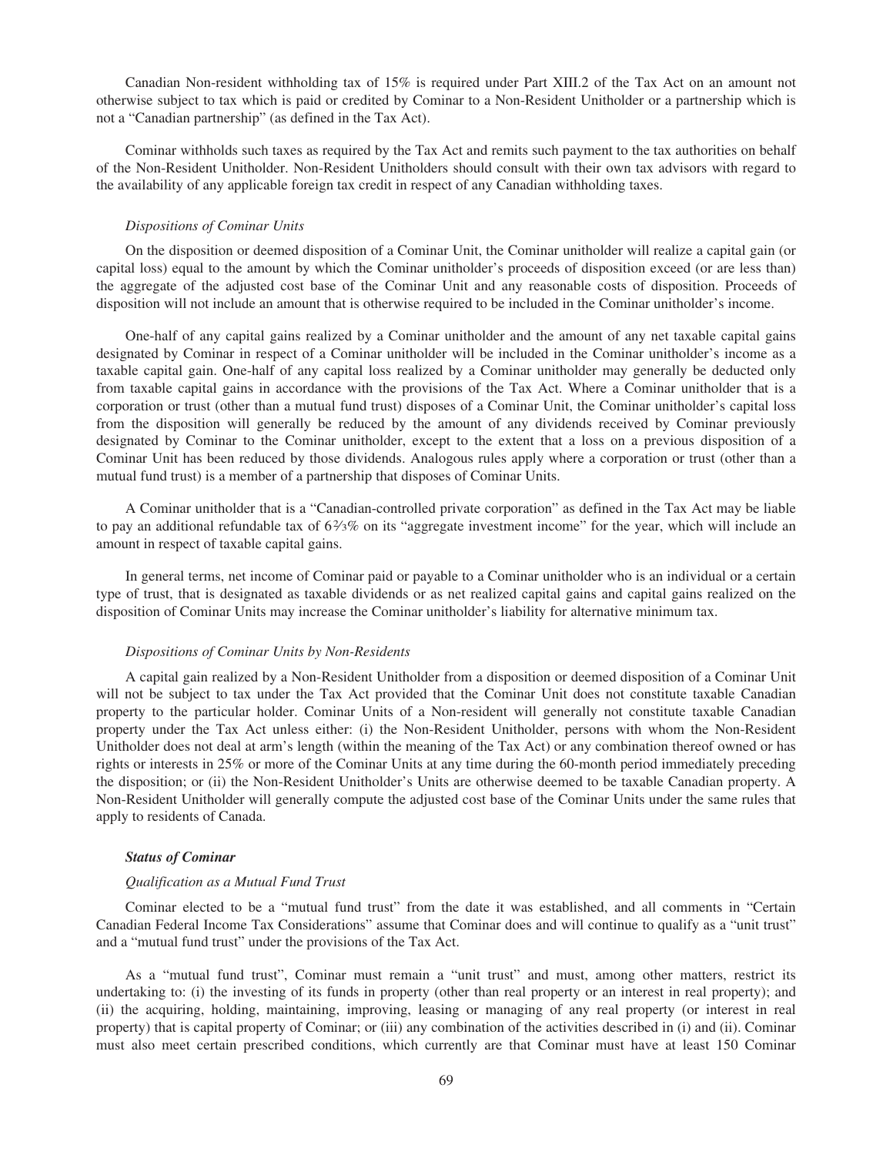Canadian Non-resident withholding tax of 15% is required under Part XIII.2 of the Tax Act on an amount not otherwise subject to tax which is paid or credited by Cominar to a Non-Resident Unitholder or a partnership which is not a "Canadian partnership" (as defined in the Tax Act).

Cominar withholds such taxes as required by the Tax Act and remits such payment to the tax authorities on behalf of the Non-Resident Unitholder. Non-Resident Unitholders should consult with their own tax advisors with regard to the availability of any applicable foreign tax credit in respect of any Canadian withholding taxes.

#### *Dispositions of Cominar Units*

On the disposition or deemed disposition of a Cominar Unit, the Cominar unitholder will realize a capital gain (or capital loss) equal to the amount by which the Cominar unitholder's proceeds of disposition exceed (or are less than) the aggregate of the adjusted cost base of the Cominar Unit and any reasonable costs of disposition. Proceeds of disposition will not include an amount that is otherwise required to be included in the Cominar unitholder's income.

One-half of any capital gains realized by a Cominar unitholder and the amount of any net taxable capital gains designated by Cominar in respect of a Cominar unitholder will be included in the Cominar unitholder's income as a taxable capital gain. One-half of any capital loss realized by a Cominar unitholder may generally be deducted only from taxable capital gains in accordance with the provisions of the Tax Act. Where a Cominar unitholder that is a corporation or trust (other than a mutual fund trust) disposes of a Cominar Unit, the Cominar unitholder's capital loss from the disposition will generally be reduced by the amount of any dividends received by Cominar previously designated by Cominar to the Cominar unitholder, except to the extent that a loss on a previous disposition of a Cominar Unit has been reduced by those dividends. Analogous rules apply where a corporation or trust (other than a mutual fund trust) is a member of a partnership that disposes of Cominar Units.

A Cominar unitholder that is a "Canadian-controlled private corporation" as defined in the Tax Act may be liable to pay an additional refundable tax of  $6\frac{2}{3}\%$  on its "aggregate investment income" for the year, which will include an amount in respect of taxable capital gains.

In general terms, net income of Cominar paid or payable to a Cominar unitholder who is an individual or a certain type of trust, that is designated as taxable dividends or as net realized capital gains and capital gains realized on the disposition of Cominar Units may increase the Cominar unitholder's liability for alternative minimum tax.

## *Dispositions of Cominar Units by Non-Residents*

A capital gain realized by a Non-Resident Unitholder from a disposition or deemed disposition of a Cominar Unit will not be subject to tax under the Tax Act provided that the Cominar Unit does not constitute taxable Canadian property to the particular holder. Cominar Units of a Non-resident will generally not constitute taxable Canadian property under the Tax Act unless either: (i) the Non-Resident Unitholder, persons with whom the Non-Resident Unitholder does not deal at arm's length (within the meaning of the Tax Act) or any combination thereof owned or has rights or interests in 25% or more of the Cominar Units at any time during the 60-month period immediately preceding the disposition; or (ii) the Non-Resident Unitholder's Units are otherwise deemed to be taxable Canadian property. A Non-Resident Unitholder will generally compute the adjusted cost base of the Cominar Units under the same rules that apply to residents of Canada.

## *Status of Cominar*

## *Qualification as a Mutual Fund Trust*

Cominar elected to be a "mutual fund trust" from the date it was established, and all comments in "Certain Canadian Federal Income Tax Considerations" assume that Cominar does and will continue to qualify as a "unit trust" and a "mutual fund trust" under the provisions of the Tax Act.

As a "mutual fund trust", Cominar must remain a "unit trust" and must, among other matters, restrict its undertaking to: (i) the investing of its funds in property (other than real property or an interest in real property); and (ii) the acquiring, holding, maintaining, improving, leasing or managing of any real property (or interest in real property) that is capital property of Cominar; or (iii) any combination of the activities described in (i) and (ii). Cominar must also meet certain prescribed conditions, which currently are that Cominar must have at least 150 Cominar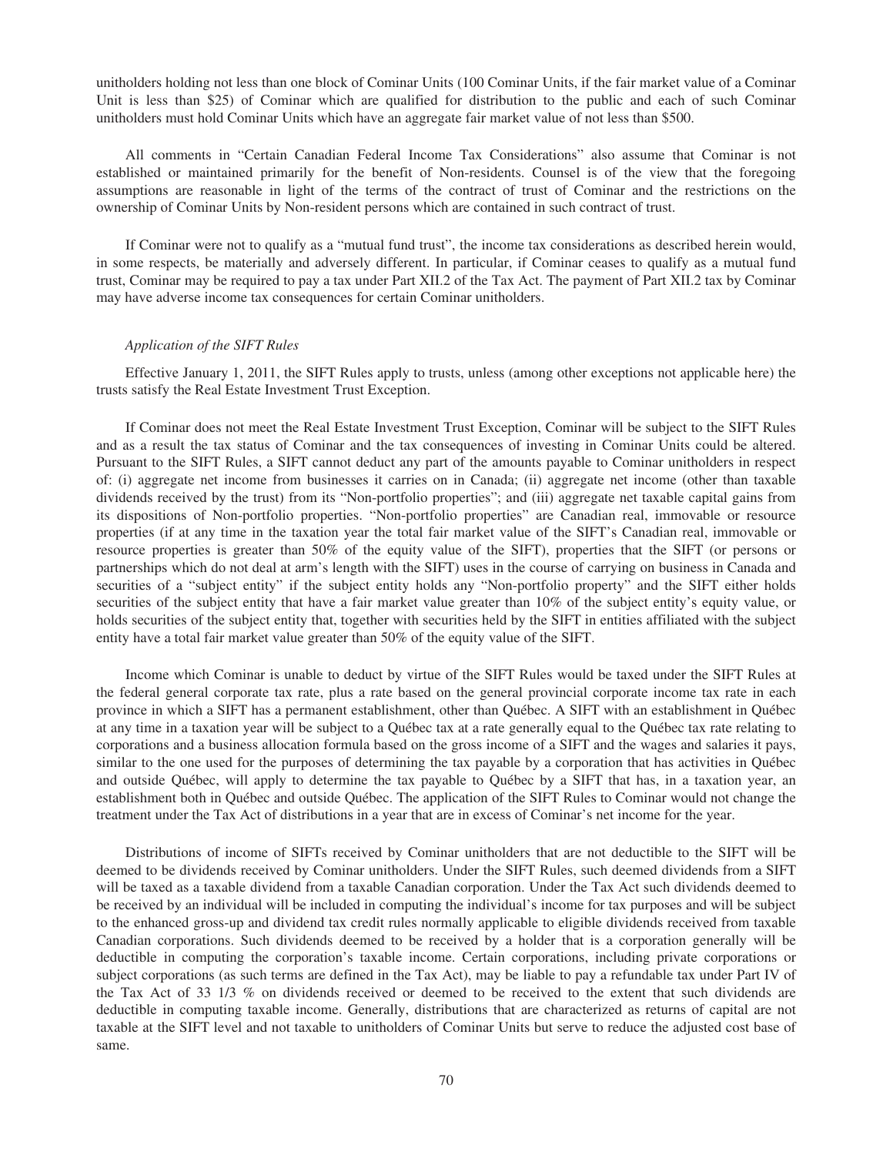unitholders holding not less than one block of Cominar Units (100 Cominar Units, if the fair market value of a Cominar Unit is less than \$25) of Cominar which are qualified for distribution to the public and each of such Cominar unitholders must hold Cominar Units which have an aggregate fair market value of not less than \$500.

All comments in "Certain Canadian Federal Income Tax Considerations" also assume that Cominar is not established or maintained primarily for the benefit of Non-residents. Counsel is of the view that the foregoing assumptions are reasonable in light of the terms of the contract of trust of Cominar and the restrictions on the ownership of Cominar Units by Non-resident persons which are contained in such contract of trust.

If Cominar were not to qualify as a "mutual fund trust", the income tax considerations as described herein would, in some respects, be materially and adversely different. In particular, if Cominar ceases to qualify as a mutual fund trust, Cominar may be required to pay a tax under Part XII.2 of the Tax Act. The payment of Part XII.2 tax by Cominar may have adverse income tax consequences for certain Cominar unitholders.

## *Application of the SIFT Rules*

Effective January 1, 2011, the SIFT Rules apply to trusts, unless (among other exceptions not applicable here) the trusts satisfy the Real Estate Investment Trust Exception.

If Cominar does not meet the Real Estate Investment Trust Exception, Cominar will be subject to the SIFT Rules and as a result the tax status of Cominar and the tax consequences of investing in Cominar Units could be altered. Pursuant to the SIFT Rules, a SIFT cannot deduct any part of the amounts payable to Cominar unitholders in respect of: (i) aggregate net income from businesses it carries on in Canada; (ii) aggregate net income (other than taxable dividends received by the trust) from its "Non-portfolio properties"; and (iii) aggregate net taxable capital gains from its dispositions of Non-portfolio properties. "Non-portfolio properties" are Canadian real, immovable or resource properties (if at any time in the taxation year the total fair market value of the SIFT's Canadian real, immovable or resource properties is greater than 50% of the equity value of the SIFT), properties that the SIFT (or persons or partnerships which do not deal at arm's length with the SIFT) uses in the course of carrying on business in Canada and securities of a "subject entity" if the subject entity holds any "Non-portfolio property" and the SIFT either holds securities of the subject entity that have a fair market value greater than 10% of the subject entity's equity value, or holds securities of the subject entity that, together with securities held by the SIFT in entities affiliated with the subject entity have a total fair market value greater than 50% of the equity value of the SIFT.

Income which Cominar is unable to deduct by virtue of the SIFT Rules would be taxed under the SIFT Rules at the federal general corporate tax rate, plus a rate based on the general provincial corporate income tax rate in each province in which a SIFT has a permanent establishment, other than Québec. A SIFT with an establishment in Québec at any time in a taxation year will be subject to a Québec tax at a rate generally equal to the Québec tax rate relating to corporations and a business allocation formula based on the gross income of a SIFT and the wages and salaries it pays, similar to the one used for the purposes of determining the tax payable by a corporation that has activities in Québec and outside Québec, will apply to determine the tax payable to Québec by a SIFT that has, in a taxation year, an establishment both in Québec and outside Québec. The application of the SIFT Rules to Cominar would not change the treatment under the Tax Act of distributions in a year that are in excess of Cominar's net income for the year.

Distributions of income of SIFTs received by Cominar unitholders that are not deductible to the SIFT will be deemed to be dividends received by Cominar unitholders. Under the SIFT Rules, such deemed dividends from a SIFT will be taxed as a taxable dividend from a taxable Canadian corporation. Under the Tax Act such dividends deemed to be received by an individual will be included in computing the individual's income for tax purposes and will be subject to the enhanced gross-up and dividend tax credit rules normally applicable to eligible dividends received from taxable Canadian corporations. Such dividends deemed to be received by a holder that is a corporation generally will be deductible in computing the corporation's taxable income. Certain corporations, including private corporations or subject corporations (as such terms are defined in the Tax Act), may be liable to pay a refundable tax under Part IV of the Tax Act of 33 1/3 % on dividends received or deemed to be received to the extent that such dividends are deductible in computing taxable income. Generally, distributions that are characterized as returns of capital are not taxable at the SIFT level and not taxable to unitholders of Cominar Units but serve to reduce the adjusted cost base of same.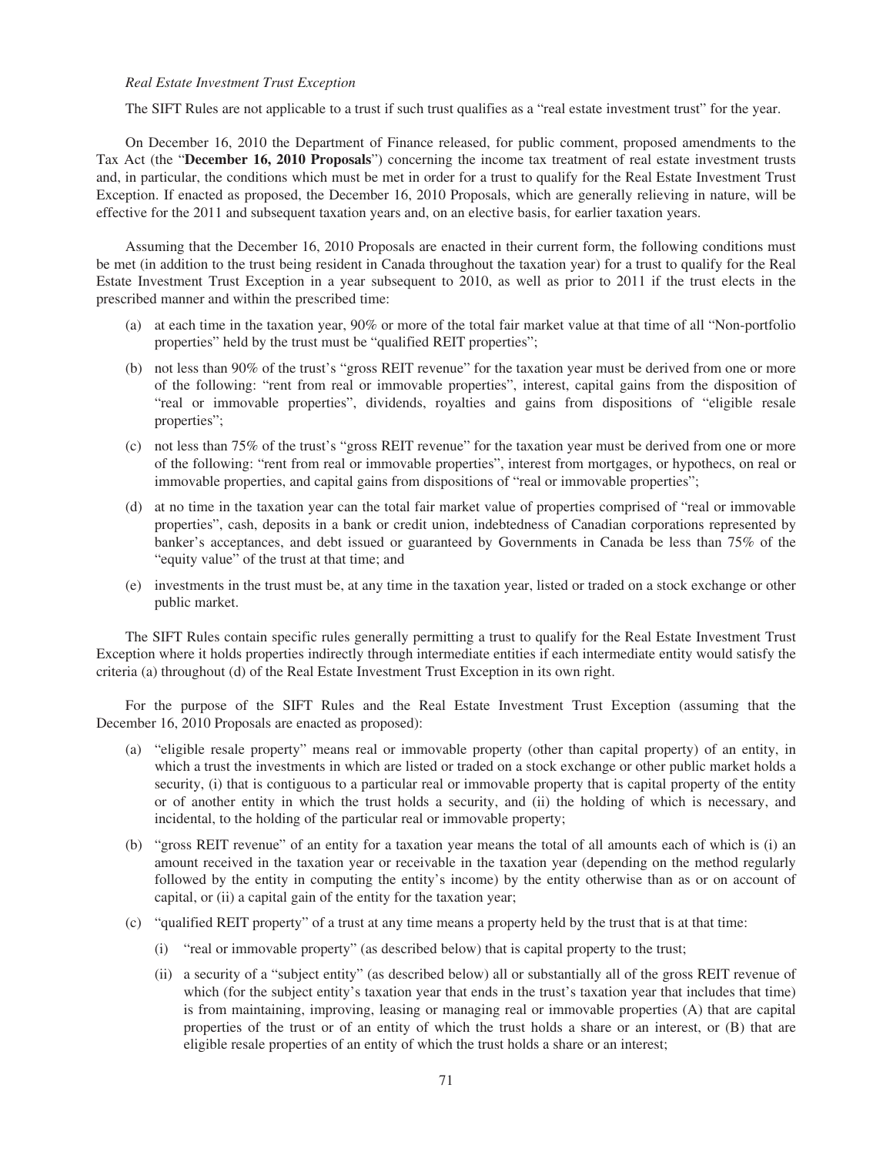## *Real Estate Investment Trust Exception*

The SIFT Rules are not applicable to a trust if such trust qualifies as a "real estate investment trust" for the year.

On December 16, 2010 the Department of Finance released, for public comment, proposed amendments to the Tax Act (the "**December 16, 2010 Proposals**") concerning the income tax treatment of real estate investment trusts and, in particular, the conditions which must be met in order for a trust to qualify for the Real Estate Investment Trust Exception. If enacted as proposed, the December 16, 2010 Proposals, which are generally relieving in nature, will be effective for the 2011 and subsequent taxation years and, on an elective basis, for earlier taxation years.

Assuming that the December 16, 2010 Proposals are enacted in their current form, the following conditions must be met (in addition to the trust being resident in Canada throughout the taxation year) for a trust to qualify for the Real Estate Investment Trust Exception in a year subsequent to 2010, as well as prior to 2011 if the trust elects in the prescribed manner and within the prescribed time:

- (a) at each time in the taxation year, 90% or more of the total fair market value at that time of all "Non-portfolio properties" held by the trust must be "qualified REIT properties";
- (b) not less than 90% of the trust's "gross REIT revenue" for the taxation year must be derived from one or more of the following: "rent from real or immovable properties", interest, capital gains from the disposition of "real or immovable properties", dividends, royalties and gains from dispositions of "eligible resale properties";
- (c) not less than 75% of the trust's "gross REIT revenue" for the taxation year must be derived from one or more of the following: "rent from real or immovable properties", interest from mortgages, or hypothecs, on real or immovable properties, and capital gains from dispositions of "real or immovable properties";
- (d) at no time in the taxation year can the total fair market value of properties comprised of "real or immovable properties", cash, deposits in a bank or credit union, indebtedness of Canadian corporations represented by banker's acceptances, and debt issued or guaranteed by Governments in Canada be less than 75% of the "equity value" of the trust at that time; and
- (e) investments in the trust must be, at any time in the taxation year, listed or traded on a stock exchange or other public market.

The SIFT Rules contain specific rules generally permitting a trust to qualify for the Real Estate Investment Trust Exception where it holds properties indirectly through intermediate entities if each intermediate entity would satisfy the criteria (a) throughout (d) of the Real Estate Investment Trust Exception in its own right.

For the purpose of the SIFT Rules and the Real Estate Investment Trust Exception (assuming that the December 16, 2010 Proposals are enacted as proposed):

- (a) "eligible resale property" means real or immovable property (other than capital property) of an entity, in which a trust the investments in which are listed or traded on a stock exchange or other public market holds a security, (i) that is contiguous to a particular real or immovable property that is capital property of the entity or of another entity in which the trust holds a security, and (ii) the holding of which is necessary, and incidental, to the holding of the particular real or immovable property;
- (b) "gross REIT revenue" of an entity for a taxation year means the total of all amounts each of which is (i) an amount received in the taxation year or receivable in the taxation year (depending on the method regularly followed by the entity in computing the entity's income) by the entity otherwise than as or on account of capital, or (ii) a capital gain of the entity for the taxation year;
- (c) "qualified REIT property" of a trust at any time means a property held by the trust that is at that time:
	- (i) "real or immovable property" (as described below) that is capital property to the trust;
	- (ii) a security of a "subject entity" (as described below) all or substantially all of the gross REIT revenue of which (for the subject entity's taxation year that ends in the trust's taxation year that includes that time) is from maintaining, improving, leasing or managing real or immovable properties (A) that are capital properties of the trust or of an entity of which the trust holds a share or an interest, or (B) that are eligible resale properties of an entity of which the trust holds a share or an interest;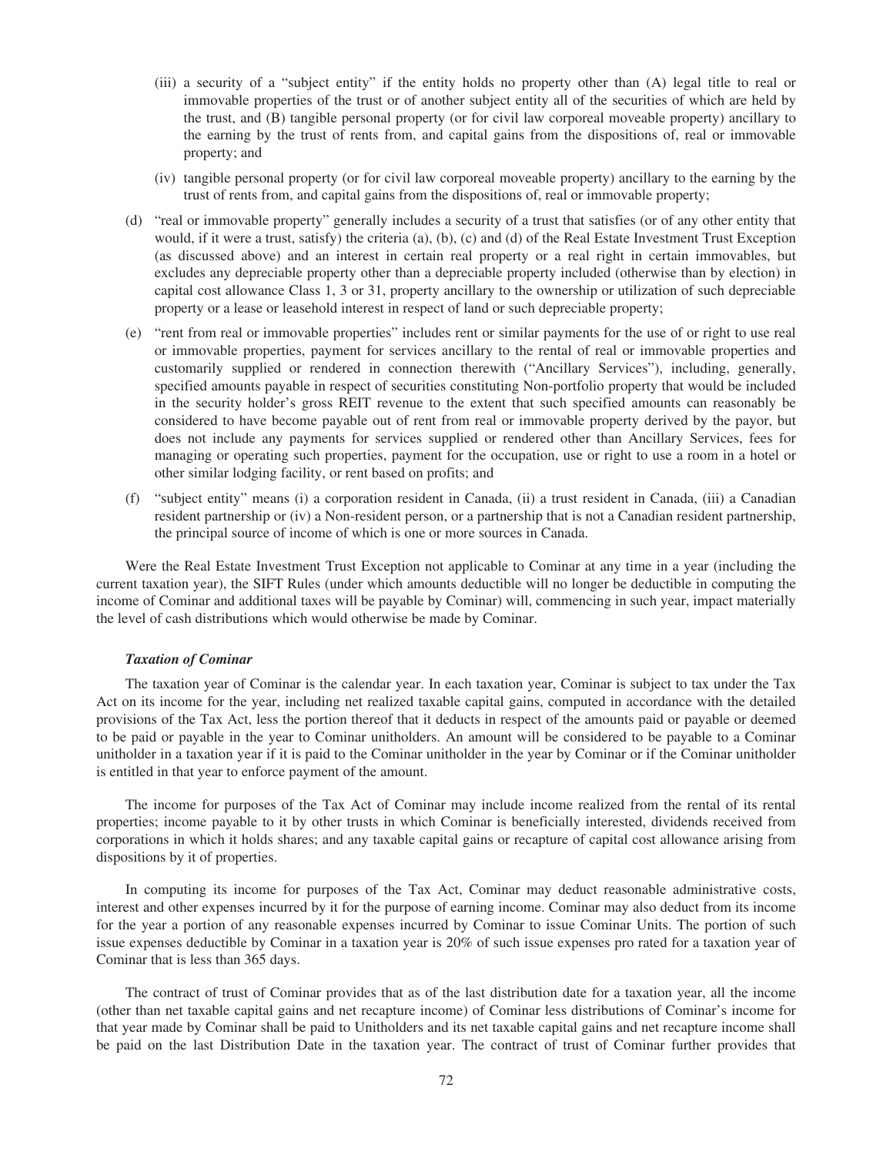- (iii) a security of a "subject entity" if the entity holds no property other than (A) legal title to real or immovable properties of the trust or of another subject entity all of the securities of which are held by the trust, and (B) tangible personal property (or for civil law corporeal moveable property) ancillary to the earning by the trust of rents from, and capital gains from the dispositions of, real or immovable property; and
- (iv) tangible personal property (or for civil law corporeal moveable property) ancillary to the earning by the trust of rents from, and capital gains from the dispositions of, real or immovable property;
- (d) "real or immovable property" generally includes a security of a trust that satisfies (or of any other entity that would, if it were a trust, satisfy) the criteria (a), (b), (c) and (d) of the Real Estate Investment Trust Exception (as discussed above) and an interest in certain real property or a real right in certain immovables, but excludes any depreciable property other than a depreciable property included (otherwise than by election) in capital cost allowance Class 1, 3 or 31, property ancillary to the ownership or utilization of such depreciable property or a lease or leasehold interest in respect of land or such depreciable property;
- (e) "rent from real or immovable properties" includes rent or similar payments for the use of or right to use real or immovable properties, payment for services ancillary to the rental of real or immovable properties and customarily supplied or rendered in connection therewith ("Ancillary Services"), including, generally, specified amounts payable in respect of securities constituting Non-portfolio property that would be included in the security holder's gross REIT revenue to the extent that such specified amounts can reasonably be considered to have become payable out of rent from real or immovable property derived by the payor, but does not include any payments for services supplied or rendered other than Ancillary Services, fees for managing or operating such properties, payment for the occupation, use or right to use a room in a hotel or other similar lodging facility, or rent based on profits; and
- (f) "subject entity" means (i) a corporation resident in Canada, (ii) a trust resident in Canada, (iii) a Canadian resident partnership or (iv) a Non-resident person, or a partnership that is not a Canadian resident partnership, the principal source of income of which is one or more sources in Canada.

Were the Real Estate Investment Trust Exception not applicable to Cominar at any time in a year (including the current taxation year), the SIFT Rules (under which amounts deductible will no longer be deductible in computing the income of Cominar and additional taxes will be payable by Cominar) will, commencing in such year, impact materially the level of cash distributions which would otherwise be made by Cominar.

## *Taxation of Cominar*

The taxation year of Cominar is the calendar year. In each taxation year, Cominar is subject to tax under the Tax Act on its income for the year, including net realized taxable capital gains, computed in accordance with the detailed provisions of the Tax Act, less the portion thereof that it deducts in respect of the amounts paid or payable or deemed to be paid or payable in the year to Cominar unitholders. An amount will be considered to be payable to a Cominar unitholder in a taxation year if it is paid to the Cominar unitholder in the year by Cominar or if the Cominar unitholder is entitled in that year to enforce payment of the amount.

The income for purposes of the Tax Act of Cominar may include income realized from the rental of its rental properties; income payable to it by other trusts in which Cominar is beneficially interested, dividends received from corporations in which it holds shares; and any taxable capital gains or recapture of capital cost allowance arising from dispositions by it of properties.

In computing its income for purposes of the Tax Act, Cominar may deduct reasonable administrative costs, interest and other expenses incurred by it for the purpose of earning income. Cominar may also deduct from its income for the year a portion of any reasonable expenses incurred by Cominar to issue Cominar Units. The portion of such issue expenses deductible by Cominar in a taxation year is 20% of such issue expenses pro rated for a taxation year of Cominar that is less than 365 days.

The contract of trust of Cominar provides that as of the last distribution date for a taxation year, all the income (other than net taxable capital gains and net recapture income) of Cominar less distributions of Cominar's income for that year made by Cominar shall be paid to Unitholders and its net taxable capital gains and net recapture income shall be paid on the last Distribution Date in the taxation year. The contract of trust of Cominar further provides that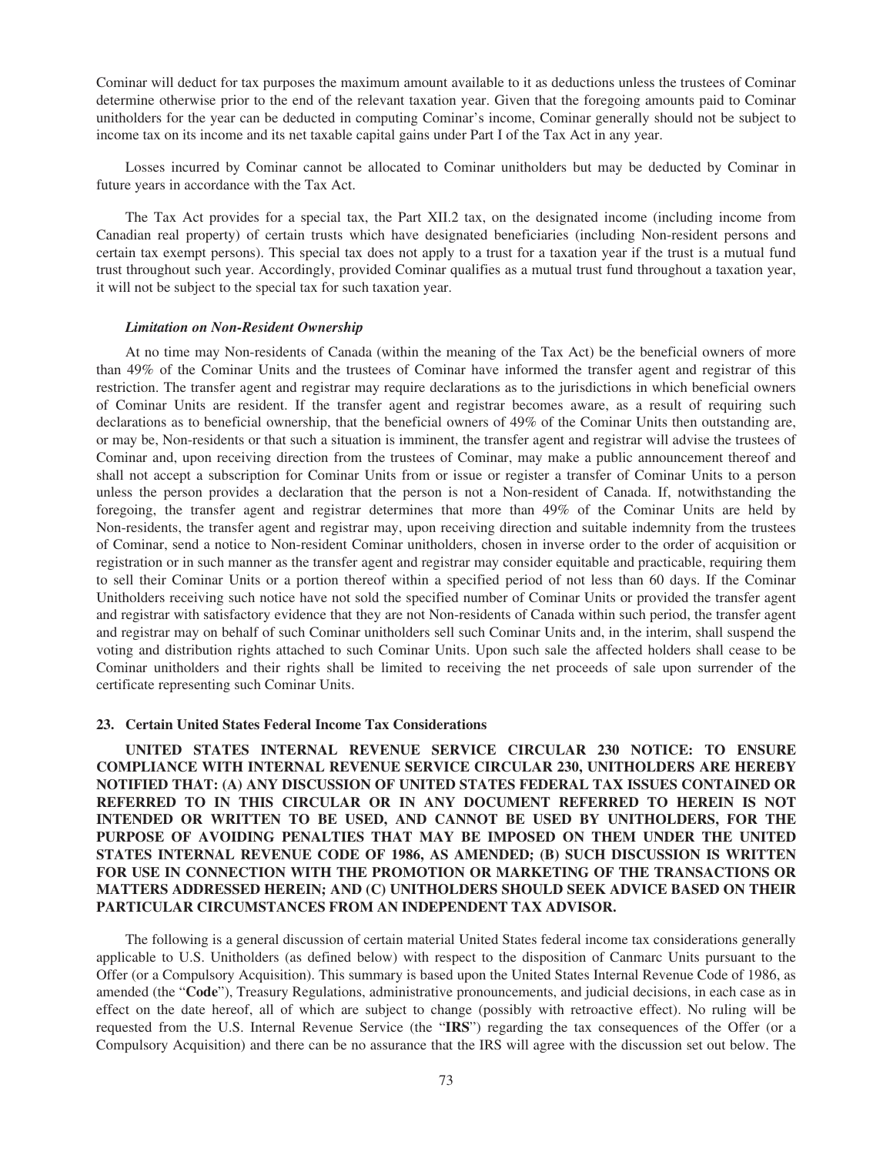Cominar will deduct for tax purposes the maximum amount available to it as deductions unless the trustees of Cominar determine otherwise prior to the end of the relevant taxation year. Given that the foregoing amounts paid to Cominar unitholders for the year can be deducted in computing Cominar's income, Cominar generally should not be subject to income tax on its income and its net taxable capital gains under Part I of the Tax Act in any year.

Losses incurred by Cominar cannot be allocated to Cominar unitholders but may be deducted by Cominar in future years in accordance with the Tax Act.

The Tax Act provides for a special tax, the Part XII.2 tax, on the designated income (including income from Canadian real property) of certain trusts which have designated beneficiaries (including Non-resident persons and certain tax exempt persons). This special tax does not apply to a trust for a taxation year if the trust is a mutual fund trust throughout such year. Accordingly, provided Cominar qualifies as a mutual trust fund throughout a taxation year, it will not be subject to the special tax for such taxation year.

## *Limitation on Non-Resident Ownership*

At no time may Non-residents of Canada (within the meaning of the Tax Act) be the beneficial owners of more than 49% of the Cominar Units and the trustees of Cominar have informed the transfer agent and registrar of this restriction. The transfer agent and registrar may require declarations as to the jurisdictions in which beneficial owners of Cominar Units are resident. If the transfer agent and registrar becomes aware, as a result of requiring such declarations as to beneficial ownership, that the beneficial owners of 49% of the Cominar Units then outstanding are, or may be, Non-residents or that such a situation is imminent, the transfer agent and registrar will advise the trustees of Cominar and, upon receiving direction from the trustees of Cominar, may make a public announcement thereof and shall not accept a subscription for Cominar Units from or issue or register a transfer of Cominar Units to a person unless the person provides a declaration that the person is not a Non-resident of Canada. If, notwithstanding the foregoing, the transfer agent and registrar determines that more than 49% of the Cominar Units are held by Non-residents, the transfer agent and registrar may, upon receiving direction and suitable indemnity from the trustees of Cominar, send a notice to Non-resident Cominar unitholders, chosen in inverse order to the order of acquisition or registration or in such manner as the transfer agent and registrar may consider equitable and practicable, requiring them to sell their Cominar Units or a portion thereof within a specified period of not less than 60 days. If the Cominar Unitholders receiving such notice have not sold the specified number of Cominar Units or provided the transfer agent and registrar with satisfactory evidence that they are not Non-residents of Canada within such period, the transfer agent and registrar may on behalf of such Cominar unitholders sell such Cominar Units and, in the interim, shall suspend the voting and distribution rights attached to such Cominar Units. Upon such sale the affected holders shall cease to be Cominar unitholders and their rights shall be limited to receiving the net proceeds of sale upon surrender of the certificate representing such Cominar Units.

## **23. Certain United States Federal Income Tax Considerations**

**UNITED STATES INTERNAL REVENUE SERVICE CIRCULAR 230 NOTICE: TO ENSURE COMPLIANCE WITH INTERNAL REVENUE SERVICE CIRCULAR 230, UNITHOLDERS ARE HEREBY NOTIFIED THAT: (A) ANY DISCUSSION OF UNITED STATES FEDERAL TAX ISSUES CONTAINED OR REFERRED TO IN THIS CIRCULAR OR IN ANY DOCUMENT REFERRED TO HEREIN IS NOT INTENDED OR WRITTEN TO BE USED, AND CANNOT BE USED BY UNITHOLDERS, FOR THE PURPOSE OF AVOIDING PENALTIES THAT MAY BE IMPOSED ON THEM UNDER THE UNITED STATES INTERNAL REVENUE CODE OF 1986, AS AMENDED; (B) SUCH DISCUSSION IS WRITTEN FOR USE IN CONNECTION WITH THE PROMOTION OR MARKETING OF THE TRANSACTIONS OR MATTERS ADDRESSED HEREIN; AND (C) UNITHOLDERS SHOULD SEEK ADVICE BASED ON THEIR PARTICULAR CIRCUMSTANCES FROM AN INDEPENDENT TAX ADVISOR.**

The following is a general discussion of certain material United States federal income tax considerations generally applicable to U.S. Unitholders (as defined below) with respect to the disposition of Canmarc Units pursuant to the Offer (or a Compulsory Acquisition). This summary is based upon the United States Internal Revenue Code of 1986, as amended (the "**Code**"), Treasury Regulations, administrative pronouncements, and judicial decisions, in each case as in effect on the date hereof, all of which are subject to change (possibly with retroactive effect). No ruling will be requested from the U.S. Internal Revenue Service (the "**IRS**") regarding the tax consequences of the Offer (or a Compulsory Acquisition) and there can be no assurance that the IRS will agree with the discussion set out below. The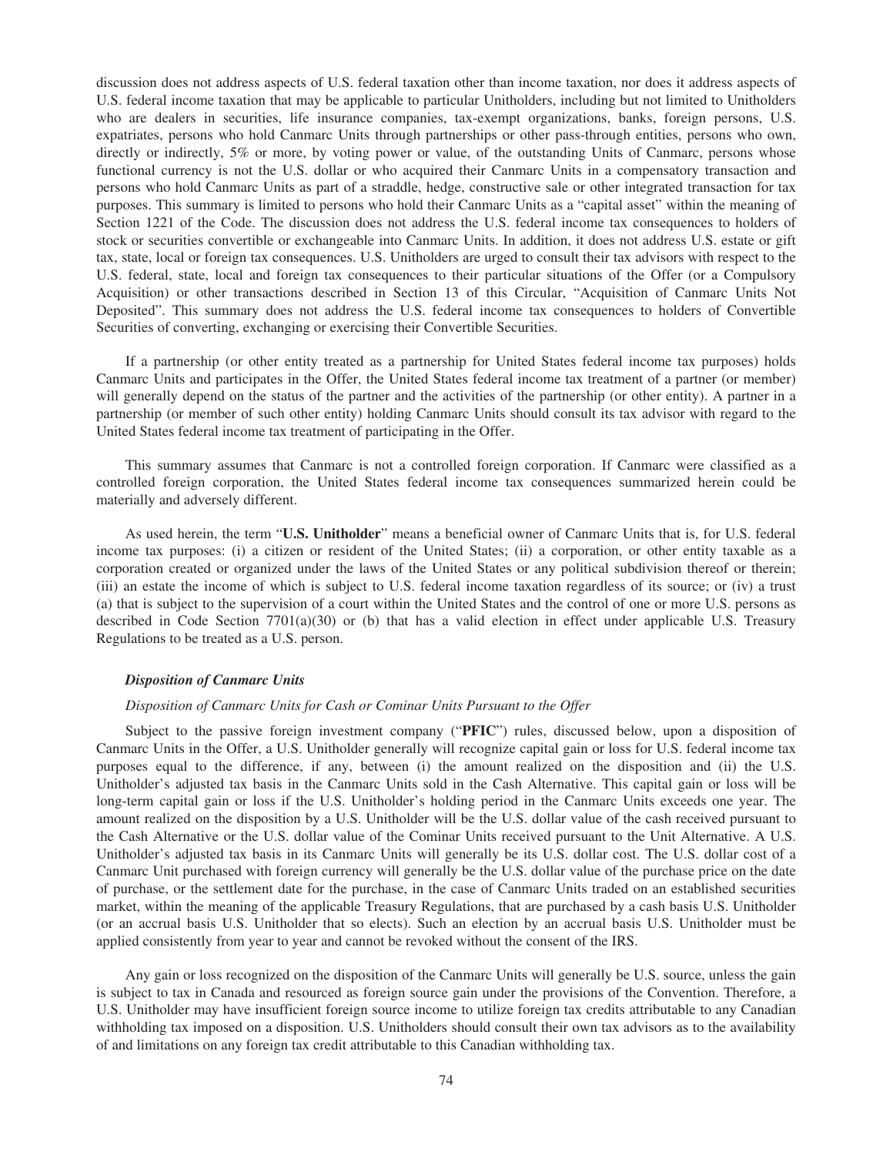discussion does not address aspects of U.S. federal taxation other than income taxation, nor does it address aspects of U.S. federal income taxation that may be applicable to particular Unitholders, including but not limited to Unitholders who are dealers in securities, life insurance companies, tax-exempt organizations, banks, foreign persons, U.S. expatriates, persons who hold Canmarc Units through partnerships or other pass-through entities, persons who own, directly or indirectly, 5% or more, by voting power or value, of the outstanding Units of Canmarc, persons whose functional currency is not the U.S. dollar or who acquired their Canmarc Units in a compensatory transaction and persons who hold Canmarc Units as part of a straddle, hedge, constructive sale or other integrated transaction for tax purposes. This summary is limited to persons who hold their Canmarc Units as a "capital asset" within the meaning of Section 1221 of the Code. The discussion does not address the U.S. federal income tax consequences to holders of stock or securities convertible or exchangeable into Canmarc Units. In addition, it does not address U.S. estate or gift tax, state, local or foreign tax consequences. U.S. Unitholders are urged to consult their tax advisors with respect to the U.S. federal, state, local and foreign tax consequences to their particular situations of the Offer (or a Compulsory Acquisition) or other transactions described in Section 13 of this Circular, "Acquisition of Canmarc Units Not Deposited". This summary does not address the U.S. federal income tax consequences to holders of Convertible Securities of converting, exchanging or exercising their Convertible Securities.

If a partnership (or other entity treated as a partnership for United States federal income tax purposes) holds Canmarc Units and participates in the Offer, the United States federal income tax treatment of a partner (or member) will generally depend on the status of the partner and the activities of the partnership (or other entity). A partner in a partnership (or member of such other entity) holding Canmarc Units should consult its tax advisor with regard to the United States federal income tax treatment of participating in the Offer.

This summary assumes that Canmarc is not a controlled foreign corporation. If Canmarc were classified as a controlled foreign corporation, the United States federal income tax consequences summarized herein could be materially and adversely different.

As used herein, the term "**U.S. Unitholder**" means a beneficial owner of Canmarc Units that is, for U.S. federal income tax purposes: (i) a citizen or resident of the United States; (ii) a corporation, or other entity taxable as a corporation created or organized under the laws of the United States or any political subdivision thereof or therein; (iii) an estate the income of which is subject to U.S. federal income taxation regardless of its source; or (iv) a trust (a) that is subject to the supervision of a court within the United States and the control of one or more U.S. persons as described in Code Section 7701(a)(30) or (b) that has a valid election in effect under applicable U.S. Treasury Regulations to be treated as a U.S. person.

#### *Disposition of Canmarc Units*

## *Disposition of Canmarc Units for Cash or Cominar Units Pursuant to the Offer*

Subject to the passive foreign investment company ("**PFIC**") rules, discussed below, upon a disposition of Canmarc Units in the Offer, a U.S. Unitholder generally will recognize capital gain or loss for U.S. federal income tax purposes equal to the difference, if any, between (i) the amount realized on the disposition and (ii) the U.S. Unitholder's adjusted tax basis in the Canmarc Units sold in the Cash Alternative. This capital gain or loss will be long-term capital gain or loss if the U.S. Unitholder's holding period in the Canmarc Units exceeds one year. The amount realized on the disposition by a U.S. Unitholder will be the U.S. dollar value of the cash received pursuant to the Cash Alternative or the U.S. dollar value of the Cominar Units received pursuant to the Unit Alternative. A U.S. Unitholder's adjusted tax basis in its Canmarc Units will generally be its U.S. dollar cost. The U.S. dollar cost of a Canmarc Unit purchased with foreign currency will generally be the U.S. dollar value of the purchase price on the date of purchase, or the settlement date for the purchase, in the case of Canmarc Units traded on an established securities market, within the meaning of the applicable Treasury Regulations, that are purchased by a cash basis U.S. Unitholder (or an accrual basis U.S. Unitholder that so elects). Such an election by an accrual basis U.S. Unitholder must be applied consistently from year to year and cannot be revoked without the consent of the IRS.

Any gain or loss recognized on the disposition of the Canmarc Units will generally be U.S. source, unless the gain is subject to tax in Canada and resourced as foreign source gain under the provisions of the Convention. Therefore, a U.S. Unitholder may have insufficient foreign source income to utilize foreign tax credits attributable to any Canadian withholding tax imposed on a disposition. U.S. Unitholders should consult their own tax advisors as to the availability of and limitations on any foreign tax credit attributable to this Canadian withholding tax.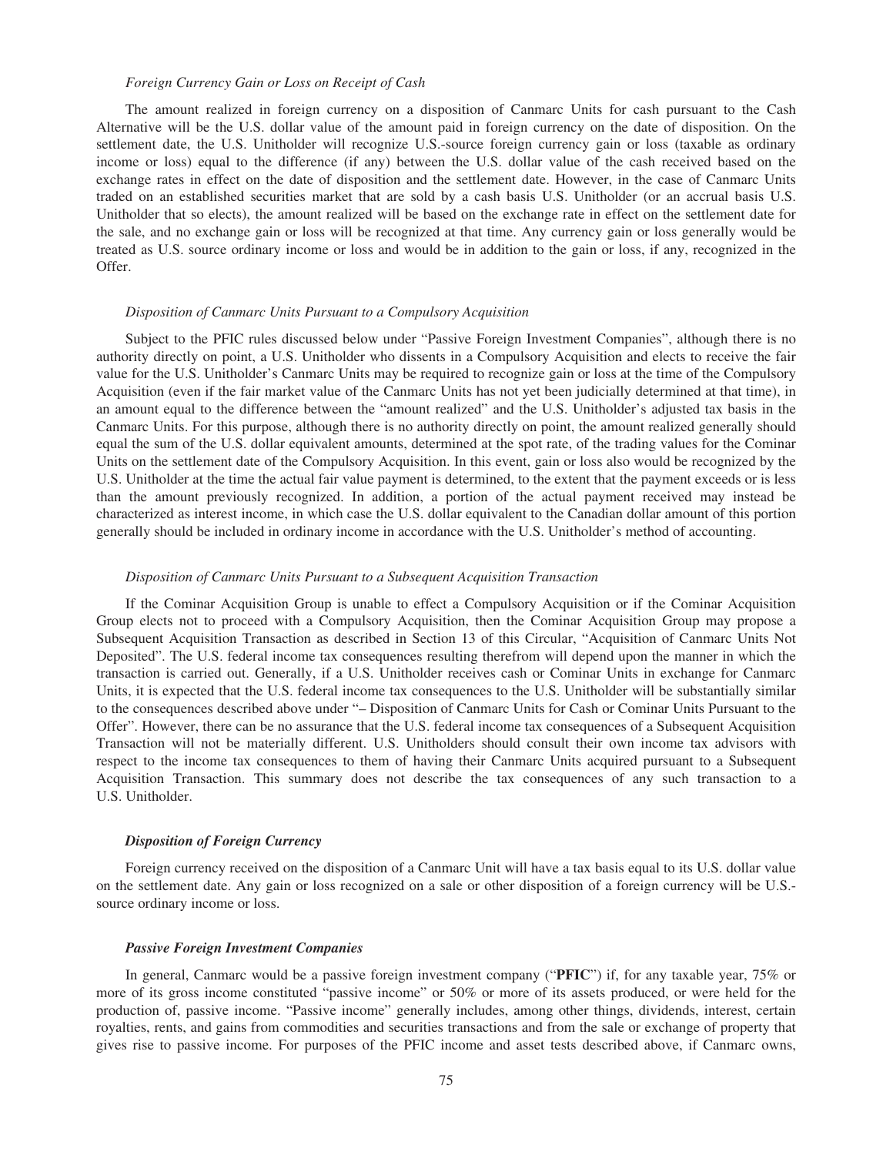#### *Foreign Currency Gain or Loss on Receipt of Cash*

The amount realized in foreign currency on a disposition of Canmarc Units for cash pursuant to the Cash Alternative will be the U.S. dollar value of the amount paid in foreign currency on the date of disposition. On the settlement date, the U.S. Unitholder will recognize U.S.-source foreign currency gain or loss (taxable as ordinary income or loss) equal to the difference (if any) between the U.S. dollar value of the cash received based on the exchange rates in effect on the date of disposition and the settlement date. However, in the case of Canmarc Units traded on an established securities market that are sold by a cash basis U.S. Unitholder (or an accrual basis U.S. Unitholder that so elects), the amount realized will be based on the exchange rate in effect on the settlement date for the sale, and no exchange gain or loss will be recognized at that time. Any currency gain or loss generally would be treated as U.S. source ordinary income or loss and would be in addition to the gain or loss, if any, recognized in the Offer.

## *Disposition of Canmarc Units Pursuant to a Compulsory Acquisition*

Subject to the PFIC rules discussed below under "Passive Foreign Investment Companies", although there is no authority directly on point, a U.S. Unitholder who dissents in a Compulsory Acquisition and elects to receive the fair value for the U.S. Unitholder's Canmarc Units may be required to recognize gain or loss at the time of the Compulsory Acquisition (even if the fair market value of the Canmarc Units has not yet been judicially determined at that time), in an amount equal to the difference between the "amount realized" and the U.S. Unitholder's adjusted tax basis in the Canmarc Units. For this purpose, although there is no authority directly on point, the amount realized generally should equal the sum of the U.S. dollar equivalent amounts, determined at the spot rate, of the trading values for the Cominar Units on the settlement date of the Compulsory Acquisition. In this event, gain or loss also would be recognized by the U.S. Unitholder at the time the actual fair value payment is determined, to the extent that the payment exceeds or is less than the amount previously recognized. In addition, a portion of the actual payment received may instead be characterized as interest income, in which case the U.S. dollar equivalent to the Canadian dollar amount of this portion generally should be included in ordinary income in accordance with the U.S. Unitholder's method of accounting.

## *Disposition of Canmarc Units Pursuant to a Subsequent Acquisition Transaction*

If the Cominar Acquisition Group is unable to effect a Compulsory Acquisition or if the Cominar Acquisition Group elects not to proceed with a Compulsory Acquisition, then the Cominar Acquisition Group may propose a Subsequent Acquisition Transaction as described in Section 13 of this Circular, "Acquisition of Canmarc Units Not Deposited". The U.S. federal income tax consequences resulting therefrom will depend upon the manner in which the transaction is carried out. Generally, if a U.S. Unitholder receives cash or Cominar Units in exchange for Canmarc Units, it is expected that the U.S. federal income tax consequences to the U.S. Unitholder will be substantially similar to the consequences described above under "– Disposition of Canmarc Units for Cash or Cominar Units Pursuant to the Offer". However, there can be no assurance that the U.S. federal income tax consequences of a Subsequent Acquisition Transaction will not be materially different. U.S. Unitholders should consult their own income tax advisors with respect to the income tax consequences to them of having their Canmarc Units acquired pursuant to a Subsequent Acquisition Transaction. This summary does not describe the tax consequences of any such transaction to a U.S. Unitholder.

#### *Disposition of Foreign Currency*

Foreign currency received on the disposition of a Canmarc Unit will have a tax basis equal to its U.S. dollar value on the settlement date. Any gain or loss recognized on a sale or other disposition of a foreign currency will be U.S. source ordinary income or loss.

#### *Passive Foreign Investment Companies*

In general, Canmarc would be a passive foreign investment company ("**PFIC**") if, for any taxable year, 75% or more of its gross income constituted "passive income" or 50% or more of its assets produced, or were held for the production of, passive income. "Passive income" generally includes, among other things, dividends, interest, certain royalties, rents, and gains from commodities and securities transactions and from the sale or exchange of property that gives rise to passive income. For purposes of the PFIC income and asset tests described above, if Canmarc owns,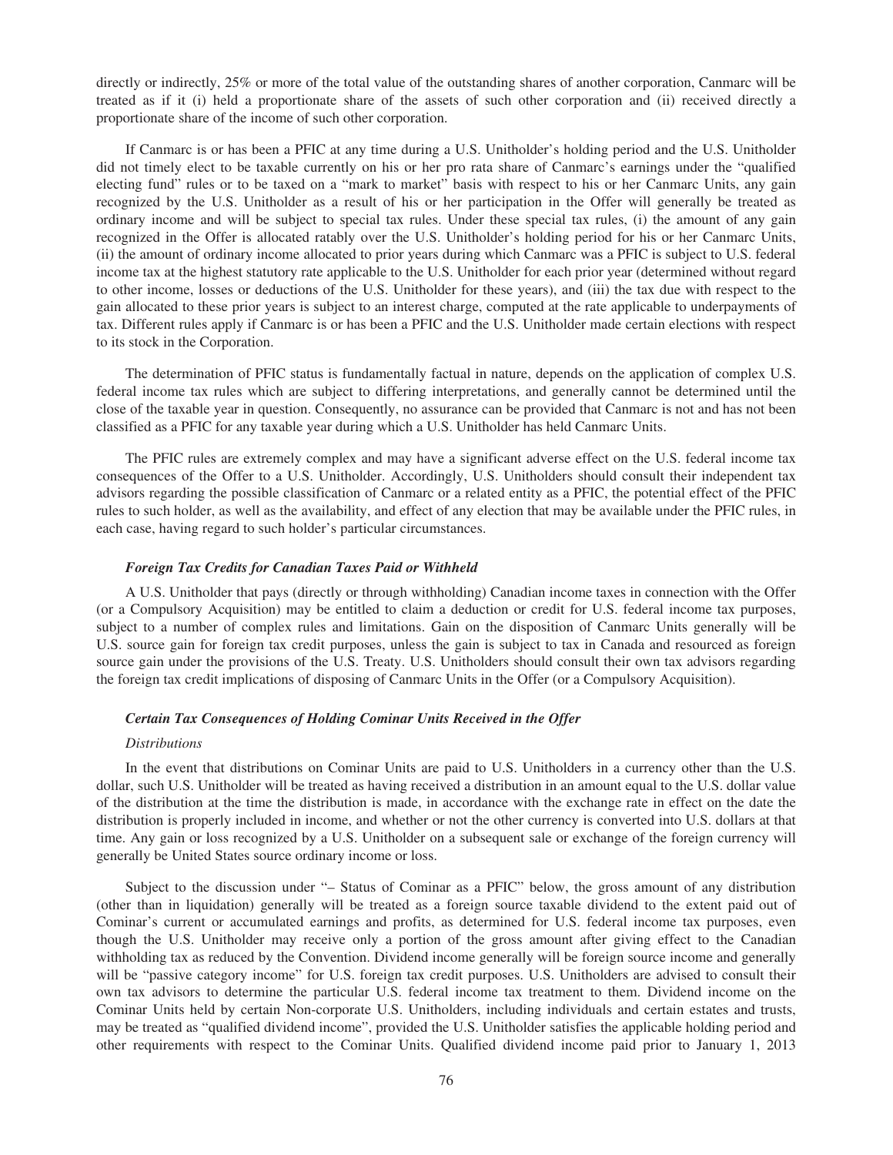directly or indirectly, 25% or more of the total value of the outstanding shares of another corporation, Canmarc will be treated as if it (i) held a proportionate share of the assets of such other corporation and (ii) received directly a proportionate share of the income of such other corporation.

If Canmarc is or has been a PFIC at any time during a U.S. Unitholder's holding period and the U.S. Unitholder did not timely elect to be taxable currently on his or her pro rata share of Canmarc's earnings under the "qualified electing fund" rules or to be taxed on a "mark to market" basis with respect to his or her Canmarc Units, any gain recognized by the U.S. Unitholder as a result of his or her participation in the Offer will generally be treated as ordinary income and will be subject to special tax rules. Under these special tax rules, (i) the amount of any gain recognized in the Offer is allocated ratably over the U.S. Unitholder's holding period for his or her Canmarc Units, (ii) the amount of ordinary income allocated to prior years during which Canmarc was a PFIC is subject to U.S. federal income tax at the highest statutory rate applicable to the U.S. Unitholder for each prior year (determined without regard to other income, losses or deductions of the U.S. Unitholder for these years), and (iii) the tax due with respect to the gain allocated to these prior years is subject to an interest charge, computed at the rate applicable to underpayments of tax. Different rules apply if Canmarc is or has been a PFIC and the U.S. Unitholder made certain elections with respect to its stock in the Corporation.

The determination of PFIC status is fundamentally factual in nature, depends on the application of complex U.S. federal income tax rules which are subject to differing interpretations, and generally cannot be determined until the close of the taxable year in question. Consequently, no assurance can be provided that Canmarc is not and has not been classified as a PFIC for any taxable year during which a U.S. Unitholder has held Canmarc Units.

The PFIC rules are extremely complex and may have a significant adverse effect on the U.S. federal income tax consequences of the Offer to a U.S. Unitholder. Accordingly, U.S. Unitholders should consult their independent tax advisors regarding the possible classification of Canmarc or a related entity as a PFIC, the potential effect of the PFIC rules to such holder, as well as the availability, and effect of any election that may be available under the PFIC rules, in each case, having regard to such holder's particular circumstances.

## *Foreign Tax Credits for Canadian Taxes Paid or Withheld*

A U.S. Unitholder that pays (directly or through withholding) Canadian income taxes in connection with the Offer (or a Compulsory Acquisition) may be entitled to claim a deduction or credit for U.S. federal income tax purposes, subject to a number of complex rules and limitations. Gain on the disposition of Canmarc Units generally will be U.S. source gain for foreign tax credit purposes, unless the gain is subject to tax in Canada and resourced as foreign source gain under the provisions of the U.S. Treaty. U.S. Unitholders should consult their own tax advisors regarding the foreign tax credit implications of disposing of Canmarc Units in the Offer (or a Compulsory Acquisition).

#### *Certain Tax Consequences of Holding Cominar Units Received in the Offer*

## *Distributions*

In the event that distributions on Cominar Units are paid to U.S. Unitholders in a currency other than the U.S. dollar, such U.S. Unitholder will be treated as having received a distribution in an amount equal to the U.S. dollar value of the distribution at the time the distribution is made, in accordance with the exchange rate in effect on the date the distribution is properly included in income, and whether or not the other currency is converted into U.S. dollars at that time. Any gain or loss recognized by a U.S. Unitholder on a subsequent sale or exchange of the foreign currency will generally be United States source ordinary income or loss.

Subject to the discussion under "– Status of Cominar as a PFIC" below, the gross amount of any distribution (other than in liquidation) generally will be treated as a foreign source taxable dividend to the extent paid out of Cominar's current or accumulated earnings and profits, as determined for U.S. federal income tax purposes, even though the U.S. Unitholder may receive only a portion of the gross amount after giving effect to the Canadian withholding tax as reduced by the Convention. Dividend income generally will be foreign source income and generally will be "passive category income" for U.S. foreign tax credit purposes. U.S. Unitholders are advised to consult their own tax advisors to determine the particular U.S. federal income tax treatment to them. Dividend income on the Cominar Units held by certain Non-corporate U.S. Unitholders, including individuals and certain estates and trusts, may be treated as "qualified dividend income", provided the U.S. Unitholder satisfies the applicable holding period and other requirements with respect to the Cominar Units. Qualified dividend income paid prior to January 1, 2013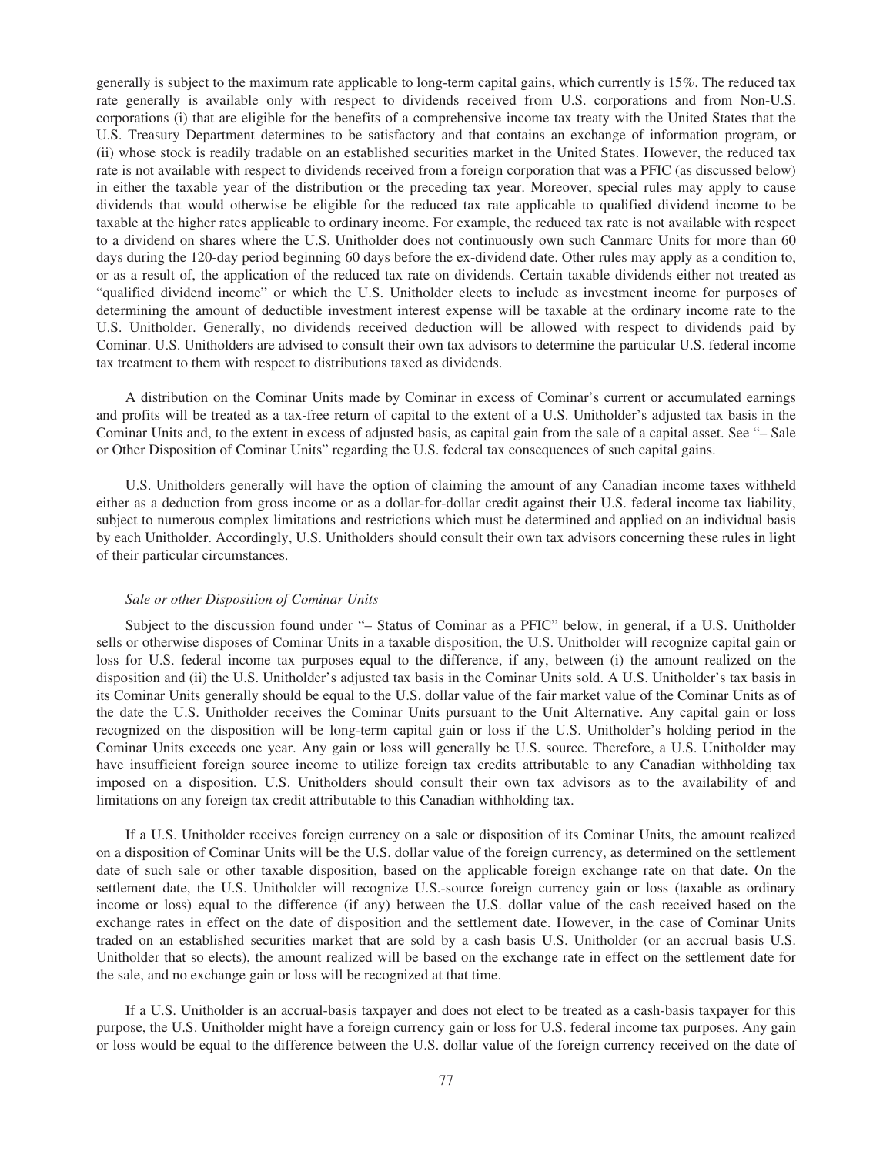generally is subject to the maximum rate applicable to long-term capital gains, which currently is 15%. The reduced tax rate generally is available only with respect to dividends received from U.S. corporations and from Non-U.S. corporations (i) that are eligible for the benefits of a comprehensive income tax treaty with the United States that the U.S. Treasury Department determines to be satisfactory and that contains an exchange of information program, or (ii) whose stock is readily tradable on an established securities market in the United States. However, the reduced tax rate is not available with respect to dividends received from a foreign corporation that was a PFIC (as discussed below) in either the taxable year of the distribution or the preceding tax year. Moreover, special rules may apply to cause dividends that would otherwise be eligible for the reduced tax rate applicable to qualified dividend income to be taxable at the higher rates applicable to ordinary income. For example, the reduced tax rate is not available with respect to a dividend on shares where the U.S. Unitholder does not continuously own such Canmarc Units for more than 60 days during the 120-day period beginning 60 days before the ex-dividend date. Other rules may apply as a condition to, or as a result of, the application of the reduced tax rate on dividends. Certain taxable dividends either not treated as "qualified dividend income" or which the U.S. Unitholder elects to include as investment income for purposes of determining the amount of deductible investment interest expense will be taxable at the ordinary income rate to the U.S. Unitholder. Generally, no dividends received deduction will be allowed with respect to dividends paid by Cominar. U.S. Unitholders are advised to consult their own tax advisors to determine the particular U.S. federal income tax treatment to them with respect to distributions taxed as dividends.

A distribution on the Cominar Units made by Cominar in excess of Cominar's current or accumulated earnings and profits will be treated as a tax-free return of capital to the extent of a U.S. Unitholder's adjusted tax basis in the Cominar Units and, to the extent in excess of adjusted basis, as capital gain from the sale of a capital asset. See "– Sale or Other Disposition of Cominar Units" regarding the U.S. federal tax consequences of such capital gains.

U.S. Unitholders generally will have the option of claiming the amount of any Canadian income taxes withheld either as a deduction from gross income or as a dollar-for-dollar credit against their U.S. federal income tax liability, subject to numerous complex limitations and restrictions which must be determined and applied on an individual basis by each Unitholder. Accordingly, U.S. Unitholders should consult their own tax advisors concerning these rules in light of their particular circumstances.

## *Sale or other Disposition of Cominar Units*

Subject to the discussion found under "– Status of Cominar as a PFIC" below, in general, if a U.S. Unitholder sells or otherwise disposes of Cominar Units in a taxable disposition, the U.S. Unitholder will recognize capital gain or loss for U.S. federal income tax purposes equal to the difference, if any, between (i) the amount realized on the disposition and (ii) the U.S. Unitholder's adjusted tax basis in the Cominar Units sold. A U.S. Unitholder's tax basis in its Cominar Units generally should be equal to the U.S. dollar value of the fair market value of the Cominar Units as of the date the U.S. Unitholder receives the Cominar Units pursuant to the Unit Alternative. Any capital gain or loss recognized on the disposition will be long-term capital gain or loss if the U.S. Unitholder's holding period in the Cominar Units exceeds one year. Any gain or loss will generally be U.S. source. Therefore, a U.S. Unitholder may have insufficient foreign source income to utilize foreign tax credits attributable to any Canadian withholding tax imposed on a disposition. U.S. Unitholders should consult their own tax advisors as to the availability of and limitations on any foreign tax credit attributable to this Canadian withholding tax.

If a U.S. Unitholder receives foreign currency on a sale or disposition of its Cominar Units, the amount realized on a disposition of Cominar Units will be the U.S. dollar value of the foreign currency, as determined on the settlement date of such sale or other taxable disposition, based on the applicable foreign exchange rate on that date. On the settlement date, the U.S. Unitholder will recognize U.S.-source foreign currency gain or loss (taxable as ordinary income or loss) equal to the difference (if any) between the U.S. dollar value of the cash received based on the exchange rates in effect on the date of disposition and the settlement date. However, in the case of Cominar Units traded on an established securities market that are sold by a cash basis U.S. Unitholder (or an accrual basis U.S. Unitholder that so elects), the amount realized will be based on the exchange rate in effect on the settlement date for the sale, and no exchange gain or loss will be recognized at that time.

If a U.S. Unitholder is an accrual-basis taxpayer and does not elect to be treated as a cash-basis taxpayer for this purpose, the U.S. Unitholder might have a foreign currency gain or loss for U.S. federal income tax purposes. Any gain or loss would be equal to the difference between the U.S. dollar value of the foreign currency received on the date of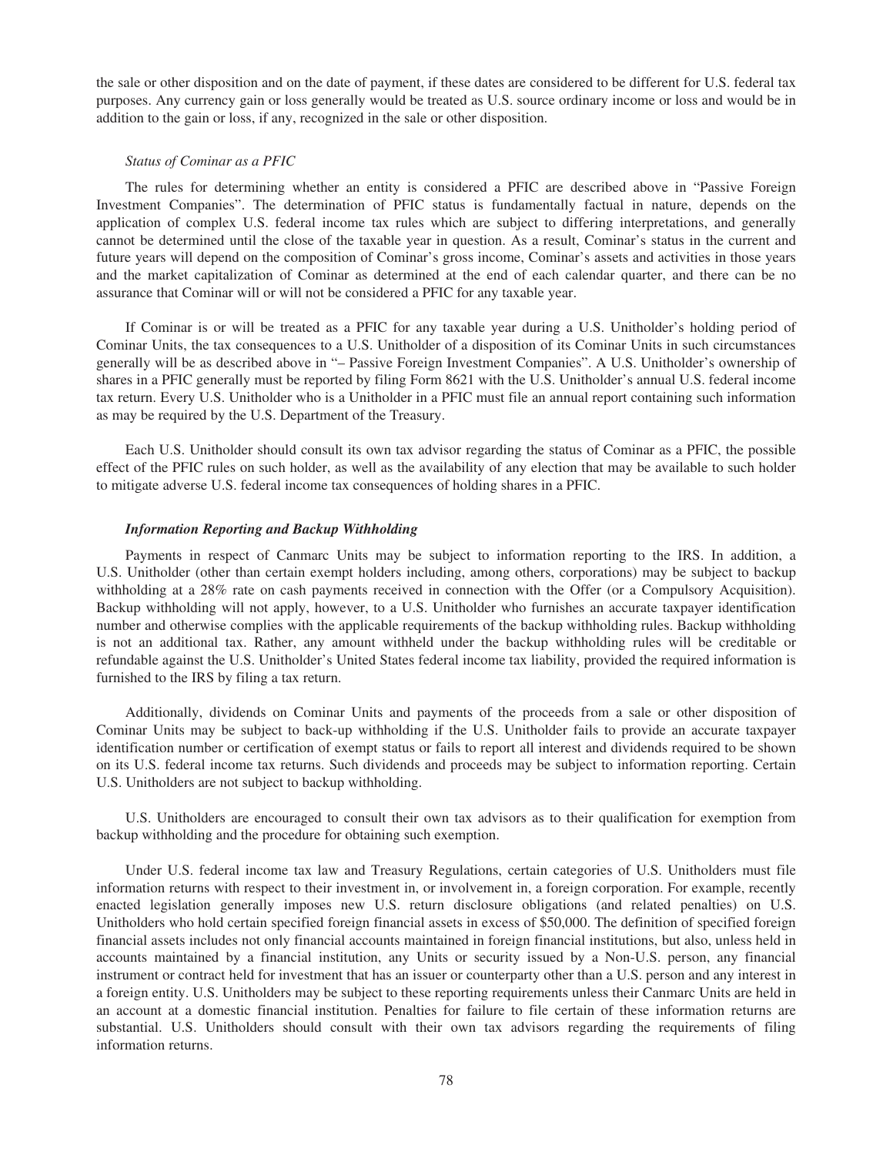the sale or other disposition and on the date of payment, if these dates are considered to be different for U.S. federal tax purposes. Any currency gain or loss generally would be treated as U.S. source ordinary income or loss and would be in addition to the gain or loss, if any, recognized in the sale or other disposition.

## *Status of Cominar as a PFIC*

The rules for determining whether an entity is considered a PFIC are described above in "Passive Foreign Investment Companies". The determination of PFIC status is fundamentally factual in nature, depends on the application of complex U.S. federal income tax rules which are subject to differing interpretations, and generally cannot be determined until the close of the taxable year in question. As a result, Cominar's status in the current and future years will depend on the composition of Cominar's gross income, Cominar's assets and activities in those years and the market capitalization of Cominar as determined at the end of each calendar quarter, and there can be no assurance that Cominar will or will not be considered a PFIC for any taxable year.

If Cominar is or will be treated as a PFIC for any taxable year during a U.S. Unitholder's holding period of Cominar Units, the tax consequences to a U.S. Unitholder of a disposition of its Cominar Units in such circumstances generally will be as described above in "– Passive Foreign Investment Companies". A U.S. Unitholder's ownership of shares in a PFIC generally must be reported by filing Form 8621 with the U.S. Unitholder's annual U.S. federal income tax return. Every U.S. Unitholder who is a Unitholder in a PFIC must file an annual report containing such information as may be required by the U.S. Department of the Treasury.

Each U.S. Unitholder should consult its own tax advisor regarding the status of Cominar as a PFIC, the possible effect of the PFIC rules on such holder, as well as the availability of any election that may be available to such holder to mitigate adverse U.S. federal income tax consequences of holding shares in a PFIC.

## *Information Reporting and Backup Withholding*

Payments in respect of Canmarc Units may be subject to information reporting to the IRS. In addition, a U.S. Unitholder (other than certain exempt holders including, among others, corporations) may be subject to backup withholding at a 28% rate on cash payments received in connection with the Offer (or a Compulsory Acquisition). Backup withholding will not apply, however, to a U.S. Unitholder who furnishes an accurate taxpayer identification number and otherwise complies with the applicable requirements of the backup withholding rules. Backup withholding is not an additional tax. Rather, any amount withheld under the backup withholding rules will be creditable or refundable against the U.S. Unitholder's United States federal income tax liability, provided the required information is furnished to the IRS by filing a tax return.

Additionally, dividends on Cominar Units and payments of the proceeds from a sale or other disposition of Cominar Units may be subject to back-up withholding if the U.S. Unitholder fails to provide an accurate taxpayer identification number or certification of exempt status or fails to report all interest and dividends required to be shown on its U.S. federal income tax returns. Such dividends and proceeds may be subject to information reporting. Certain U.S. Unitholders are not subject to backup withholding.

U.S. Unitholders are encouraged to consult their own tax advisors as to their qualification for exemption from backup withholding and the procedure for obtaining such exemption.

Under U.S. federal income tax law and Treasury Regulations, certain categories of U.S. Unitholders must file information returns with respect to their investment in, or involvement in, a foreign corporation. For example, recently enacted legislation generally imposes new U.S. return disclosure obligations (and related penalties) on U.S. Unitholders who hold certain specified foreign financial assets in excess of \$50,000. The definition of specified foreign financial assets includes not only financial accounts maintained in foreign financial institutions, but also, unless held in accounts maintained by a financial institution, any Units or security issued by a Non-U.S. person, any financial instrument or contract held for investment that has an issuer or counterparty other than a U.S. person and any interest in a foreign entity. U.S. Unitholders may be subject to these reporting requirements unless their Canmarc Units are held in an account at a domestic financial institution. Penalties for failure to file certain of these information returns are substantial. U.S. Unitholders should consult with their own tax advisors regarding the requirements of filing information returns.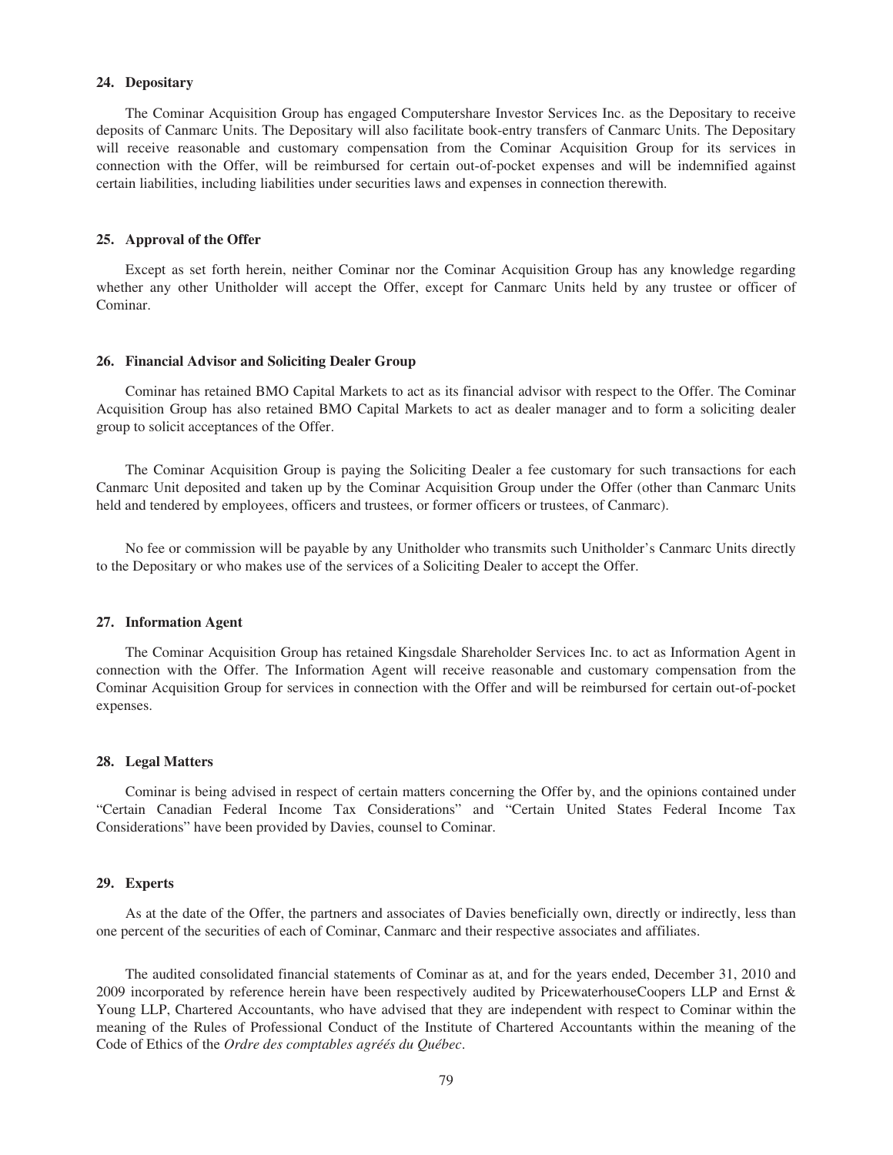## **24. Depositary**

The Cominar Acquisition Group has engaged Computershare Investor Services Inc. as the Depositary to receive deposits of Canmarc Units. The Depositary will also facilitate book-entry transfers of Canmarc Units. The Depositary will receive reasonable and customary compensation from the Cominar Acquisition Group for its services in connection with the Offer, will be reimbursed for certain out-of-pocket expenses and will be indemnified against certain liabilities, including liabilities under securities laws and expenses in connection therewith.

#### **25. Approval of the Offer**

Except as set forth herein, neither Cominar nor the Cominar Acquisition Group has any knowledge regarding whether any other Unitholder will accept the Offer, except for Canmarc Units held by any trustee or officer of Cominar.

## **26. Financial Advisor and Soliciting Dealer Group**

Cominar has retained BMO Capital Markets to act as its financial advisor with respect to the Offer. The Cominar Acquisition Group has also retained BMO Capital Markets to act as dealer manager and to form a soliciting dealer group to solicit acceptances of the Offer.

The Cominar Acquisition Group is paying the Soliciting Dealer a fee customary for such transactions for each Canmarc Unit deposited and taken up by the Cominar Acquisition Group under the Offer (other than Canmarc Units held and tendered by employees, officers and trustees, or former officers or trustees, of Canmarc).

No fee or commission will be payable by any Unitholder who transmits such Unitholder's Canmarc Units directly to the Depositary or who makes use of the services of a Soliciting Dealer to accept the Offer.

#### **27. Information Agent**

The Cominar Acquisition Group has retained Kingsdale Shareholder Services Inc. to act as Information Agent in connection with the Offer. The Information Agent will receive reasonable and customary compensation from the Cominar Acquisition Group for services in connection with the Offer and will be reimbursed for certain out-of-pocket expenses.

## **28. Legal Matters**

Cominar is being advised in respect of certain matters concerning the Offer by, and the opinions contained under "Certain Canadian Federal Income Tax Considerations" and "Certain United States Federal Income Tax Considerations" have been provided by Davies, counsel to Cominar.

## **29. Experts**

As at the date of the Offer, the partners and associates of Davies beneficially own, directly or indirectly, less than one percent of the securities of each of Cominar, Canmarc and their respective associates and affiliates.

The audited consolidated financial statements of Cominar as at, and for the years ended, December 31, 2010 and 2009 incorporated by reference herein have been respectively audited by PricewaterhouseCoopers LLP and Ernst & Young LLP, Chartered Accountants, who have advised that they are independent with respect to Cominar within the meaning of the Rules of Professional Conduct of the Institute of Chartered Accountants within the meaning of the Code of Ethics of the *Ordre des comptables agréés du Québec*.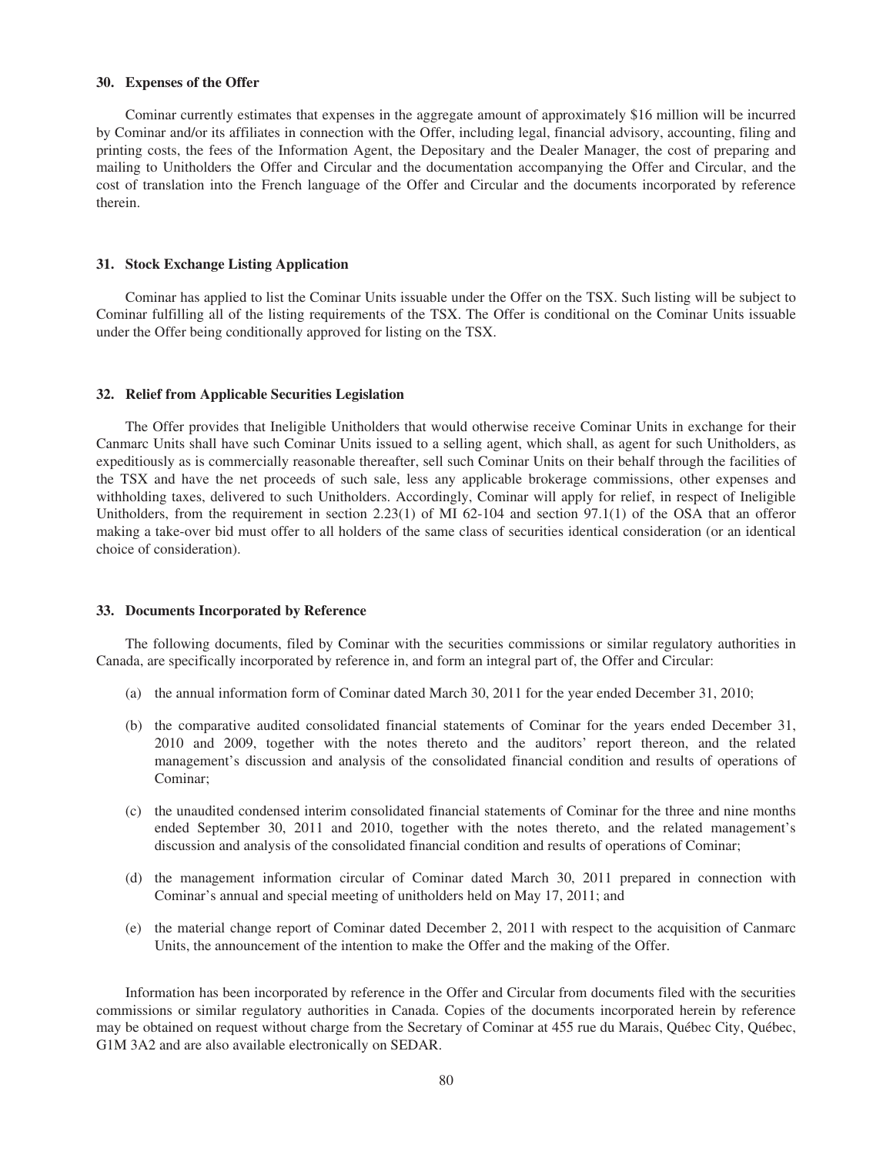#### **30. Expenses of the Offer**

Cominar currently estimates that expenses in the aggregate amount of approximately \$16 million will be incurred by Cominar and/or its affiliates in connection with the Offer, including legal, financial advisory, accounting, filing and printing costs, the fees of the Information Agent, the Depositary and the Dealer Manager, the cost of preparing and mailing to Unitholders the Offer and Circular and the documentation accompanying the Offer and Circular, and the cost of translation into the French language of the Offer and Circular and the documents incorporated by reference therein.

## **31. Stock Exchange Listing Application**

Cominar has applied to list the Cominar Units issuable under the Offer on the TSX. Such listing will be subject to Cominar fulfilling all of the listing requirements of the TSX. The Offer is conditional on the Cominar Units issuable under the Offer being conditionally approved for listing on the TSX.

## **32. Relief from Applicable Securities Legislation**

The Offer provides that Ineligible Unitholders that would otherwise receive Cominar Units in exchange for their Canmarc Units shall have such Cominar Units issued to a selling agent, which shall, as agent for such Unitholders, as expeditiously as is commercially reasonable thereafter, sell such Cominar Units on their behalf through the facilities of the TSX and have the net proceeds of such sale, less any applicable brokerage commissions, other expenses and withholding taxes, delivered to such Unitholders. Accordingly, Cominar will apply for relief, in respect of Ineligible Unitholders, from the requirement in section 2.23(1) of MI 62-104 and section 97.1(1) of the OSA that an offeror making a take-over bid must offer to all holders of the same class of securities identical consideration (or an identical choice of consideration).

#### **33. Documents Incorporated by Reference**

The following documents, filed by Cominar with the securities commissions or similar regulatory authorities in Canada, are specifically incorporated by reference in, and form an integral part of, the Offer and Circular:

- (a) the annual information form of Cominar dated March 30, 2011 for the year ended December 31, 2010;
- (b) the comparative audited consolidated financial statements of Cominar for the years ended December 31, 2010 and 2009, together with the notes thereto and the auditors' report thereon, and the related management's discussion and analysis of the consolidated financial condition and results of operations of Cominar;
- (c) the unaudited condensed interim consolidated financial statements of Cominar for the three and nine months ended September 30, 2011 and 2010, together with the notes thereto, and the related management's discussion and analysis of the consolidated financial condition and results of operations of Cominar;
- (d) the management information circular of Cominar dated March 30, 2011 prepared in connection with Cominar's annual and special meeting of unitholders held on May 17, 2011; and
- (e) the material change report of Cominar dated December 2, 2011 with respect to the acquisition of Canmarc Units, the announcement of the intention to make the Offer and the making of the Offer.

Information has been incorporated by reference in the Offer and Circular from documents filed with the securities commissions or similar regulatory authorities in Canada. Copies of the documents incorporated herein by reference may be obtained on request without charge from the Secretary of Cominar at 455 rue du Marais, Québec City, Québec, G1M 3A2 and are also available electronically on SEDAR.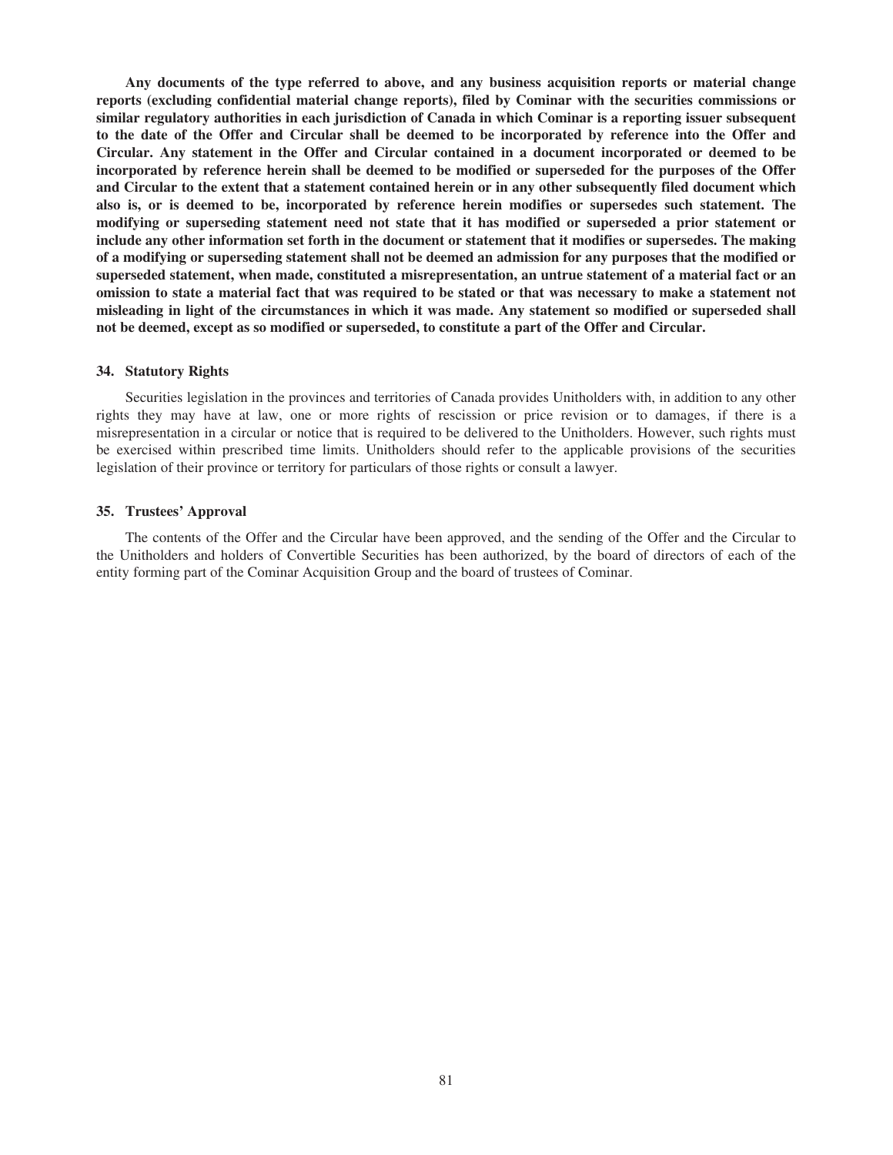**Any documents of the type referred to above, and any business acquisition reports or material change reports (excluding confidential material change reports), filed by Cominar with the securities commissions or similar regulatory authorities in each jurisdiction of Canada in which Cominar is a reporting issuer subsequent to the date of the Offer and Circular shall be deemed to be incorporated by reference into the Offer and Circular. Any statement in the Offer and Circular contained in a document incorporated or deemed to be incorporated by reference herein shall be deemed to be modified or superseded for the purposes of the Offer and Circular to the extent that a statement contained herein or in any other subsequently filed document which also is, or is deemed to be, incorporated by reference herein modifies or supersedes such statement. The modifying or superseding statement need not state that it has modified or superseded a prior statement or include any other information set forth in the document or statement that it modifies or supersedes. The making of a modifying or superseding statement shall not be deemed an admission for any purposes that the modified or superseded statement, when made, constituted a misrepresentation, an untrue statement of a material fact or an omission to state a material fact that was required to be stated or that was necessary to make a statement not misleading in light of the circumstances in which it was made. Any statement so modified or superseded shall not be deemed, except as so modified or superseded, to constitute a part of the Offer and Circular.**

#### **34. Statutory Rights**

Securities legislation in the provinces and territories of Canada provides Unitholders with, in addition to any other rights they may have at law, one or more rights of rescission or price revision or to damages, if there is a misrepresentation in a circular or notice that is required to be delivered to the Unitholders. However, such rights must be exercised within prescribed time limits. Unitholders should refer to the applicable provisions of the securities legislation of their province or territory for particulars of those rights or consult a lawyer.

## **35. Trustees' Approval**

The contents of the Offer and the Circular have been approved, and the sending of the Offer and the Circular to the Unitholders and holders of Convertible Securities has been authorized, by the board of directors of each of the entity forming part of the Cominar Acquisition Group and the board of trustees of Cominar.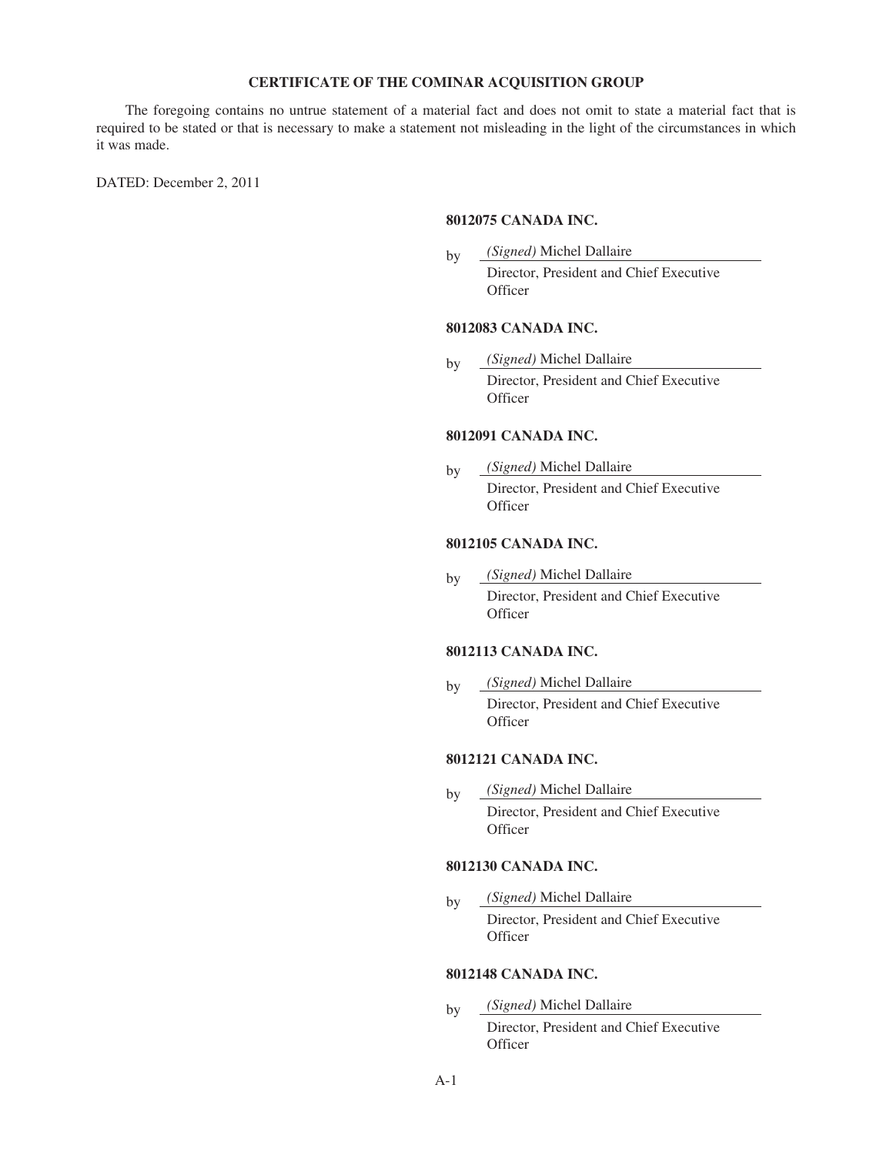## **CERTIFICATE OF THE COMINAR ACQUISITION GROUP**

The foregoing contains no untrue statement of a material fact and does not omit to state a material fact that is required to be stated or that is necessary to make a statement not misleading in the light of the circumstances in which it was made.

DATED: December 2, 2011

## **8012075 CANADA INC.**

by *(Signed)* Michel Dallaire

Director, President and Chief Executive **Officer** 

## **8012083 CANADA INC.**

by *(Signed)* Michel Dallaire Director, President and Chief Executive

## **Officer**

## **8012091 CANADA INC.**

by *(Signed)* Michel Dallaire Director, President and Chief Executive **Officer** 

## **8012105 CANADA INC.**

by *(Signed)* Michel Dallaire Director, President and Chief Executive **Officer** 

## **8012113 CANADA INC.**

by *(Signed)* Michel Dallaire Director, President and Chief Executive **Officer** 

## **8012121 CANADA INC.**

by *(Signed)* Michel Dallaire Director, President and Chief Executive **Officer** 

## **8012130 CANADA INC.**

by *(Signed)* Michel Dallaire Director, President and Chief Executive **Officer** 

## **8012148 CANADA INC.**

by *(Signed)* Michel Dallaire Director, President and Chief Executive **Officer**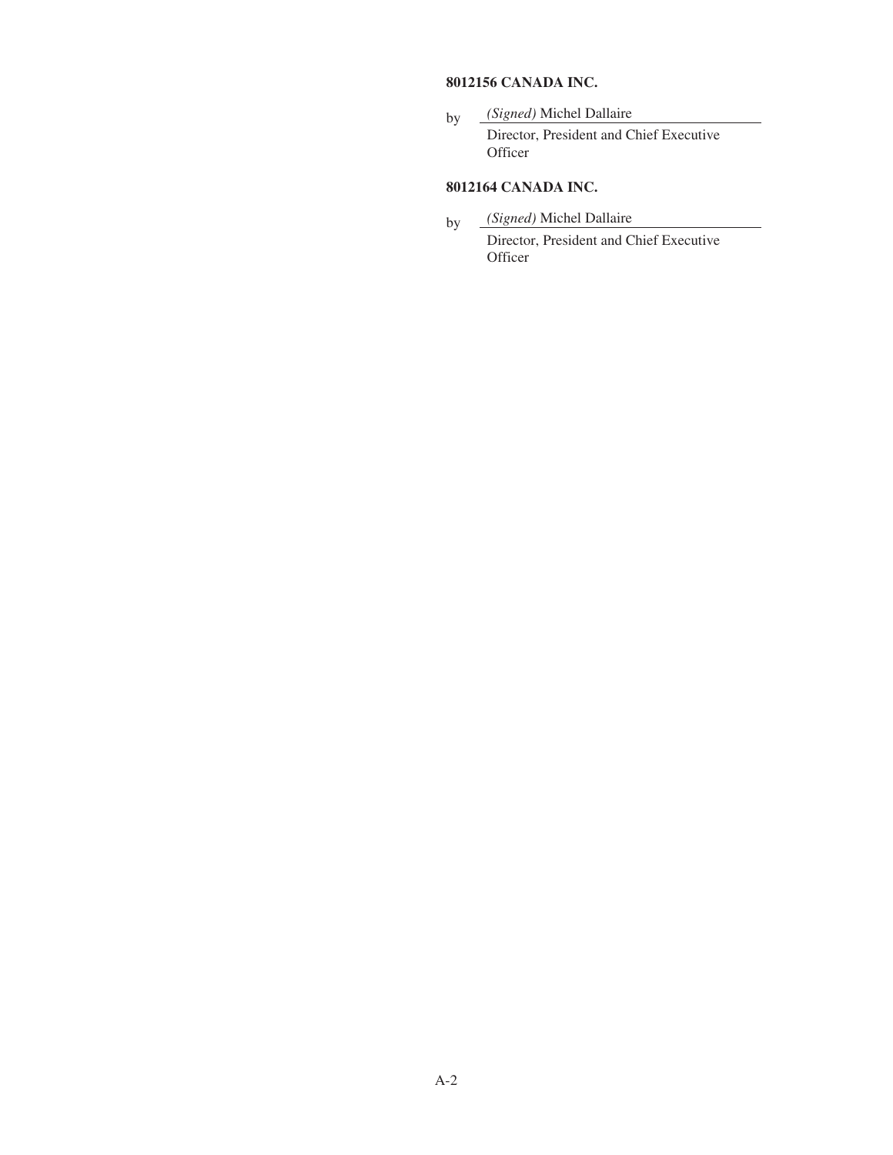## **8012156 CANADA INC.**

by *(Signed)* Michel Dallaire Director, President and Chief Executive **Officer** 

## **8012164 CANADA INC.**

- by *(Signed)* Michel Dallaire
	- Director, President and Chief Executive **Officer**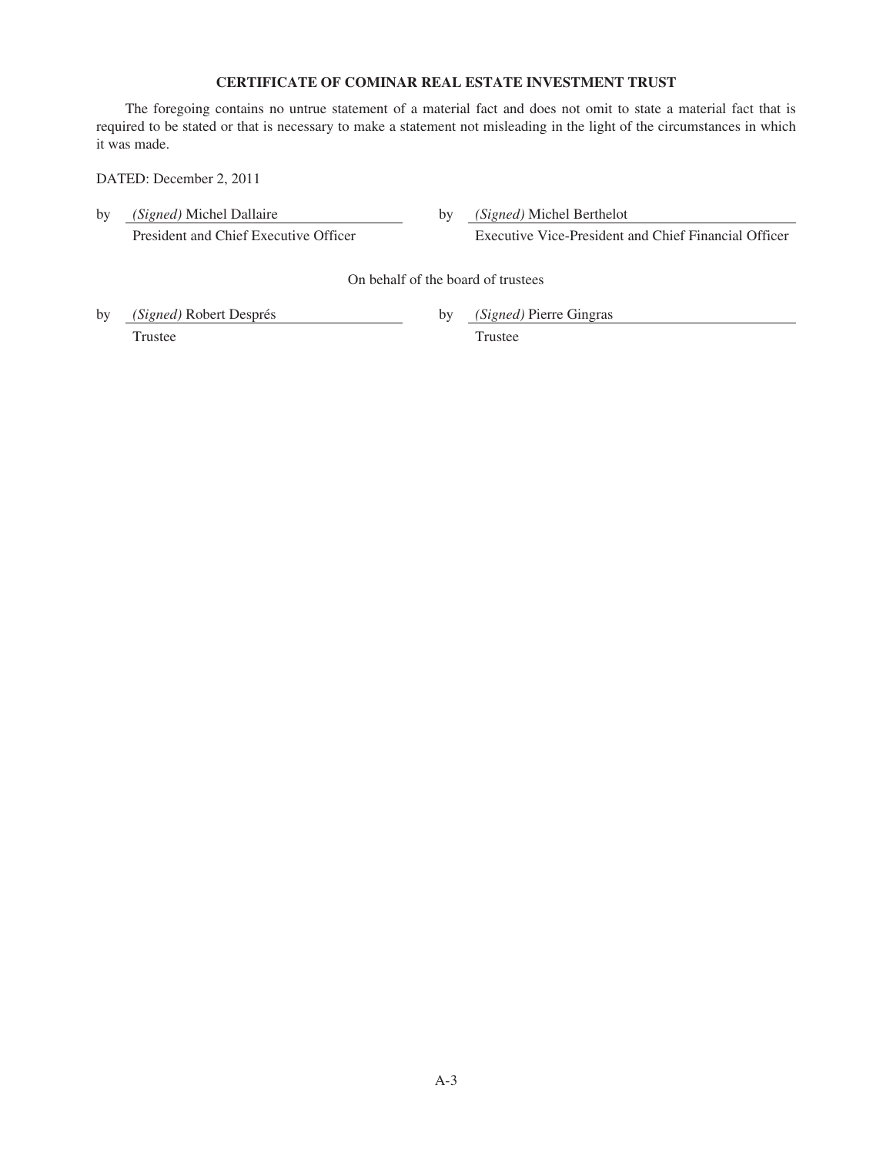## **CERTIFICATE OF COMINAR REAL ESTATE INVESTMENT TRUST**

The foregoing contains no untrue statement of a material fact and does not omit to state a material fact that is required to be stated or that is necessary to make a statement not misleading in the light of the circumstances in which it was made.

DATED: December 2, 2011

| by | (Signed) Michel Dallaire<br>President and Chief Executive Officer |    | <i>(Signed)</i> Michel Berthelot<br>Executive Vice-President and Chief Financial Officer |  |  |  |  |  |  |
|----|-------------------------------------------------------------------|----|------------------------------------------------------------------------------------------|--|--|--|--|--|--|
|    | On behalf of the board of trustees                                |    |                                                                                          |  |  |  |  |  |  |
| by | <i>(Signed)</i> Robert Després<br>Trustee                         | bv | <i>(Signed)</i> Pierre Gingras<br>Trustee                                                |  |  |  |  |  |  |

A-3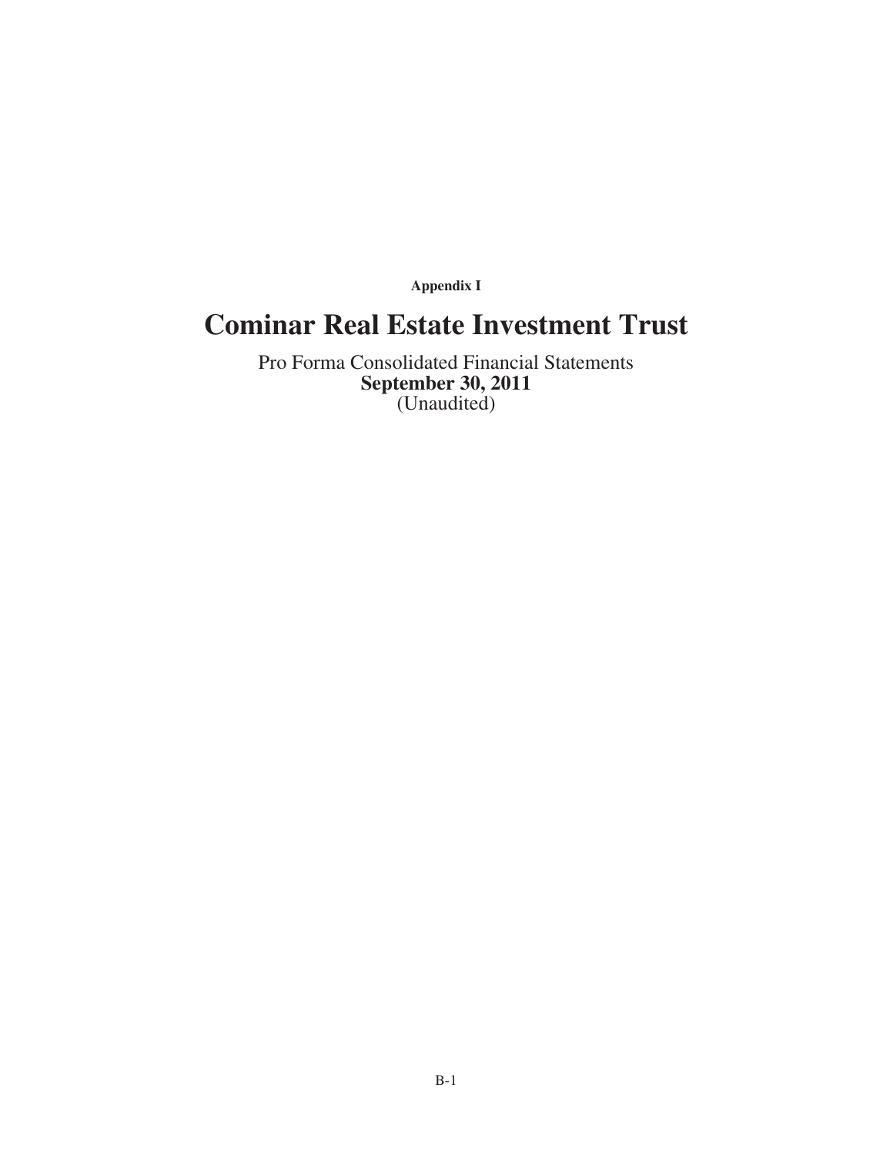**Appendix I**

## **Cominar Real Estate Investment Trust**

Pro Forma Consolidated Financial Statements **September 30, 2011** (Unaudited)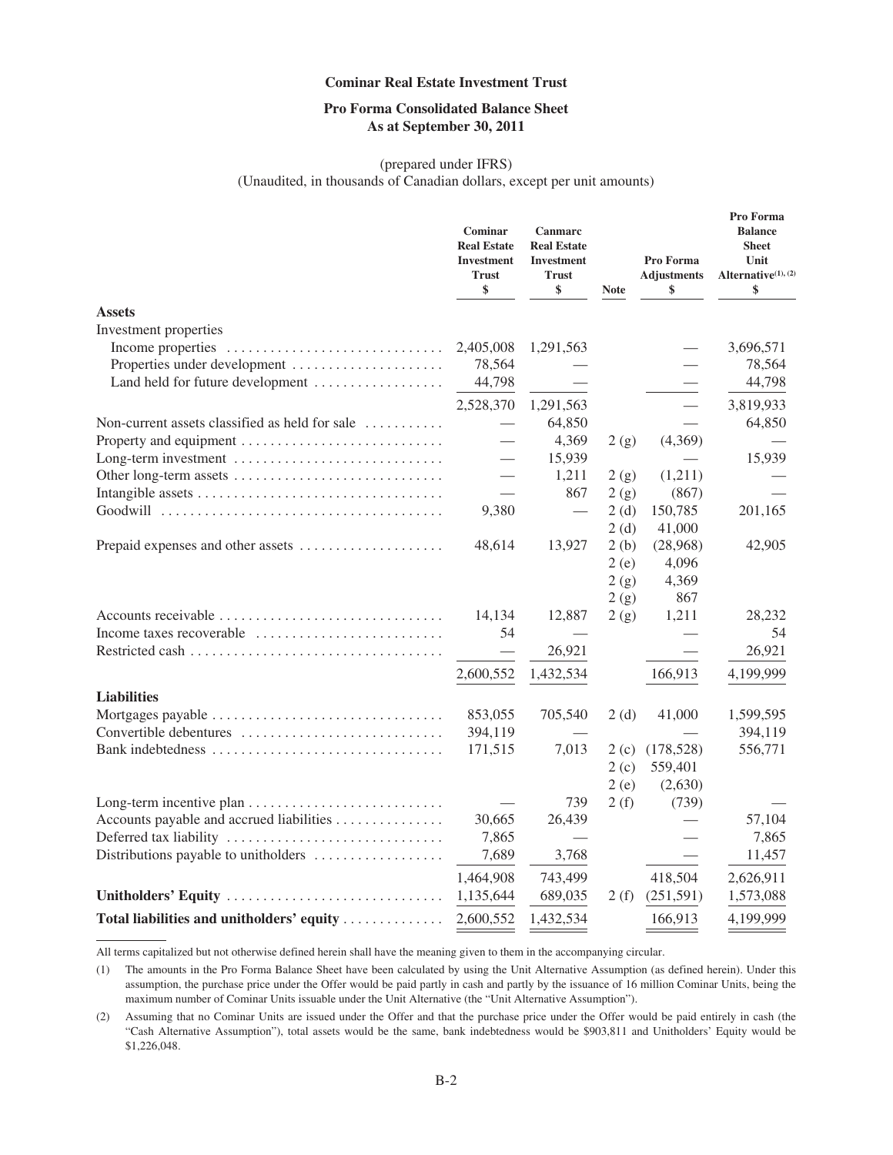## **Pro Forma Consolidated Balance Sheet As at September 30, 2011**

## (prepared under IFRS)

(Unaudited, in thousands of Canadian dollars, except per unit amounts)

|                                                                                      | Cominar<br><b>Real Estate</b><br><b>Investment</b><br><b>Trust</b><br>\$ | Canmarc<br><b>Real Estate</b><br><b>Investment</b><br><b>Trust</b><br>\$ | <b>Note</b> | Pro Forma<br><b>Adjustments</b><br>\$ | Pro Forma<br><b>Balance</b><br><b>Sheet</b><br>Unit<br>Alternative <sup>(1)</sup> , (2)<br>\$ |
|--------------------------------------------------------------------------------------|--------------------------------------------------------------------------|--------------------------------------------------------------------------|-------------|---------------------------------------|-----------------------------------------------------------------------------------------------|
| <b>Assets</b>                                                                        |                                                                          |                                                                          |             |                                       |                                                                                               |
| Investment properties                                                                |                                                                          |                                                                          |             |                                       |                                                                                               |
| Income properties                                                                    | 2,405,008                                                                | 1,291,563                                                                |             |                                       | 3,696,571                                                                                     |
| Properties under development                                                         | 78,564                                                                   |                                                                          |             |                                       | 78,564                                                                                        |
| Land held for future development                                                     | 44,798                                                                   |                                                                          |             |                                       | 44,798                                                                                        |
|                                                                                      | 2,528,370                                                                | 1,291,563                                                                |             |                                       | 3,819,933                                                                                     |
| Non-current assets classified as held for sale                                       | $\overline{\phantom{0}}$                                                 | 64,850                                                                   |             |                                       | 64,850                                                                                        |
|                                                                                      |                                                                          | 4,369                                                                    | 2(g)        | (4,369)                               |                                                                                               |
| Long-term investment                                                                 |                                                                          | 15,939                                                                   |             |                                       | 15,939                                                                                        |
| Other long-term assets                                                               | $\overline{\phantom{0}}$                                                 | 1,211                                                                    | 2(g)        | (1,211)                               |                                                                                               |
|                                                                                      |                                                                          | 867                                                                      | 2(g)        | (867)                                 |                                                                                               |
|                                                                                      | 9,380                                                                    |                                                                          | 2(d)        | 150,785                               | 201,165                                                                                       |
|                                                                                      |                                                                          |                                                                          | 2(d)        | 41,000                                |                                                                                               |
| Prepaid expenses and other assets                                                    | 48,614                                                                   | 13,927                                                                   | 2(b)        | (28,968)                              | 42,905                                                                                        |
|                                                                                      |                                                                          |                                                                          | 2(e)        | 4,096                                 |                                                                                               |
|                                                                                      |                                                                          |                                                                          | 2(g)        | 4,369                                 |                                                                                               |
|                                                                                      |                                                                          |                                                                          | 2(g)        | 867                                   |                                                                                               |
| Accounts receivable $\ldots, \ldots, \ldots, \ldots, \ldots, \ldots, \ldots, \ldots$ | 14,134                                                                   | 12,887                                                                   | 2(g)        | 1,211                                 | 28,232                                                                                        |
| Income taxes recoverable                                                             | 54                                                                       |                                                                          |             |                                       | 54                                                                                            |
|                                                                                      |                                                                          | 26,921                                                                   |             |                                       | 26,921                                                                                        |
|                                                                                      | 2,600,552                                                                | 1,432,534                                                                |             | 166,913                               | 4,199,999                                                                                     |
| <b>Liabilities</b>                                                                   |                                                                          |                                                                          |             |                                       |                                                                                               |
| Mortgages payable                                                                    | 853,055                                                                  | 705,540                                                                  | 2(d)        | 41,000                                | 1,599,595                                                                                     |
| Convertible debentures                                                               | 394,119                                                                  |                                                                          |             |                                       | 394,119                                                                                       |
| Bank indebtedness                                                                    | 171,515                                                                  | 7,013                                                                    | 2(c)        | (178, 528)                            | 556,771                                                                                       |
|                                                                                      |                                                                          |                                                                          | 2(c)        | 559,401                               |                                                                                               |
|                                                                                      |                                                                          |                                                                          | 2(e)        | (2,630)                               |                                                                                               |
| Long-term incentive plan                                                             |                                                                          | 739                                                                      | 2(f)        | (739)                                 |                                                                                               |
| Accounts payable and accrued liabilities                                             | 30,665                                                                   | 26,439                                                                   |             |                                       | 57,104                                                                                        |
| Deferred tax liability                                                               | 7,865                                                                    |                                                                          |             |                                       | 7,865                                                                                         |
| Distributions payable to unitholders                                                 | 7,689                                                                    | 3,768                                                                    |             |                                       | 11,457                                                                                        |
|                                                                                      | 1,464,908                                                                | 743,499                                                                  |             | 418,504                               | 2,626,911                                                                                     |
| Unitholders' Equity                                                                  | 1,135,644                                                                | 689,035                                                                  | 2(f)        | (251,591)                             | 1,573,088                                                                                     |
| Total liabilities and unitholders' equity                                            | 2,600,552                                                                | 1,432,534                                                                |             | 166,913                               | 4,199,999                                                                                     |

All terms capitalized but not otherwise defined herein shall have the meaning given to them in the accompanying circular.

(1) The amounts in the Pro Forma Balance Sheet have been calculated by using the Unit Alternative Assumption (as defined herein). Under this assumption, the purchase price under the Offer would be paid partly in cash and partly by the issuance of 16 million Cominar Units, being the maximum number of Cominar Units issuable under the Unit Alternative (the "Unit Alternative Assumption").

<sup>(2)</sup> Assuming that no Cominar Units are issued under the Offer and that the purchase price under the Offer would be paid entirely in cash (the "Cash Alternative Assumption"), total assets would be the same, bank indebtedness would be \$903,811 and Unitholders' Equity would be \$1,226,048.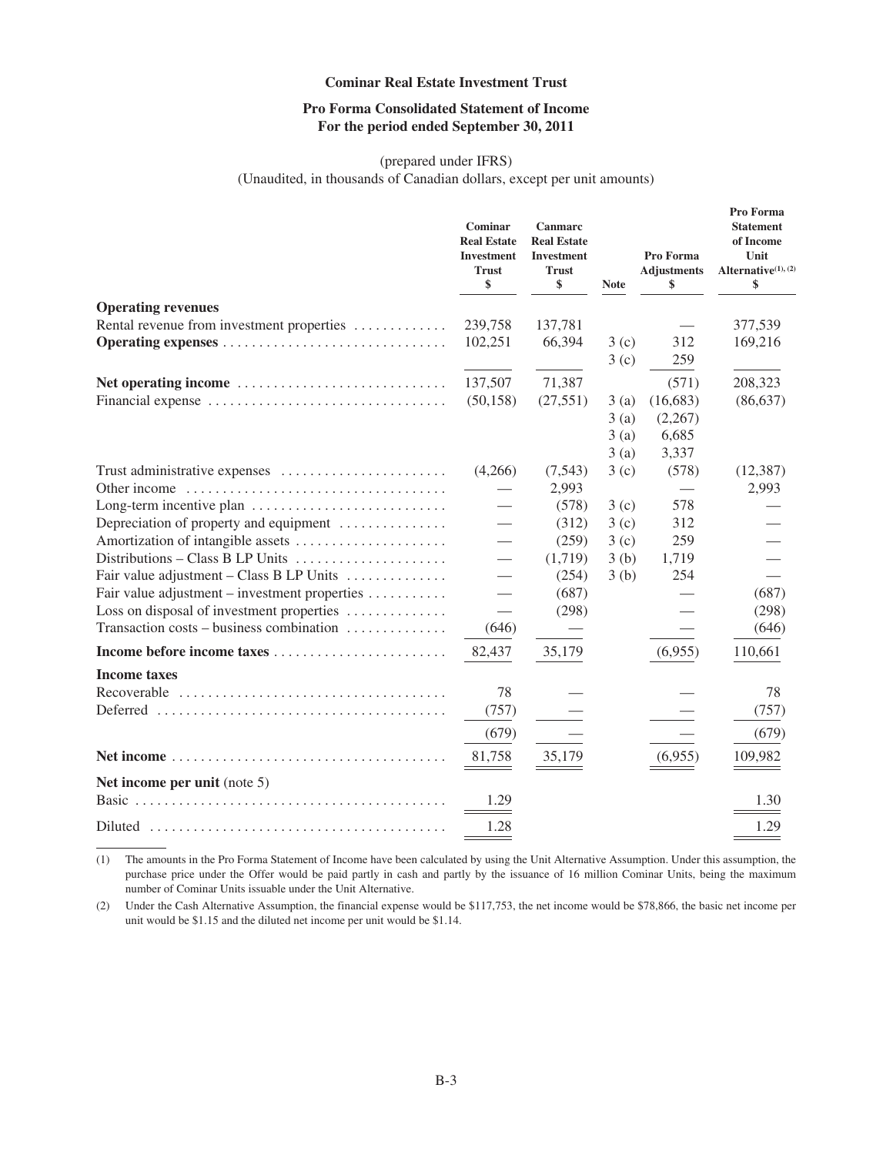## **Pro Forma Consolidated Statement of Income For the period ended September 30, 2011**

## (prepared under IFRS)

(Unaudited, in thousands of Canadian dollars, except per unit amounts)

|                                               | Cominar<br><b>Real Estate</b><br>Investment<br><b>Trust</b><br>\$ | Canmarc<br><b>Real Estate</b><br>Investment<br><b>Trust</b><br>\$ | <b>Note</b>  | Pro Forma<br><b>Adjustments</b><br>\$ | Pro Forma<br><b>Statement</b><br>of Income<br>Unit<br>Alternative <sup>(1)</sup> , (2)<br>\$ |
|-----------------------------------------------|-------------------------------------------------------------------|-------------------------------------------------------------------|--------------|---------------------------------------|----------------------------------------------------------------------------------------------|
| <b>Operating revenues</b>                     |                                                                   |                                                                   |              |                                       |                                                                                              |
| Rental revenue from investment properties     | 239,758                                                           | 137,781                                                           |              |                                       | 377,539                                                                                      |
|                                               | 102,251                                                           | 66,394                                                            | 3(c)<br>3(c) | 312<br>259                            | 169,216                                                                                      |
|                                               | 137,507                                                           | 71,387                                                            |              | (571)                                 | 208,323                                                                                      |
|                                               | (50, 158)                                                         | (27, 551)                                                         | 3(a)         | (16, 683)                             | (86, 637)                                                                                    |
|                                               |                                                                   |                                                                   | 3(a)         | (2,267)                               |                                                                                              |
|                                               |                                                                   |                                                                   | 3(a)         | 6,685                                 |                                                                                              |
|                                               |                                                                   |                                                                   | 3(a)         | 3,337                                 |                                                                                              |
|                                               | (4,266)                                                           | (7,543)                                                           | 3(c)         | (578)                                 | (12, 387)                                                                                    |
|                                               |                                                                   | 2,993                                                             |              |                                       | 2,993                                                                                        |
| Long-term incentive plan                      |                                                                   | (578)                                                             | 3(c)         | 578                                   |                                                                                              |
| Depreciation of property and equipment        | $\overline{\phantom{0}}$                                          | (312)                                                             | 3(c)         | 312                                   |                                                                                              |
| Amortization of intangible assets             | $\overline{\phantom{0}}$                                          | (259)                                                             | 3(c)         | 259                                   |                                                                                              |
|                                               |                                                                   | (1,719)                                                           | 3(b)         | 1,719                                 |                                                                                              |
| Fair value adjustment – Class B LP Units      |                                                                   | (254)                                                             | 3(b)         | 254                                   |                                                                                              |
| Fair value adjustment – investment properties |                                                                   | (687)                                                             |              |                                       | (687)                                                                                        |
| Loss on disposal of investment properties     |                                                                   | (298)                                                             |              |                                       | (298)                                                                                        |
| Transaction costs – business combination      | (646)                                                             |                                                                   |              |                                       | (646)                                                                                        |
|                                               | 82,437                                                            | 35,179                                                            |              | (6,955)                               | 110,661                                                                                      |
| <b>Income taxes</b>                           |                                                                   |                                                                   |              |                                       |                                                                                              |
|                                               | 78                                                                |                                                                   |              |                                       | 78                                                                                           |
|                                               | (757)                                                             |                                                                   |              |                                       | (757)                                                                                        |
|                                               | (679)                                                             |                                                                   |              |                                       | (679)                                                                                        |
|                                               | 81,758                                                            | 35,179                                                            |              | (6,955)                               | 109,982                                                                                      |
| Net income per unit (note 5)                  |                                                                   |                                                                   |              |                                       |                                                                                              |
|                                               | 1.29                                                              |                                                                   |              |                                       | 1.30                                                                                         |
|                                               | 1.28                                                              |                                                                   |              |                                       | 1.29                                                                                         |

(1) The amounts in the Pro Forma Statement of Income have been calculated by using the Unit Alternative Assumption. Under this assumption, the purchase price under the Offer would be paid partly in cash and partly by the issuance of 16 million Cominar Units, being the maximum number of Cominar Units issuable under the Unit Alternative.

(2) Under the Cash Alternative Assumption, the financial expense would be \$117,753, the net income would be \$78,866, the basic net income per unit would be \$1.15 and the diluted net income per unit would be \$1.14.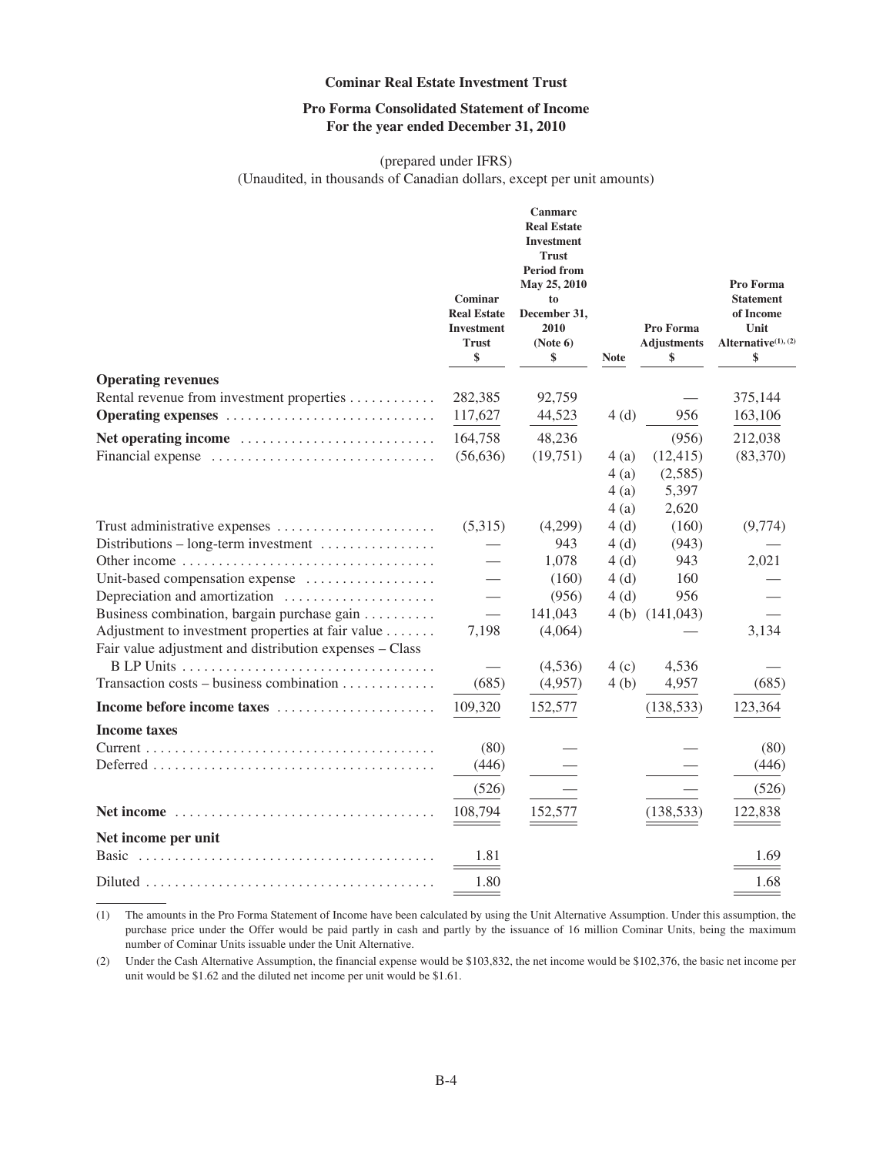## **Pro Forma Consolidated Statement of Income For the year ended December 31, 2010**

## (prepared under IFRS)

(Unaudited, in thousands of Canadian dollars, except per unit amounts)

|                                                                                                   | Cominar<br><b>Real Estate</b><br>Investment<br><b>Trust</b><br>\$ | Canmarc<br><b>Real Estate</b><br><b>Investment</b><br><b>Trust</b><br><b>Period from</b><br>May 25, 2010<br>to<br>December 31,<br>2010<br>(Note 6)<br>\$ | <b>Note</b>  | Pro Forma<br><b>Adjustments</b><br>\$ | Pro Forma<br><b>Statement</b><br>of Income<br>Unit<br>Alternative <sup>(1), (2)</sup><br>\$ |
|---------------------------------------------------------------------------------------------------|-------------------------------------------------------------------|----------------------------------------------------------------------------------------------------------------------------------------------------------|--------------|---------------------------------------|---------------------------------------------------------------------------------------------|
| <b>Operating revenues</b>                                                                         |                                                                   |                                                                                                                                                          |              |                                       |                                                                                             |
| Rental revenue from investment properties                                                         | 282,385                                                           | 92,759                                                                                                                                                   |              |                                       | 375,144                                                                                     |
| Operating expenses                                                                                | 117,627                                                           | 44,523                                                                                                                                                   | 4(d)         | 956                                   | 163,106                                                                                     |
| Net operating income                                                                              | 164,758                                                           | 48,236                                                                                                                                                   |              | (956)                                 | 212,038                                                                                     |
| Financial expense                                                                                 | (56, 636)                                                         | (19,751)                                                                                                                                                 | 4 (a)        | (12, 415)                             | (83,370)                                                                                    |
|                                                                                                   |                                                                   |                                                                                                                                                          | 4(a)         | (2,585)                               |                                                                                             |
|                                                                                                   |                                                                   |                                                                                                                                                          | 4 (a)        | 5,397                                 |                                                                                             |
|                                                                                                   | (5,315)                                                           | (4,299)                                                                                                                                                  | 4(a)<br>4(d) | 2,620<br>(160)                        | (9,774)                                                                                     |
| Trust administrative expenses<br>Distributions – long-term investment $\dots\dots\dots\dots\dots$ |                                                                   | 943                                                                                                                                                      | 4(d)         | (943)                                 |                                                                                             |
|                                                                                                   |                                                                   | 1,078                                                                                                                                                    | 4(d)         | 943                                   | 2,021                                                                                       |
| Unit-based compensation expense                                                                   |                                                                   | (160)                                                                                                                                                    | 4(d)         | 160                                   |                                                                                             |
| Depreciation and amortization                                                                     |                                                                   | (956)                                                                                                                                                    | 4(d)         | 956                                   |                                                                                             |
| Business combination, bargain purchase gain                                                       |                                                                   | 141,043                                                                                                                                                  |              | 4(b) $(141,043)$                      |                                                                                             |
| Adjustment to investment properties at fair value                                                 | 7,198                                                             | (4,064)                                                                                                                                                  |              |                                       | 3,134                                                                                       |
| Fair value adjustment and distribution expenses - Class                                           |                                                                   |                                                                                                                                                          |              |                                       |                                                                                             |
|                                                                                                   |                                                                   | (4,536)                                                                                                                                                  | 4(c)         | 4,536                                 |                                                                                             |
| Transaction costs – business combination                                                          | (685)                                                             | (4,957)                                                                                                                                                  | 4(b)         | 4,957                                 | (685)                                                                                       |
| Income before income taxes                                                                        | 109,320                                                           | 152,577                                                                                                                                                  |              | (138, 533)                            | 123,364                                                                                     |
| <b>Income taxes</b>                                                                               |                                                                   |                                                                                                                                                          |              |                                       |                                                                                             |
|                                                                                                   | (80)                                                              |                                                                                                                                                          |              |                                       | (80)                                                                                        |
|                                                                                                   | (446)                                                             |                                                                                                                                                          |              |                                       | (446)                                                                                       |
|                                                                                                   | (526)                                                             |                                                                                                                                                          |              |                                       | (526)                                                                                       |
|                                                                                                   | 108,794                                                           | 152,577                                                                                                                                                  |              | (138, 533)                            | 122,838                                                                                     |
| Net income per unit                                                                               |                                                                   |                                                                                                                                                          |              |                                       |                                                                                             |
| <b>Basic</b>                                                                                      | 1.81                                                              |                                                                                                                                                          |              |                                       | 1.69                                                                                        |
|                                                                                                   | 1.80                                                              |                                                                                                                                                          |              |                                       | 1.68                                                                                        |

(1) The amounts in the Pro Forma Statement of Income have been calculated by using the Unit Alternative Assumption. Under this assumption, the purchase price under the Offer would be paid partly in cash and partly by the issuance of 16 million Cominar Units, being the maximum number of Cominar Units issuable under the Unit Alternative.

(2) Under the Cash Alternative Assumption, the financial expense would be \$103,832, the net income would be \$102,376, the basic net income per unit would be \$1.62 and the diluted net income per unit would be \$1.61.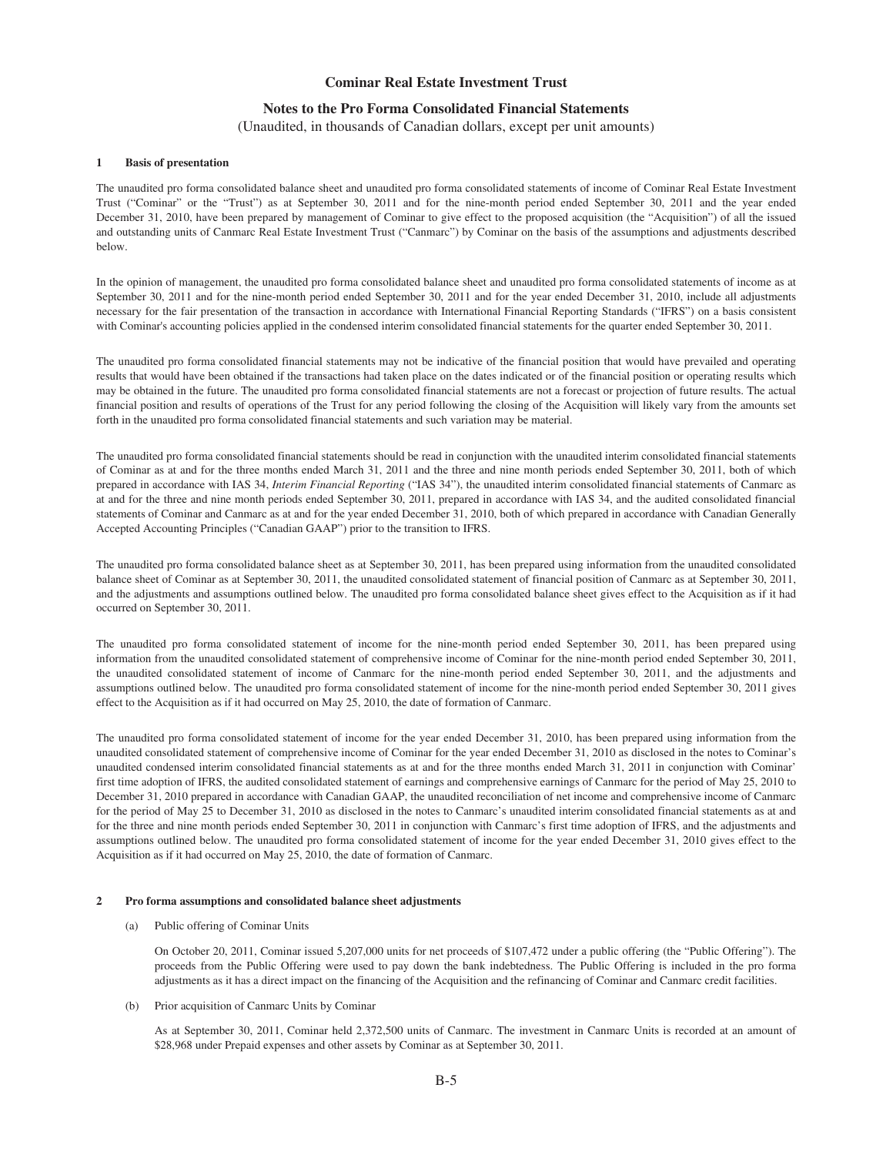## **Notes to the Pro Forma Consolidated Financial Statements**

(Unaudited, in thousands of Canadian dollars, except per unit amounts)

#### **1 Basis of presentation**

The unaudited pro forma consolidated balance sheet and unaudited pro forma consolidated statements of income of Cominar Real Estate Investment Trust ("Cominar" or the "Trust") as at September 30, 2011 and for the nine-month period ended September 30, 2011 and the year ended December 31, 2010, have been prepared by management of Cominar to give effect to the proposed acquisition (the "Acquisition") of all the issued and outstanding units of Canmarc Real Estate Investment Trust ("Canmarc") by Cominar on the basis of the assumptions and adjustments described below.

In the opinion of management, the unaudited pro forma consolidated balance sheet and unaudited pro forma consolidated statements of income as at September 30, 2011 and for the nine-month period ended September 30, 2011 and for the year ended December 31, 2010, include all adjustments necessary for the fair presentation of the transaction in accordance with International Financial Reporting Standards ("IFRS") on a basis consistent with Cominar's accounting policies applied in the condensed interim consolidated financial statements for the quarter ended September 30, 2011.

The unaudited pro forma consolidated financial statements may not be indicative of the financial position that would have prevailed and operating results that would have been obtained if the transactions had taken place on the dates indicated or of the financial position or operating results which may be obtained in the future. The unaudited pro forma consolidated financial statements are not a forecast or projection of future results. The actual financial position and results of operations of the Trust for any period following the closing of the Acquisition will likely vary from the amounts set forth in the unaudited pro forma consolidated financial statements and such variation may be material.

The unaudited pro forma consolidated financial statements should be read in conjunction with the unaudited interim consolidated financial statements of Cominar as at and for the three months ended March 31, 2011 and the three and nine month periods ended September 30, 2011, both of which prepared in accordance with IAS 34, *Interim Financial Reporting* ("IAS 34"), the unaudited interim consolidated financial statements of Canmarc as at and for the three and nine month periods ended September 30, 2011, prepared in accordance with IAS 34, and the audited consolidated financial statements of Cominar and Canmarc as at and for the year ended December 31, 2010, both of which prepared in accordance with Canadian Generally Accepted Accounting Principles ("Canadian GAAP") prior to the transition to IFRS.

The unaudited pro forma consolidated balance sheet as at September 30, 2011, has been prepared using information from the unaudited consolidated balance sheet of Cominar as at September 30, 2011, the unaudited consolidated statement of financial position of Canmarc as at September 30, 2011, and the adjustments and assumptions outlined below. The unaudited pro forma consolidated balance sheet gives effect to the Acquisition as if it had occurred on September 30, 2011.

The unaudited pro forma consolidated statement of income for the nine-month period ended September 30, 2011, has been prepared using information from the unaudited consolidated statement of comprehensive income of Cominar for the nine-month period ended September 30, 2011, the unaudited consolidated statement of income of Canmarc for the nine-month period ended September 30, 2011, and the adjustments and assumptions outlined below. The unaudited pro forma consolidated statement of income for the nine-month period ended September 30, 2011 gives effect to the Acquisition as if it had occurred on May 25, 2010, the date of formation of Canmarc.

The unaudited pro forma consolidated statement of income for the year ended December 31, 2010, has been prepared using information from the unaudited consolidated statement of comprehensive income of Cominar for the year ended December 31, 2010 as disclosed in the notes to Cominar's unaudited condensed interim consolidated financial statements as at and for the three months ended March 31, 2011 in conjunction with Cominar' first time adoption of IFRS, the audited consolidated statement of earnings and comprehensive earnings of Canmarc for the period of May 25, 2010 to December 31, 2010 prepared in accordance with Canadian GAAP, the unaudited reconciliation of net income and comprehensive income of Canmarc for the period of May 25 to December 31, 2010 as disclosed in the notes to Canmarc's unaudited interim consolidated financial statements as at and for the three and nine month periods ended September 30, 2011 in conjunction with Canmarc's first time adoption of IFRS, and the adjustments and assumptions outlined below. The unaudited pro forma consolidated statement of income for the year ended December 31, 2010 gives effect to the Acquisition as if it had occurred on May 25, 2010, the date of formation of Canmarc.

#### **2 Pro forma assumptions and consolidated balance sheet adjustments**

#### (a) Public offering of Cominar Units

On October 20, 2011, Cominar issued 5,207,000 units for net proceeds of \$107,472 under a public offering (the "Public Offering"). The proceeds from the Public Offering were used to pay down the bank indebtedness. The Public Offering is included in the pro forma adjustments as it has a direct impact on the financing of the Acquisition and the refinancing of Cominar and Canmarc credit facilities.

#### (b) Prior acquisition of Canmarc Units by Cominar

As at September 30, 2011, Cominar held 2,372,500 units of Canmarc. The investment in Canmarc Units is recorded at an amount of \$28,968 under Prepaid expenses and other assets by Cominar as at September 30, 2011.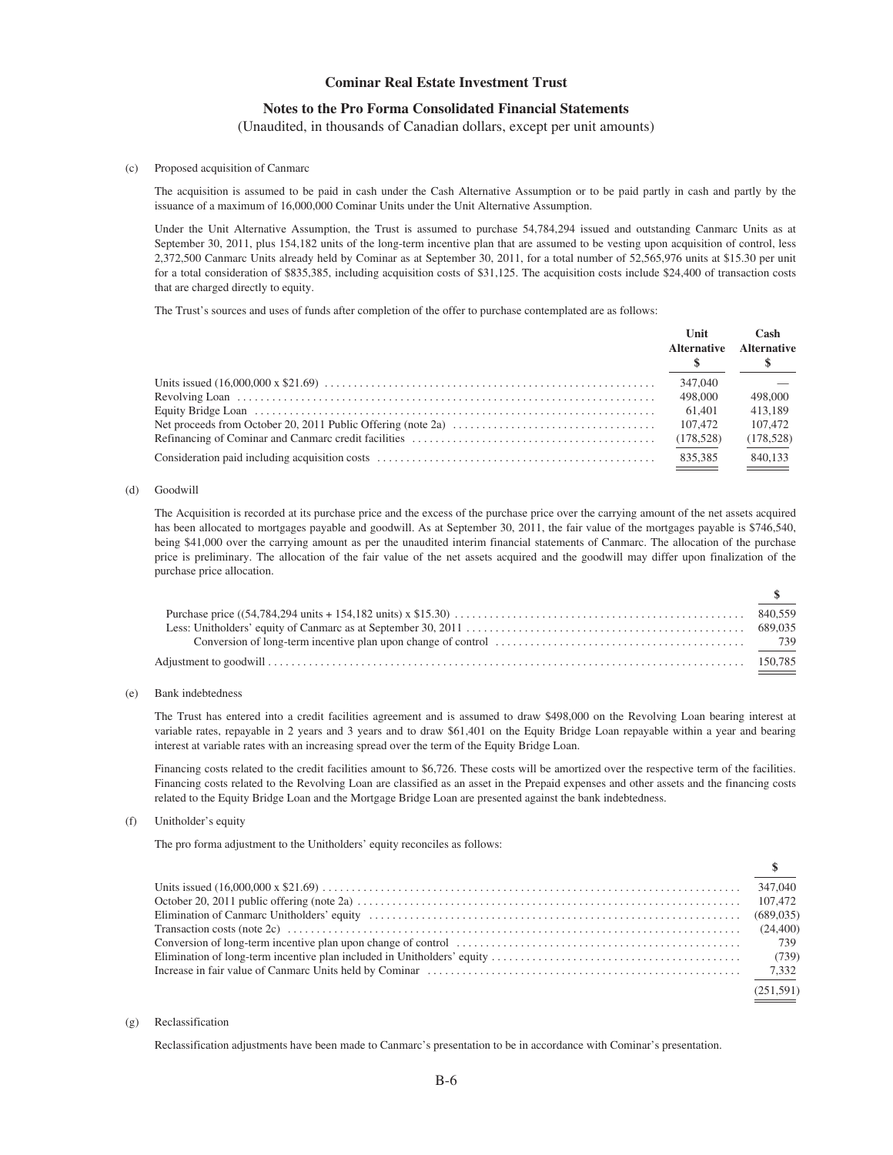## **Notes to the Pro Forma Consolidated Financial Statements**

(Unaudited, in thousands of Canadian dollars, except per unit amounts)

#### (c) Proposed acquisition of Canmarc

The acquisition is assumed to be paid in cash under the Cash Alternative Assumption or to be paid partly in cash and partly by the issuance of a maximum of 16,000,000 Cominar Units under the Unit Alternative Assumption.

Under the Unit Alternative Assumption, the Trust is assumed to purchase 54,784,294 issued and outstanding Canmarc Units as at September 30, 2011, plus 154,182 units of the long-term incentive plan that are assumed to be vesting upon acquisition of control, less 2,372,500 Canmarc Units already held by Cominar as at September 30, 2011, for a total number of 52,565,976 units at \$15.30 per unit for a total consideration of \$835,385, including acquisition costs of \$31,125. The acquisition costs include \$24,400 of transaction costs that are charged directly to equity.

The Trust's sources and uses of funds after completion of the offer to purchase contemplated are as follows:

| Unit<br><b>Alternative</b> | Cash<br><b>Alternative</b> |
|----------------------------|----------------------------|
| 347,040                    |                            |
| 498,000                    | 498,000                    |
| 61.401                     | 413.189                    |
| 107.472                    | 107,472                    |
| (178,528)                  | (178, 528)                 |
| 835.385                    | 840.133                    |

#### (d) Goodwill

The Acquisition is recorded at its purchase price and the excess of the purchase price over the carrying amount of the net assets acquired has been allocated to mortgages payable and goodwill. As at September 30, 2011, the fair value of the mortgages payable is \$746,540, being \$41,000 over the carrying amount as per the unaudited interim financial statements of Canmarc. The allocation of the purchase price is preliminary. The allocation of the fair value of the net assets acquired and the goodwill may differ upon finalization of the purchase price allocation.

**\$**

**\$**

#### (e) Bank indebtedness

The Trust has entered into a credit facilities agreement and is assumed to draw \$498,000 on the Revolving Loan bearing interest at variable rates, repayable in 2 years and 3 years and to draw \$61,401 on the Equity Bridge Loan repayable within a year and bearing interest at variable rates with an increasing spread over the term of the Equity Bridge Loan.

Financing costs related to the credit facilities amount to \$6,726. These costs will be amortized over the respective term of the facilities. Financing costs related to the Revolving Loan are classified as an asset in the Prepaid expenses and other assets and the financing costs related to the Equity Bridge Loan and the Mortgage Bridge Loan are presented against the bank indebtedness.

#### (f) Unitholder's equity

The pro forma adjustment to the Unitholders' equity reconciles as follows:

| 347,040   |
|-----------|
|           |
|           |
|           |
|           |
|           |
|           |
| (251.591) |

#### (g) Reclassification

Reclassification adjustments have been made to Canmarc's presentation to be in accordance with Cominar's presentation.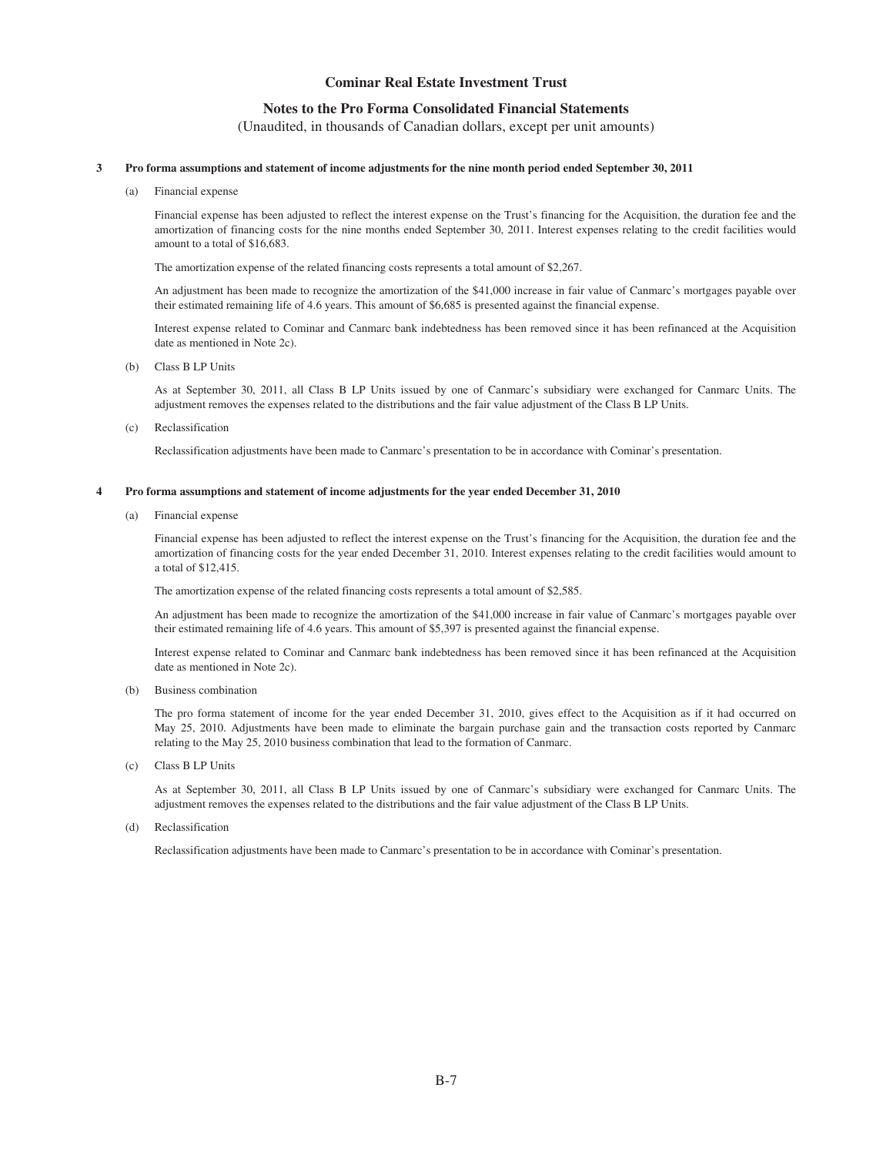## **Notes to the Pro Forma Consolidated Financial Statements**

(Unaudited, in thousands of Canadian dollars, except per unit amounts)

#### **3 Pro forma assumptions and statement of income adjustments for the nine month period ended September 30, 2011**

(a) Financial expense

Financial expense has been adjusted to reflect the interest expense on the Trust's financing for the Acquisition, the duration fee and the amortization of financing costs for the nine months ended September 30, 2011. Interest expenses relating to the credit facilities would amount to a total of \$16,683.

The amortization expense of the related financing costs represents a total amount of \$2,267.

An adjustment has been made to recognize the amortization of the \$41,000 increase in fair value of Canmarc's mortgages payable over their estimated remaining life of 4.6 years. This amount of \$6,685 is presented against the financial expense.

Interest expense related to Cominar and Canmarc bank indebtedness has been removed since it has been refinanced at the Acquisition date as mentioned in Note 2c).

(b) Class B LP Units

As at September 30, 2011, all Class B LP Units issued by one of Canmarc's subsidiary were exchanged for Canmarc Units. The adjustment removes the expenses related to the distributions and the fair value adjustment of the Class B LP Units.

(c) Reclassification

Reclassification adjustments have been made to Canmarc's presentation to be in accordance with Cominar's presentation.

#### **4 Pro forma assumptions and statement of income adjustments for the year ended December 31, 2010**

(a) Financial expense

Financial expense has been adjusted to reflect the interest expense on the Trust's financing for the Acquisition, the duration fee and the amortization of financing costs for the year ended December 31, 2010. Interest expenses relating to the credit facilities would amount to a total of \$12,415.

The amortization expense of the related financing costs represents a total amount of \$2,585.

An adjustment has been made to recognize the amortization of the \$41,000 increase in fair value of Canmarc's mortgages payable over their estimated remaining life of 4.6 years. This amount of \$5,397 is presented against the financial expense.

Interest expense related to Cominar and Canmarc bank indebtedness has been removed since it has been refinanced at the Acquisition date as mentioned in Note 2c).

(b) Business combination

The pro forma statement of income for the year ended December 31, 2010, gives effect to the Acquisition as if it had occurred on May 25, 2010. Adjustments have been made to eliminate the bargain purchase gain and the transaction costs reported by Canmarc relating to the May 25, 2010 business combination that lead to the formation of Canmarc.

(c) Class B LP Units

As at September 30, 2011, all Class B LP Units issued by one of Canmarc's subsidiary were exchanged for Canmarc Units. The adjustment removes the expenses related to the distributions and the fair value adjustment of the Class B LP Units.

(d) Reclassification

Reclassification adjustments have been made to Canmarc's presentation to be in accordance with Cominar's presentation.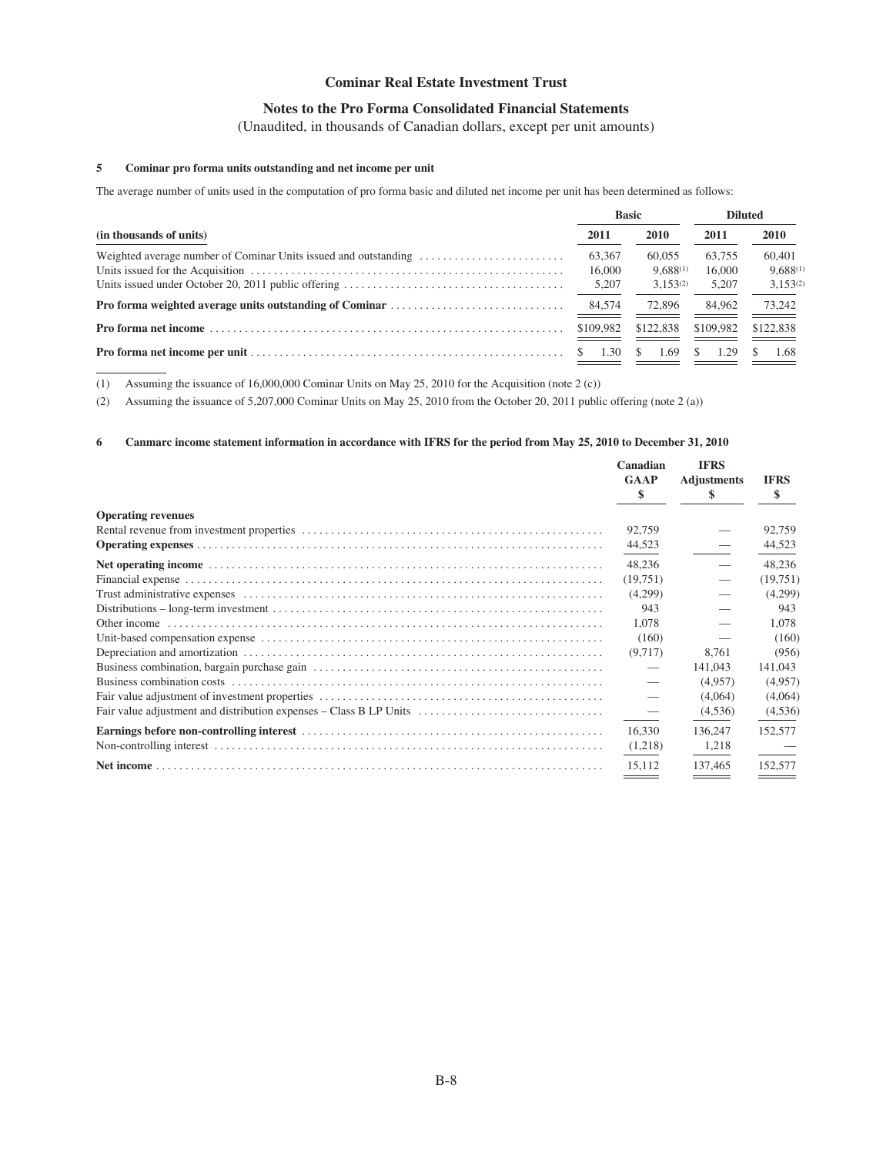## **Notes to the Pro Forma Consolidated Financial Statements**

(Unaudited, in thousands of Canadian dollars, except per unit amounts)

## **5 Cominar pro forma units outstanding and net income per unit**

The average number of units used in the computation of pro forma basic and diluted net income per unit has been determined as follows:

|                         |            | <b>Basic</b>  | <b>Diluted</b> |                 |
|-------------------------|------------|---------------|----------------|-----------------|
| (in thousands of units) | 2011       | <b>2010</b>   | 2011           | 2010            |
|                         | 63,367     | 60,055        | 63.755         | 60,401          |
|                         | 16,000     | $9.688^{(1)}$ | 16,000         | $9,688^{(1)}$   |
|                         | 5,207      | $3.153^{(2)}$ | 5.207          | $3.153^{(2)}$   |
|                         | 84,574     | 72,896        | 84,962         | 73,242<br>_____ |
|                         | \$109.982  | \$122,838     | \$109,982      | \$122,838       |
|                         | 1.30<br>S. | S.<br>1.69    | 1.29<br>S      | 1.68            |

(1) Assuming the issuance of 16,000,000 Cominar Units on May 25, 2010 for the Acquisition (note 2 (c))

(2) Assuming the issuance of 5,207,000 Cominar Units on May 25, 2010 from the October 20, 2011 public offering (note 2 (a))

## **6 Canmarc income statement information in accordance with IFRS for the period from May 25, 2010 to December 31, 2010**

|                                                                    | Canadian<br><b>GAAP</b><br>\$         | <b>IFRS</b><br><b>Adjustments</b><br>S | <b>IFRS</b><br>\$ |
|--------------------------------------------------------------------|---------------------------------------|----------------------------------------|-------------------|
| <b>Operating revenues</b>                                          |                                       |                                        |                   |
|                                                                    | 92,759                                |                                        | 92,759            |
|                                                                    | 44,523                                |                                        | 44,523            |
|                                                                    | 48,236                                |                                        | 48,236            |
|                                                                    | (19,751)                              |                                        | (19,751)          |
|                                                                    | (4,299)                               |                                        | (4,299)           |
|                                                                    | 943                                   |                                        | 943               |
|                                                                    | 1,078                                 |                                        | 1,078             |
|                                                                    | (160)                                 |                                        | (160)             |
|                                                                    | (9,717)                               | 8,761                                  | (956)             |
|                                                                    |                                       | 141,043                                | 141,043           |
|                                                                    |                                       | (4,957)                                | (4,957)           |
|                                                                    |                                       | (4,064)                                | (4,064)           |
| Fair value adjustment and distribution expenses - Class B LP Units |                                       | (4,536)                                | (4,536)           |
|                                                                    | 16.330                                | 136,247                                | 152,577           |
|                                                                    | (1,218)                               | 1,218                                  |                   |
|                                                                    | 15.112                                | 137.465                                | 152,577           |
|                                                                    | <u> The Common State State Sta</u> te |                                        |                   |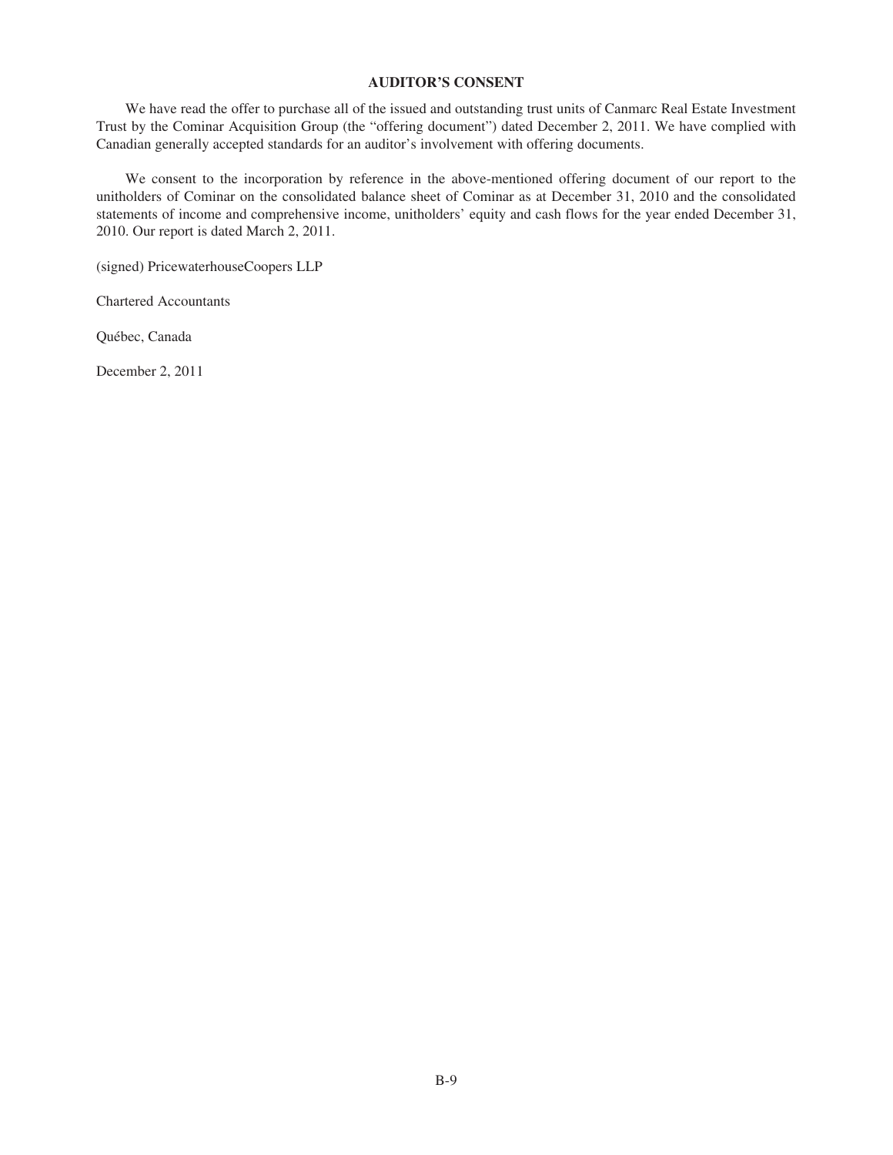## **AUDITOR'S CONSENT**

We have read the offer to purchase all of the issued and outstanding trust units of Canmarc Real Estate Investment Trust by the Cominar Acquisition Group (the "offering document") dated December 2, 2011. We have complied with Canadian generally accepted standards for an auditor's involvement with offering documents.

We consent to the incorporation by reference in the above-mentioned offering document of our report to the unitholders of Cominar on the consolidated balance sheet of Cominar as at December 31, 2010 and the consolidated statements of income and comprehensive income, unitholders' equity and cash flows for the year ended December 31, 2010. Our report is dated March 2, 2011.

(signed) PricewaterhouseCoopers LLP

Chartered Accountants

Québec, Canada

December 2, 2011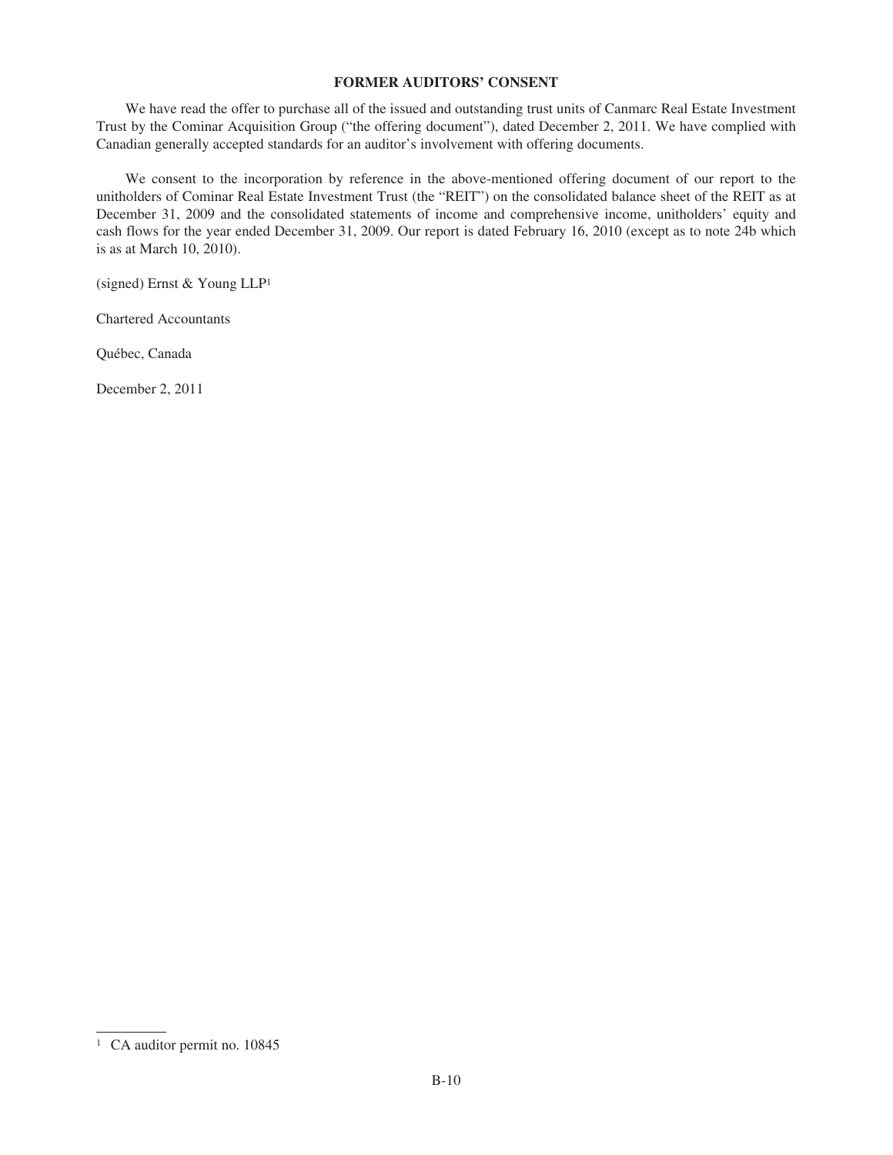## **FORMER AUDITORS' CONSENT**

We have read the offer to purchase all of the issued and outstanding trust units of Canmarc Real Estate Investment Trust by the Cominar Acquisition Group ("the offering document"), dated December 2, 2011. We have complied with Canadian generally accepted standards for an auditor's involvement with offering documents.

We consent to the incorporation by reference in the above-mentioned offering document of our report to the unitholders of Cominar Real Estate Investment Trust (the "REIT") on the consolidated balance sheet of the REIT as at December 31, 2009 and the consolidated statements of income and comprehensive income, unitholders' equity and cash flows for the year ended December 31, 2009. Our report is dated February 16, 2010 (except as to note 24b which is as at March 10, 2010).

(signed) Ernst & Young LLP1

Chartered Accountants

Québec, Canada

December 2, 2011

<sup>&</sup>lt;sup>1</sup> CA auditor permit no. 10845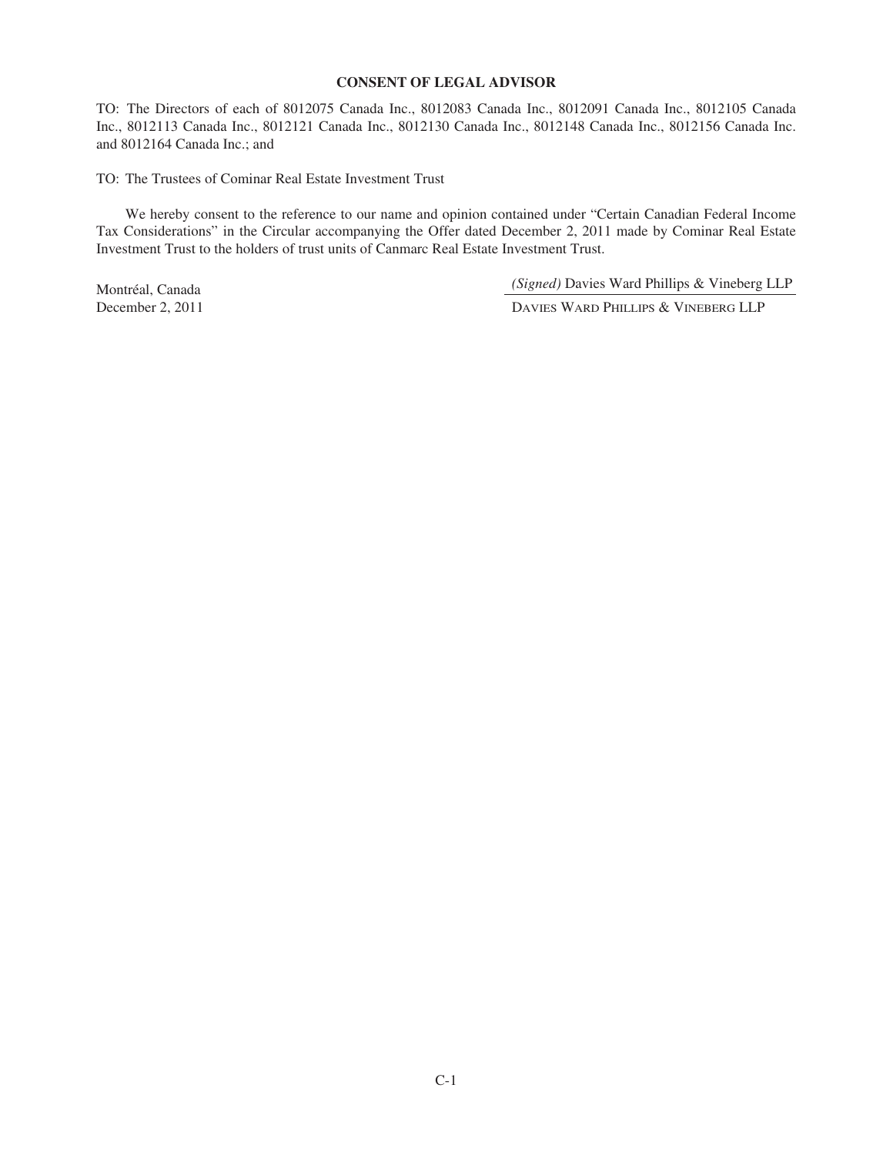## **CONSENT OF LEGAL ADVISOR**

TO: The Directors of each of 8012075 Canada Inc., 8012083 Canada Inc., 8012091 Canada Inc., 8012105 Canada Inc., 8012113 Canada Inc., 8012121 Canada Inc., 8012130 Canada Inc., 8012148 Canada Inc., 8012156 Canada Inc. and 8012164 Canada Inc.; and

TO: The Trustees of Cominar Real Estate Investment Trust

We hereby consent to the reference to our name and opinion contained under "Certain Canadian Federal Income Tax Considerations" in the Circular accompanying the Offer dated December 2, 2011 made by Cominar Real Estate Investment Trust to the holders of trust units of Canmarc Real Estate Investment Trust.

Montréal, Canada *(Signed)* Davies Ward Phillips & Vineberg LLP

December 2, 2011 DAVIES WARD PHILLIPS & VINEBERG LLP